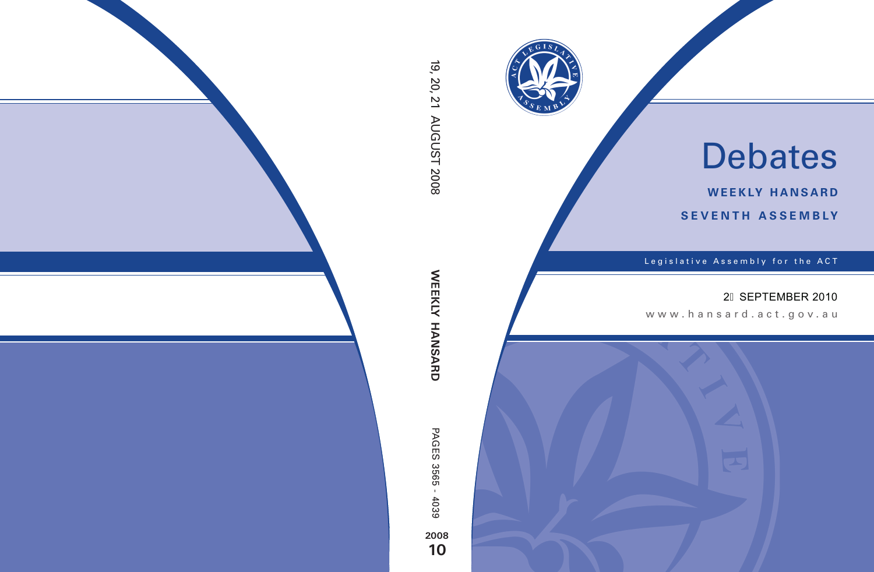

# Debates

**weekly hansard seventh asseMBly**

Legislative Assembly for the ACT

### 2H SEPTEMBER 2010

www.hansard.act.gov.au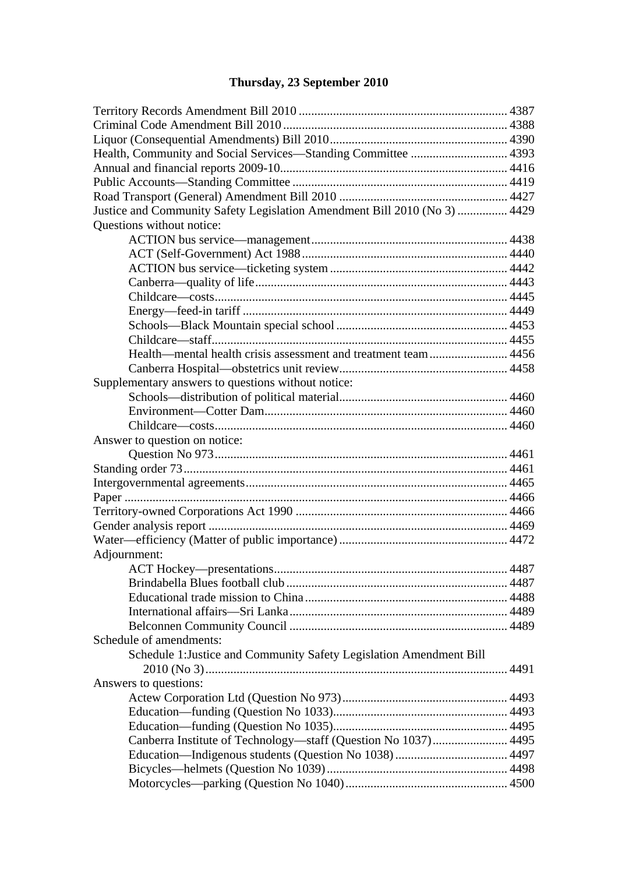# **[Thursday, 23 September 2010](#page-4-0)**

| Justice and Community Safety Legislation Amendment Bill 2010 (No 3)  4429 |  |
|---------------------------------------------------------------------------|--|
| Questions without notice:                                                 |  |
|                                                                           |  |
|                                                                           |  |
|                                                                           |  |
|                                                                           |  |
|                                                                           |  |
|                                                                           |  |
|                                                                           |  |
|                                                                           |  |
|                                                                           |  |
|                                                                           |  |
| Supplementary answers to questions without notice:                        |  |
|                                                                           |  |
|                                                                           |  |
|                                                                           |  |
| Answer to question on notice:                                             |  |
|                                                                           |  |
|                                                                           |  |
|                                                                           |  |
|                                                                           |  |
|                                                                           |  |
|                                                                           |  |
|                                                                           |  |
| Adjournment:                                                              |  |
|                                                                           |  |
|                                                                           |  |
|                                                                           |  |
|                                                                           |  |
|                                                                           |  |
| Schedule of amendments:                                                   |  |
| Schedule 1: Justice and Community Safety Legislation Amendment Bill       |  |
|                                                                           |  |
| Answers to questions:                                                     |  |
|                                                                           |  |
|                                                                           |  |
|                                                                           |  |
| Canberra Institute of Technology—staff (Question No 1037) 4495            |  |
|                                                                           |  |
|                                                                           |  |
|                                                                           |  |
|                                                                           |  |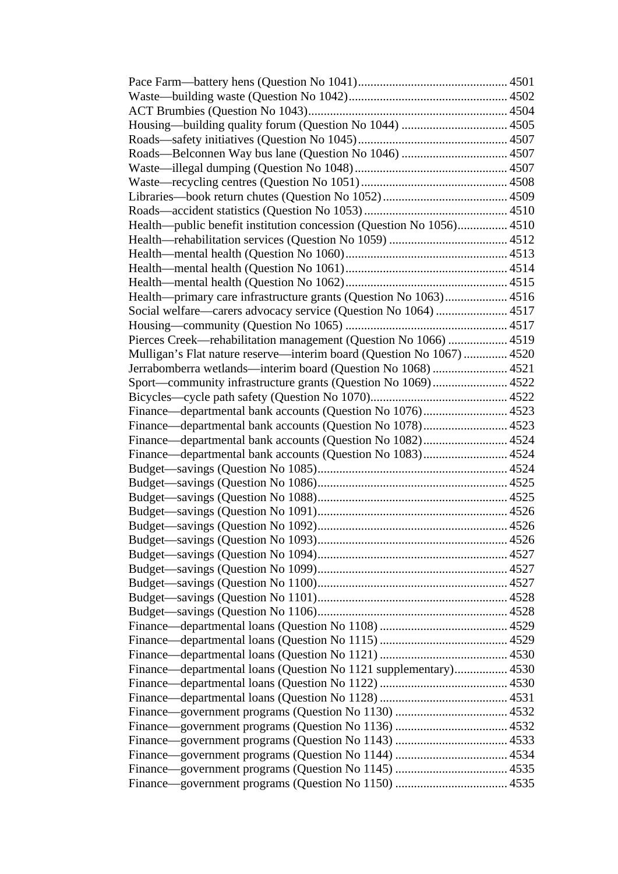| Roads-Belconnen Way bus lane (Question No 1046)  4507                 |  |
|-----------------------------------------------------------------------|--|
|                                                                       |  |
|                                                                       |  |
|                                                                       |  |
|                                                                       |  |
| Health—public benefit institution concession (Question No 1056) 4510  |  |
|                                                                       |  |
|                                                                       |  |
|                                                                       |  |
|                                                                       |  |
| Health-primary care infrastructure grants (Question No 1063) 4516     |  |
| Social welfare—carers advocacy service (Question No 1064)  4517       |  |
|                                                                       |  |
| Pierces Creek—rehabilitation management (Question No 1066)  4519      |  |
| Mulligan's Flat nature reserve—interim board (Question No 1067)  4520 |  |
| Jerrabomberra wetlands—interim board (Question No 1068)  4521         |  |
| Sport—community infrastructure grants (Question No 1069) 4522         |  |
|                                                                       |  |
| Finance—departmental bank accounts (Question No 1076) 4523            |  |
|                                                                       |  |
| Finance—departmental bank accounts (Question No 1082) 4524            |  |
| Finance—departmental bank accounts (Question No 1083) 4524            |  |
|                                                                       |  |
|                                                                       |  |
|                                                                       |  |
|                                                                       |  |
|                                                                       |  |
|                                                                       |  |
|                                                                       |  |
|                                                                       |  |
|                                                                       |  |
|                                                                       |  |
|                                                                       |  |
|                                                                       |  |
|                                                                       |  |
|                                                                       |  |
|                                                                       |  |
| Finance—departmental loans (Question No 1121 supplementary) 4530      |  |
|                                                                       |  |
|                                                                       |  |
|                                                                       |  |
|                                                                       |  |
|                                                                       |  |
|                                                                       |  |
|                                                                       |  |
|                                                                       |  |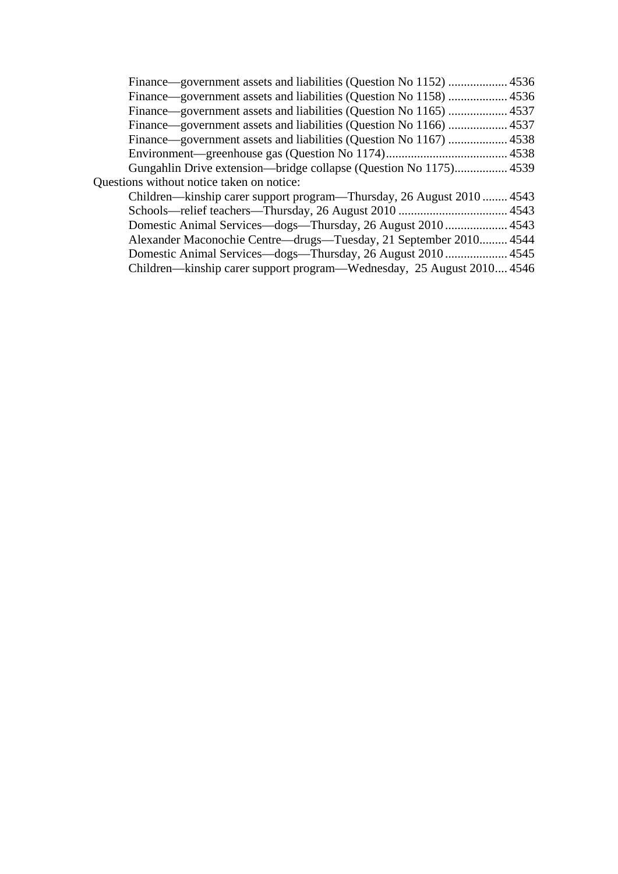| Gungahlin Drive extension—bridge collapse (Question No 1175) 4539     |  |
|-----------------------------------------------------------------------|--|
| Questions without notice taken on notice:                             |  |
| Children—kinship carer support program—Thursday, 26 August 2010 4543  |  |
|                                                                       |  |
| Domestic Animal Services—dogs—Thursday, 26 August 2010  4543          |  |
| Alexander Maconochie Centre—drugs—Tuesday, 21 September 2010 4544     |  |
|                                                                       |  |
| Children—kinship carer support program—Wednesday, 25 August 2010 4546 |  |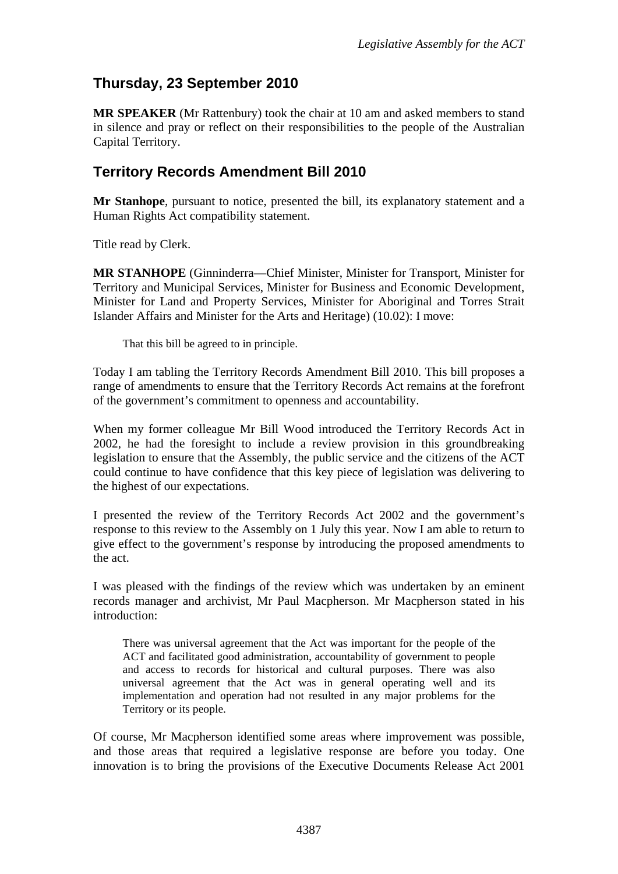# <span id="page-4-0"></span>**Thursday, 23 September 2010**

**MR SPEAKER** (Mr Rattenbury) took the chair at 10 am and asked members to stand in silence and pray or reflect on their responsibilities to the people of the Australian Capital Territory.

## <span id="page-4-1"></span>**Territory Records Amendment Bill 2010**

**Mr Stanhope**, pursuant to notice, presented the bill, its explanatory statement and a Human Rights Act compatibility statement.

Title read by Clerk.

**MR STANHOPE** (Ginninderra—Chief Minister, Minister for Transport, Minister for Territory and Municipal Services, Minister for Business and Economic Development, Minister for Land and Property Services, Minister for Aboriginal and Torres Strait Islander Affairs and Minister for the Arts and Heritage) (10.02): I move:

That this bill be agreed to in principle.

Today I am tabling the Territory Records Amendment Bill 2010. This bill proposes a range of amendments to ensure that the Territory Records Act remains at the forefront of the government's commitment to openness and accountability.

When my former colleague Mr Bill Wood introduced the Territory Records Act in 2002, he had the foresight to include a review provision in this groundbreaking legislation to ensure that the Assembly, the public service and the citizens of the ACT could continue to have confidence that this key piece of legislation was delivering to the highest of our expectations.

I presented the review of the Territory Records Act 2002 and the government's response to this review to the Assembly on 1 July this year. Now I am able to return to give effect to the government's response by introducing the proposed amendments to the act.

I was pleased with the findings of the review which was undertaken by an eminent records manager and archivist, Mr Paul Macpherson. Mr Macpherson stated in his introduction:

There was universal agreement that the Act was important for the people of the ACT and facilitated good administration, accountability of government to people and access to records for historical and cultural purposes. There was also universal agreement that the Act was in general operating well and its implementation and operation had not resulted in any major problems for the Territory or its people.

Of course, Mr Macpherson identified some areas where improvement was possible, and those areas that required a legislative response are before you today. One innovation is to bring the provisions of the Executive Documents Release Act 2001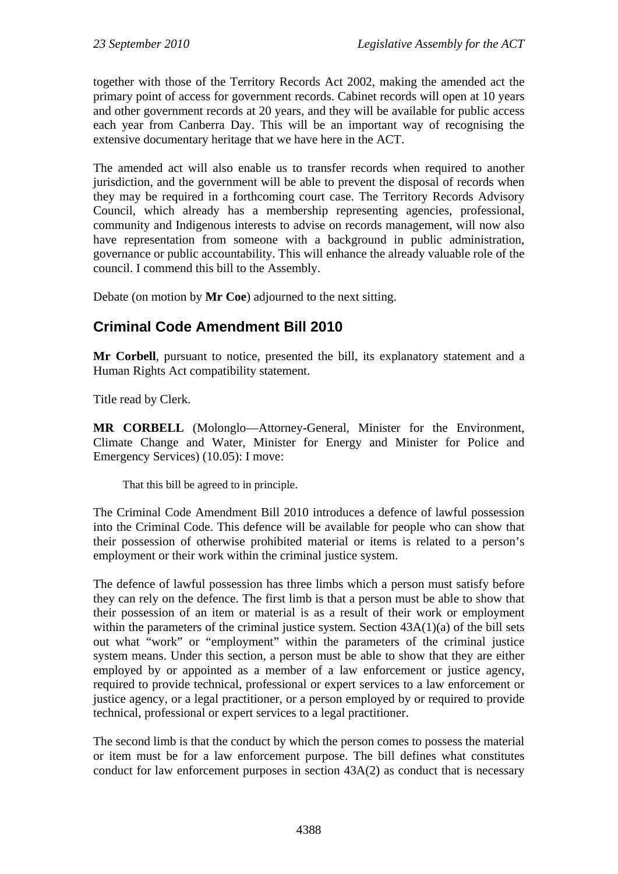together with those of the Territory Records Act 2002, making the amended act the primary point of access for government records. Cabinet records will open at 10 years and other government records at 20 years, and they will be available for public access each year from Canberra Day. This will be an important way of recognising the extensive documentary heritage that we have here in the ACT.

The amended act will also enable us to transfer records when required to another jurisdiction, and the government will be able to prevent the disposal of records when they may be required in a forthcoming court case. The Territory Records Advisory Council, which already has a membership representing agencies, professional, community and Indigenous interests to advise on records management, will now also have representation from someone with a background in public administration, governance or public accountability. This will enhance the already valuable role of the council. I commend this bill to the Assembly.

Debate (on motion by **Mr Coe**) adjourned to the next sitting.

# <span id="page-5-0"></span>**Criminal Code Amendment Bill 2010**

**Mr Corbell**, pursuant to notice, presented the bill, its explanatory statement and a Human Rights Act compatibility statement.

Title read by Clerk.

**MR CORBELL** (Molonglo—Attorney-General, Minister for the Environment, Climate Change and Water, Minister for Energy and Minister for Police and Emergency Services) (10.05): I move:

That this bill be agreed to in principle.

The Criminal Code Amendment Bill 2010 introduces a defence of lawful possession into the Criminal Code. This defence will be available for people who can show that their possession of otherwise prohibited material or items is related to a person's employment or their work within the criminal justice system.

The defence of lawful possession has three limbs which a person must satisfy before they can rely on the defence. The first limb is that a person must be able to show that their possession of an item or material is as a result of their work or employment within the parameters of the criminal justice system. Section  $43A(1)(a)$  of the bill sets out what "work" or "employment" within the parameters of the criminal justice system means. Under this section, a person must be able to show that they are either employed by or appointed as a member of a law enforcement or justice agency, required to provide technical, professional or expert services to a law enforcement or justice agency, or a legal practitioner, or a person employed by or required to provide technical, professional or expert services to a legal practitioner.

The second limb is that the conduct by which the person comes to possess the material or item must be for a law enforcement purpose. The bill defines what constitutes conduct for law enforcement purposes in section 43A(2) as conduct that is necessary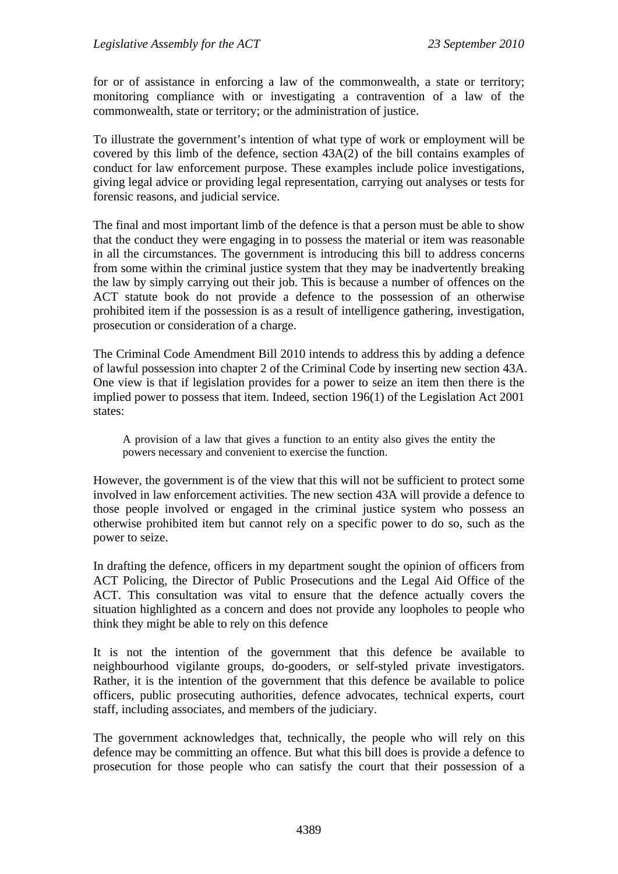for or of assistance in enforcing a law of the commonwealth, a state or territory; monitoring compliance with or investigating a contravention of a law of the commonwealth, state or territory; or the administration of justice.

To illustrate the government's intention of what type of work or employment will be covered by this limb of the defence, section 43A(2) of the bill contains examples of conduct for law enforcement purpose. These examples include police investigations, giving legal advice or providing legal representation, carrying out analyses or tests for forensic reasons, and judicial service.

The final and most important limb of the defence is that a person must be able to show that the conduct they were engaging in to possess the material or item was reasonable in all the circumstances. The government is introducing this bill to address concerns from some within the criminal justice system that they may be inadvertently breaking the law by simply carrying out their job. This is because a number of offences on the ACT statute book do not provide a defence to the possession of an otherwise prohibited item if the possession is as a result of intelligence gathering, investigation, prosecution or consideration of a charge.

The Criminal Code Amendment Bill 2010 intends to address this by adding a defence of lawful possession into chapter 2 of the Criminal Code by inserting new section 43A. One view is that if legislation provides for a power to seize an item then there is the implied power to possess that item. Indeed, section 196(1) of the Legislation Act 2001 states:

A provision of a law that gives a function to an entity also gives the entity the powers necessary and convenient to exercise the function.

However, the government is of the view that this will not be sufficient to protect some involved in law enforcement activities. The new section 43A will provide a defence to those people involved or engaged in the criminal justice system who possess an otherwise prohibited item but cannot rely on a specific power to do so, such as the power to seize.

In drafting the defence, officers in my department sought the opinion of officers from ACT Policing, the Director of Public Prosecutions and the Legal Aid Office of the ACT. This consultation was vital to ensure that the defence actually covers the situation highlighted as a concern and does not provide any loopholes to people who think they might be able to rely on this defence

It is not the intention of the government that this defence be available to neighbourhood vigilante groups, do-gooders, or self-styled private investigators. Rather, it is the intention of the government that this defence be available to police officers, public prosecuting authorities, defence advocates, technical experts, court staff, including associates, and members of the judiciary.

The government acknowledges that, technically, the people who will rely on this defence may be committing an offence. But what this bill does is provide a defence to prosecution for those people who can satisfy the court that their possession of a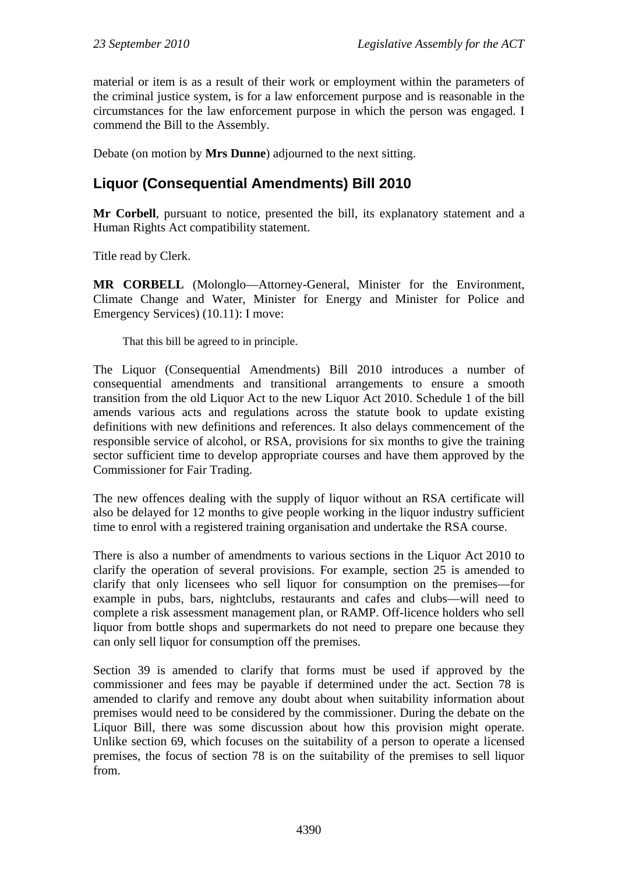material or item is as a result of their work or employment within the parameters of the criminal justice system, is for a law enforcement purpose and is reasonable in the circumstances for the law enforcement purpose in which the person was engaged. I commend the Bill to the Assembly.

Debate (on motion by **Mrs Dunne**) adjourned to the next sitting.

# <span id="page-7-0"></span>**Liquor (Consequential Amendments) Bill 2010**

**Mr Corbell**, pursuant to notice, presented the bill, its explanatory statement and a Human Rights Act compatibility statement.

Title read by Clerk.

**MR CORBELL** (Molonglo—Attorney-General, Minister for the Environment, Climate Change and Water, Minister for Energy and Minister for Police and Emergency Services) (10.11): I move:

That this bill be agreed to in principle.

The Liquor (Consequential Amendments) Bill 2010 introduces a number of consequential amendments and transitional arrangements to ensure a smooth transition from the old Liquor Act to the new Liquor Act 2010. Schedule 1 of the bill amends various acts and regulations across the statute book to update existing definitions with new definitions and references. It also delays commencement of the responsible service of alcohol, or RSA, provisions for six months to give the training sector sufficient time to develop appropriate courses and have them approved by the Commissioner for Fair Trading.

The new offences dealing with the supply of liquor without an RSA certificate will also be delayed for 12 months to give people working in the liquor industry sufficient time to enrol with a registered training organisation and undertake the RSA course.

There is also a number of amendments to various sections in the Liquor Act 2010 to clarify the operation of several provisions. For example, section 25 is amended to clarify that only licensees who sell liquor for consumption on the premises—for example in pubs, bars, nightclubs, restaurants and cafes and clubs—will need to complete a risk assessment management plan, or RAMP. Off-licence holders who sell liquor from bottle shops and supermarkets do not need to prepare one because they can only sell liquor for consumption off the premises.

Section 39 is amended to clarify that forms must be used if approved by the commissioner and fees may be payable if determined under the act. Section 78 is amended to clarify and remove any doubt about when suitability information about premises would need to be considered by the commissioner. During the debate on the Liquor Bill, there was some discussion about how this provision might operate. Unlike section 69, which focuses on the suitability of a person to operate a licensed premises, the focus of section 78 is on the suitability of the premises to sell liquor from.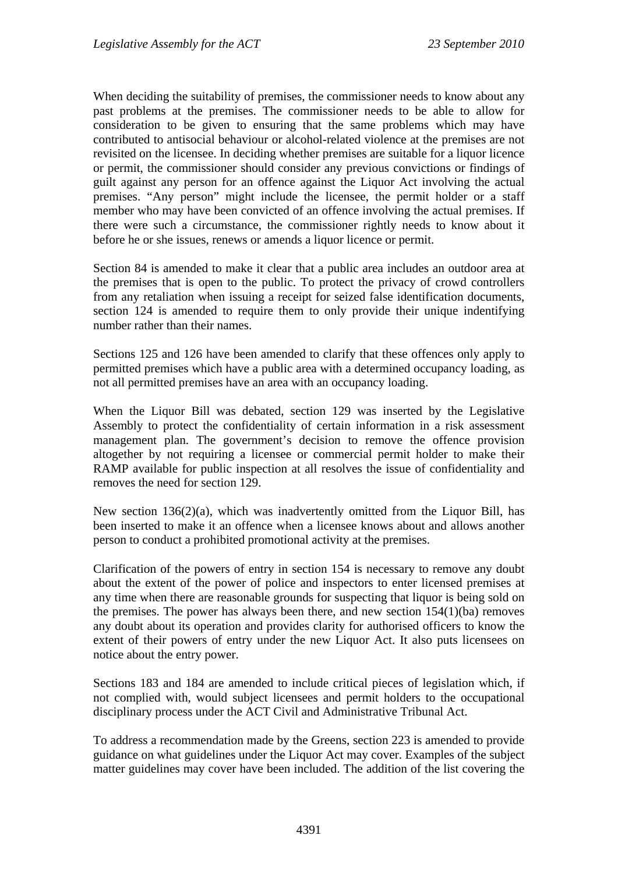When deciding the suitability of premises, the commissioner needs to know about any past problems at the premises. The commissioner needs to be able to allow for consideration to be given to ensuring that the same problems which may have contributed to antisocial behaviour or alcohol-related violence at the premises are not revisited on the licensee. In deciding whether premises are suitable for a liquor licence or permit, the commissioner should consider any previous convictions or findings of guilt against any person for an offence against the Liquor Act involving the actual premises. "Any person" might include the licensee, the permit holder or a staff member who may have been convicted of an offence involving the actual premises. If there were such a circumstance, the commissioner rightly needs to know about it before he or she issues, renews or amends a liquor licence or permit.

Section 84 is amended to make it clear that a public area includes an outdoor area at the premises that is open to the public. To protect the privacy of crowd controllers from any retaliation when issuing a receipt for seized false identification documents, section 124 is amended to require them to only provide their unique indentifying number rather than their names.

Sections 125 and 126 have been amended to clarify that these offences only apply to permitted premises which have a public area with a determined occupancy loading, as not all permitted premises have an area with an occupancy loading.

When the Liquor Bill was debated, section 129 was inserted by the Legislative Assembly to protect the confidentiality of certain information in a risk assessment management plan. The government's decision to remove the offence provision altogether by not requiring a licensee or commercial permit holder to make their RAMP available for public inspection at all resolves the issue of confidentiality and removes the need for section 129.

New section 136(2)(a), which was inadvertently omitted from the Liquor Bill, has been inserted to make it an offence when a licensee knows about and allows another person to conduct a prohibited promotional activity at the premises.

Clarification of the powers of entry in section 154 is necessary to remove any doubt about the extent of the power of police and inspectors to enter licensed premises at any time when there are reasonable grounds for suspecting that liquor is being sold on the premises. The power has always been there, and new section 154(1)(ba) removes any doubt about its operation and provides clarity for authorised officers to know the extent of their powers of entry under the new Liquor Act. It also puts licensees on notice about the entry power.

Sections 183 and 184 are amended to include critical pieces of legislation which, if not complied with, would subject licensees and permit holders to the occupational disciplinary process under the ACT Civil and Administrative Tribunal Act.

To address a recommendation made by the Greens, section 223 is amended to provide guidance on what guidelines under the Liquor Act may cover. Examples of the subject matter guidelines may cover have been included. The addition of the list covering the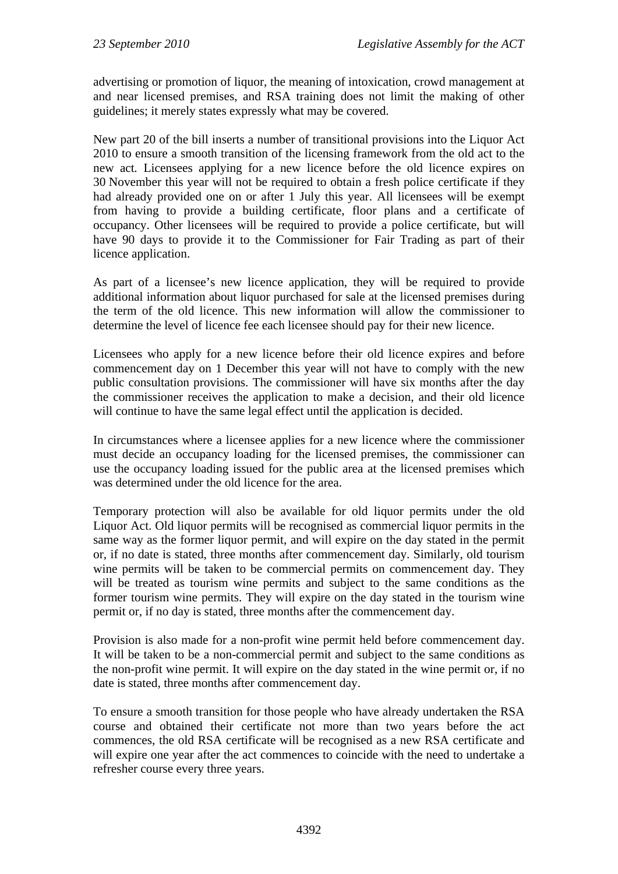advertising or promotion of liquor, the meaning of intoxication, crowd management at and near licensed premises, and RSA training does not limit the making of other guidelines; it merely states expressly what may be covered.

New part 20 of the bill inserts a number of transitional provisions into the Liquor Act 2010 to ensure a smooth transition of the licensing framework from the old act to the new act*.* Licensees applying for a new licence before the old licence expires on 30 November this year will not be required to obtain a fresh police certificate if they had already provided one on or after 1 July this year. All licensees will be exempt from having to provide a building certificate, floor plans and a certificate of occupancy. Other licensees will be required to provide a police certificate, but will have 90 days to provide it to the Commissioner for Fair Trading as part of their licence application.

As part of a licensee's new licence application, they will be required to provide additional information about liquor purchased for sale at the licensed premises during the term of the old licence. This new information will allow the commissioner to determine the level of licence fee each licensee should pay for their new licence.

Licensees who apply for a new licence before their old licence expires and before commencement day on 1 December this year will not have to comply with the new public consultation provisions. The commissioner will have six months after the day the commissioner receives the application to make a decision, and their old licence will continue to have the same legal effect until the application is decided.

In circumstances where a licensee applies for a new licence where the commissioner must decide an occupancy loading for the licensed premises, the commissioner can use the occupancy loading issued for the public area at the licensed premises which was determined under the old licence for the area.

Temporary protection will also be available for old liquor permits under the old Liquor Act. Old liquor permits will be recognised as commercial liquor permits in the same way as the former liquor permit, and will expire on the day stated in the permit or, if no date is stated, three months after commencement day. Similarly, old tourism wine permits will be taken to be commercial permits on commencement day. They will be treated as tourism wine permits and subject to the same conditions as the former tourism wine permits. They will expire on the day stated in the tourism wine permit or, if no day is stated, three months after the commencement day.

Provision is also made for a non-profit wine permit held before commencement day. It will be taken to be a non-commercial permit and subject to the same conditions as the non-profit wine permit. It will expire on the day stated in the wine permit or, if no date is stated, three months after commencement day.

To ensure a smooth transition for those people who have already undertaken the RSA course and obtained their certificate not more than two years before the act commences, the old RSA certificate will be recognised as a new RSA certificate and will expire one year after the act commences to coincide with the need to undertake a refresher course every three years.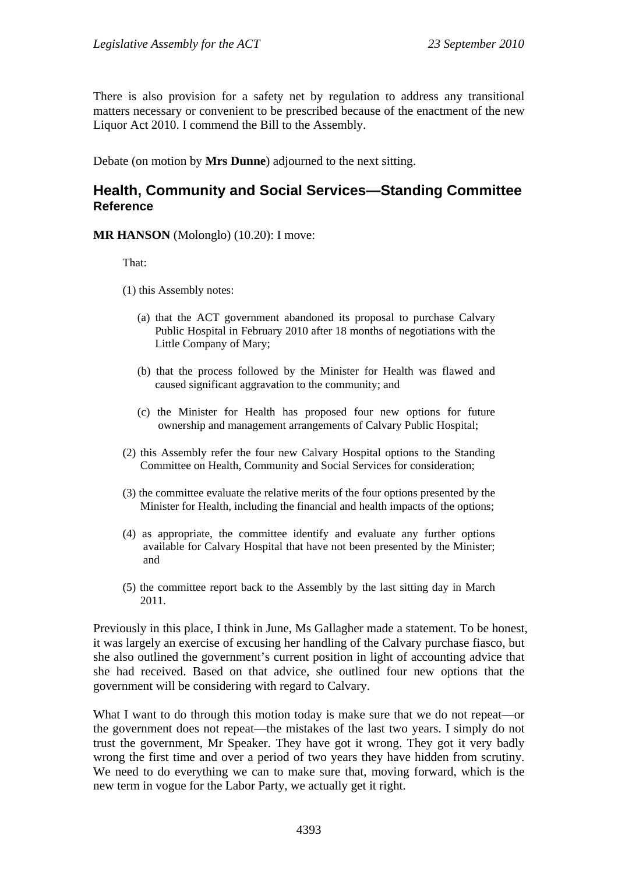There is also provision for a safety net by regulation to address any transitional matters necessary or convenient to be prescribed because of the enactment of the new Liquor Act 2010. I commend the Bill to the Assembly.

Debate (on motion by **Mrs Dunne**) adjourned to the next sitting.

#### <span id="page-10-0"></span>**Health, Community and Social Services—Standing Committee Reference**

**MR HANSON** (Molonglo) (10.20): I move:

That:

- (1) this Assembly notes:
	- (a) that the ACT government abandoned its proposal to purchase Calvary Public Hospital in February 2010 after 18 months of negotiations with the Little Company of Mary;
	- (b) that the process followed by the Minister for Health was flawed and caused significant aggravation to the community; and
	- (c) the Minister for Health has proposed four new options for future ownership and management arrangements of Calvary Public Hospital;
- (2) this Assembly refer the four new Calvary Hospital options to the Standing Committee on Health, Community and Social Services for consideration;
- (3) the committee evaluate the relative merits of the four options presented by the Minister for Health, including the financial and health impacts of the options;
- (4) as appropriate, the committee identify and evaluate any further options available for Calvary Hospital that have not been presented by the Minister; and
- (5) the committee report back to the Assembly by the last sitting day in March 2011.

Previously in this place, I think in June, Ms Gallagher made a statement. To be honest, it was largely an exercise of excusing her handling of the Calvary purchase fiasco, but she also outlined the government's current position in light of accounting advice that she had received. Based on that advice, she outlined four new options that the government will be considering with regard to Calvary.

What I want to do through this motion today is make sure that we do not repeat—or the government does not repeat—the mistakes of the last two years. I simply do not trust the government, Mr Speaker. They have got it wrong. They got it very badly wrong the first time and over a period of two years they have hidden from scrutiny. We need to do everything we can to make sure that, moving forward, which is the new term in vogue for the Labor Party, we actually get it right.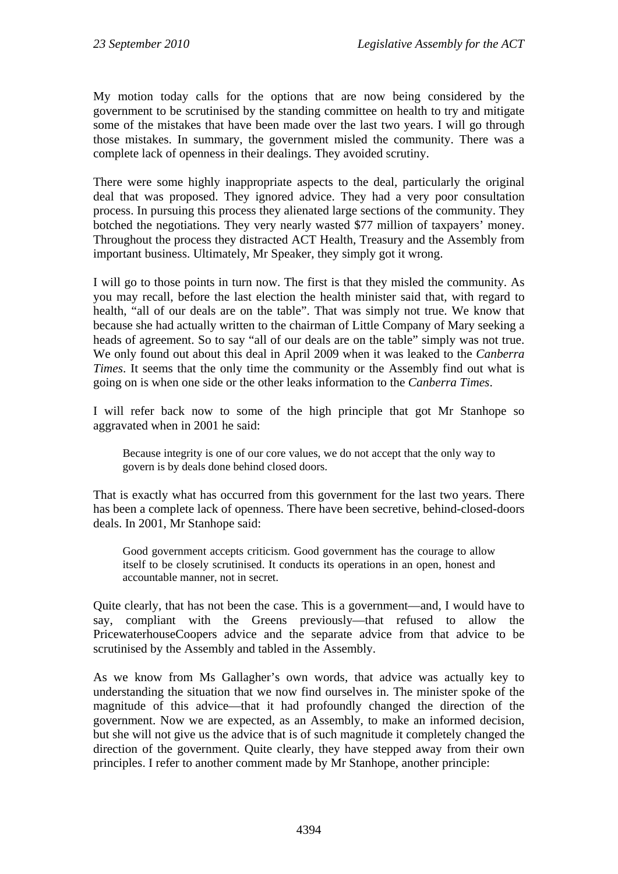My motion today calls for the options that are now being considered by the government to be scrutinised by the standing committee on health to try and mitigate some of the mistakes that have been made over the last two years. I will go through those mistakes. In summary, the government misled the community. There was a complete lack of openness in their dealings. They avoided scrutiny.

There were some highly inappropriate aspects to the deal, particularly the original deal that was proposed. They ignored advice. They had a very poor consultation process. In pursuing this process they alienated large sections of the community. They botched the negotiations. They very nearly wasted \$77 million of taxpayers' money. Throughout the process they distracted ACT Health, Treasury and the Assembly from important business. Ultimately, Mr Speaker, they simply got it wrong.

I will go to those points in turn now. The first is that they misled the community. As you may recall, before the last election the health minister said that, with regard to health, "all of our deals are on the table". That was simply not true. We know that because she had actually written to the chairman of Little Company of Mary seeking a heads of agreement. So to say "all of our deals are on the table" simply was not true. We only found out about this deal in April 2009 when it was leaked to the *Canberra Times*. It seems that the only time the community or the Assembly find out what is going on is when one side or the other leaks information to the *Canberra Times*.

I will refer back now to some of the high principle that got Mr Stanhope so aggravated when in 2001 he said:

Because integrity is one of our core values, we do not accept that the only way to govern is by deals done behind closed doors.

That is exactly what has occurred from this government for the last two years. There has been a complete lack of openness. There have been secretive, behind-closed-doors deals. In 2001, Mr Stanhope said:

Good government accepts criticism. Good government has the courage to allow itself to be closely scrutinised. It conducts its operations in an open, honest and accountable manner, not in secret.

Quite clearly, that has not been the case. This is a government—and, I would have to say, compliant with the Greens previously—that refused to allow the PricewaterhouseCoopers advice and the separate advice from that advice to be scrutinised by the Assembly and tabled in the Assembly.

As we know from Ms Gallagher's own words, that advice was actually key to understanding the situation that we now find ourselves in. The minister spoke of the magnitude of this advice—that it had profoundly changed the direction of the government. Now we are expected, as an Assembly, to make an informed decision, but she will not give us the advice that is of such magnitude it completely changed the direction of the government. Quite clearly, they have stepped away from their own principles. I refer to another comment made by Mr Stanhope, another principle: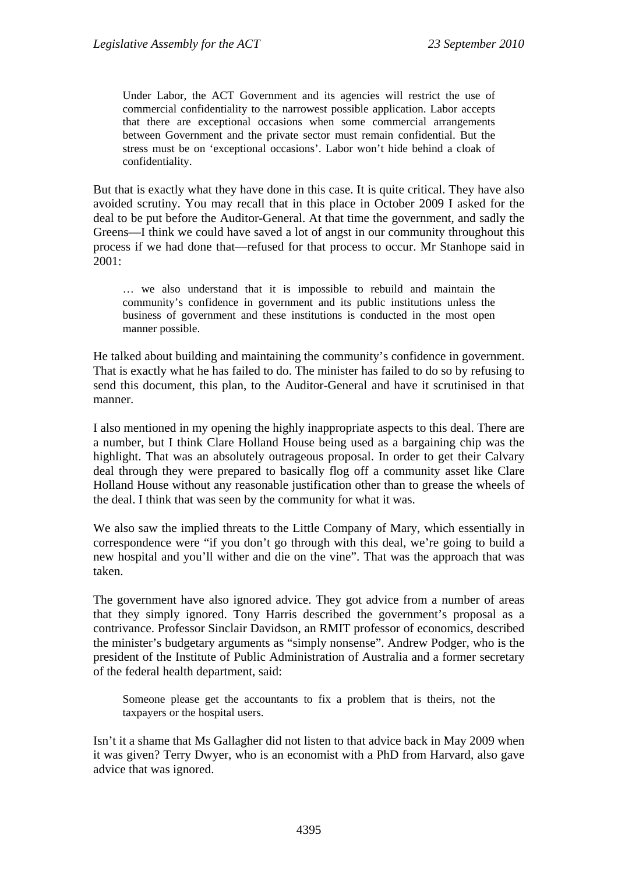Under Labor, the ACT Government and its agencies will restrict the use of commercial confidentiality to the narrowest possible application. Labor accepts that there are exceptional occasions when some commercial arrangements between Government and the private sector must remain confidential. But the stress must be on 'exceptional occasions'. Labor won't hide behind a cloak of confidentiality.

But that is exactly what they have done in this case. It is quite critical. They have also avoided scrutiny. You may recall that in this place in October 2009 I asked for the deal to be put before the Auditor-General. At that time the government, and sadly the Greens—I think we could have saved a lot of angst in our community throughout this process if we had done that—refused for that process to occur. Mr Stanhope said in 2001:

… we also understand that it is impossible to rebuild and maintain the community's confidence in government and its public institutions unless the business of government and these institutions is conducted in the most open manner possible.

He talked about building and maintaining the community's confidence in government. That is exactly what he has failed to do. The minister has failed to do so by refusing to send this document, this plan, to the Auditor-General and have it scrutinised in that manner.

I also mentioned in my opening the highly inappropriate aspects to this deal. There are a number, but I think Clare Holland House being used as a bargaining chip was the highlight. That was an absolutely outrageous proposal. In order to get their Calvary deal through they were prepared to basically flog off a community asset like Clare Holland House without any reasonable justification other than to grease the wheels of the deal. I think that was seen by the community for what it was.

We also saw the implied threats to the Little Company of Mary, which essentially in correspondence were "if you don't go through with this deal, we're going to build a new hospital and you'll wither and die on the vine". That was the approach that was taken.

The government have also ignored advice. They got advice from a number of areas that they simply ignored. Tony Harris described the government's proposal as a contrivance. Professor Sinclair Davidson, an RMIT professor of economics, described the minister's budgetary arguments as "simply nonsense". Andrew Podger, who is the president of the Institute of Public Administration of Australia and a former secretary of the federal health department, said:

Someone please get the accountants to fix a problem that is theirs, not the taxpayers or the hospital users.

Isn't it a shame that Ms Gallagher did not listen to that advice back in May 2009 when it was given? Terry Dwyer, who is an economist with a PhD from Harvard, also gave advice that was ignored.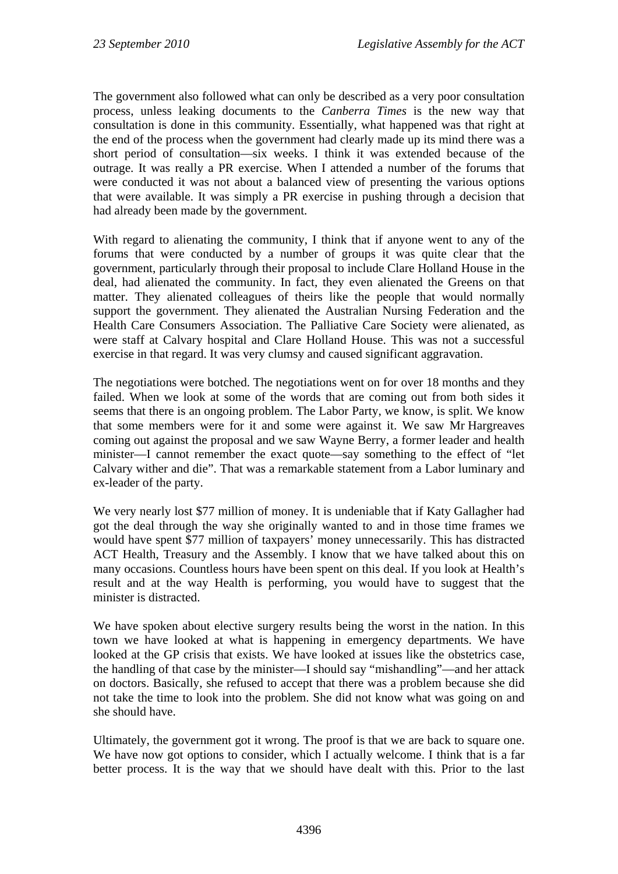The government also followed what can only be described as a very poor consultation process, unless leaking documents to the *Canberra Times* is the new way that consultation is done in this community. Essentially, what happened was that right at the end of the process when the government had clearly made up its mind there was a short period of consultation—six weeks. I think it was extended because of the outrage. It was really a PR exercise. When I attended a number of the forums that were conducted it was not about a balanced view of presenting the various options that were available. It was simply a PR exercise in pushing through a decision that had already been made by the government.

With regard to alienating the community, I think that if anyone went to any of the forums that were conducted by a number of groups it was quite clear that the government, particularly through their proposal to include Clare Holland House in the deal, had alienated the community. In fact, they even alienated the Greens on that matter. They alienated colleagues of theirs like the people that would normally support the government. They alienated the Australian Nursing Federation and the Health Care Consumers Association. The Palliative Care Society were alienated, as were staff at Calvary hospital and Clare Holland House. This was not a successful exercise in that regard. It was very clumsy and caused significant aggravation.

The negotiations were botched. The negotiations went on for over 18 months and they failed. When we look at some of the words that are coming out from both sides it seems that there is an ongoing problem. The Labor Party, we know, is split. We know that some members were for it and some were against it. We saw Mr Hargreaves coming out against the proposal and we saw Wayne Berry, a former leader and health minister—I cannot remember the exact quote—say something to the effect of "let Calvary wither and die". That was a remarkable statement from a Labor luminary and ex-leader of the party.

We very nearly lost \$77 million of money. It is undeniable that if Katy Gallagher had got the deal through the way she originally wanted to and in those time frames we would have spent \$77 million of taxpayers' money unnecessarily. This has distracted ACT Health, Treasury and the Assembly. I know that we have talked about this on many occasions. Countless hours have been spent on this deal. If you look at Health's result and at the way Health is performing, you would have to suggest that the minister is distracted.

We have spoken about elective surgery results being the worst in the nation. In this town we have looked at what is happening in emergency departments. We have looked at the GP crisis that exists. We have looked at issues like the obstetrics case, the handling of that case by the minister—I should say "mishandling"—and her attack on doctors. Basically, she refused to accept that there was a problem because she did not take the time to look into the problem. She did not know what was going on and she should have.

Ultimately, the government got it wrong. The proof is that we are back to square one. We have now got options to consider, which I actually welcome. I think that is a far better process. It is the way that we should have dealt with this. Prior to the last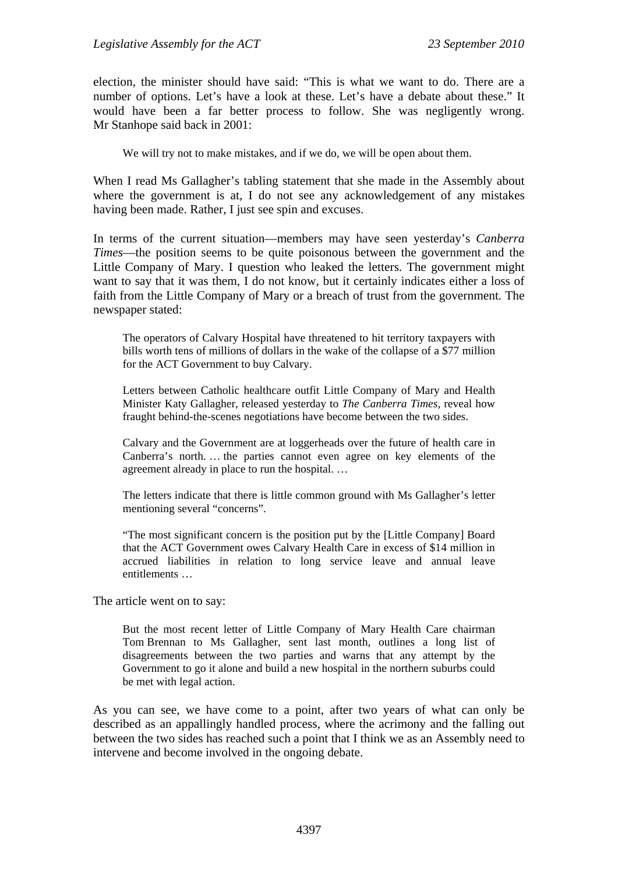election, the minister should have said: "This is what we want to do. There are a number of options. Let's have a look at these. Let's have a debate about these." It would have been a far better process to follow. She was negligently wrong. Mr Stanhope said back in 2001:

We will try not to make mistakes, and if we do, we will be open about them.

When I read Ms Gallagher's tabling statement that she made in the Assembly about where the government is at, I do not see any acknowledgement of any mistakes having been made. Rather, I just see spin and excuses.

In terms of the current situation—members may have seen yesterday's *Canberra Times*—the position seems to be quite poisonous between the government and the Little Company of Mary. I question who leaked the letters. The government might want to say that it was them, I do not know, but it certainly indicates either a loss of faith from the Little Company of Mary or a breach of trust from the government. The newspaper stated:

The operators of Calvary Hospital have threatened to hit territory taxpayers with bills worth tens of millions of dollars in the wake of the collapse of a \$77 million for the ACT Government to buy Calvary.

Letters between Catholic healthcare outfit Little Company of Mary and Health Minister Katy Gallagher, released yesterday to *The Canberra Times*, reveal how fraught behind-the-scenes negotiations have become between the two sides.

Calvary and the Government are at loggerheads over the future of health care in Canberra's north. … the parties cannot even agree on key elements of the agreement already in place to run the hospital. …

The letters indicate that there is little common ground with Ms Gallagher's letter mentioning several "concerns".

"The most significant concern is the position put by the [Little Company] Board that the ACT Government owes Calvary Health Care in excess of \$14 million in accrued liabilities in relation to long service leave and annual leave entitlements …

The article went on to say:

But the most recent letter of Little Company of Mary Health Care chairman Tom Brennan to Ms Gallagher, sent last month, outlines a long list of disagreements between the two parties and warns that any attempt by the Government to go it alone and build a new hospital in the northern suburbs could be met with legal action.

As you can see, we have come to a point, after two years of what can only be described as an appallingly handled process, where the acrimony and the falling out between the two sides has reached such a point that I think we as an Assembly need to intervene and become involved in the ongoing debate.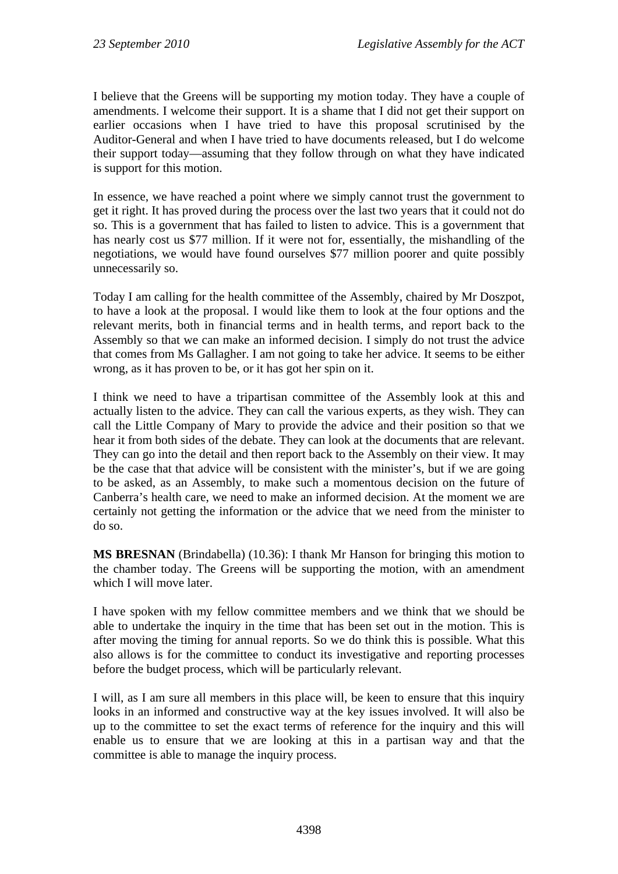I believe that the Greens will be supporting my motion today. They have a couple of amendments. I welcome their support. It is a shame that I did not get their support on earlier occasions when I have tried to have this proposal scrutinised by the Auditor-General and when I have tried to have documents released, but I do welcome their support today—assuming that they follow through on what they have indicated is support for this motion.

In essence, we have reached a point where we simply cannot trust the government to get it right. It has proved during the process over the last two years that it could not do so. This is a government that has failed to listen to advice. This is a government that has nearly cost us \$77 million. If it were not for, essentially, the mishandling of the negotiations, we would have found ourselves \$77 million poorer and quite possibly unnecessarily so.

Today I am calling for the health committee of the Assembly, chaired by Mr Doszpot, to have a look at the proposal. I would like them to look at the four options and the relevant merits, both in financial terms and in health terms, and report back to the Assembly so that we can make an informed decision. I simply do not trust the advice that comes from Ms Gallagher. I am not going to take her advice. It seems to be either wrong, as it has proven to be, or it has got her spin on it.

I think we need to have a tripartisan committee of the Assembly look at this and actually listen to the advice. They can call the various experts, as they wish. They can call the Little Company of Mary to provide the advice and their position so that we hear it from both sides of the debate. They can look at the documents that are relevant. They can go into the detail and then report back to the Assembly on their view. It may be the case that that advice will be consistent with the minister's, but if we are going to be asked, as an Assembly, to make such a momentous decision on the future of Canberra's health care, we need to make an informed decision. At the moment we are certainly not getting the information or the advice that we need from the minister to do so.

**MS BRESNAN** (Brindabella) (10.36): I thank Mr Hanson for bringing this motion to the chamber today. The Greens will be supporting the motion, with an amendment which I will move later.

I have spoken with my fellow committee members and we think that we should be able to undertake the inquiry in the time that has been set out in the motion. This is after moving the timing for annual reports. So we do think this is possible. What this also allows is for the committee to conduct its investigative and reporting processes before the budget process, which will be particularly relevant.

I will, as I am sure all members in this place will, be keen to ensure that this inquiry looks in an informed and constructive way at the key issues involved. It will also be up to the committee to set the exact terms of reference for the inquiry and this will enable us to ensure that we are looking at this in a partisan way and that the committee is able to manage the inquiry process.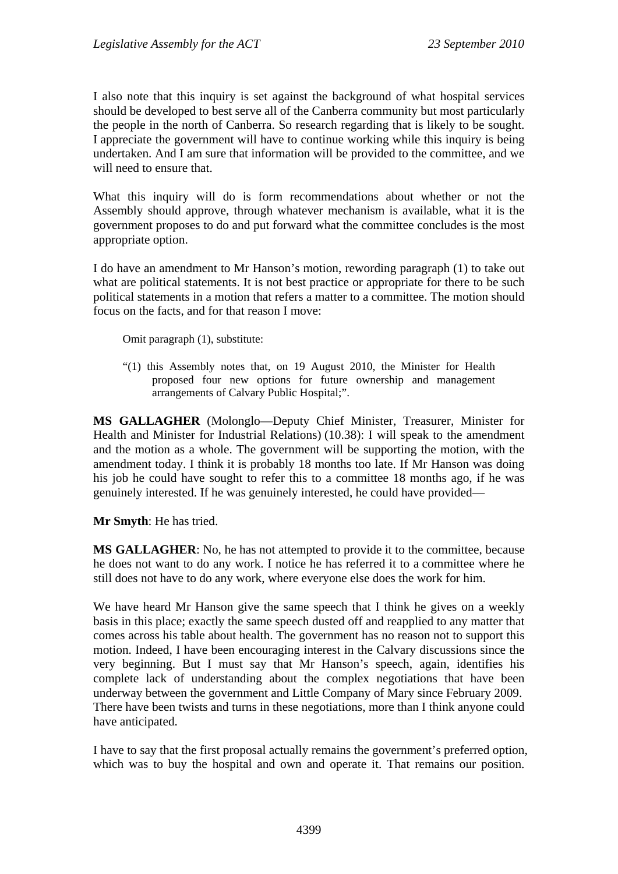I also note that this inquiry is set against the background of what hospital services should be developed to best serve all of the Canberra community but most particularly the people in the north of Canberra. So research regarding that is likely to be sought. I appreciate the government will have to continue working while this inquiry is being undertaken. And I am sure that information will be provided to the committee, and we will need to ensure that.

What this inquiry will do is form recommendations about whether or not the Assembly should approve, through whatever mechanism is available, what it is the government proposes to do and put forward what the committee concludes is the most appropriate option.

I do have an amendment to Mr Hanson's motion, rewording paragraph (1) to take out what are political statements. It is not best practice or appropriate for there to be such political statements in a motion that refers a matter to a committee. The motion should focus on the facts, and for that reason I move:

Omit paragraph (1), substitute:

"(1) this Assembly notes that, on 19 August 2010, the Minister for Health proposed four new options for future ownership and management arrangements of Calvary Public Hospital;".

**MS GALLAGHER** (Molonglo—Deputy Chief Minister, Treasurer, Minister for Health and Minister for Industrial Relations) (10.38): I will speak to the amendment and the motion as a whole. The government will be supporting the motion, with the amendment today. I think it is probably 18 months too late. If Mr Hanson was doing his job he could have sought to refer this to a committee 18 months ago, if he was genuinely interested. If he was genuinely interested, he could have provided—

**Mr Smyth**: He has tried.

**MS GALLAGHER**: No, he has not attempted to provide it to the committee, because he does not want to do any work. I notice he has referred it to a committee where he still does not have to do any work, where everyone else does the work for him.

We have heard Mr Hanson give the same speech that I think he gives on a weekly basis in this place; exactly the same speech dusted off and reapplied to any matter that comes across his table about health. The government has no reason not to support this motion. Indeed, I have been encouraging interest in the Calvary discussions since the very beginning. But I must say that Mr Hanson's speech, again, identifies his complete lack of understanding about the complex negotiations that have been underway between the government and Little Company of Mary since February 2009. There have been twists and turns in these negotiations, more than I think anyone could have anticipated.

I have to say that the first proposal actually remains the government's preferred option, which was to buy the hospital and own and operate it. That remains our position.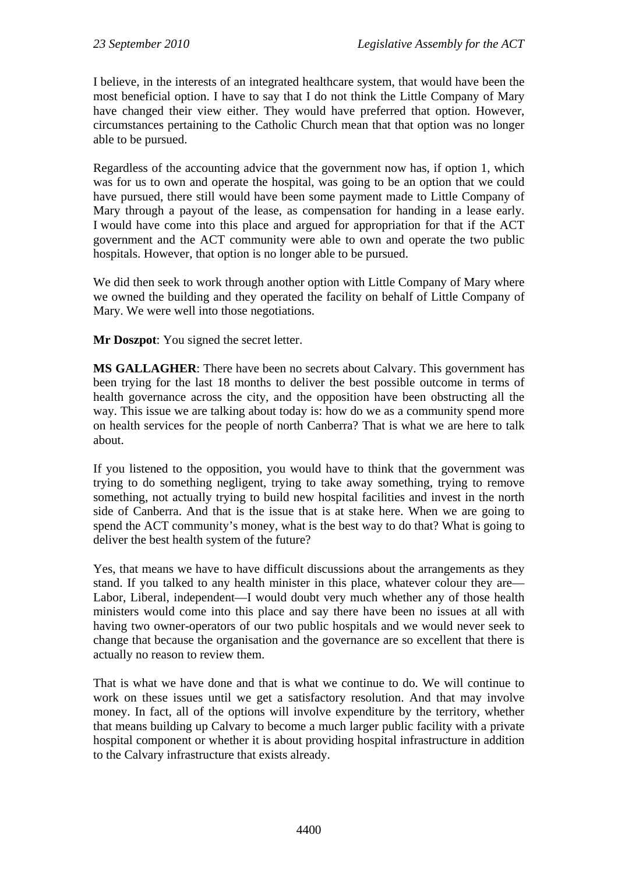I believe, in the interests of an integrated healthcare system, that would have been the most beneficial option. I have to say that I do not think the Little Company of Mary have changed their view either. They would have preferred that option. However, circumstances pertaining to the Catholic Church mean that that option was no longer able to be pursued.

Regardless of the accounting advice that the government now has, if option 1, which was for us to own and operate the hospital, was going to be an option that we could have pursued, there still would have been some payment made to Little Company of Mary through a payout of the lease, as compensation for handing in a lease early. I would have come into this place and argued for appropriation for that if the ACT government and the ACT community were able to own and operate the two public hospitals. However, that option is no longer able to be pursued.

We did then seek to work through another option with Little Company of Mary where we owned the building and they operated the facility on behalf of Little Company of Mary. We were well into those negotiations.

**Mr Doszpot**: You signed the secret letter.

**MS GALLAGHER**: There have been no secrets about Calvary. This government has been trying for the last 18 months to deliver the best possible outcome in terms of health governance across the city, and the opposition have been obstructing all the way. This issue we are talking about today is: how do we as a community spend more on health services for the people of north Canberra? That is what we are here to talk about.

If you listened to the opposition, you would have to think that the government was trying to do something negligent, trying to take away something, trying to remove something, not actually trying to build new hospital facilities and invest in the north side of Canberra. And that is the issue that is at stake here. When we are going to spend the ACT community's money, what is the best way to do that? What is going to deliver the best health system of the future?

Yes, that means we have to have difficult discussions about the arrangements as they stand. If you talked to any health minister in this place, whatever colour they are— Labor, Liberal, independent—I would doubt very much whether any of those health ministers would come into this place and say there have been no issues at all with having two owner-operators of our two public hospitals and we would never seek to change that because the organisation and the governance are so excellent that there is actually no reason to review them.

That is what we have done and that is what we continue to do. We will continue to work on these issues until we get a satisfactory resolution. And that may involve money. In fact, all of the options will involve expenditure by the territory, whether that means building up Calvary to become a much larger public facility with a private hospital component or whether it is about providing hospital infrastructure in addition to the Calvary infrastructure that exists already.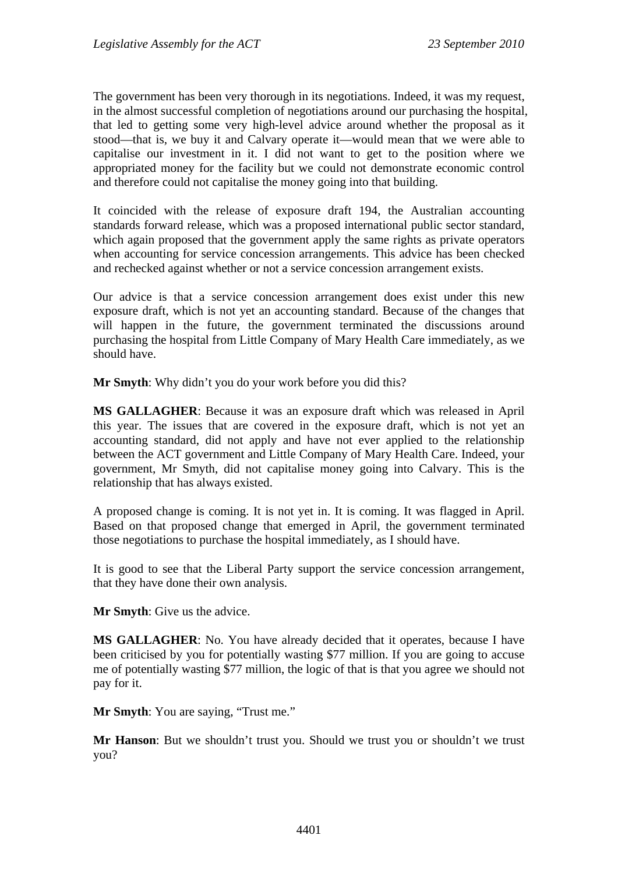The government has been very thorough in its negotiations. Indeed, it was my request, in the almost successful completion of negotiations around our purchasing the hospital, that led to getting some very high-level advice around whether the proposal as it stood—that is, we buy it and Calvary operate it—would mean that we were able to capitalise our investment in it. I did not want to get to the position where we appropriated money for the facility but we could not demonstrate economic control and therefore could not capitalise the money going into that building.

It coincided with the release of exposure draft 194, the Australian accounting standards forward release, which was a proposed international public sector standard, which again proposed that the government apply the same rights as private operators when accounting for service concession arrangements. This advice has been checked and rechecked against whether or not a service concession arrangement exists.

Our advice is that a service concession arrangement does exist under this new exposure draft, which is not yet an accounting standard. Because of the changes that will happen in the future, the government terminated the discussions around purchasing the hospital from Little Company of Mary Health Care immediately, as we should have.

**Mr Smyth**: Why didn't you do your work before you did this?

**MS GALLAGHER**: Because it was an exposure draft which was released in April this year. The issues that are covered in the exposure draft, which is not yet an accounting standard, did not apply and have not ever applied to the relationship between the ACT government and Little Company of Mary Health Care. Indeed, your government, Mr Smyth, did not capitalise money going into Calvary. This is the relationship that has always existed.

A proposed change is coming. It is not yet in. It is coming. It was flagged in April. Based on that proposed change that emerged in April, the government terminated those negotiations to purchase the hospital immediately, as I should have.

It is good to see that the Liberal Party support the service concession arrangement, that they have done their own analysis.

**Mr Smyth**: Give us the advice.

**MS GALLAGHER**: No. You have already decided that it operates, because I have been criticised by you for potentially wasting \$77 million. If you are going to accuse me of potentially wasting \$77 million, the logic of that is that you agree we should not pay for it.

**Mr Smyth**: You are saying, "Trust me."

**Mr Hanson**: But we shouldn't trust you. Should we trust you or shouldn't we trust you?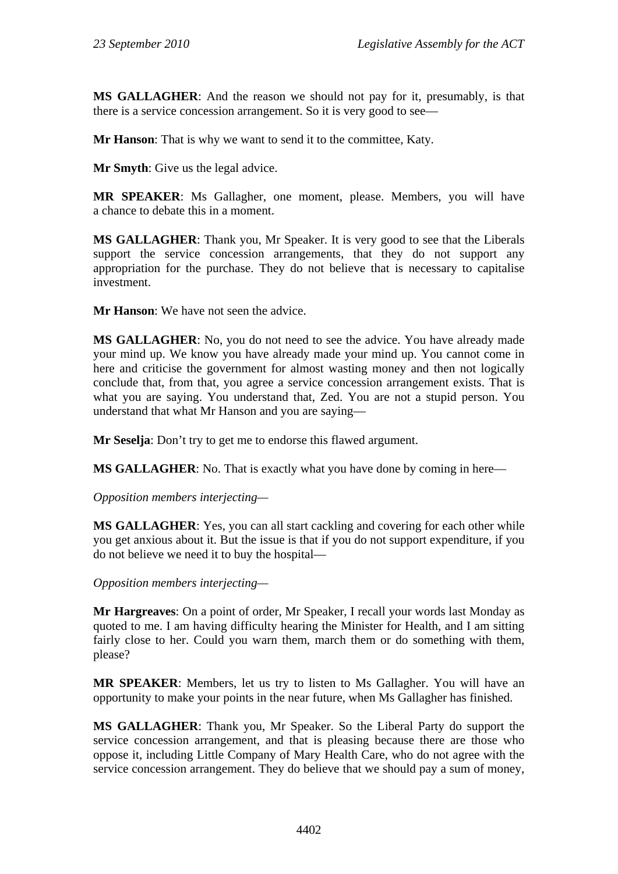**MS GALLAGHER**: And the reason we should not pay for it, presumably, is that there is a service concession arrangement. So it is very good to see—

**Mr Hanson**: That is why we want to send it to the committee, Katy.

**Mr Smyth**: Give us the legal advice.

**MR SPEAKER**: Ms Gallagher, one moment, please. Members, you will have a chance to debate this in a moment.

**MS GALLAGHER**: Thank you, Mr Speaker. It is very good to see that the Liberals support the service concession arrangements, that they do not support any appropriation for the purchase. They do not believe that is necessary to capitalise investment.

**Mr Hanson**: We have not seen the advice.

**MS GALLAGHER**: No, you do not need to see the advice. You have already made your mind up. We know you have already made your mind up. You cannot come in here and criticise the government for almost wasting money and then not logically conclude that, from that, you agree a service concession arrangement exists. That is what you are saying. You understand that, Zed. You are not a stupid person. You understand that what Mr Hanson and you are saying—

**Mr Seselja**: Don't try to get me to endorse this flawed argument.

**MS GALLAGHER**: No. That is exactly what you have done by coming in here—

*Opposition members interjecting—* 

**MS GALLAGHER**: Yes, you can all start cackling and covering for each other while you get anxious about it. But the issue is that if you do not support expenditure, if you do not believe we need it to buy the hospital—

*Opposition members interjecting—* 

**Mr Hargreaves**: On a point of order, Mr Speaker, I recall your words last Monday as quoted to me. I am having difficulty hearing the Minister for Health, and I am sitting fairly close to her. Could you warn them, march them or do something with them, please?

**MR SPEAKER**: Members, let us try to listen to Ms Gallagher. You will have an opportunity to make your points in the near future, when Ms Gallagher has finished.

**MS GALLAGHER**: Thank you, Mr Speaker. So the Liberal Party do support the service concession arrangement, and that is pleasing because there are those who oppose it, including Little Company of Mary Health Care, who do not agree with the service concession arrangement. They do believe that we should pay a sum of money,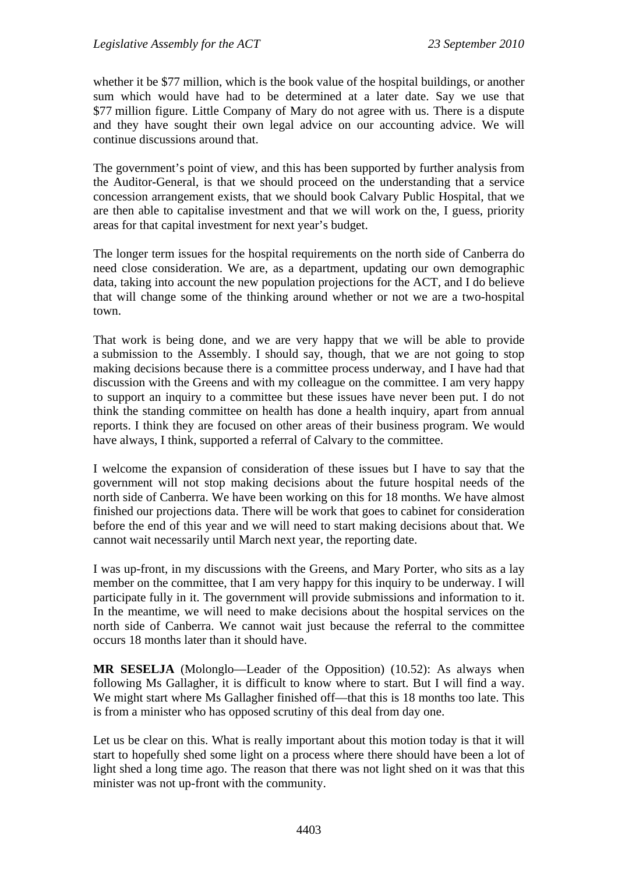whether it be \$77 million, which is the book value of the hospital buildings, or another sum which would have had to be determined at a later date. Say we use that \$77 million figure. Little Company of Mary do not agree with us. There is a dispute and they have sought their own legal advice on our accounting advice. We will continue discussions around that.

The government's point of view, and this has been supported by further analysis from the Auditor-General, is that we should proceed on the understanding that a service concession arrangement exists, that we should book Calvary Public Hospital, that we are then able to capitalise investment and that we will work on the, I guess, priority areas for that capital investment for next year's budget.

The longer term issues for the hospital requirements on the north side of Canberra do need close consideration. We are, as a department, updating our own demographic data, taking into account the new population projections for the ACT, and I do believe that will change some of the thinking around whether or not we are a two-hospital town.

That work is being done, and we are very happy that we will be able to provide a submission to the Assembly. I should say, though, that we are not going to stop making decisions because there is a committee process underway, and I have had that discussion with the Greens and with my colleague on the committee. I am very happy to support an inquiry to a committee but these issues have never been put. I do not think the standing committee on health has done a health inquiry, apart from annual reports. I think they are focused on other areas of their business program. We would have always, I think, supported a referral of Calvary to the committee.

I welcome the expansion of consideration of these issues but I have to say that the government will not stop making decisions about the future hospital needs of the north side of Canberra. We have been working on this for 18 months. We have almost finished our projections data. There will be work that goes to cabinet for consideration before the end of this year and we will need to start making decisions about that. We cannot wait necessarily until March next year, the reporting date.

I was up-front, in my discussions with the Greens, and Mary Porter, who sits as a lay member on the committee, that I am very happy for this inquiry to be underway. I will participate fully in it. The government will provide submissions and information to it. In the meantime, we will need to make decisions about the hospital services on the north side of Canberra. We cannot wait just because the referral to the committee occurs 18 months later than it should have.

**MR SESELJA** (Molonglo—Leader of the Opposition) (10.52): As always when following Ms Gallagher, it is difficult to know where to start. But I will find a way. We might start where Ms Gallagher finished off—that this is 18 months too late. This is from a minister who has opposed scrutiny of this deal from day one.

Let us be clear on this. What is really important about this motion today is that it will start to hopefully shed some light on a process where there should have been a lot of light shed a long time ago. The reason that there was not light shed on it was that this minister was not up-front with the community.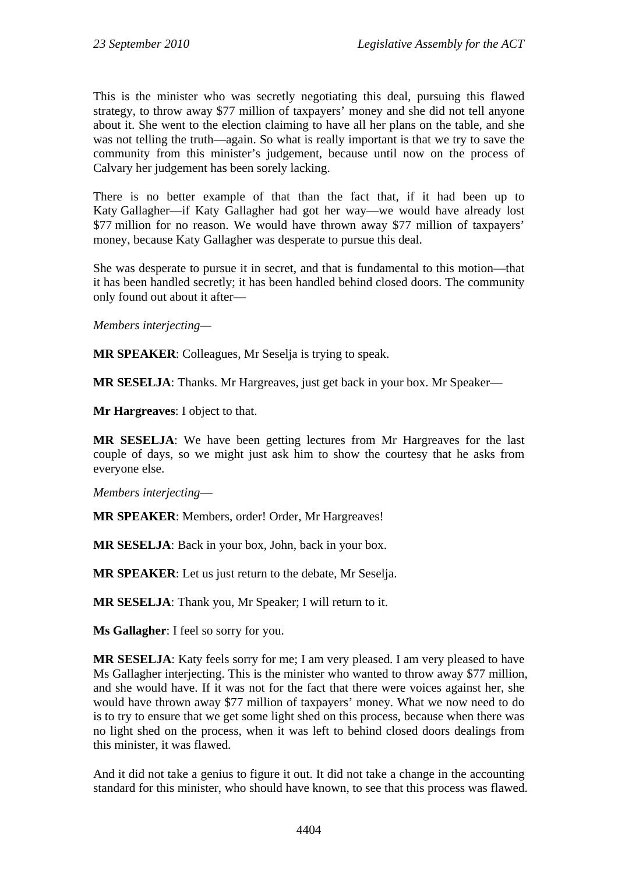This is the minister who was secretly negotiating this deal, pursuing this flawed strategy, to throw away \$77 million of taxpayers' money and she did not tell anyone about it. She went to the election claiming to have all her plans on the table, and she was not telling the truth—again. So what is really important is that we try to save the community from this minister's judgement, because until now on the process of Calvary her judgement has been sorely lacking.

There is no better example of that than the fact that, if it had been up to Katy Gallagher—if Katy Gallagher had got her way—we would have already lost \$77 million for no reason. We would have thrown away \$77 million of taxpayers' money, because Katy Gallagher was desperate to pursue this deal.

She was desperate to pursue it in secret, and that is fundamental to this motion—that it has been handled secretly; it has been handled behind closed doors. The community only found out about it after—

*Members interjecting—* 

**MR SPEAKER**: Colleagues, Mr Seselja is trying to speak.

**MR SESELJA**: Thanks. Mr Hargreaves, just get back in your box. Mr Speaker—

**Mr Hargreaves**: I object to that.

**MR SESELJA**: We have been getting lectures from Mr Hargreaves for the last couple of days, so we might just ask him to show the courtesy that he asks from everyone else.

*Members interjecting*—

**MR SPEAKER**: Members, order! Order, Mr Hargreaves!

**MR SESELJA**: Back in your box, John, back in your box.

**MR SPEAKER**: Let us just return to the debate, Mr Seselja.

**MR SESELJA**: Thank you, Mr Speaker; I will return to it.

**Ms Gallagher**: I feel so sorry for you.

**MR SESELJA**: Katy feels sorry for me; I am very pleased. I am very pleased to have Ms Gallagher interjecting. This is the minister who wanted to throw away \$77 million, and she would have. If it was not for the fact that there were voices against her, she would have thrown away \$77 million of taxpayers' money. What we now need to do is to try to ensure that we get some light shed on this process, because when there was no light shed on the process, when it was left to behind closed doors dealings from this minister, it was flawed.

And it did not take a genius to figure it out. It did not take a change in the accounting standard for this minister, who should have known, to see that this process was flawed.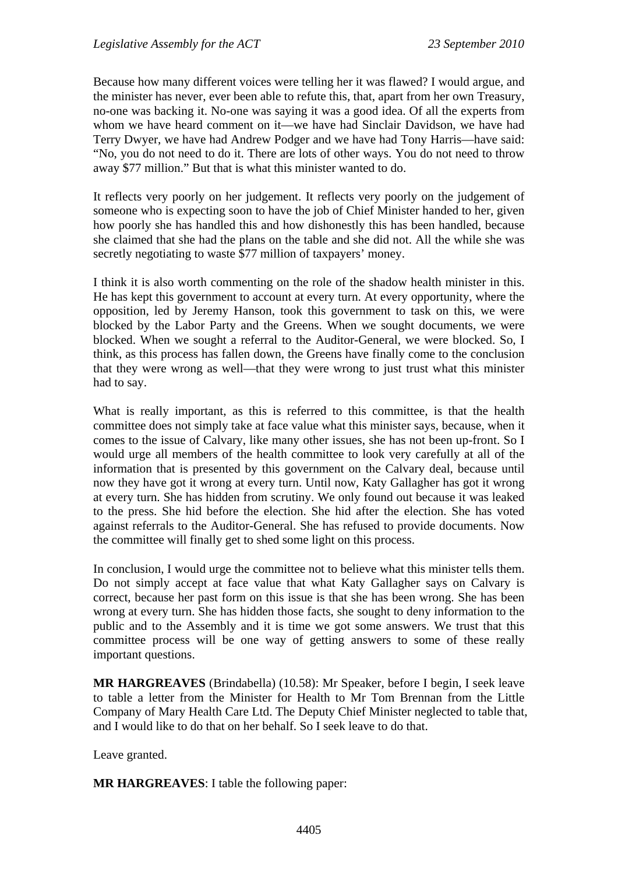Because how many different voices were telling her it was flawed? I would argue, and the minister has never, ever been able to refute this, that, apart from her own Treasury, no-one was backing it. No-one was saying it was a good idea. Of all the experts from whom we have heard comment on it—we have had Sinclair Davidson, we have had Terry Dwyer, we have had Andrew Podger and we have had Tony Harris—have said: "No, you do not need to do it. There are lots of other ways. You do not need to throw away \$77 million." But that is what this minister wanted to do.

It reflects very poorly on her judgement. It reflects very poorly on the judgement of someone who is expecting soon to have the job of Chief Minister handed to her, given how poorly she has handled this and how dishonestly this has been handled, because she claimed that she had the plans on the table and she did not. All the while she was secretly negotiating to waste \$77 million of taxpayers' money.

I think it is also worth commenting on the role of the shadow health minister in this. He has kept this government to account at every turn. At every opportunity, where the opposition, led by Jeremy Hanson, took this government to task on this, we were blocked by the Labor Party and the Greens. When we sought documents, we were blocked. When we sought a referral to the Auditor-General, we were blocked. So, I think, as this process has fallen down, the Greens have finally come to the conclusion that they were wrong as well—that they were wrong to just trust what this minister had to say.

What is really important, as this is referred to this committee, is that the health committee does not simply take at face value what this minister says, because, when it comes to the issue of Calvary, like many other issues, she has not been up-front. So I would urge all members of the health committee to look very carefully at all of the information that is presented by this government on the Calvary deal, because until now they have got it wrong at every turn. Until now, Katy Gallagher has got it wrong at every turn. She has hidden from scrutiny. We only found out because it was leaked to the press. She hid before the election. She hid after the election. She has voted against referrals to the Auditor-General. She has refused to provide documents. Now the committee will finally get to shed some light on this process.

In conclusion, I would urge the committee not to believe what this minister tells them. Do not simply accept at face value that what Katy Gallagher says on Calvary is correct, because her past form on this issue is that she has been wrong. She has been wrong at every turn. She has hidden those facts, she sought to deny information to the public and to the Assembly and it is time we got some answers. We trust that this committee process will be one way of getting answers to some of these really important questions.

**MR HARGREAVES** (Brindabella) (10.58): Mr Speaker, before I begin, I seek leave to table a letter from the Minister for Health to Mr Tom Brennan from the Little Company of Mary Health Care Ltd. The Deputy Chief Minister neglected to table that, and I would like to do that on her behalf. So I seek leave to do that.

Leave granted.

**MR HARGREAVES**: I table the following paper: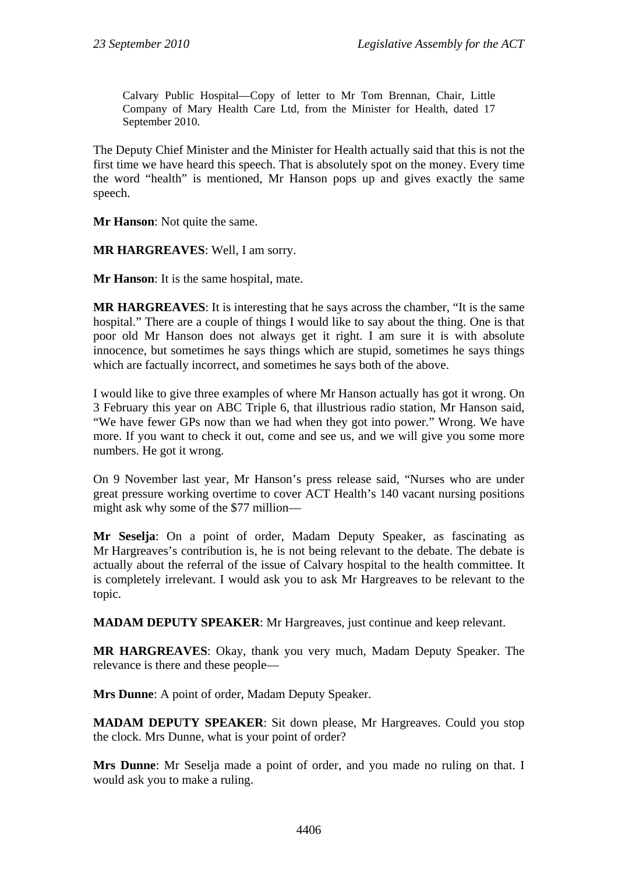Calvary Public Hospital—Copy of letter to Mr Tom Brennan, Chair, Little Company of Mary Health Care Ltd, from the Minister for Health, dated 17 September 2010.

The Deputy Chief Minister and the Minister for Health actually said that this is not the first time we have heard this speech. That is absolutely spot on the money. Every time the word "health" is mentioned, Mr Hanson pops up and gives exactly the same speech.

**Mr Hanson**: Not quite the same.

**MR HARGREAVES**: Well, I am sorry.

**Mr Hanson**: It is the same hospital, mate.

**MR HARGREAVES**: It is interesting that he says across the chamber, "It is the same hospital." There are a couple of things I would like to say about the thing. One is that poor old Mr Hanson does not always get it right. I am sure it is with absolute innocence, but sometimes he says things which are stupid, sometimes he says things which are factually incorrect, and sometimes he says both of the above.

I would like to give three examples of where Mr Hanson actually has got it wrong. On 3 February this year on ABC Triple 6, that illustrious radio station, Mr Hanson said, "We have fewer GPs now than we had when they got into power." Wrong. We have more. If you want to check it out, come and see us, and we will give you some more numbers. He got it wrong.

On 9 November last year, Mr Hanson's press release said, "Nurses who are under great pressure working overtime to cover ACT Health's 140 vacant nursing positions might ask why some of the \$77 million—

**Mr Seselja**: On a point of order, Madam Deputy Speaker, as fascinating as Mr Hargreaves's contribution is, he is not being relevant to the debate. The debate is actually about the referral of the issue of Calvary hospital to the health committee. It is completely irrelevant. I would ask you to ask Mr Hargreaves to be relevant to the topic.

**MADAM DEPUTY SPEAKER**: Mr Hargreaves, just continue and keep relevant.

**MR HARGREAVES**: Okay, thank you very much, Madam Deputy Speaker. The relevance is there and these people—

**Mrs Dunne**: A point of order, Madam Deputy Speaker.

**MADAM DEPUTY SPEAKER**: Sit down please, Mr Hargreaves. Could you stop the clock. Mrs Dunne, what is your point of order?

**Mrs Dunne**: Mr Seselja made a point of order, and you made no ruling on that. I would ask you to make a ruling.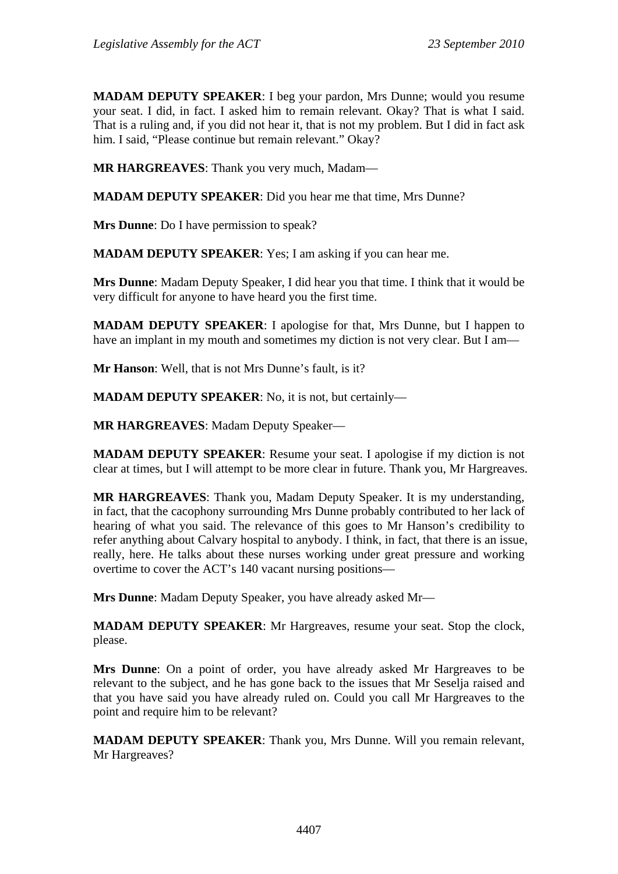**MADAM DEPUTY SPEAKER**: I beg your pardon, Mrs Dunne; would you resume your seat. I did, in fact. I asked him to remain relevant. Okay? That is what I said. That is a ruling and, if you did not hear it, that is not my problem. But I did in fact ask him. I said, "Please continue but remain relevant." Okay?

**MR HARGREAVES**: Thank you very much, Madam—

**MADAM DEPUTY SPEAKER**: Did you hear me that time, Mrs Dunne?

**Mrs Dunne**: Do I have permission to speak?

**MADAM DEPUTY SPEAKER**: Yes; I am asking if you can hear me.

**Mrs Dunne**: Madam Deputy Speaker, I did hear you that time. I think that it would be very difficult for anyone to have heard you the first time.

**MADAM DEPUTY SPEAKER**: I apologise for that, Mrs Dunne, but I happen to have an implant in my mouth and sometimes my diction is not very clear. But I am—

**Mr Hanson**: Well, that is not Mrs Dunne's fault, is it?

**MADAM DEPUTY SPEAKER**: No, it is not, but certainly—

**MR HARGREAVES**: Madam Deputy Speaker—

**MADAM DEPUTY SPEAKER**: Resume your seat. I apologise if my diction is not clear at times, but I will attempt to be more clear in future. Thank you, Mr Hargreaves.

**MR HARGREAVES**: Thank you, Madam Deputy Speaker. It is my understanding, in fact, that the cacophony surrounding Mrs Dunne probably contributed to her lack of hearing of what you said. The relevance of this goes to Mr Hanson's credibility to refer anything about Calvary hospital to anybody. I think, in fact, that there is an issue, really, here. He talks about these nurses working under great pressure and working overtime to cover the ACT's 140 vacant nursing positions—

**Mrs Dunne**: Madam Deputy Speaker, you have already asked Mr—

**MADAM DEPUTY SPEAKER**: Mr Hargreaves, resume your seat. Stop the clock, please.

**Mrs Dunne**: On a point of order, you have already asked Mr Hargreaves to be relevant to the subject, and he has gone back to the issues that Mr Seselja raised and that you have said you have already ruled on. Could you call Mr Hargreaves to the point and require him to be relevant?

**MADAM DEPUTY SPEAKER**: Thank you, Mrs Dunne. Will you remain relevant, Mr Hargreaves?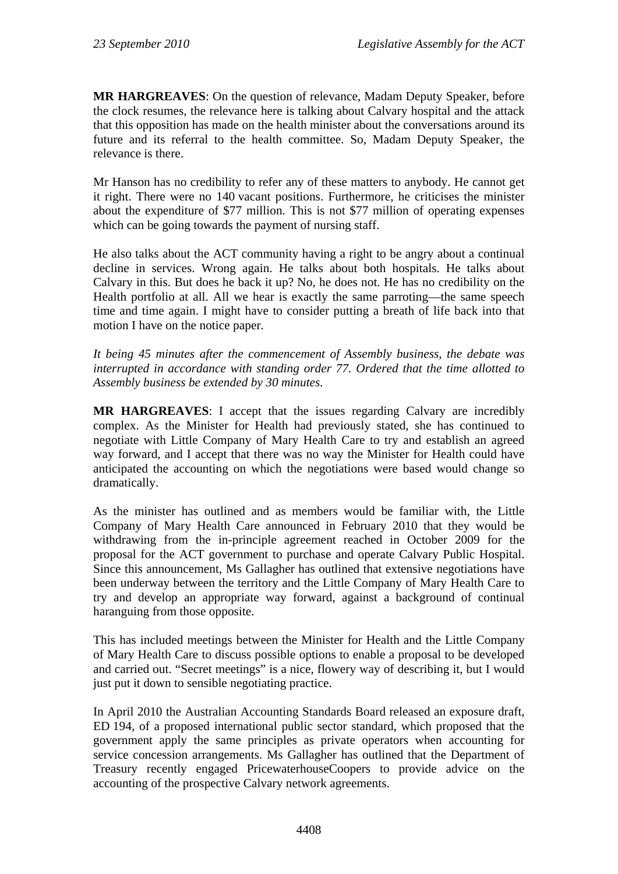**MR HARGREAVES**: On the question of relevance, Madam Deputy Speaker, before the clock resumes, the relevance here is talking about Calvary hospital and the attack that this opposition has made on the health minister about the conversations around its future and its referral to the health committee. So, Madam Deputy Speaker, the relevance is there.

Mr Hanson has no credibility to refer any of these matters to anybody. He cannot get it right. There were no 140 vacant positions. Furthermore, he criticises the minister about the expenditure of \$77 million. This is not \$77 million of operating expenses which can be going towards the payment of nursing staff.

He also talks about the ACT community having a right to be angry about a continual decline in services. Wrong again. He talks about both hospitals. He talks about Calvary in this. But does he back it up? No, he does not. He has no credibility on the Health portfolio at all. All we hear is exactly the same parroting—the same speech time and time again. I might have to consider putting a breath of life back into that motion I have on the notice paper.

*It being 45 minutes after the commencement of Assembly business, the debate was interrupted in accordance with standing order 77. Ordered that the time allotted to Assembly business be extended by 30 minutes.*

**MR HARGREAVES**: I accept that the issues regarding Calvary are incredibly complex. As the Minister for Health had previously stated, she has continued to negotiate with Little Company of Mary Health Care to try and establish an agreed way forward, and I accept that there was no way the Minister for Health could have anticipated the accounting on which the negotiations were based would change so dramatically.

As the minister has outlined and as members would be familiar with, the Little Company of Mary Health Care announced in February 2010 that they would be withdrawing from the in-principle agreement reached in October 2009 for the proposal for the ACT government to purchase and operate Calvary Public Hospital. Since this announcement, Ms Gallagher has outlined that extensive negotiations have been underway between the territory and the Little Company of Mary Health Care to try and develop an appropriate way forward, against a background of continual haranguing from those opposite.

This has included meetings between the Minister for Health and the Little Company of Mary Health Care to discuss possible options to enable a proposal to be developed and carried out. "Secret meetings" is a nice, flowery way of describing it, but I would just put it down to sensible negotiating practice.

In April 2010 the Australian Accounting Standards Board released an exposure draft, ED 194, of a proposed international public sector standard, which proposed that the government apply the same principles as private operators when accounting for service concession arrangements. Ms Gallagher has outlined that the Department of Treasury recently engaged PricewaterhouseCoopers to provide advice on the accounting of the prospective Calvary network agreements.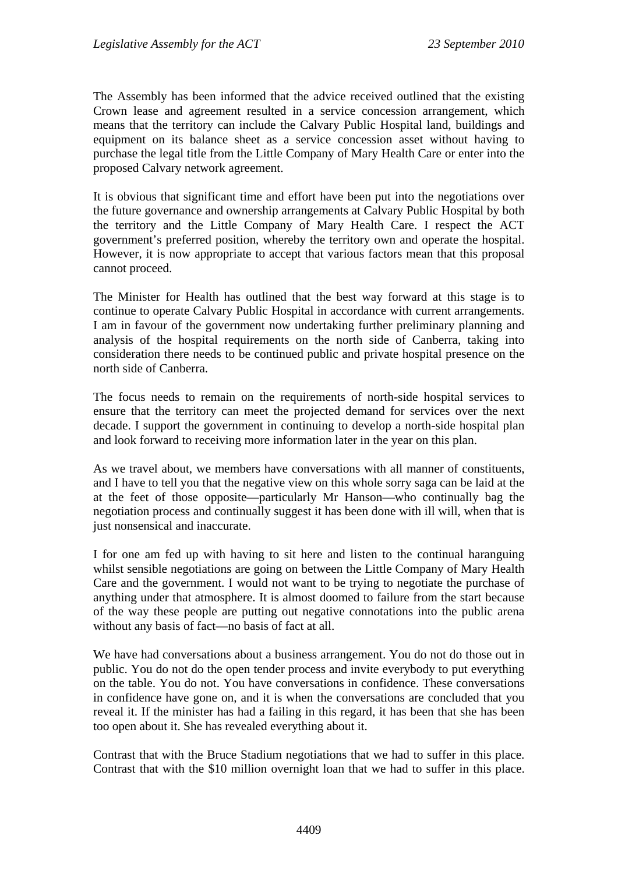The Assembly has been informed that the advice received outlined that the existing Crown lease and agreement resulted in a service concession arrangement, which means that the territory can include the Calvary Public Hospital land, buildings and equipment on its balance sheet as a service concession asset without having to purchase the legal title from the Little Company of Mary Health Care or enter into the proposed Calvary network agreement.

It is obvious that significant time and effort have been put into the negotiations over the future governance and ownership arrangements at Calvary Public Hospital by both the territory and the Little Company of Mary Health Care. I respect the ACT government's preferred position, whereby the territory own and operate the hospital. However, it is now appropriate to accept that various factors mean that this proposal cannot proceed.

The Minister for Health has outlined that the best way forward at this stage is to continue to operate Calvary Public Hospital in accordance with current arrangements. I am in favour of the government now undertaking further preliminary planning and analysis of the hospital requirements on the north side of Canberra, taking into consideration there needs to be continued public and private hospital presence on the north side of Canberra.

The focus needs to remain on the requirements of north-side hospital services to ensure that the territory can meet the projected demand for services over the next decade. I support the government in continuing to develop a north-side hospital plan and look forward to receiving more information later in the year on this plan.

As we travel about, we members have conversations with all manner of constituents, and I have to tell you that the negative view on this whole sorry saga can be laid at the at the feet of those opposite—particularly Mr Hanson—who continually bag the negotiation process and continually suggest it has been done with ill will, when that is just nonsensical and inaccurate.

I for one am fed up with having to sit here and listen to the continual haranguing whilst sensible negotiations are going on between the Little Company of Mary Health Care and the government. I would not want to be trying to negotiate the purchase of anything under that atmosphere. It is almost doomed to failure from the start because of the way these people are putting out negative connotations into the public arena without any basis of fact—no basis of fact at all.

We have had conversations about a business arrangement. You do not do those out in public. You do not do the open tender process and invite everybody to put everything on the table. You do not. You have conversations in confidence. These conversations in confidence have gone on, and it is when the conversations are concluded that you reveal it. If the minister has had a failing in this regard, it has been that she has been too open about it. She has revealed everything about it.

Contrast that with the Bruce Stadium negotiations that we had to suffer in this place. Contrast that with the \$10 million overnight loan that we had to suffer in this place.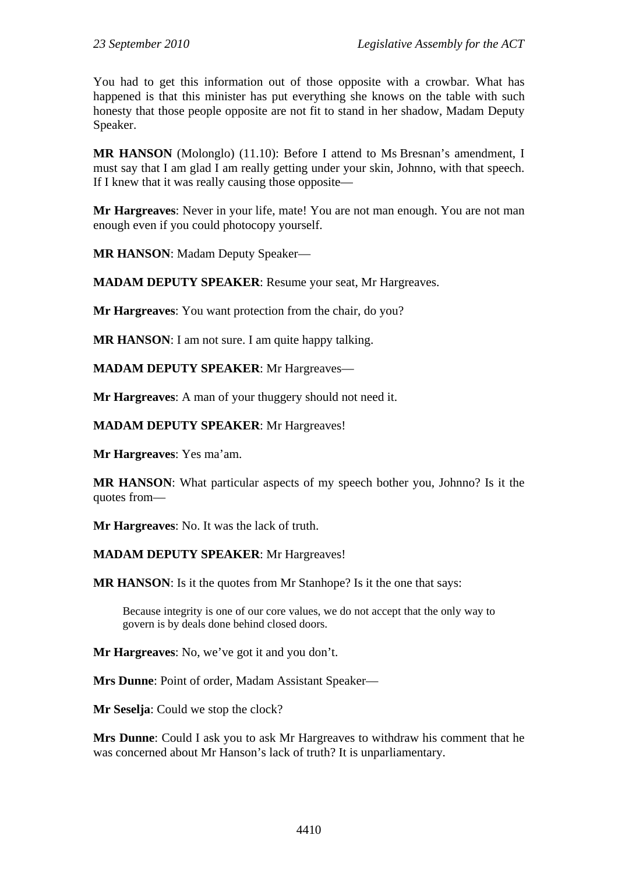You had to get this information out of those opposite with a crowbar. What has happened is that this minister has put everything she knows on the table with such honesty that those people opposite are not fit to stand in her shadow, Madam Deputy Speaker.

**MR HANSON** (Molonglo) (11.10): Before I attend to Ms Bresnan's amendment, I must say that I am glad I am really getting under your skin, Johnno, with that speech. If I knew that it was really causing those opposite—

**Mr Hargreaves**: Never in your life, mate! You are not man enough. You are not man enough even if you could photocopy yourself.

**MR HANSON**: Madam Deputy Speaker—

**MADAM DEPUTY SPEAKER**: Resume your seat, Mr Hargreaves.

**Mr Hargreaves**: You want protection from the chair, do you?

**MR HANSON**: I am not sure. I am quite happy talking.

**MADAM DEPUTY SPEAKER**: Mr Hargreaves—

**Mr Hargreaves**: A man of your thuggery should not need it.

**MADAM DEPUTY SPEAKER**: Mr Hargreaves!

**Mr Hargreaves**: Yes ma'am.

**MR HANSON**: What particular aspects of my speech bother you, Johnno? Is it the quotes from—

**Mr Hargreaves**: No. It was the lack of truth.

#### **MADAM DEPUTY SPEAKER**: Mr Hargreaves!

**MR HANSON:** Is it the quotes from Mr Stanhope? Is it the one that says:

Because integrity is one of our core values, we do not accept that the only way to govern is by deals done behind closed doors.

**Mr Hargreaves**: No, we've got it and you don't.

**Mrs Dunne**: Point of order, Madam Assistant Speaker—

**Mr Seselja**: Could we stop the clock?

**Mrs Dunne**: Could I ask you to ask Mr Hargreaves to withdraw his comment that he was concerned about Mr Hanson's lack of truth? It is unparliamentary.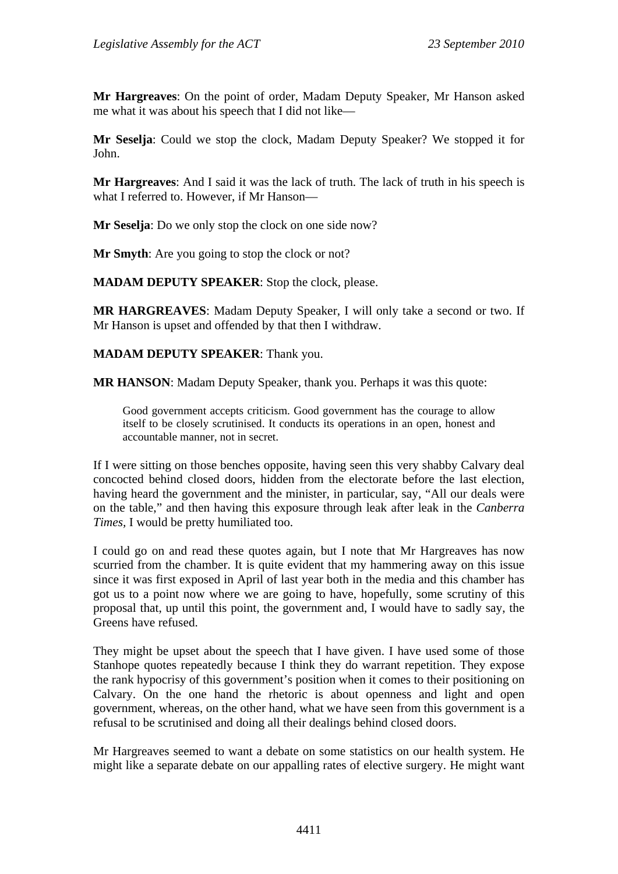**Mr Hargreaves**: On the point of order, Madam Deputy Speaker, Mr Hanson asked me what it was about his speech that I did not like—

**Mr Seselja**: Could we stop the clock, Madam Deputy Speaker? We stopped it for John.

**Mr Hargreaves**: And I said it was the lack of truth. The lack of truth in his speech is what I referred to. However, if Mr Hanson—

**Mr Seselja**: Do we only stop the clock on one side now?

**Mr Smyth**: Are you going to stop the clock or not?

**MADAM DEPUTY SPEAKER**: Stop the clock, please.

**MR HARGREAVES**: Madam Deputy Speaker, I will only take a second or two. If Mr Hanson is upset and offended by that then I withdraw.

#### **MADAM DEPUTY SPEAKER**: Thank you.

**MR HANSON**: Madam Deputy Speaker, thank you. Perhaps it was this quote:

Good government accepts criticism. Good government has the courage to allow itself to be closely scrutinised. It conducts its operations in an open, honest and accountable manner, not in secret.

If I were sitting on those benches opposite, having seen this very shabby Calvary deal concocted behind closed doors, hidden from the electorate before the last election, having heard the government and the minister, in particular, say, "All our deals were on the table," and then having this exposure through leak after leak in the *Canberra Times,* I would be pretty humiliated too.

I could go on and read these quotes again, but I note that Mr Hargreaves has now scurried from the chamber. It is quite evident that my hammering away on this issue since it was first exposed in April of last year both in the media and this chamber has got us to a point now where we are going to have, hopefully, some scrutiny of this proposal that, up until this point, the government and, I would have to sadly say, the Greens have refused.

They might be upset about the speech that I have given. I have used some of those Stanhope quotes repeatedly because I think they do warrant repetition. They expose the rank hypocrisy of this government's position when it comes to their positioning on Calvary. On the one hand the rhetoric is about openness and light and open government, whereas, on the other hand, what we have seen from this government is a refusal to be scrutinised and doing all their dealings behind closed doors.

Mr Hargreaves seemed to want a debate on some statistics on our health system. He might like a separate debate on our appalling rates of elective surgery. He might want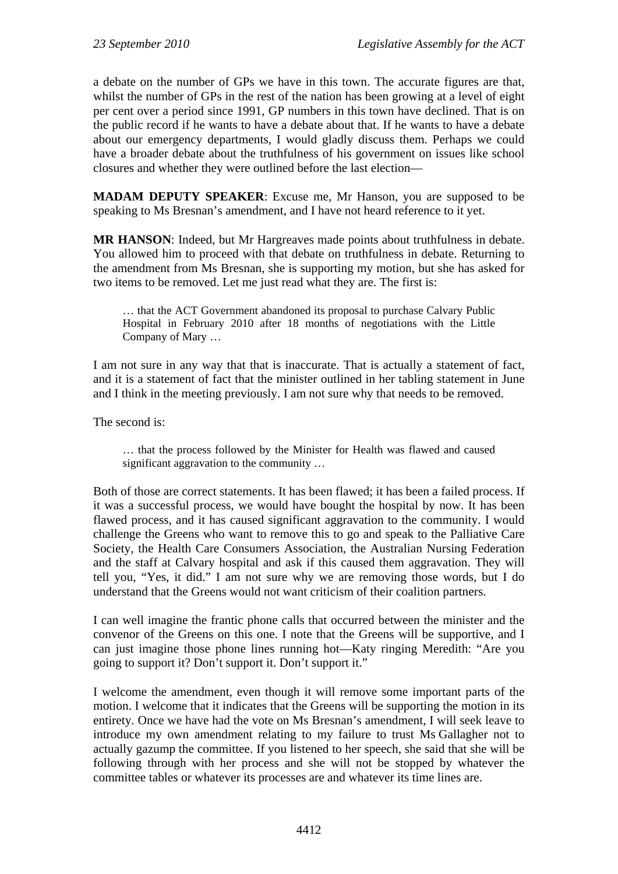a debate on the number of GPs we have in this town. The accurate figures are that, whilst the number of GPs in the rest of the nation has been growing at a level of eight per cent over a period since 1991, GP numbers in this town have declined. That is on the public record if he wants to have a debate about that. If he wants to have a debate about our emergency departments, I would gladly discuss them. Perhaps we could have a broader debate about the truthfulness of his government on issues like school closures and whether they were outlined before the last election—

**MADAM DEPUTY SPEAKER**: Excuse me, Mr Hanson, you are supposed to be speaking to Ms Bresnan's amendment, and I have not heard reference to it yet.

**MR HANSON**: Indeed, but Mr Hargreaves made points about truthfulness in debate. You allowed him to proceed with that debate on truthfulness in debate. Returning to the amendment from Ms Bresnan, she is supporting my motion, but she has asked for two items to be removed. Let me just read what they are. The first is:

… that the ACT Government abandoned its proposal to purchase Calvary Public Hospital in February 2010 after 18 months of negotiations with the Little Company of Mary …

I am not sure in any way that that is inaccurate. That is actually a statement of fact, and it is a statement of fact that the minister outlined in her tabling statement in June and I think in the meeting previously. I am not sure why that needs to be removed.

The second is:

… that the process followed by the Minister for Health was flawed and caused significant aggravation to the community …

Both of those are correct statements. It has been flawed; it has been a failed process. If it was a successful process, we would have bought the hospital by now. It has been flawed process, and it has caused significant aggravation to the community. I would challenge the Greens who want to remove this to go and speak to the Palliative Care Society, the Health Care Consumers Association, the Australian Nursing Federation and the staff at Calvary hospital and ask if this caused them aggravation. They will tell you, "Yes, it did." I am not sure why we are removing those words, but I do understand that the Greens would not want criticism of their coalition partners.

I can well imagine the frantic phone calls that occurred between the minister and the convenor of the Greens on this one. I note that the Greens will be supportive, and I can just imagine those phone lines running hot—Katy ringing Meredith: "Are you going to support it? Don't support it. Don't support it."

I welcome the amendment, even though it will remove some important parts of the motion. I welcome that it indicates that the Greens will be supporting the motion in its entirety. Once we have had the vote on Ms Bresnan's amendment, I will seek leave to introduce my own amendment relating to my failure to trust Ms Gallagher not to actually gazump the committee. If you listened to her speech, she said that she will be following through with her process and she will not be stopped by whatever the committee tables or whatever its processes are and whatever its time lines are.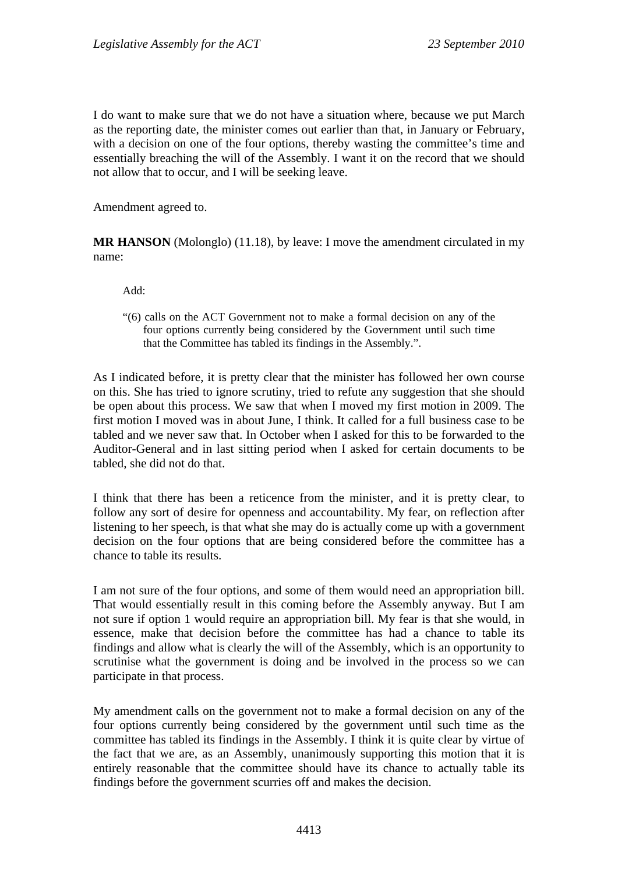I do want to make sure that we do not have a situation where, because we put March as the reporting date, the minister comes out earlier than that, in January or February, with a decision on one of the four options, thereby wasting the committee's time and essentially breaching the will of the Assembly. I want it on the record that we should not allow that to occur, and I will be seeking leave.

Amendment agreed to.

**MR HANSON** (Molonglo) (11.18), by leave: I move the amendment circulated in my name:

Add:

"(6) calls on the ACT Government not to make a formal decision on any of the four options currently being considered by the Government until such time that the Committee has tabled its findings in the Assembly.".

As I indicated before, it is pretty clear that the minister has followed her own course on this. She has tried to ignore scrutiny, tried to refute any suggestion that she should be open about this process. We saw that when I moved my first motion in 2009. The first motion I moved was in about June, I think. It called for a full business case to be tabled and we never saw that. In October when I asked for this to be forwarded to the Auditor-General and in last sitting period when I asked for certain documents to be tabled, she did not do that.

I think that there has been a reticence from the minister, and it is pretty clear, to follow any sort of desire for openness and accountability. My fear, on reflection after listening to her speech, is that what she may do is actually come up with a government decision on the four options that are being considered before the committee has a chance to table its results.

I am not sure of the four options, and some of them would need an appropriation bill. That would essentially result in this coming before the Assembly anyway. But I am not sure if option 1 would require an appropriation bill. My fear is that she would, in essence, make that decision before the committee has had a chance to table its findings and allow what is clearly the will of the Assembly, which is an opportunity to scrutinise what the government is doing and be involved in the process so we can participate in that process.

My amendment calls on the government not to make a formal decision on any of the four options currently being considered by the government until such time as the committee has tabled its findings in the Assembly. I think it is quite clear by virtue of the fact that we are, as an Assembly, unanimously supporting this motion that it is entirely reasonable that the committee should have its chance to actually table its findings before the government scurries off and makes the decision.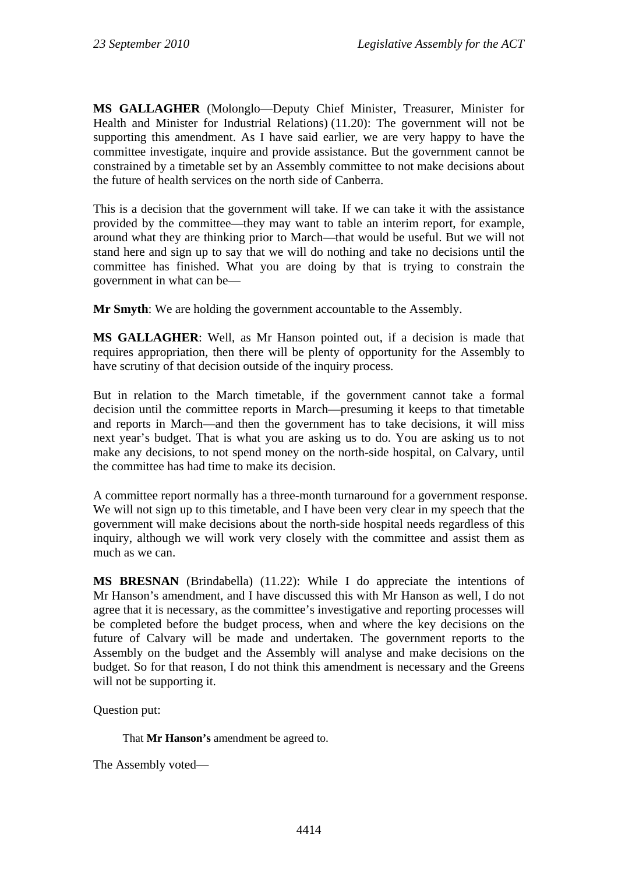**MS GALLAGHER** (Molonglo—Deputy Chief Minister, Treasurer, Minister for Health and Minister for Industrial Relations) (11.20): The government will not be supporting this amendment. As I have said earlier, we are very happy to have the committee investigate, inquire and provide assistance. But the government cannot be constrained by a timetable set by an Assembly committee to not make decisions about the future of health services on the north side of Canberra.

This is a decision that the government will take. If we can take it with the assistance provided by the committee—they may want to table an interim report, for example, around what they are thinking prior to March—that would be useful. But we will not stand here and sign up to say that we will do nothing and take no decisions until the committee has finished. What you are doing by that is trying to constrain the government in what can be—

**Mr Smyth**: We are holding the government accountable to the Assembly.

**MS GALLAGHER**: Well, as Mr Hanson pointed out, if a decision is made that requires appropriation, then there will be plenty of opportunity for the Assembly to have scrutiny of that decision outside of the inquiry process.

But in relation to the March timetable, if the government cannot take a formal decision until the committee reports in March—presuming it keeps to that timetable and reports in March—and then the government has to take decisions, it will miss next year's budget. That is what you are asking us to do. You are asking us to not make any decisions, to not spend money on the north-side hospital, on Calvary, until the committee has had time to make its decision.

A committee report normally has a three-month turnaround for a government response. We will not sign up to this timetable, and I have been very clear in my speech that the government will make decisions about the north-side hospital needs regardless of this inquiry, although we will work very closely with the committee and assist them as much as we can.

**MS BRESNAN** (Brindabella) (11.22): While I do appreciate the intentions of Mr Hanson's amendment, and I have discussed this with Mr Hanson as well, I do not agree that it is necessary, as the committee's investigative and reporting processes will be completed before the budget process, when and where the key decisions on the future of Calvary will be made and undertaken. The government reports to the Assembly on the budget and the Assembly will analyse and make decisions on the budget. So for that reason, I do not think this amendment is necessary and the Greens will not be supporting it.

Question put:

That **Mr Hanson's** amendment be agreed to.

The Assembly voted—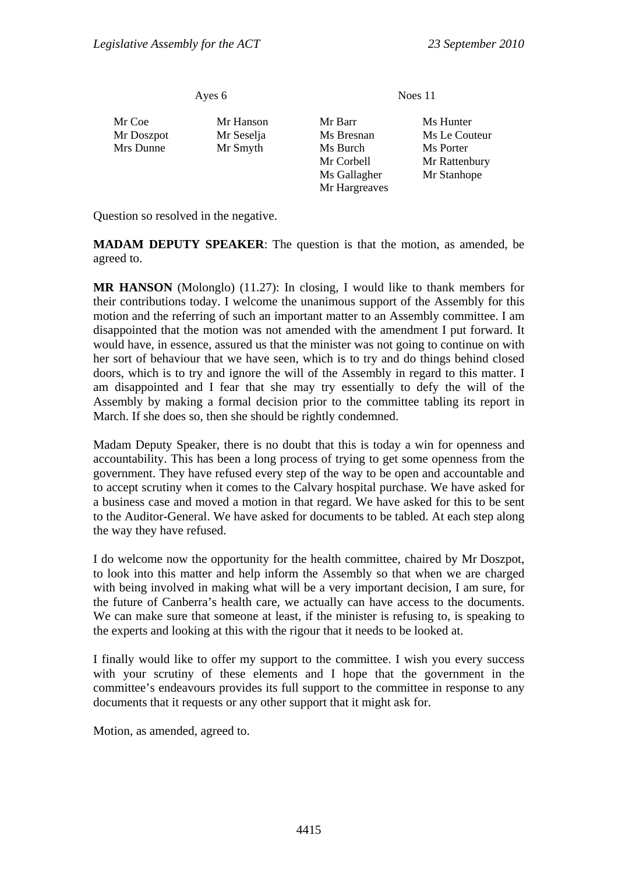Ayes 6 Noes 11 Mr Coe Mr Hanson Mr Barr Ms Hunter Mr Doszpot Mr Seselja Ms Bresnan Ms Le Couteur Mrs Dunne Mr Smyth Ms Burch Ms Porter Mr Corbell Mr Rattenbury Ms Gallagher Mr Stanhope Mr Hargreaves

Question so resolved in the negative.

**MADAM DEPUTY SPEAKER**: The question is that the motion, as amended, be agreed to.

**MR HANSON** (Molonglo) (11.27): In closing, I would like to thank members for their contributions today. I welcome the unanimous support of the Assembly for this motion and the referring of such an important matter to an Assembly committee. I am disappointed that the motion was not amended with the amendment I put forward. It would have, in essence, assured us that the minister was not going to continue on with her sort of behaviour that we have seen, which is to try and do things behind closed doors, which is to try and ignore the will of the Assembly in regard to this matter. I am disappointed and I fear that she may try essentially to defy the will of the Assembly by making a formal decision prior to the committee tabling its report in March. If she does so, then she should be rightly condemned.

Madam Deputy Speaker, there is no doubt that this is today a win for openness and accountability. This has been a long process of trying to get some openness from the government. They have refused every step of the way to be open and accountable and to accept scrutiny when it comes to the Calvary hospital purchase. We have asked for a business case and moved a motion in that regard. We have asked for this to be sent to the Auditor-General. We have asked for documents to be tabled. At each step along the way they have refused.

I do welcome now the opportunity for the health committee, chaired by Mr Doszpot, to look into this matter and help inform the Assembly so that when we are charged with being involved in making what will be a very important decision, I am sure, for the future of Canberra's health care, we actually can have access to the documents. We can make sure that someone at least, if the minister is refusing to, is speaking to the experts and looking at this with the rigour that it needs to be looked at.

I finally would like to offer my support to the committee. I wish you every success with your scrutiny of these elements and I hope that the government in the committee's endeavours provides its full support to the committee in response to any documents that it requests or any other support that it might ask for.

Motion, as amended, agreed to.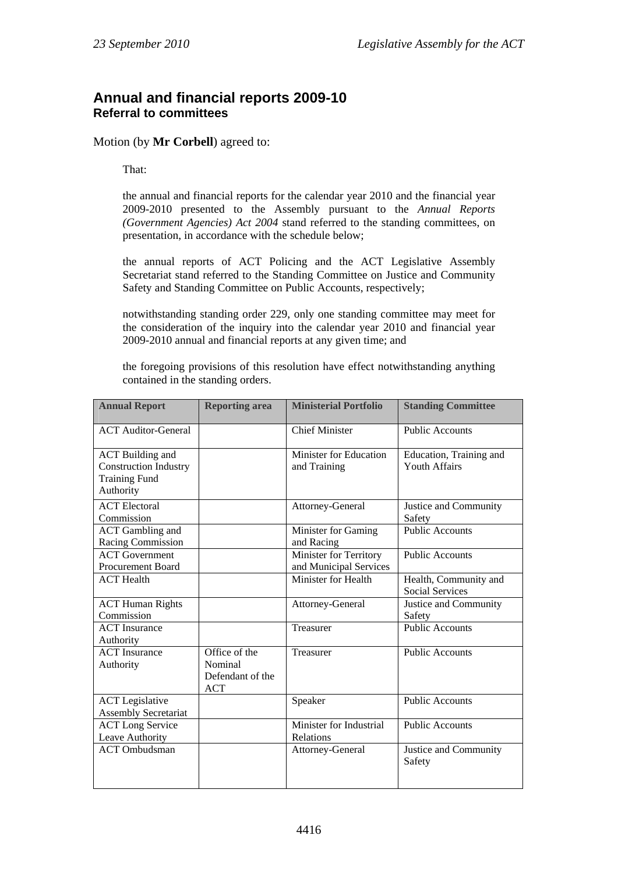#### <span id="page-33-0"></span>**Annual and financial reports 2009-10 Referral to committees**

Motion (by **Mr Corbell**) agreed to:

That:

the annual and financial reports for the calendar year 2010 and the financial year 2009-2010 presented to the Assembly pursuant to the *Annual Reports (Government Agencies) Act 2004* stand referred to the standing committees, on presentation, in accordance with the schedule below;

the annual reports of ACT Policing and the ACT Legislative Assembly Secretariat stand referred to the Standing Committee on Justice and Community Safety and Standing Committee on Public Accounts, respectively;

notwithstanding standing order 229, only one standing committee may meet for the consideration of the inquiry into the calendar year 2010 and financial year 2009-2010 annual and financial reports at any given time; and

the foregoing provisions of this resolution have effect notwithstanding anything contained in the standing orders.

| <b>Annual Report</b>                                                                         | <b>Reporting area</b>                                      | <b>Ministerial Portfolio</b>                     | <b>Standing Committee</b>                       |
|----------------------------------------------------------------------------------------------|------------------------------------------------------------|--------------------------------------------------|-------------------------------------------------|
| <b>ACT Auditor-General</b>                                                                   |                                                            | <b>Chief Minister</b>                            | <b>Public Accounts</b>                          |
| <b>ACT</b> Building and<br><b>Construction Industry</b><br><b>Training Fund</b><br>Authority |                                                            | Minister for Education<br>and Training           | Education, Training and<br><b>Youth Affairs</b> |
| <b>ACT</b> Electoral<br>Commission                                                           |                                                            | Attorney-General                                 | Justice and Community<br>Safety                 |
| <b>ACT</b> Gambling and<br>Racing Commission                                                 |                                                            | Minister for Gaming<br>and Racing                | <b>Public Accounts</b>                          |
| <b>ACT</b> Government<br><b>Procurement Board</b>                                            |                                                            | Minister for Territory<br>and Municipal Services | <b>Public Accounts</b>                          |
| <b>ACT</b> Health                                                                            |                                                            | Minister for Health                              | Health, Community and<br><b>Social Services</b> |
| <b>ACT Human Rights</b><br>Commission                                                        |                                                            | Attorney-General                                 | Justice and Community<br>Safety                 |
| <b>ACT</b> Insurance<br>Authority                                                            |                                                            | Treasurer                                        | <b>Public Accounts</b>                          |
| <b>ACT</b> Insurance<br>Authority                                                            | Office of the<br>Nominal<br>Defendant of the<br><b>ACT</b> | Treasurer                                        | <b>Public Accounts</b>                          |
| <b>ACT</b> Legislative<br><b>Assembly Secretariat</b>                                        |                                                            | Speaker                                          | <b>Public Accounts</b>                          |
| <b>ACT</b> Long Service<br>Leave Authority                                                   |                                                            | Minister for Industrial<br>Relations             | <b>Public Accounts</b>                          |
| <b>ACT</b> Ombudsman                                                                         |                                                            | Attorney-General                                 | Justice and Community<br>Safety                 |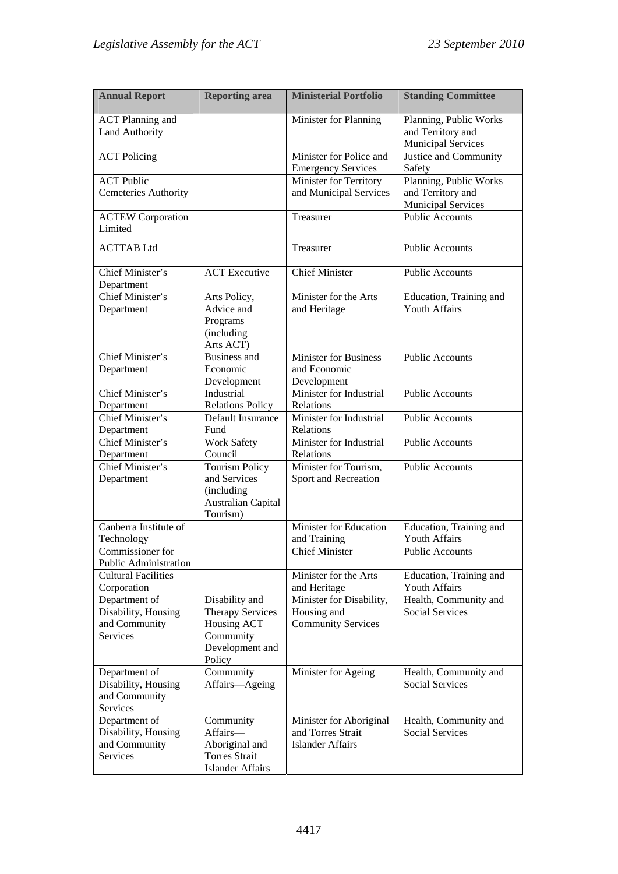| <b>Annual Report</b>                                              | <b>Reporting area</b>                                                                              | <b>Ministerial Portfolio</b>                                            | <b>Standing Committee</b>                                                |
|-------------------------------------------------------------------|----------------------------------------------------------------------------------------------------|-------------------------------------------------------------------------|--------------------------------------------------------------------------|
| <b>ACT Planning and</b><br><b>Land Authority</b>                  |                                                                                                    | Minister for Planning                                                   | Planning, Public Works<br>and Territory and<br><b>Municipal Services</b> |
| <b>ACT</b> Policing                                               |                                                                                                    | Minister for Police and<br><b>Emergency Services</b>                    | Justice and Community<br>Safety                                          |
| <b>ACT Public</b><br><b>Cemeteries Authority</b>                  |                                                                                                    | Minister for Territory<br>and Municipal Services                        | Planning, Public Works<br>and Territory and<br><b>Municipal Services</b> |
| <b>ACTEW Corporation</b><br>Limited                               |                                                                                                    | Treasurer                                                               | <b>Public Accounts</b>                                                   |
| <b>ACTTAB Ltd</b>                                                 |                                                                                                    | Treasurer                                                               | <b>Public Accounts</b>                                                   |
| Chief Minister's<br>Department                                    | <b>ACT</b> Executive                                                                               | <b>Chief Minister</b>                                                   | <b>Public Accounts</b>                                                   |
| Chief Minister's<br>Department                                    | Arts Policy,<br>Advice and<br>Programs<br>(including<br>Arts ACT)                                  | Minister for the Arts<br>and Heritage                                   | Education, Training and<br><b>Youth Affairs</b>                          |
| Chief Minister's<br>Department                                    | <b>Business and</b><br>Economic<br>Development                                                     | <b>Minister for Business</b><br>and Economic<br>Development             | <b>Public Accounts</b>                                                   |
| Chief Minister's<br>Department                                    | Industrial<br><b>Relations Policy</b>                                                              | Minister for Industrial<br>Relations                                    | <b>Public Accounts</b>                                                   |
| Chief Minister's<br>Department                                    | Default Insurance<br>Fund                                                                          | Minister for Industrial<br>Relations                                    | <b>Public Accounts</b>                                                   |
| Chief Minister's<br>Department                                    | <b>Work Safety</b><br>Council                                                                      | Minister for Industrial<br>Relations                                    | <b>Public Accounts</b>                                                   |
| Chief Minister's<br>Department                                    | <b>Tourism Policy</b><br>and Services<br>(including<br><b>Australian Capital</b><br>Tourism)       | Minister for Tourism,<br>Sport and Recreation                           | <b>Public Accounts</b>                                                   |
| Canberra Institute of<br>Technology                               |                                                                                                    | Minister for Education<br>and Training                                  | Education, Training and<br>Youth Affairs                                 |
| Commissioner for<br><b>Public Administration</b>                  |                                                                                                    | <b>Chief Minister</b>                                                   | Public Accounts                                                          |
| <b>Cultural Facilities</b><br>Corporation                         |                                                                                                    | Minister for the Arts<br>and Heritage                                   | Education, Training and<br>Youth Affairs                                 |
| Department of<br>Disability, Housing<br>and Community<br>Services | Disability and<br><b>Therapy Services</b><br>Housing ACT<br>Community<br>Development and<br>Policy | Minister for Disability,<br>Housing and<br><b>Community Services</b>    | Health, Community and<br><b>Social Services</b>                          |
| Department of<br>Disability, Housing<br>and Community<br>Services | Community<br>Affairs-Ageing                                                                        | Minister for Ageing                                                     | Health, Community and<br><b>Social Services</b>                          |
| Department of<br>Disability, Housing<br>and Community<br>Services | Community<br>Affairs-<br>Aboriginal and<br><b>Torres Strait</b><br><b>Islander Affairs</b>         | Minister for Aboriginal<br>and Torres Strait<br><b>Islander Affairs</b> | Health, Community and<br><b>Social Services</b>                          |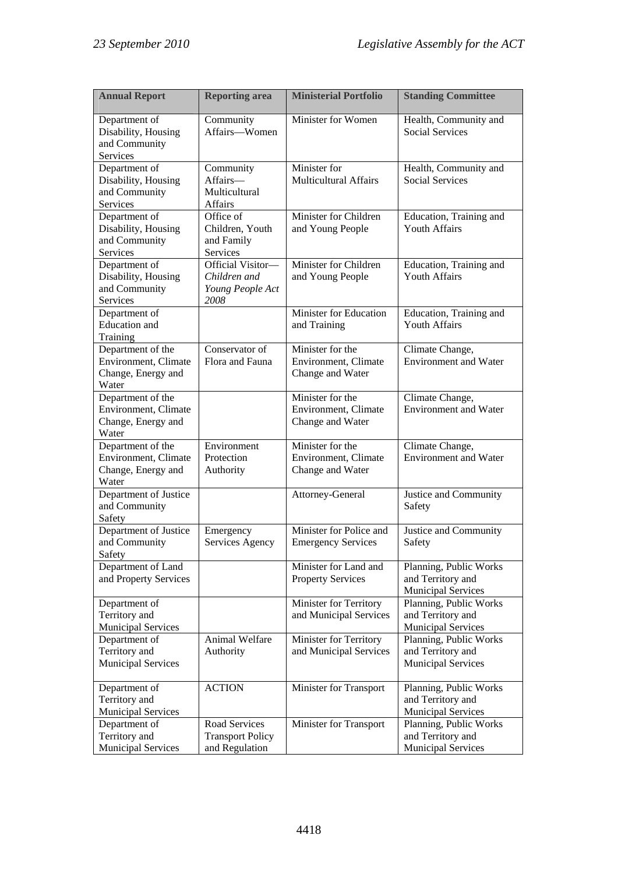| <b>Annual Report</b>                                                     | <b>Reporting area</b>                                         | <b>Ministerial Portfolio</b>                                 | <b>Standing Committee</b>                                                |
|--------------------------------------------------------------------------|---------------------------------------------------------------|--------------------------------------------------------------|--------------------------------------------------------------------------|
| Department of<br>Disability, Housing<br>and Community<br>Services        | Community<br>Affairs-Women                                    | Minister for Women                                           | Health, Community and<br><b>Social Services</b>                          |
| Department of<br>Disability, Housing<br>and Community<br>Services        | Community<br>Affairs-<br>Multicultural<br><b>Affairs</b>      | Minister for<br><b>Multicultural Affairs</b>                 | Health, Community and<br><b>Social Services</b>                          |
| Department of<br>Disability, Housing<br>and Community<br>Services        | Office of<br>Children, Youth<br>and Family<br>Services        | Minister for Children<br>and Young People                    | Education, Training and<br><b>Youth Affairs</b>                          |
| Department of<br>Disability, Housing<br>and Community<br>Services        | Official Visitor-<br>Children and<br>Young People Act<br>2008 | Minister for Children<br>and Young People                    | Education, Training and<br><b>Youth Affairs</b>                          |
| Department of<br><b>Education</b> and<br>Training                        |                                                               | Minister for Education<br>and Training                       | Education, Training and<br><b>Youth Affairs</b>                          |
| Department of the<br>Environment, Climate<br>Change, Energy and<br>Water | Conservator of<br>Flora and Fauna                             | Minister for the<br>Environment, Climate<br>Change and Water | Climate Change,<br><b>Environment</b> and Water                          |
| Department of the<br>Environment, Climate<br>Change, Energy and<br>Water |                                                               | Minister for the<br>Environment, Climate<br>Change and Water | Climate Change,<br><b>Environment</b> and Water                          |
| Department of the<br>Environment, Climate<br>Change, Energy and<br>Water | Environment<br>Protection<br>Authority                        | Minister for the<br>Environment, Climate<br>Change and Water | Climate Change,<br><b>Environment</b> and Water                          |
| Department of Justice<br>and Community<br>Safety                         |                                                               | Attorney-General                                             | Justice and Community<br>Safety                                          |
| Department of Justice<br>and Community<br>Safety                         | Emergency<br>Services Agency                                  | Minister for Police and<br><b>Emergency Services</b>         | Justice and Community<br>Safety                                          |
| Department of Land<br>and Property Services                              |                                                               | Minister for Land and<br><b>Property Services</b>            | Planning, Public Works<br>and Territory and<br><b>Municipal Services</b> |
| Department of<br>Territory and<br><b>Municipal Services</b>              |                                                               | Minister for Territory<br>and Municipal Services             | Planning, Public Works<br>and Territory and<br><b>Municipal Services</b> |
| Department of<br>Territory and<br><b>Municipal Services</b>              | Animal Welfare<br>Authority                                   | Minister for Territory<br>and Municipal Services             | Planning, Public Works<br>and Territory and<br><b>Municipal Services</b> |
| Department of<br>Territory and<br><b>Municipal Services</b>              | <b>ACTION</b>                                                 | Minister for Transport                                       | Planning, Public Works<br>and Territory and<br><b>Municipal Services</b> |
| Department of<br>Territory and<br><b>Municipal Services</b>              | Road Services<br><b>Transport Policy</b><br>and Regulation    | Minister for Transport                                       | Planning, Public Works<br>and Territory and<br><b>Municipal Services</b> |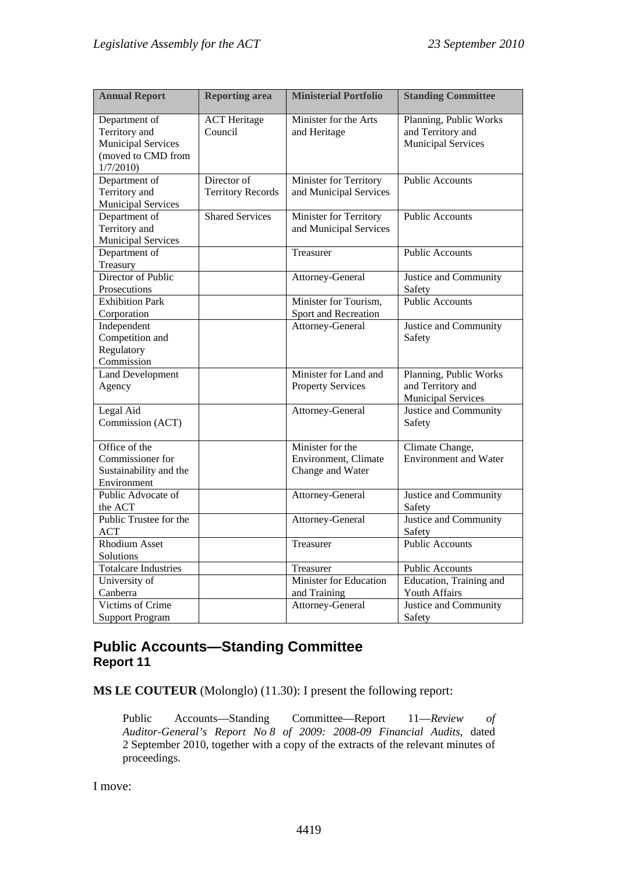| <b>Annual Report</b>                                                                          | <b>Reporting area</b>                   | <b>Ministerial Portfolio</b>                                 | <b>Standing Committee</b>                                                |
|-----------------------------------------------------------------------------------------------|-----------------------------------------|--------------------------------------------------------------|--------------------------------------------------------------------------|
| Department of<br>Territory and<br><b>Municipal Services</b><br>(moved to CMD from<br>1/7/2010 | <b>ACT</b> Heritage<br>Council          | Minister for the Arts<br>and Heritage                        | Planning, Public Works<br>and Territory and<br><b>Municipal Services</b> |
| Department of<br>Territory and<br><b>Municipal Services</b>                                   | Director of<br><b>Territory Records</b> | Minister for Territory<br>and Municipal Services             | <b>Public Accounts</b>                                                   |
| Department of<br>Territory and<br><b>Municipal Services</b>                                   | <b>Shared Services</b>                  | Minister for Territory<br>and Municipal Services             | <b>Public Accounts</b>                                                   |
| Department of<br>Treasury                                                                     |                                         | Treasurer                                                    | <b>Public Accounts</b>                                                   |
| Director of Public<br>Prosecutions                                                            |                                         | Attorney-General                                             | Justice and Community<br>Safety                                          |
| <b>Exhibition Park</b><br>Corporation                                                         |                                         | Minister for Tourism,<br>Sport and Recreation                | <b>Public Accounts</b>                                                   |
| Independent<br>Competition and<br>Regulatory<br>Commission                                    |                                         | Attorney-General                                             | Justice and Community<br>Safety                                          |
| <b>Land Development</b><br>Agency                                                             |                                         | Minister for Land and<br><b>Property Services</b>            | Planning, Public Works<br>and Territory and<br><b>Municipal Services</b> |
| Legal Aid<br>Commission (ACT)                                                                 |                                         | Attorney-General                                             | Justice and Community<br>Safety                                          |
| Office of the<br>Commissioner for<br>Sustainability and the<br>Environment                    |                                         | Minister for the<br>Environment, Climate<br>Change and Water | Climate Change,<br><b>Environment</b> and Water                          |
| Public Advocate of<br>the ACT                                                                 |                                         | Attorney-General                                             | Justice and Community<br>Safety                                          |
| Public Trustee for the<br><b>ACT</b>                                                          |                                         | Attorney-General                                             | Justice and Community<br>Safety                                          |
| <b>Rhodium Asset</b><br>Solutions                                                             |                                         | Treasurer                                                    | <b>Public Accounts</b>                                                   |
| <b>Totalcare Industries</b>                                                                   |                                         | Treasurer                                                    | <b>Public Accounts</b>                                                   |
| University of<br>Canberra                                                                     |                                         | Minister for Education<br>and Training                       | Education, Training and<br>Youth Affairs                                 |
| Victims of Crime<br><b>Support Program</b>                                                    |                                         | Attorney-General                                             | Justice and Community<br>Safety                                          |

## **Public Accounts—Standing Committee Report 11**

**MS LE COUTEUR** (Molonglo) (11.30): I present the following report:

Public Accounts—Standing Committee—Report 11—*Review of Auditor-General's Report No 8 of 2009: 2008-09 Financial Audits,* dated 2 September 2010, together with a copy of the extracts of the relevant minutes of proceedings.

I move: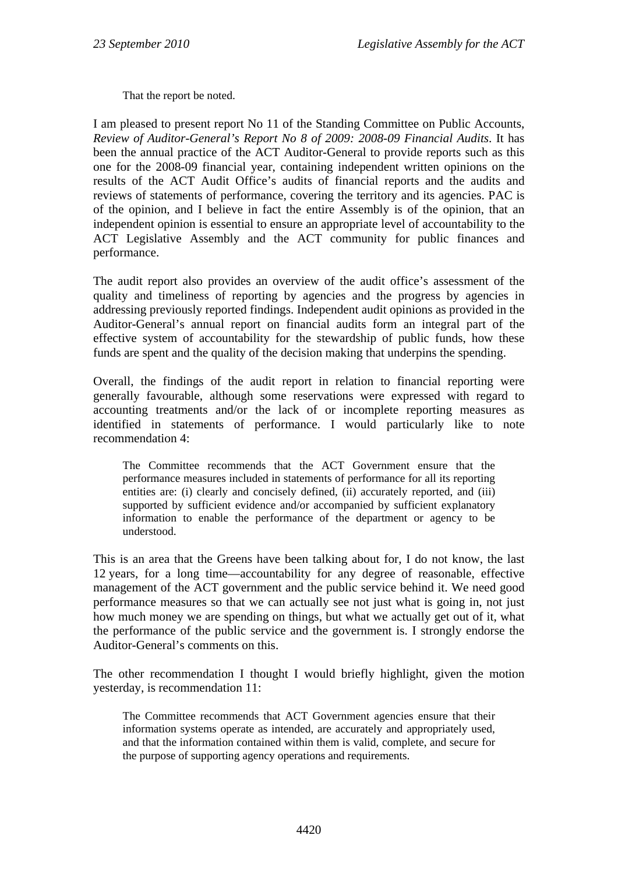That the report be noted.

I am pleased to present report No 11 of the Standing Committee on Public Accounts, *Review of Auditor-General's Report No 8 of 2009: 2008-09 Financial Audits*. It has been the annual practice of the ACT Auditor-General to provide reports such as this one for the 2008-09 financial year, containing independent written opinions on the results of the ACT Audit Office's audits of financial reports and the audits and reviews of statements of performance, covering the territory and its agencies. PAC is of the opinion, and I believe in fact the entire Assembly is of the opinion, that an independent opinion is essential to ensure an appropriate level of accountability to the ACT Legislative Assembly and the ACT community for public finances and performance.

The audit report also provides an overview of the audit office's assessment of the quality and timeliness of reporting by agencies and the progress by agencies in addressing previously reported findings. Independent audit opinions as provided in the Auditor-General's annual report on financial audits form an integral part of the effective system of accountability for the stewardship of public funds, how these funds are spent and the quality of the decision making that underpins the spending.

Overall, the findings of the audit report in relation to financial reporting were generally favourable, although some reservations were expressed with regard to accounting treatments and/or the lack of or incomplete reporting measures as identified in statements of performance. I would particularly like to note recommendation 4:

The Committee recommends that the ACT Government ensure that the performance measures included in statements of performance for all its reporting entities are: (i) clearly and concisely defined, (ii) accurately reported, and (iii) supported by sufficient evidence and/or accompanied by sufficient explanatory information to enable the performance of the department or agency to be understood.

This is an area that the Greens have been talking about for, I do not know, the last 12 years, for a long time—accountability for any degree of reasonable, effective management of the ACT government and the public service behind it. We need good performance measures so that we can actually see not just what is going in, not just how much money we are spending on things, but what we actually get out of it, what the performance of the public service and the government is. I strongly endorse the Auditor-General's comments on this.

The other recommendation I thought I would briefly highlight, given the motion yesterday, is recommendation 11:

The Committee recommends that ACT Government agencies ensure that their information systems operate as intended, are accurately and appropriately used, and that the information contained within them is valid, complete, and secure for the purpose of supporting agency operations and requirements.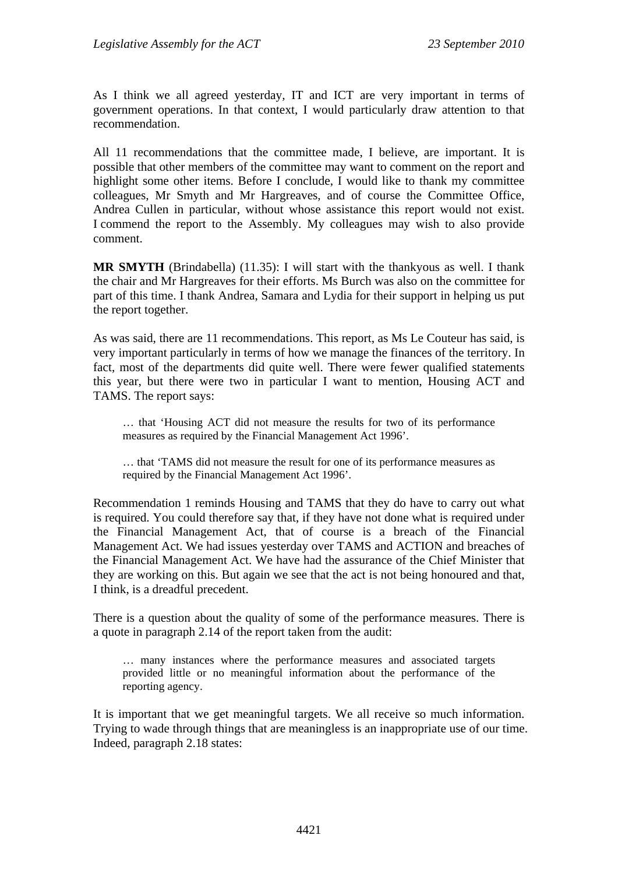As I think we all agreed yesterday, IT and ICT are very important in terms of government operations. In that context, I would particularly draw attention to that recommendation.

All 11 recommendations that the committee made, I believe, are important. It is possible that other members of the committee may want to comment on the report and highlight some other items. Before I conclude, I would like to thank my committee colleagues, Mr Smyth and Mr Hargreaves, and of course the Committee Office, Andrea Cullen in particular, without whose assistance this report would not exist. I commend the report to the Assembly. My colleagues may wish to also provide comment.

**MR SMYTH** (Brindabella) (11.35): I will start with the thankyous as well. I thank the chair and Mr Hargreaves for their efforts. Ms Burch was also on the committee for part of this time. I thank Andrea, Samara and Lydia for their support in helping us put the report together.

As was said, there are 11 recommendations. This report, as Ms Le Couteur has said, is very important particularly in terms of how we manage the finances of the territory. In fact, most of the departments did quite well. There were fewer qualified statements this year, but there were two in particular I want to mention, Housing ACT and TAMS. The report says:

… that 'Housing ACT did not measure the results for two of its performance measures as required by the Financial Management Act 1996'.

… that 'TAMS did not measure the result for one of its performance measures as required by the Financial Management Act 1996'.

Recommendation 1 reminds Housing and TAMS that they do have to carry out what is required. You could therefore say that, if they have not done what is required under the Financial Management Act, that of course is a breach of the Financial Management Act. We had issues yesterday over TAMS and ACTION and breaches of the Financial Management Act. We have had the assurance of the Chief Minister that they are working on this. But again we see that the act is not being honoured and that, I think, is a dreadful precedent.

There is a question about the quality of some of the performance measures. There is a quote in paragraph 2.14 of the report taken from the audit:

… many instances where the performance measures and associated targets provided little or no meaningful information about the performance of the reporting agency.

It is important that we get meaningful targets. We all receive so much information. Trying to wade through things that are meaningless is an inappropriate use of our time. Indeed, paragraph 2.18 states: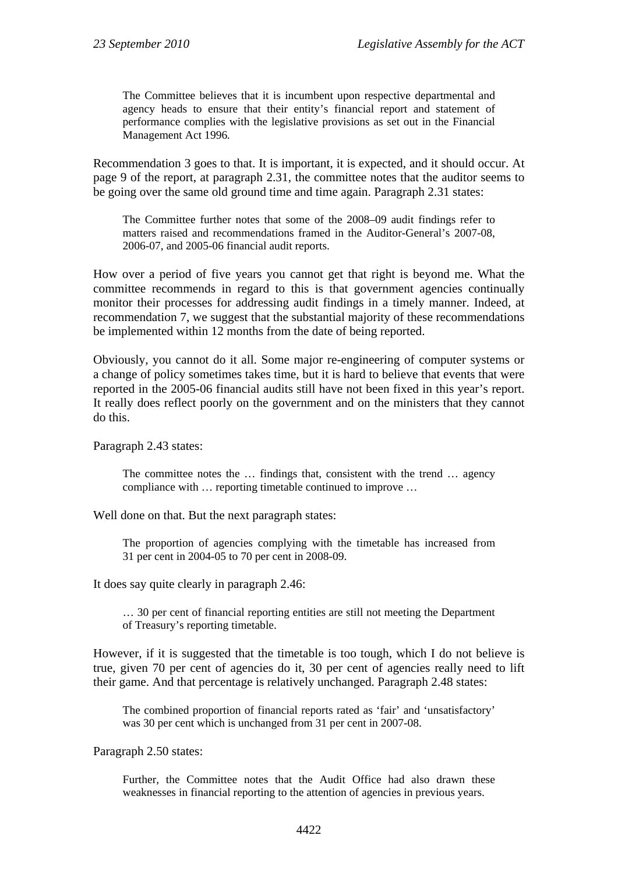The Committee believes that it is incumbent upon respective departmental and agency heads to ensure that their entity's financial report and statement of performance complies with the legislative provisions as set out in the Financial Management Act 1996*.*

Recommendation 3 goes to that. It is important, it is expected, and it should occur. At page 9 of the report, at paragraph 2.31, the committee notes that the auditor seems to be going over the same old ground time and time again. Paragraph 2.31 states:

The Committee further notes that some of the 2008–09 audit findings refer to matters raised and recommendations framed in the Auditor-General's 2007-08, 2006-07, and 2005-06 financial audit reports.

How over a period of five years you cannot get that right is beyond me. What the committee recommends in regard to this is that government agencies continually monitor their processes for addressing audit findings in a timely manner. Indeed, at recommendation 7, we suggest that the substantial majority of these recommendations be implemented within 12 months from the date of being reported.

Obviously, you cannot do it all. Some major re-engineering of computer systems or a change of policy sometimes takes time, but it is hard to believe that events that were reported in the 2005-06 financial audits still have not been fixed in this year's report. It really does reflect poorly on the government and on the ministers that they cannot do this.

Paragraph 2.43 states:

The committee notes the ... findings that, consistent with the trend ... agency compliance with … reporting timetable continued to improve …

Well done on that. But the next paragraph states:

The proportion of agencies complying with the timetable has increased from 31 per cent in 2004-05 to 70 per cent in 2008-09.

It does say quite clearly in paragraph 2.46:

… 30 per cent of financial reporting entities are still not meeting the Department of Treasury's reporting timetable.

However, if it is suggested that the timetable is too tough, which I do not believe is true, given 70 per cent of agencies do it, 30 per cent of agencies really need to lift their game. And that percentage is relatively unchanged. Paragraph 2.48 states:

The combined proportion of financial reports rated as 'fair' and 'unsatisfactory' was 30 per cent which is unchanged from 31 per cent in 2007-08.

Paragraph 2.50 states:

Further, the Committee notes that the Audit Office had also drawn these weaknesses in financial reporting to the attention of agencies in previous years.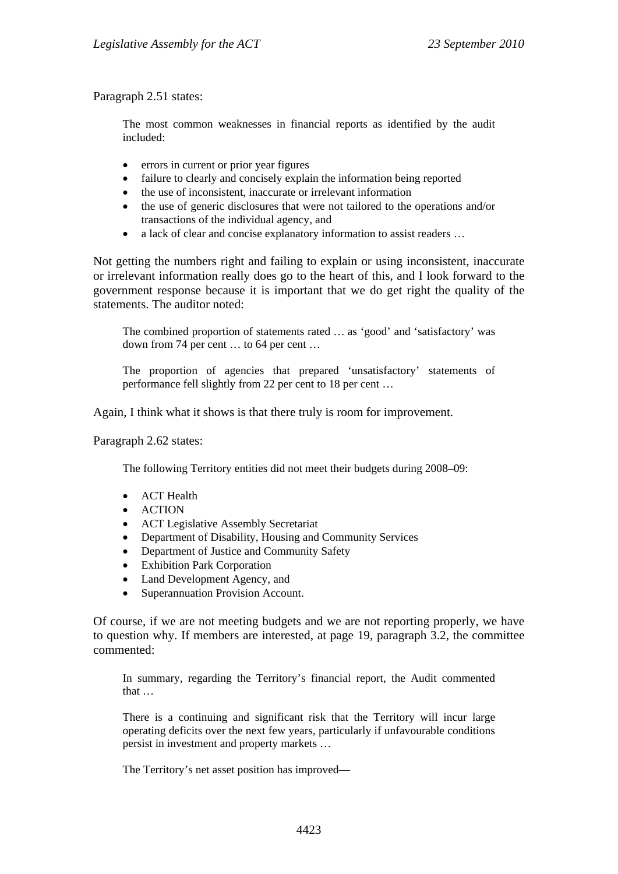Paragraph 2.51 states:

The most common weaknesses in financial reports as identified by the audit included:

- errors in current or prior year figures
- failure to clearly and concisely explain the information being reported
- the use of inconsistent, inaccurate or irrelevant information
- the use of generic disclosures that were not tailored to the operations and/or transactions of the individual agency, and
- a lack of clear and concise explanatory information to assist readers ...

Not getting the numbers right and failing to explain or using inconsistent, inaccurate or irrelevant information really does go to the heart of this, and I look forward to the government response because it is important that we do get right the quality of the statements. The auditor noted:

The combined proportion of statements rated … as 'good' and 'satisfactory' was down from 74 per cent … to 64 per cent …

The proportion of agencies that prepared 'unsatisfactory' statements of performance fell slightly from 22 per cent to 18 per cent …

Again, I think what it shows is that there truly is room for improvement.

Paragraph 2.62 states:

The following Territory entities did not meet their budgets during 2008–09:

- ACT Health
- **ACTION**
- ACT Legislative Assembly Secretariat
- Department of Disability, Housing and Community Services
- Department of Justice and Community Safety
- Exhibition Park Corporation
- Land Development Agency, and
- Superannuation Provision Account.

Of course, if we are not meeting budgets and we are not reporting properly, we have to question why. If members are interested, at page 19, paragraph 3.2, the committee commented:

In summary, regarding the Territory's financial report, the Audit commented that

There is a continuing and significant risk that the Territory will incur large operating deficits over the next few years, particularly if unfavourable conditions persist in investment and property markets …

The Territory's net asset position has improved—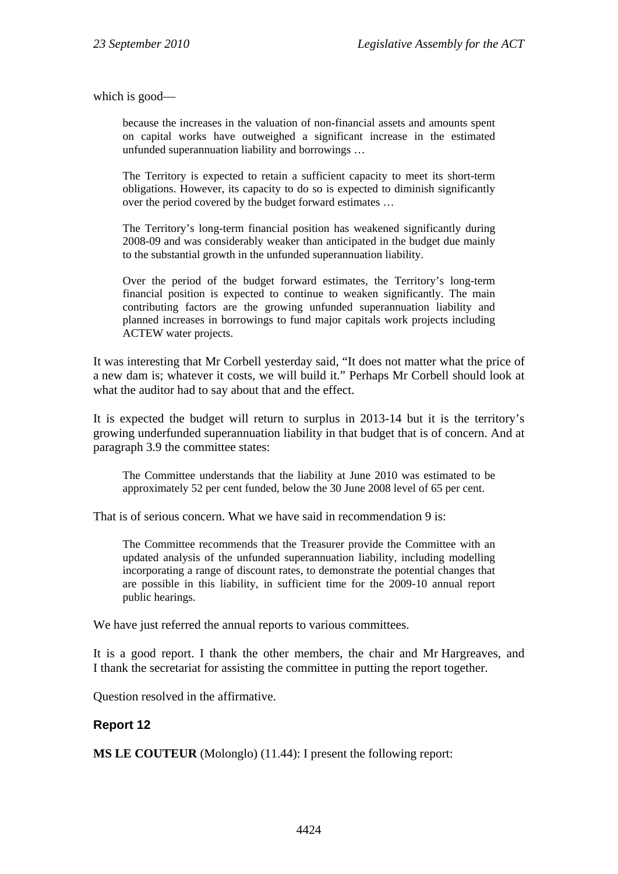which is good—

because the increases in the valuation of non-financial assets and amounts spent on capital works have outweighed a significant increase in the estimated unfunded superannuation liability and borrowings …

The Territory is expected to retain a sufficient capacity to meet its short-term obligations. However, its capacity to do so is expected to diminish significantly over the period covered by the budget forward estimates …

The Territory's long-term financial position has weakened significantly during 2008-09 and was considerably weaker than anticipated in the budget due mainly to the substantial growth in the unfunded superannuation liability.

Over the period of the budget forward estimates, the Territory's long-term financial position is expected to continue to weaken significantly. The main contributing factors are the growing unfunded superannuation liability and planned increases in borrowings to fund major capitals work projects including ACTEW water projects.

It was interesting that Mr Corbell yesterday said, "It does not matter what the price of a new dam is; whatever it costs, we will build it." Perhaps Mr Corbell should look at what the auditor had to say about that and the effect.

It is expected the budget will return to surplus in 2013-14 but it is the territory's growing underfunded superannuation liability in that budget that is of concern. And at paragraph 3.9 the committee states:

The Committee understands that the liability at June 2010 was estimated to be approximately 52 per cent funded, below the 30 June 2008 level of 65 per cent.

That is of serious concern. What we have said in recommendation 9 is:

The Committee recommends that the Treasurer provide the Committee with an updated analysis of the unfunded superannuation liability, including modelling incorporating a range of discount rates, to demonstrate the potential changes that are possible in this liability, in sufficient time for the 2009-10 annual report public hearings.

We have just referred the annual reports to various committees.

It is a good report. I thank the other members, the chair and Mr Hargreaves, and I thank the secretariat for assisting the committee in putting the report together.

Question resolved in the affirmative.

#### **Report 12**

**MS LE COUTEUR** (Molonglo) (11.44): I present the following report: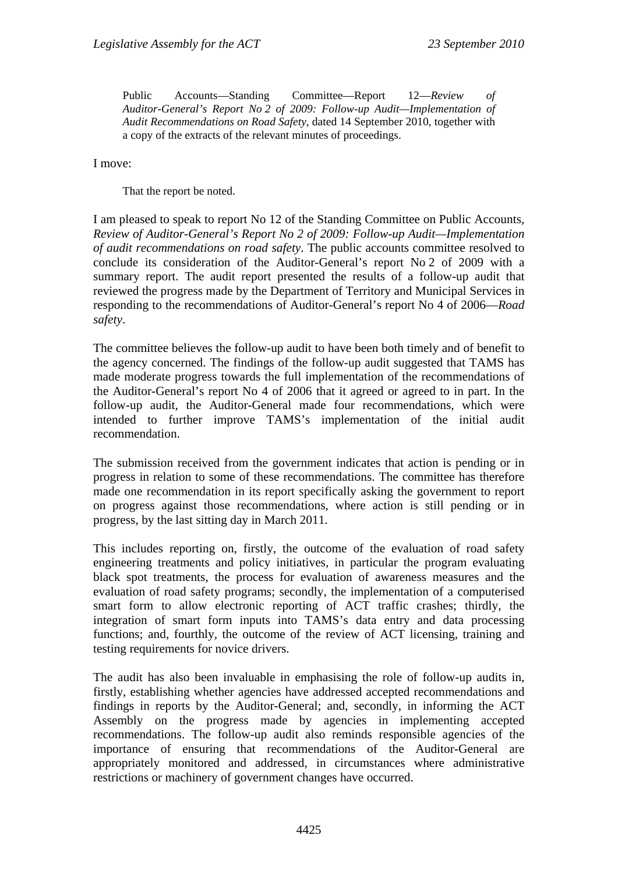Public Accounts—Standing Committee—Report 12—*Review of Auditor-General's Report No 2 of 2009: Follow-up Audit—Implementation of Audit Recommendations on Road Safety*, dated 14 September 2010, together with a copy of the extracts of the relevant minutes of proceedings.

I move:

That the report be noted.

I am pleased to speak to report No 12 of the Standing Committee on Public Accounts, *Review of Auditor-General's Report No 2 of 2009: Follow-up Audit—Implementation of audit recommendations on road safety*. The public accounts committee resolved to conclude its consideration of the Auditor-General's report No 2 of 2009 with a summary report. The audit report presented the results of a follow-up audit that reviewed the progress made by the Department of Territory and Municipal Services in responding to the recommendations of Auditor-General's report No 4 of 2006—*Road safety*.

The committee believes the follow-up audit to have been both timely and of benefit to the agency concerned. The findings of the follow-up audit suggested that TAMS has made moderate progress towards the full implementation of the recommendations of the Auditor-General's report No 4 of 2006 that it agreed or agreed to in part. In the follow-up audit, the Auditor-General made four recommendations, which were intended to further improve TAMS's implementation of the initial audit recommendation.

The submission received from the government indicates that action is pending or in progress in relation to some of these recommendations. The committee has therefore made one recommendation in its report specifically asking the government to report on progress against those recommendations, where action is still pending or in progress, by the last sitting day in March 2011.

This includes reporting on, firstly, the outcome of the evaluation of road safety engineering treatments and policy initiatives, in particular the program evaluating black spot treatments, the process for evaluation of awareness measures and the evaluation of road safety programs; secondly, the implementation of a computerised smart form to allow electronic reporting of ACT traffic crashes; thirdly, the integration of smart form inputs into TAMS's data entry and data processing functions; and, fourthly, the outcome of the review of ACT licensing, training and testing requirements for novice drivers.

The audit has also been invaluable in emphasising the role of follow-up audits in, firstly, establishing whether agencies have addressed accepted recommendations and findings in reports by the Auditor-General; and, secondly, in informing the ACT Assembly on the progress made by agencies in implementing accepted recommendations. The follow-up audit also reminds responsible agencies of the importance of ensuring that recommendations of the Auditor-General are appropriately monitored and addressed, in circumstances where administrative restrictions or machinery of government changes have occurred.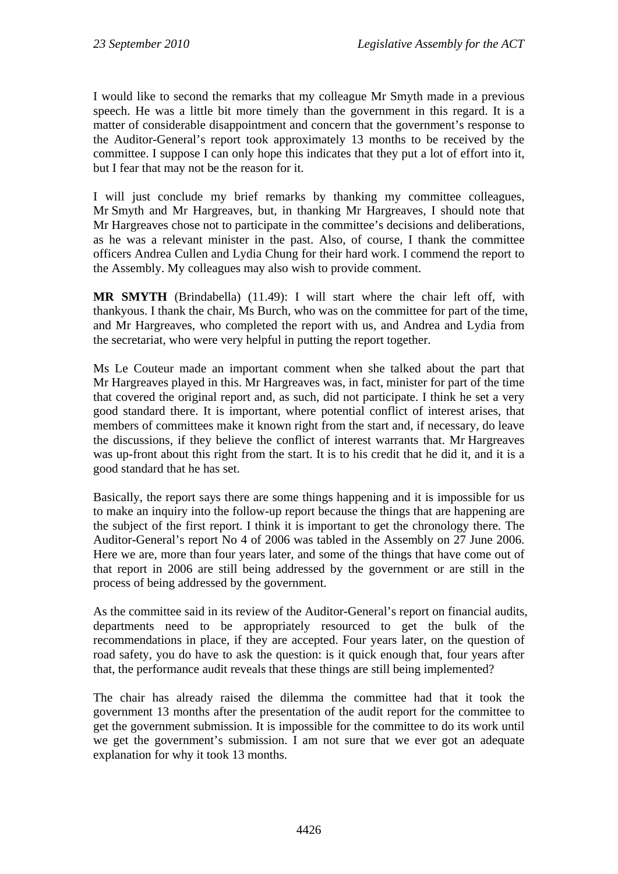I would like to second the remarks that my colleague Mr Smyth made in a previous speech. He was a little bit more timely than the government in this regard. It is a matter of considerable disappointment and concern that the government's response to the Auditor-General's report took approximately 13 months to be received by the committee. I suppose I can only hope this indicates that they put a lot of effort into it, but I fear that may not be the reason for it.

I will just conclude my brief remarks by thanking my committee colleagues, Mr Smyth and Mr Hargreaves, but, in thanking Mr Hargreaves, I should note that Mr Hargreaves chose not to participate in the committee's decisions and deliberations, as he was a relevant minister in the past. Also, of course, I thank the committee officers Andrea Cullen and Lydia Chung for their hard work. I commend the report to the Assembly. My colleagues may also wish to provide comment.

**MR SMYTH** (Brindabella) (11.49): I will start where the chair left off, with thankyous. I thank the chair, Ms Burch, who was on the committee for part of the time, and Mr Hargreaves, who completed the report with us, and Andrea and Lydia from the secretariat, who were very helpful in putting the report together.

Ms Le Couteur made an important comment when she talked about the part that Mr Hargreaves played in this. Mr Hargreaves was, in fact, minister for part of the time that covered the original report and, as such, did not participate. I think he set a very good standard there. It is important, where potential conflict of interest arises, that members of committees make it known right from the start and, if necessary, do leave the discussions, if they believe the conflict of interest warrants that. Mr Hargreaves was up-front about this right from the start. It is to his credit that he did it, and it is a good standard that he has set.

Basically, the report says there are some things happening and it is impossible for us to make an inquiry into the follow-up report because the things that are happening are the subject of the first report. I think it is important to get the chronology there. The Auditor-General's report No 4 of 2006 was tabled in the Assembly on 27 June 2006. Here we are, more than four years later, and some of the things that have come out of that report in 2006 are still being addressed by the government or are still in the process of being addressed by the government.

As the committee said in its review of the Auditor-General's report on financial audits, departments need to be appropriately resourced to get the bulk of the recommendations in place, if they are accepted. Four years later, on the question of road safety, you do have to ask the question: is it quick enough that, four years after that, the performance audit reveals that these things are still being implemented?

The chair has already raised the dilemma the committee had that it took the government 13 months after the presentation of the audit report for the committee to get the government submission. It is impossible for the committee to do its work until we get the government's submission. I am not sure that we ever got an adequate explanation for why it took 13 months.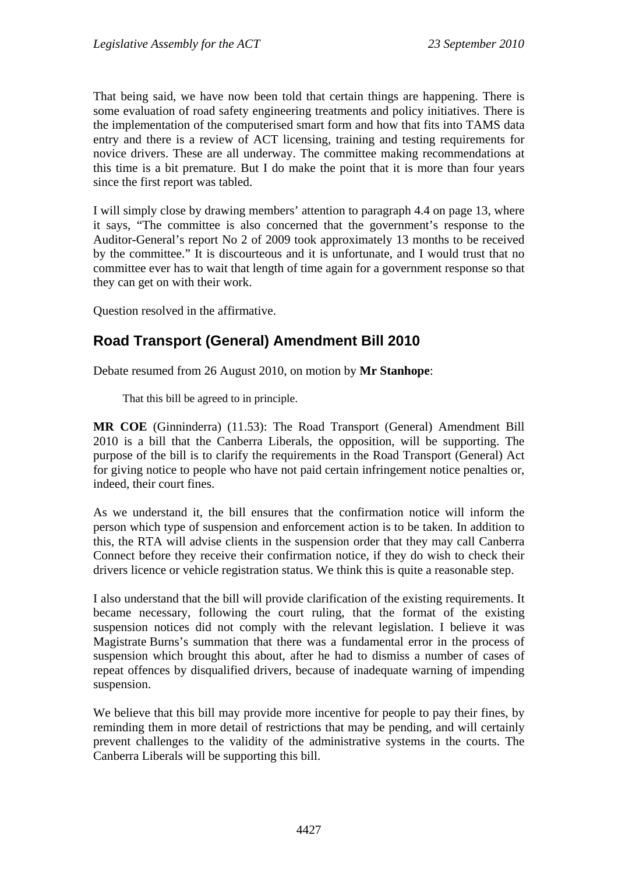That being said, we have now been told that certain things are happening. There is some evaluation of road safety engineering treatments and policy initiatives. There is the implementation of the computerised smart form and how that fits into TAMS data entry and there is a review of ACT licensing, training and testing requirements for novice drivers. These are all underway. The committee making recommendations at this time is a bit premature. But I do make the point that it is more than four years since the first report was tabled.

I will simply close by drawing members' attention to paragraph 4.4 on page 13, where it says, "The committee is also concerned that the government's response to the Auditor-General's report No 2 of 2009 took approximately 13 months to be received by the committee." It is discourteous and it is unfortunate, and I would trust that no committee ever has to wait that length of time again for a government response so that they can get on with their work.

Question resolved in the affirmative.

# **Road Transport (General) Amendment Bill 2010**

Debate resumed from 26 August 2010, on motion by **Mr Stanhope**:

That this bill be agreed to in principle.

**MR COE** (Ginninderra) (11.53): The Road Transport (General) Amendment Bill 2010 is a bill that the Canberra Liberals, the opposition, will be supporting. The purpose of the bill is to clarify the requirements in the Road Transport (General) Act for giving notice to people who have not paid certain infringement notice penalties or, indeed, their court fines.

As we understand it, the bill ensures that the confirmation notice will inform the person which type of suspension and enforcement action is to be taken. In addition to this, the RTA will advise clients in the suspension order that they may call Canberra Connect before they receive their confirmation notice, if they do wish to check their drivers licence or vehicle registration status. We think this is quite a reasonable step.

I also understand that the bill will provide clarification of the existing requirements. It became necessary, following the court ruling, that the format of the existing suspension notices did not comply with the relevant legislation. I believe it was Magistrate Burns's summation that there was a fundamental error in the process of suspension which brought this about, after he had to dismiss a number of cases of repeat offences by disqualified drivers, because of inadequate warning of impending suspension.

We believe that this bill may provide more incentive for people to pay their fines, by reminding them in more detail of restrictions that may be pending, and will certainly prevent challenges to the validity of the administrative systems in the courts. The Canberra Liberals will be supporting this bill.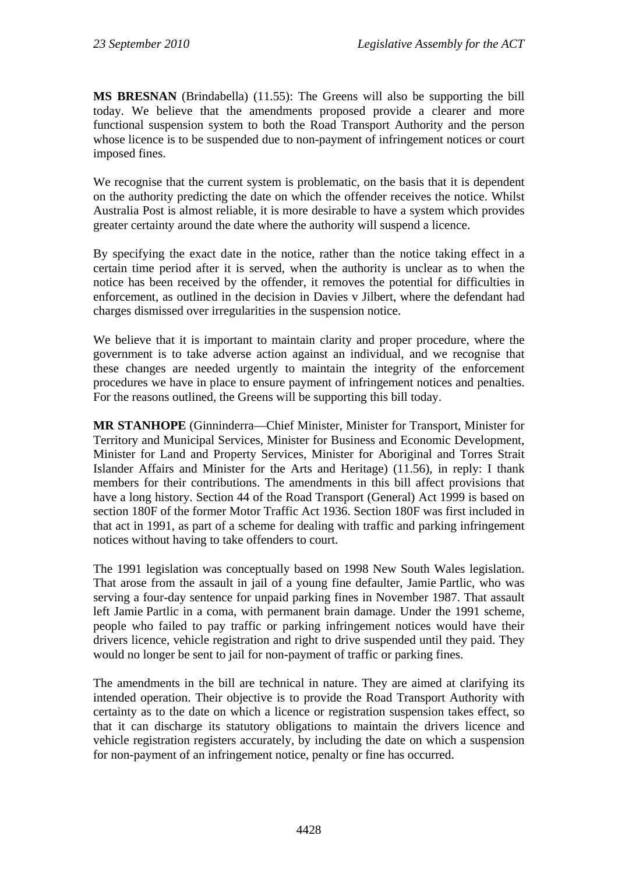**MS BRESNAN** (Brindabella) (11.55): The Greens will also be supporting the bill today. We believe that the amendments proposed provide a clearer and more functional suspension system to both the Road Transport Authority and the person whose licence is to be suspended due to non-payment of infringement notices or court imposed fines.

We recognise that the current system is problematic, on the basis that it is dependent on the authority predicting the date on which the offender receives the notice. Whilst Australia Post is almost reliable, it is more desirable to have a system which provides greater certainty around the date where the authority will suspend a licence.

By specifying the exact date in the notice, rather than the notice taking effect in a certain time period after it is served, when the authority is unclear as to when the notice has been received by the offender, it removes the potential for difficulties in enforcement, as outlined in the decision in Davies v Jilbert, where the defendant had charges dismissed over irregularities in the suspension notice.

We believe that it is important to maintain clarity and proper procedure, where the government is to take adverse action against an individual, and we recognise that these changes are needed urgently to maintain the integrity of the enforcement procedures we have in place to ensure payment of infringement notices and penalties. For the reasons outlined, the Greens will be supporting this bill today.

**MR STANHOPE** (Ginninderra—Chief Minister, Minister for Transport, Minister for Territory and Municipal Services, Minister for Business and Economic Development, Minister for Land and Property Services, Minister for Aboriginal and Torres Strait Islander Affairs and Minister for the Arts and Heritage) (11.56), in reply: I thank members for their contributions. The amendments in this bill affect provisions that have a long history. Section 44 of the Road Transport (General) Act 1999 is based on section 180F of the former Motor Traffic Act 1936. Section 180F was first included in that act in 1991, as part of a scheme for dealing with traffic and parking infringement notices without having to take offenders to court.

The 1991 legislation was conceptually based on 1998 New South Wales legislation. That arose from the assault in jail of a young fine defaulter, Jamie Partlic, who was serving a four-day sentence for unpaid parking fines in November 1987. That assault left Jamie Partlic in a coma, with permanent brain damage. Under the 1991 scheme, people who failed to pay traffic or parking infringement notices would have their drivers licence, vehicle registration and right to drive suspended until they paid. They would no longer be sent to jail for non-payment of traffic or parking fines.

The amendments in the bill are technical in nature. They are aimed at clarifying its intended operation. Their objective is to provide the Road Transport Authority with certainty as to the date on which a licence or registration suspension takes effect, so that it can discharge its statutory obligations to maintain the drivers licence and vehicle registration registers accurately, by including the date on which a suspension for non-payment of an infringement notice, penalty or fine has occurred.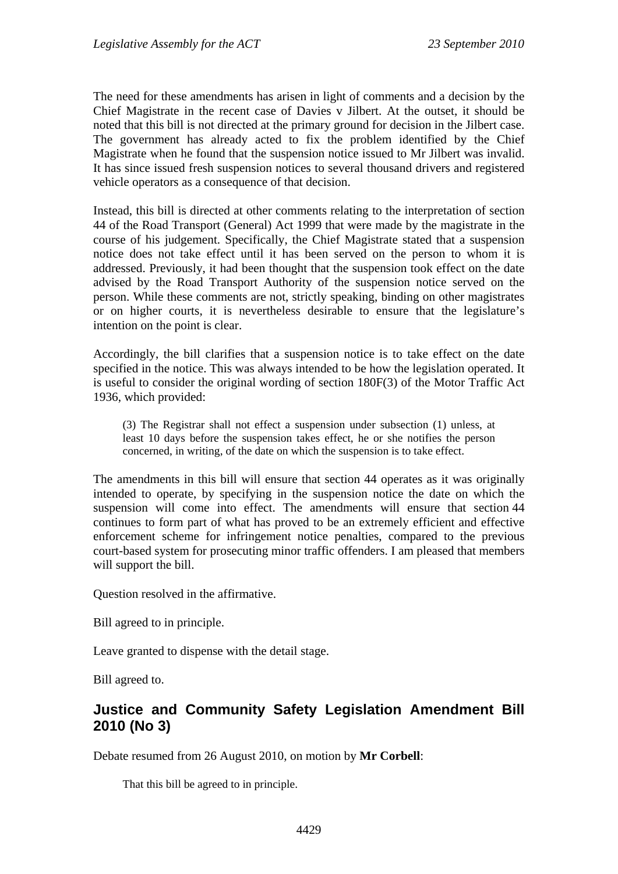The need for these amendments has arisen in light of comments and a decision by the Chief Magistrate in the recent case of Davies v Jilbert. At the outset, it should be noted that this bill is not directed at the primary ground for decision in the Jilbert case. The government has already acted to fix the problem identified by the Chief Magistrate when he found that the suspension notice issued to Mr Jilbert was invalid. It has since issued fresh suspension notices to several thousand drivers and registered vehicle operators as a consequence of that decision.

Instead, this bill is directed at other comments relating to the interpretation of section 44 of the Road Transport (General) Act 1999 that were made by the magistrate in the course of his judgement. Specifically, the Chief Magistrate stated that a suspension notice does not take effect until it has been served on the person to whom it is addressed. Previously, it had been thought that the suspension took effect on the date advised by the Road Transport Authority of the suspension notice served on the person. While these comments are not, strictly speaking, binding on other magistrates or on higher courts, it is nevertheless desirable to ensure that the legislature's intention on the point is clear.

Accordingly, the bill clarifies that a suspension notice is to take effect on the date specified in the notice. This was always intended to be how the legislation operated. It is useful to consider the original wording of section 180F(3) of the Motor Traffic Act 1936, which provided:

(3) The Registrar shall not effect a suspension under subsection (1) unless, at least 10 days before the suspension takes effect, he or she notifies the person concerned, in writing, of the date on which the suspension is to take effect.

The amendments in this bill will ensure that section 44 operates as it was originally intended to operate, by specifying in the suspension notice the date on which the suspension will come into effect. The amendments will ensure that section 44 continues to form part of what has proved to be an extremely efficient and effective enforcement scheme for infringement notice penalties, compared to the previous court-based system for prosecuting minor traffic offenders. I am pleased that members will support the bill.

Question resolved in the affirmative.

Bill agreed to in principle.

Leave granted to dispense with the detail stage.

Bill agreed to.

# **Justice and Community Safety Legislation Amendment Bill 2010 (No 3)**

Debate resumed from 26 August 2010, on motion by **Mr Corbell**:

That this bill be agreed to in principle.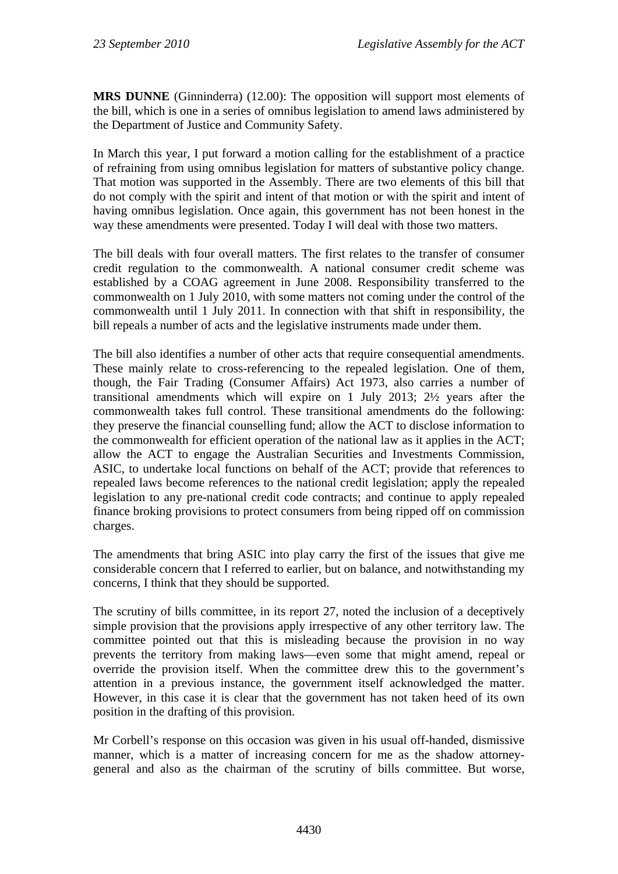**MRS DUNNE** (Ginninderra) (12.00): The opposition will support most elements of the bill, which is one in a series of omnibus legislation to amend laws administered by the Department of Justice and Community Safety.

In March this year, I put forward a motion calling for the establishment of a practice of refraining from using omnibus legislation for matters of substantive policy change. That motion was supported in the Assembly. There are two elements of this bill that do not comply with the spirit and intent of that motion or with the spirit and intent of having omnibus legislation. Once again, this government has not been honest in the way these amendments were presented. Today I will deal with those two matters.

The bill deals with four overall matters. The first relates to the transfer of consumer credit regulation to the commonwealth. A national consumer credit scheme was established by a COAG agreement in June 2008. Responsibility transferred to the commonwealth on 1 July 2010, with some matters not coming under the control of the commonwealth until 1 July 2011. In connection with that shift in responsibility, the bill repeals a number of acts and the legislative instruments made under them.

The bill also identifies a number of other acts that require consequential amendments. These mainly relate to cross-referencing to the repealed legislation. One of them, though, the Fair Trading (Consumer Affairs) Act 1973, also carries a number of transitional amendments which will expire on 1 July 2013; 2½ years after the commonwealth takes full control. These transitional amendments do the following: they preserve the financial counselling fund; allow the ACT to disclose information to the commonwealth for efficient operation of the national law as it applies in the ACT; allow the ACT to engage the Australian Securities and Investments Commission, ASIC, to undertake local functions on behalf of the ACT; provide that references to repealed laws become references to the national credit legislation; apply the repealed legislation to any pre-national credit code contracts; and continue to apply repealed finance broking provisions to protect consumers from being ripped off on commission charges.

The amendments that bring ASIC into play carry the first of the issues that give me considerable concern that I referred to earlier, but on balance, and notwithstanding my concerns, I think that they should be supported.

The scrutiny of bills committee, in its report 27, noted the inclusion of a deceptively simple provision that the provisions apply irrespective of any other territory law. The committee pointed out that this is misleading because the provision in no way prevents the territory from making laws—even some that might amend, repeal or override the provision itself. When the committee drew this to the government's attention in a previous instance, the government itself acknowledged the matter. However, in this case it is clear that the government has not taken heed of its own position in the drafting of this provision.

Mr Corbell's response on this occasion was given in his usual off-handed, dismissive manner, which is a matter of increasing concern for me as the shadow attorneygeneral and also as the chairman of the scrutiny of bills committee. But worse,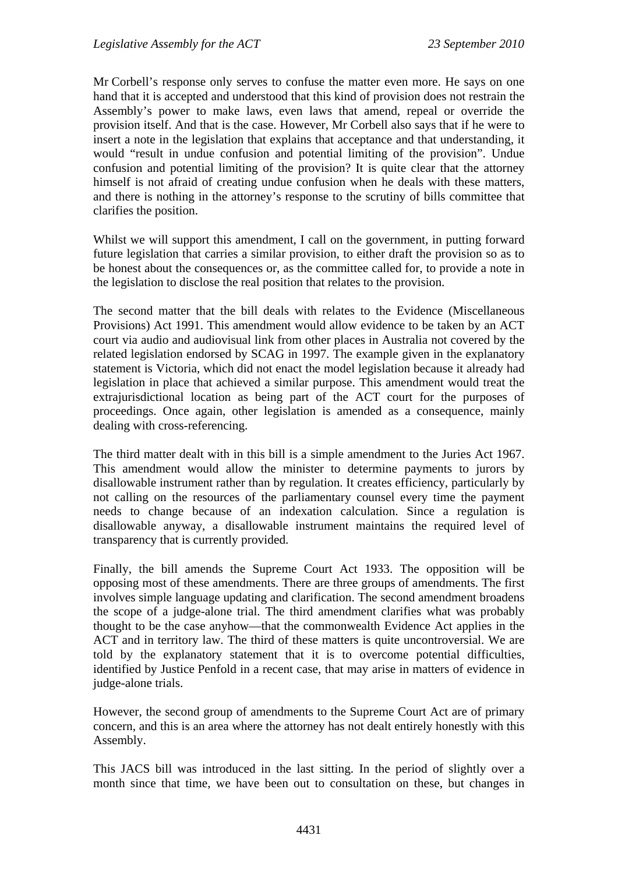Mr Corbell's response only serves to confuse the matter even more. He says on one hand that it is accepted and understood that this kind of provision does not restrain the Assembly's power to make laws, even laws that amend, repeal or override the provision itself. And that is the case. However, Mr Corbell also says that if he were to insert a note in the legislation that explains that acceptance and that understanding, it would "result in undue confusion and potential limiting of the provision". Undue confusion and potential limiting of the provision? It is quite clear that the attorney himself is not afraid of creating undue confusion when he deals with these matters, and there is nothing in the attorney's response to the scrutiny of bills committee that clarifies the position.

Whilst we will support this amendment, I call on the government, in putting forward future legislation that carries a similar provision, to either draft the provision so as to be honest about the consequences or, as the committee called for, to provide a note in the legislation to disclose the real position that relates to the provision.

The second matter that the bill deals with relates to the Evidence (Miscellaneous Provisions) Act 1991. This amendment would allow evidence to be taken by an ACT court via audio and audiovisual link from other places in Australia not covered by the related legislation endorsed by SCAG in 1997. The example given in the explanatory statement is Victoria, which did not enact the model legislation because it already had legislation in place that achieved a similar purpose. This amendment would treat the extrajurisdictional location as being part of the ACT court for the purposes of proceedings. Once again, other legislation is amended as a consequence, mainly dealing with cross-referencing.

The third matter dealt with in this bill is a simple amendment to the Juries Act 1967. This amendment would allow the minister to determine payments to jurors by disallowable instrument rather than by regulation. It creates efficiency, particularly by not calling on the resources of the parliamentary counsel every time the payment needs to change because of an indexation calculation. Since a regulation is disallowable anyway, a disallowable instrument maintains the required level of transparency that is currently provided.

Finally, the bill amends the Supreme Court Act 1933. The opposition will be opposing most of these amendments. There are three groups of amendments. The first involves simple language updating and clarification. The second amendment broadens the scope of a judge-alone trial. The third amendment clarifies what was probably thought to be the case anyhow—that the commonwealth Evidence Act applies in the ACT and in territory law. The third of these matters is quite uncontroversial. We are told by the explanatory statement that it is to overcome potential difficulties, identified by Justice Penfold in a recent case, that may arise in matters of evidence in judge-alone trials.

However, the second group of amendments to the Supreme Court Act are of primary concern, and this is an area where the attorney has not dealt entirely honestly with this Assembly.

This JACS bill was introduced in the last sitting. In the period of slightly over a month since that time, we have been out to consultation on these, but changes in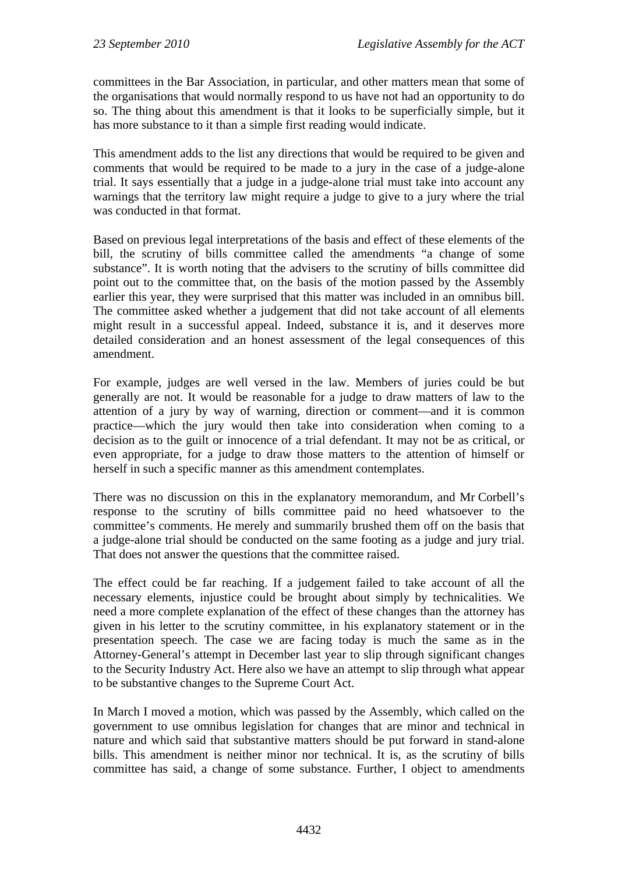committees in the Bar Association, in particular, and other matters mean that some of the organisations that would normally respond to us have not had an opportunity to do so. The thing about this amendment is that it looks to be superficially simple, but it has more substance to it than a simple first reading would indicate.

This amendment adds to the list any directions that would be required to be given and comments that would be required to be made to a jury in the case of a judge-alone trial. It says essentially that a judge in a judge-alone trial must take into account any warnings that the territory law might require a judge to give to a jury where the trial was conducted in that format.

Based on previous legal interpretations of the basis and effect of these elements of the bill, the scrutiny of bills committee called the amendments "a change of some substance". It is worth noting that the advisers to the scrutiny of bills committee did point out to the committee that, on the basis of the motion passed by the Assembly earlier this year, they were surprised that this matter was included in an omnibus bill. The committee asked whether a judgement that did not take account of all elements might result in a successful appeal. Indeed, substance it is, and it deserves more detailed consideration and an honest assessment of the legal consequences of this amendment.

For example, judges are well versed in the law. Members of juries could be but generally are not. It would be reasonable for a judge to draw matters of law to the attention of a jury by way of warning, direction or comment—and it is common practice—which the jury would then take into consideration when coming to a decision as to the guilt or innocence of a trial defendant. It may not be as critical, or even appropriate, for a judge to draw those matters to the attention of himself or herself in such a specific manner as this amendment contemplates.

There was no discussion on this in the explanatory memorandum, and Mr Corbell's response to the scrutiny of bills committee paid no heed whatsoever to the committee's comments. He merely and summarily brushed them off on the basis that a judge-alone trial should be conducted on the same footing as a judge and jury trial. That does not answer the questions that the committee raised.

The effect could be far reaching. If a judgement failed to take account of all the necessary elements, injustice could be brought about simply by technicalities. We need a more complete explanation of the effect of these changes than the attorney has given in his letter to the scrutiny committee, in his explanatory statement or in the presentation speech. The case we are facing today is much the same as in the Attorney-General's attempt in December last year to slip through significant changes to the Security Industry Act. Here also we have an attempt to slip through what appear to be substantive changes to the Supreme Court Act.

In March I moved a motion, which was passed by the Assembly, which called on the government to use omnibus legislation for changes that are minor and technical in nature and which said that substantive matters should be put forward in stand-alone bills. This amendment is neither minor nor technical. It is, as the scrutiny of bills committee has said, a change of some substance. Further, I object to amendments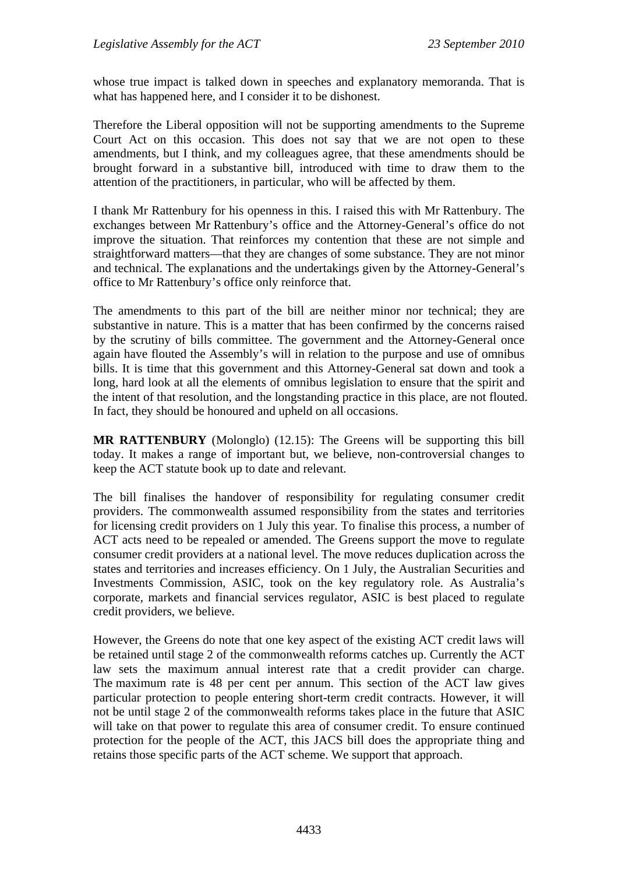whose true impact is talked down in speeches and explanatory memoranda. That is what has happened here, and I consider it to be dishonest.

Therefore the Liberal opposition will not be supporting amendments to the Supreme Court Act on this occasion. This does not say that we are not open to these amendments, but I think, and my colleagues agree, that these amendments should be brought forward in a substantive bill, introduced with time to draw them to the attention of the practitioners, in particular, who will be affected by them.

I thank Mr Rattenbury for his openness in this. I raised this with Mr Rattenbury. The exchanges between Mr Rattenbury's office and the Attorney-General's office do not improve the situation. That reinforces my contention that these are not simple and straightforward matters—that they are changes of some substance. They are not minor and technical. The explanations and the undertakings given by the Attorney-General's office to Mr Rattenbury's office only reinforce that.

The amendments to this part of the bill are neither minor nor technical; they are substantive in nature. This is a matter that has been confirmed by the concerns raised by the scrutiny of bills committee. The government and the Attorney-General once again have flouted the Assembly's will in relation to the purpose and use of omnibus bills. It is time that this government and this Attorney-General sat down and took a long, hard look at all the elements of omnibus legislation to ensure that the spirit and the intent of that resolution, and the longstanding practice in this place, are not flouted. In fact, they should be honoured and upheld on all occasions.

**MR RATTENBURY** (Molonglo) (12.15): The Greens will be supporting this bill today. It makes a range of important but, we believe, non-controversial changes to keep the ACT statute book up to date and relevant.

The bill finalises the handover of responsibility for regulating consumer credit providers. The commonwealth assumed responsibility from the states and territories for licensing credit providers on 1 July this year. To finalise this process, a number of ACT acts need to be repealed or amended. The Greens support the move to regulate consumer credit providers at a national level. The move reduces duplication across the states and territories and increases efficiency. On 1 July, the Australian Securities and Investments Commission, ASIC, took on the key regulatory role. As Australia's corporate, markets and financial services regulator, ASIC is best placed to regulate credit providers, we believe.

However, the Greens do note that one key aspect of the existing ACT credit laws will be retained until stage 2 of the commonwealth reforms catches up. Currently the ACT law sets the maximum annual interest rate that a credit provider can charge. The maximum rate is 48 per cent per annum. This section of the ACT law gives particular protection to people entering short-term credit contracts. However, it will not be until stage 2 of the commonwealth reforms takes place in the future that ASIC will take on that power to regulate this area of consumer credit. To ensure continued protection for the people of the ACT, this JACS bill does the appropriate thing and retains those specific parts of the ACT scheme. We support that approach.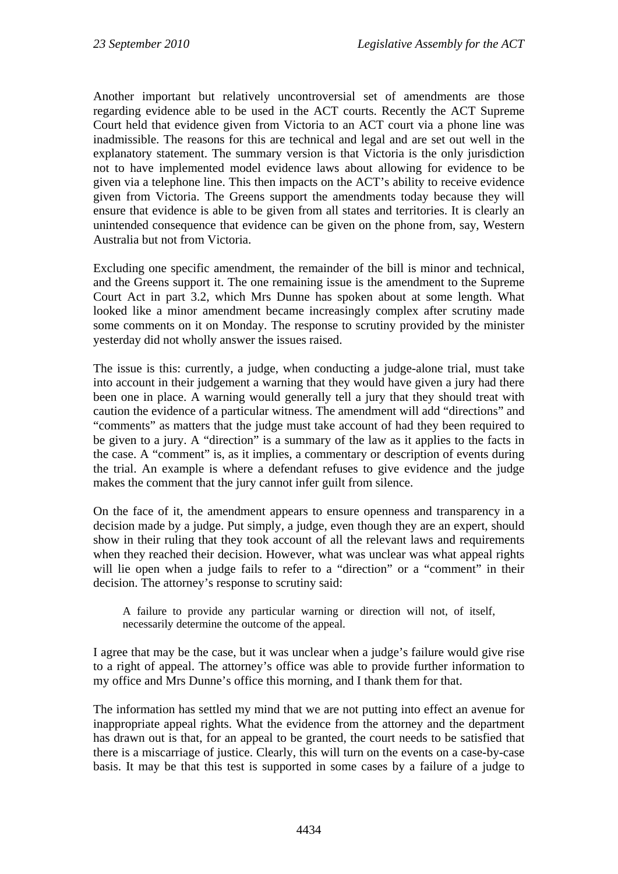Another important but relatively uncontroversial set of amendments are those regarding evidence able to be used in the ACT courts. Recently the ACT Supreme Court held that evidence given from Victoria to an ACT court via a phone line was inadmissible. The reasons for this are technical and legal and are set out well in the explanatory statement. The summary version is that Victoria is the only jurisdiction not to have implemented model evidence laws about allowing for evidence to be given via a telephone line. This then impacts on the ACT's ability to receive evidence given from Victoria. The Greens support the amendments today because they will ensure that evidence is able to be given from all states and territories. It is clearly an unintended consequence that evidence can be given on the phone from, say, Western Australia but not from Victoria.

Excluding one specific amendment, the remainder of the bill is minor and technical, and the Greens support it. The one remaining issue is the amendment to the Supreme Court Act in part 3.2, which Mrs Dunne has spoken about at some length. What looked like a minor amendment became increasingly complex after scrutiny made some comments on it on Monday. The response to scrutiny provided by the minister yesterday did not wholly answer the issues raised.

The issue is this: currently, a judge, when conducting a judge-alone trial, must take into account in their judgement a warning that they would have given a jury had there been one in place. A warning would generally tell a jury that they should treat with caution the evidence of a particular witness. The amendment will add "directions" and "comments" as matters that the judge must take account of had they been required to be given to a jury. A "direction" is a summary of the law as it applies to the facts in the case. A "comment" is, as it implies, a commentary or description of events during the trial. An example is where a defendant refuses to give evidence and the judge makes the comment that the jury cannot infer guilt from silence.

On the face of it, the amendment appears to ensure openness and transparency in a decision made by a judge. Put simply, a judge, even though they are an expert, should show in their ruling that they took account of all the relevant laws and requirements when they reached their decision. However, what was unclear was what appeal rights will lie open when a judge fails to refer to a "direction" or a "comment" in their decision. The attorney's response to scrutiny said:

A failure to provide any particular warning or direction will not, of itself, necessarily determine the outcome of the appeal.

I agree that may be the case, but it was unclear when a judge's failure would give rise to a right of appeal. The attorney's office was able to provide further information to my office and Mrs Dunne's office this morning, and I thank them for that.

The information has settled my mind that we are not putting into effect an avenue for inappropriate appeal rights. What the evidence from the attorney and the department has drawn out is that, for an appeal to be granted, the court needs to be satisfied that there is a miscarriage of justice. Clearly, this will turn on the events on a case-by-case basis. It may be that this test is supported in some cases by a failure of a judge to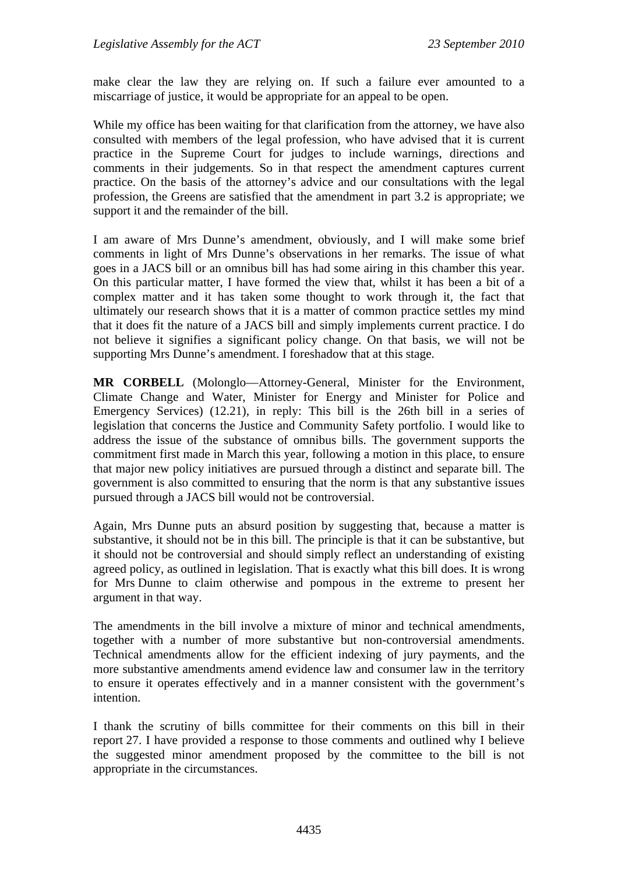make clear the law they are relying on. If such a failure ever amounted to a miscarriage of justice, it would be appropriate for an appeal to be open.

While my office has been waiting for that clarification from the attorney, we have also consulted with members of the legal profession, who have advised that it is current practice in the Supreme Court for judges to include warnings, directions and comments in their judgements. So in that respect the amendment captures current practice. On the basis of the attorney's advice and our consultations with the legal profession, the Greens are satisfied that the amendment in part 3.2 is appropriate; we support it and the remainder of the bill.

I am aware of Mrs Dunne's amendment, obviously, and I will make some brief comments in light of Mrs Dunne's observations in her remarks. The issue of what goes in a JACS bill or an omnibus bill has had some airing in this chamber this year. On this particular matter, I have formed the view that, whilst it has been a bit of a complex matter and it has taken some thought to work through it, the fact that ultimately our research shows that it is a matter of common practice settles my mind that it does fit the nature of a JACS bill and simply implements current practice. I do not believe it signifies a significant policy change. On that basis, we will not be supporting Mrs Dunne's amendment. I foreshadow that at this stage.

**MR CORBELL** (Molonglo—Attorney-General, Minister for the Environment, Climate Change and Water, Minister for Energy and Minister for Police and Emergency Services) (12.21), in reply: This bill is the 26th bill in a series of legislation that concerns the Justice and Community Safety portfolio. I would like to address the issue of the substance of omnibus bills. The government supports the commitment first made in March this year, following a motion in this place, to ensure that major new policy initiatives are pursued through a distinct and separate bill. The government is also committed to ensuring that the norm is that any substantive issues pursued through a JACS bill would not be controversial.

Again, Mrs Dunne puts an absurd position by suggesting that, because a matter is substantive, it should not be in this bill. The principle is that it can be substantive, but it should not be controversial and should simply reflect an understanding of existing agreed policy, as outlined in legislation. That is exactly what this bill does. It is wrong for Mrs Dunne to claim otherwise and pompous in the extreme to present her argument in that way.

The amendments in the bill involve a mixture of minor and technical amendments, together with a number of more substantive but non-controversial amendments. Technical amendments allow for the efficient indexing of jury payments, and the more substantive amendments amend evidence law and consumer law in the territory to ensure it operates effectively and in a manner consistent with the government's intention.

I thank the scrutiny of bills committee for their comments on this bill in their report 27. I have provided a response to those comments and outlined why I believe the suggested minor amendment proposed by the committee to the bill is not appropriate in the circumstances.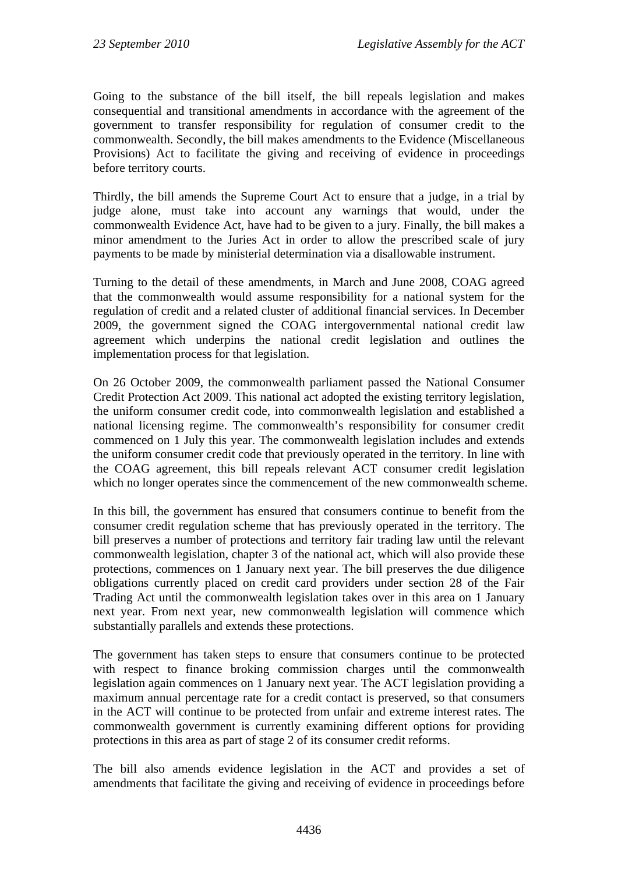Going to the substance of the bill itself, the bill repeals legislation and makes consequential and transitional amendments in accordance with the agreement of the government to transfer responsibility for regulation of consumer credit to the commonwealth. Secondly, the bill makes amendments to the Evidence (Miscellaneous Provisions) Act to facilitate the giving and receiving of evidence in proceedings before territory courts.

Thirdly, the bill amends the Supreme Court Act to ensure that a judge, in a trial by judge alone, must take into account any warnings that would, under the commonwealth Evidence Act, have had to be given to a jury. Finally, the bill makes a minor amendment to the Juries Act in order to allow the prescribed scale of jury payments to be made by ministerial determination via a disallowable instrument.

Turning to the detail of these amendments, in March and June 2008, COAG agreed that the commonwealth would assume responsibility for a national system for the regulation of credit and a related cluster of additional financial services. In December 2009, the government signed the COAG intergovernmental national credit law agreement which underpins the national credit legislation and outlines the implementation process for that legislation.

On 26 October 2009, the commonwealth parliament passed the National Consumer Credit Protection Act 2009. This national act adopted the existing territory legislation, the uniform consumer credit code, into commonwealth legislation and established a national licensing regime. The commonwealth's responsibility for consumer credit commenced on 1 July this year. The commonwealth legislation includes and extends the uniform consumer credit code that previously operated in the territory. In line with the COAG agreement, this bill repeals relevant ACT consumer credit legislation which no longer operates since the commencement of the new commonwealth scheme.

In this bill, the government has ensured that consumers continue to benefit from the consumer credit regulation scheme that has previously operated in the territory. The bill preserves a number of protections and territory fair trading law until the relevant commonwealth legislation, chapter 3 of the national act, which will also provide these protections, commences on 1 January next year. The bill preserves the due diligence obligations currently placed on credit card providers under section 28 of the Fair Trading Act until the commonwealth legislation takes over in this area on 1 January next year. From next year, new commonwealth legislation will commence which substantially parallels and extends these protections.

The government has taken steps to ensure that consumers continue to be protected with respect to finance broking commission charges until the commonwealth legislation again commences on 1 January next year. The ACT legislation providing a maximum annual percentage rate for a credit contact is preserved, so that consumers in the ACT will continue to be protected from unfair and extreme interest rates. The commonwealth government is currently examining different options for providing protections in this area as part of stage 2 of its consumer credit reforms.

The bill also amends evidence legislation in the ACT and provides a set of amendments that facilitate the giving and receiving of evidence in proceedings before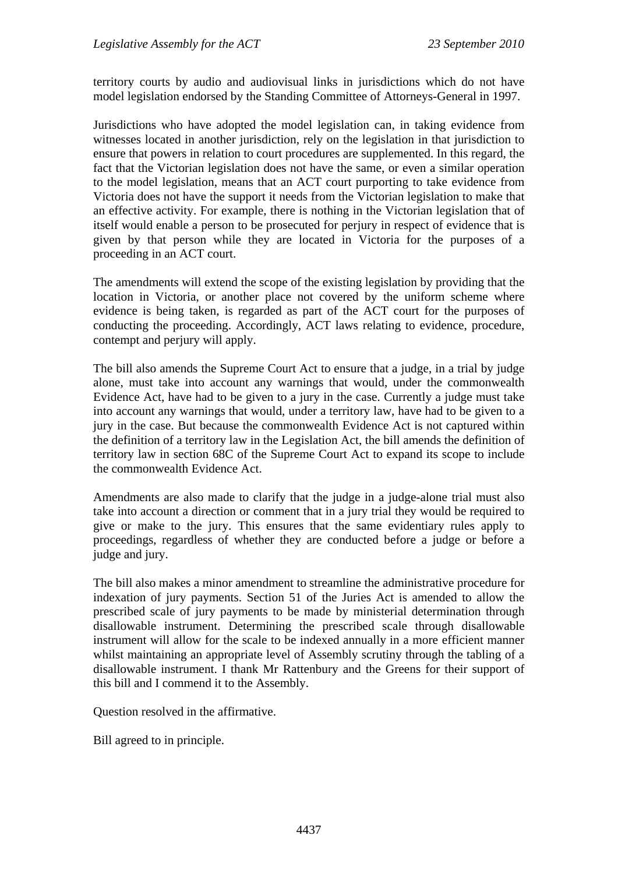territory courts by audio and audiovisual links in jurisdictions which do not have model legislation endorsed by the Standing Committee of Attorneys-General in 1997.

Jurisdictions who have adopted the model legislation can, in taking evidence from witnesses located in another jurisdiction, rely on the legislation in that jurisdiction to ensure that powers in relation to court procedures are supplemented. In this regard, the fact that the Victorian legislation does not have the same, or even a similar operation to the model legislation, means that an ACT court purporting to take evidence from Victoria does not have the support it needs from the Victorian legislation to make that an effective activity. For example, there is nothing in the Victorian legislation that of itself would enable a person to be prosecuted for perjury in respect of evidence that is given by that person while they are located in Victoria for the purposes of a proceeding in an ACT court.

The amendments will extend the scope of the existing legislation by providing that the location in Victoria, or another place not covered by the uniform scheme where evidence is being taken, is regarded as part of the ACT court for the purposes of conducting the proceeding. Accordingly, ACT laws relating to evidence, procedure, contempt and perjury will apply.

The bill also amends the Supreme Court Act to ensure that a judge, in a trial by judge alone, must take into account any warnings that would, under the commonwealth Evidence Act, have had to be given to a jury in the case. Currently a judge must take into account any warnings that would, under a territory law, have had to be given to a jury in the case. But because the commonwealth Evidence Act is not captured within the definition of a territory law in the Legislation Act, the bill amends the definition of territory law in section 68C of the Supreme Court Act to expand its scope to include the commonwealth Evidence Act.

Amendments are also made to clarify that the judge in a judge-alone trial must also take into account a direction or comment that in a jury trial they would be required to give or make to the jury. This ensures that the same evidentiary rules apply to proceedings, regardless of whether they are conducted before a judge or before a judge and jury.

The bill also makes a minor amendment to streamline the administrative procedure for indexation of jury payments. Section 51 of the Juries Act is amended to allow the prescribed scale of jury payments to be made by ministerial determination through disallowable instrument. Determining the prescribed scale through disallowable instrument will allow for the scale to be indexed annually in a more efficient manner whilst maintaining an appropriate level of Assembly scrutiny through the tabling of a disallowable instrument. I thank Mr Rattenbury and the Greens for their support of this bill and I commend it to the Assembly.

Question resolved in the affirmative.

Bill agreed to in principle.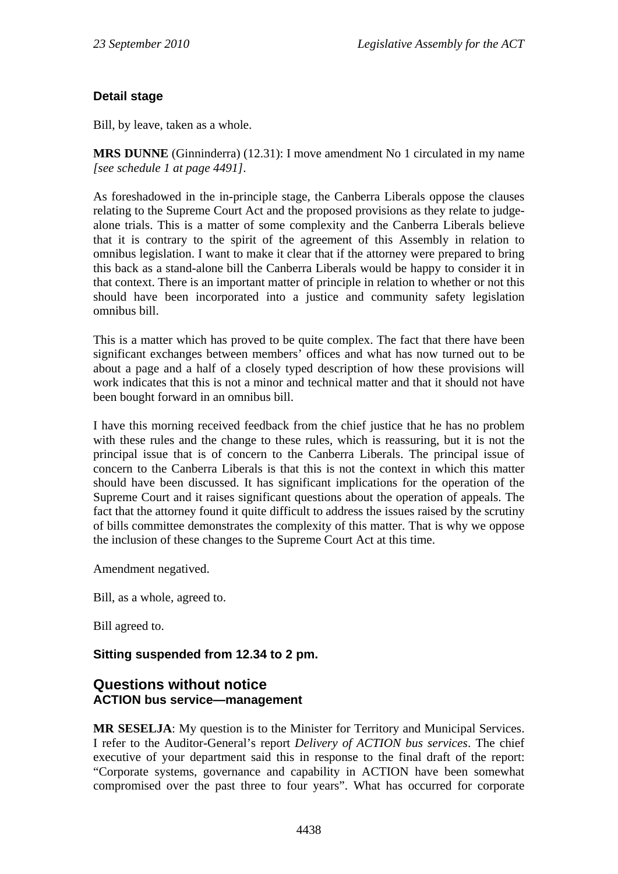## **Detail stage**

Bill, by leave, taken as a whole.

**MRS DUNNE** (Ginninderra) (12.31): I move amendment No 1 circulated in my name *[see schedule 1 at page 4491]*.

As foreshadowed in the in-principle stage, the Canberra Liberals oppose the clauses relating to the Supreme Court Act and the proposed provisions as they relate to judgealone trials. This is a matter of some complexity and the Canberra Liberals believe that it is contrary to the spirit of the agreement of this Assembly in relation to omnibus legislation. I want to make it clear that if the attorney were prepared to bring this back as a stand-alone bill the Canberra Liberals would be happy to consider it in that context. There is an important matter of principle in relation to whether or not this should have been incorporated into a justice and community safety legislation omnibus bill.

This is a matter which has proved to be quite complex. The fact that there have been significant exchanges between members' offices and what has now turned out to be about a page and a half of a closely typed description of how these provisions will work indicates that this is not a minor and technical matter and that it should not have been bought forward in an omnibus bill.

I have this morning received feedback from the chief justice that he has no problem with these rules and the change to these rules, which is reassuring, but it is not the principal issue that is of concern to the Canberra Liberals. The principal issue of concern to the Canberra Liberals is that this is not the context in which this matter should have been discussed. It has significant implications for the operation of the Supreme Court and it raises significant questions about the operation of appeals. The fact that the attorney found it quite difficult to address the issues raised by the scrutiny of bills committee demonstrates the complexity of this matter. That is why we oppose the inclusion of these changes to the Supreme Court Act at this time.

Amendment negatived.

Bill, as a whole, agreed to.

Bill agreed to.

### **Sitting suspended from 12.34 to 2 pm.**

### **Questions without notice ACTION bus service—management**

**MR SESELJA**: My question is to the Minister for Territory and Municipal Services. I refer to the Auditor-General's report *Delivery of ACTION bus services*. The chief executive of your department said this in response to the final draft of the report: "Corporate systems, governance and capability in ACTION have been somewhat compromised over the past three to four years". What has occurred for corporate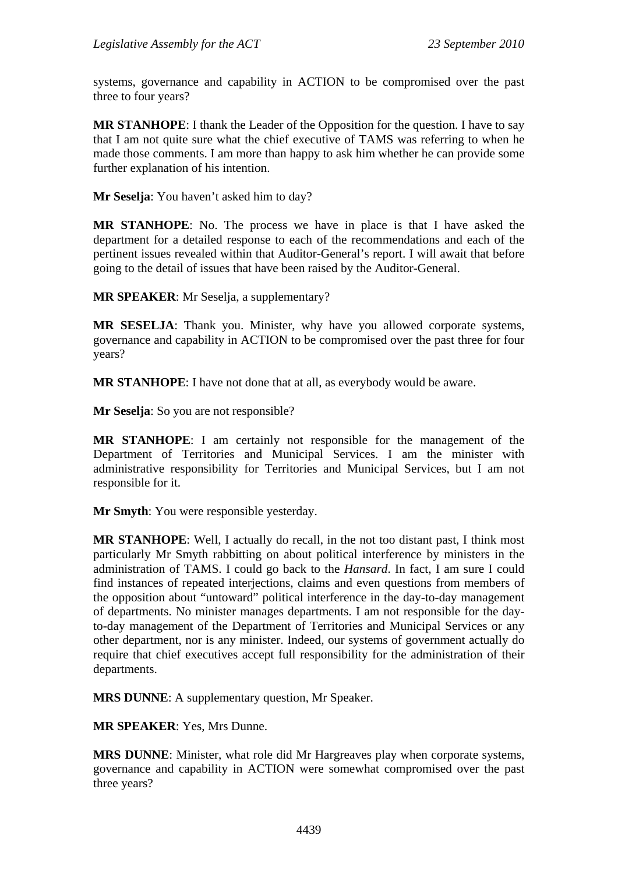systems, governance and capability in ACTION to be compromised over the past three to four years?

**MR STANHOPE**: I thank the Leader of the Opposition for the question. I have to say that I am not quite sure what the chief executive of TAMS was referring to when he made those comments. I am more than happy to ask him whether he can provide some further explanation of his intention.

**Mr Seselja**: You haven't asked him to day?

**MR STANHOPE**: No. The process we have in place is that I have asked the department for a detailed response to each of the recommendations and each of the pertinent issues revealed within that Auditor-General's report. I will await that before going to the detail of issues that have been raised by the Auditor-General.

**MR SPEAKER**: Mr Seselja, a supplementary?

**MR SESELJA**: Thank you. Minister, why have you allowed corporate systems, governance and capability in ACTION to be compromised over the past three for four years?

**MR STANHOPE**: I have not done that at all, as everybody would be aware.

**Mr Seselja**: So you are not responsible?

**MR STANHOPE**: I am certainly not responsible for the management of the Department of Territories and Municipal Services. I am the minister with administrative responsibility for Territories and Municipal Services, but I am not responsible for it.

**Mr Smyth**: You were responsible yesterday.

**MR STANHOPE**: Well, I actually do recall, in the not too distant past, I think most particularly Mr Smyth rabbitting on about political interference by ministers in the administration of TAMS. I could go back to the *Hansard*. In fact, I am sure I could find instances of repeated interjections, claims and even questions from members of the opposition about "untoward" political interference in the day-to-day management of departments. No minister manages departments. I am not responsible for the dayto-day management of the Department of Territories and Municipal Services or any other department, nor is any minister. Indeed, our systems of government actually do require that chief executives accept full responsibility for the administration of their departments.

**MRS DUNNE**: A supplementary question, Mr Speaker.

**MR SPEAKER**: Yes, Mrs Dunne.

**MRS DUNNE**: Minister, what role did Mr Hargreaves play when corporate systems, governance and capability in ACTION were somewhat compromised over the past three years?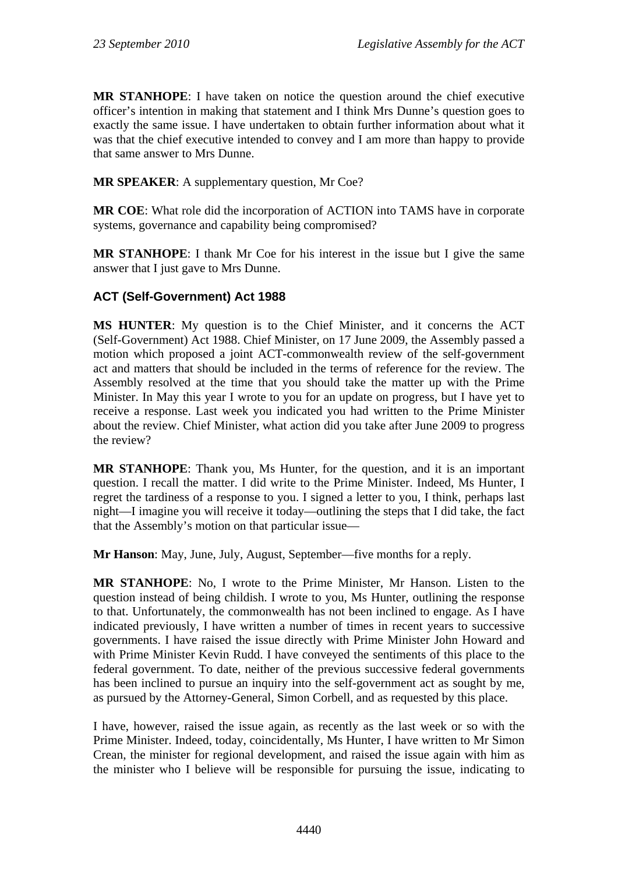**MR STANHOPE**: I have taken on notice the question around the chief executive officer's intention in making that statement and I think Mrs Dunne's question goes to exactly the same issue. I have undertaken to obtain further information about what it was that the chief executive intended to convey and I am more than happy to provide that same answer to Mrs Dunne.

**MR SPEAKER**: A supplementary question, Mr Coe?

**MR COE**: What role did the incorporation of ACTION into TAMS have in corporate systems, governance and capability being compromised?

**MR STANHOPE**: I thank Mr Coe for his interest in the issue but I give the same answer that I just gave to Mrs Dunne.

## **ACT (Self-Government) Act 1988**

**MS HUNTER**: My question is to the Chief Minister, and it concerns the ACT (Self-Government) Act 1988. Chief Minister, on 17 June 2009, the Assembly passed a motion which proposed a joint ACT-commonwealth review of the self-government act and matters that should be included in the terms of reference for the review. The Assembly resolved at the time that you should take the matter up with the Prime Minister. In May this year I wrote to you for an update on progress, but I have yet to receive a response. Last week you indicated you had written to the Prime Minister about the review. Chief Minister, what action did you take after June 2009 to progress the review?

**MR STANHOPE**: Thank you, Ms Hunter, for the question, and it is an important question. I recall the matter. I did write to the Prime Minister. Indeed, Ms Hunter, I regret the tardiness of a response to you. I signed a letter to you, I think, perhaps last night—I imagine you will receive it today—outlining the steps that I did take, the fact that the Assembly's motion on that particular issue—

**Mr Hanson**: May, June, July, August, September—five months for a reply.

**MR STANHOPE**: No, I wrote to the Prime Minister, Mr Hanson. Listen to the question instead of being childish. I wrote to you, Ms Hunter, outlining the response to that. Unfortunately, the commonwealth has not been inclined to engage. As I have indicated previously, I have written a number of times in recent years to successive governments. I have raised the issue directly with Prime Minister John Howard and with Prime Minister Kevin Rudd. I have conveyed the sentiments of this place to the federal government. To date, neither of the previous successive federal governments has been inclined to pursue an inquiry into the self-government act as sought by me, as pursued by the Attorney-General, Simon Corbell, and as requested by this place.

I have, however, raised the issue again, as recently as the last week or so with the Prime Minister. Indeed, today, coincidentally, Ms Hunter, I have written to Mr Simon Crean, the minister for regional development, and raised the issue again with him as the minister who I believe will be responsible for pursuing the issue, indicating to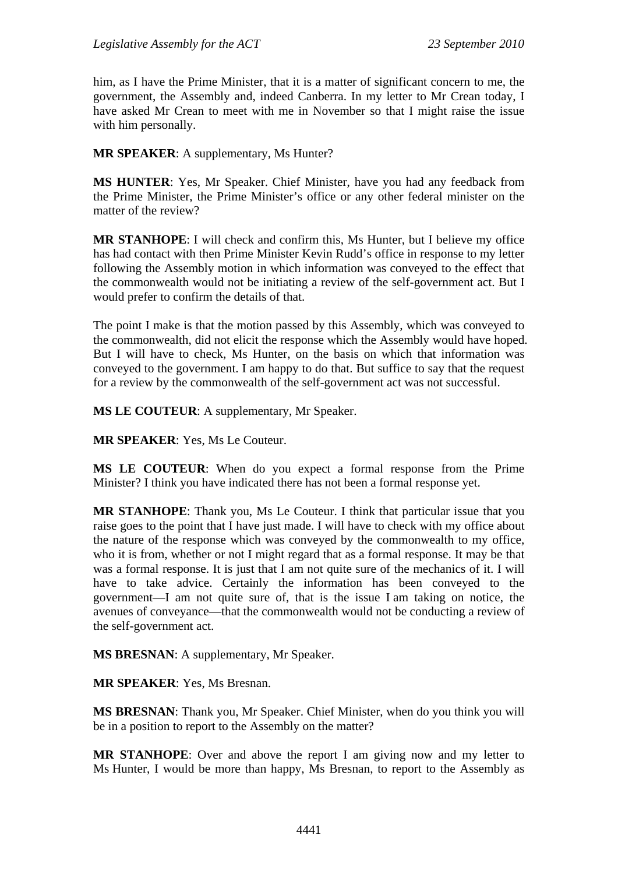him, as I have the Prime Minister, that it is a matter of significant concern to me, the government, the Assembly and, indeed Canberra. In my letter to Mr Crean today, I have asked Mr Crean to meet with me in November so that I might raise the issue with him personally.

**MR SPEAKER**: A supplementary, Ms Hunter?

**MS HUNTER**: Yes, Mr Speaker. Chief Minister, have you had any feedback from the Prime Minister, the Prime Minister's office or any other federal minister on the matter of the review?

**MR STANHOPE**: I will check and confirm this, Ms Hunter, but I believe my office has had contact with then Prime Minister Kevin Rudd's office in response to my letter following the Assembly motion in which information was conveyed to the effect that the commonwealth would not be initiating a review of the self-government act. But I would prefer to confirm the details of that.

The point I make is that the motion passed by this Assembly, which was conveyed to the commonwealth, did not elicit the response which the Assembly would have hoped. But I will have to check, Ms Hunter, on the basis on which that information was conveyed to the government. I am happy to do that. But suffice to say that the request for a review by the commonwealth of the self-government act was not successful.

**MS LE COUTEUR**: A supplementary, Mr Speaker.

**MR SPEAKER**: Yes, Ms Le Couteur.

**MS LE COUTEUR**: When do you expect a formal response from the Prime Minister? I think you have indicated there has not been a formal response yet.

**MR STANHOPE**: Thank you, Ms Le Couteur. I think that particular issue that you raise goes to the point that I have just made. I will have to check with my office about the nature of the response which was conveyed by the commonwealth to my office, who it is from, whether or not I might regard that as a formal response. It may be that was a formal response. It is just that I am not quite sure of the mechanics of it. I will have to take advice. Certainly the information has been conveyed to the government—I am not quite sure of, that is the issue I am taking on notice, the avenues of conveyance—that the commonwealth would not be conducting a review of the self-government act.

**MS BRESNAN**: A supplementary, Mr Speaker.

**MR SPEAKER**: Yes, Ms Bresnan.

**MS BRESNAN**: Thank you, Mr Speaker. Chief Minister, when do you think you will be in a position to report to the Assembly on the matter?

**MR STANHOPE**: Over and above the report I am giving now and my letter to Ms Hunter, I would be more than happy, Ms Bresnan, to report to the Assembly as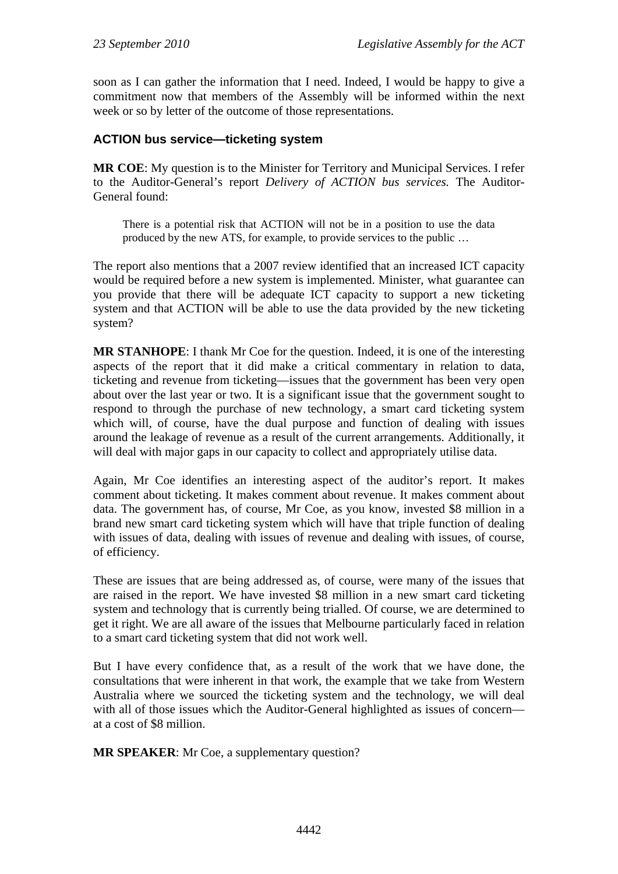soon as I can gather the information that I need. Indeed, I would be happy to give a commitment now that members of the Assembly will be informed within the next week or so by letter of the outcome of those representations.

### **ACTION bus service—ticketing system**

**MR COE**: My question is to the Minister for Territory and Municipal Services. I refer to the Auditor-General's report *Delivery of ACTION bus services.* The Auditor-General found:

There is a potential risk that ACTION will not be in a position to use the data produced by the new ATS, for example, to provide services to the public …

The report also mentions that a 2007 review identified that an increased ICT capacity would be required before a new system is implemented. Minister, what guarantee can you provide that there will be adequate ICT capacity to support a new ticketing system and that ACTION will be able to use the data provided by the new ticketing system?

**MR STANHOPE**: I thank Mr Coe for the question. Indeed, it is one of the interesting aspects of the report that it did make a critical commentary in relation to data, ticketing and revenue from ticketing—issues that the government has been very open about over the last year or two. It is a significant issue that the government sought to respond to through the purchase of new technology, a smart card ticketing system which will, of course, have the dual purpose and function of dealing with issues around the leakage of revenue as a result of the current arrangements. Additionally, it will deal with major gaps in our capacity to collect and appropriately utilise data.

Again, Mr Coe identifies an interesting aspect of the auditor's report. It makes comment about ticketing. It makes comment about revenue. It makes comment about data. The government has, of course, Mr Coe, as you know, invested \$8 million in a brand new smart card ticketing system which will have that triple function of dealing with issues of data, dealing with issues of revenue and dealing with issues, of course, of efficiency.

These are issues that are being addressed as, of course, were many of the issues that are raised in the report. We have invested \$8 million in a new smart card ticketing system and technology that is currently being trialled. Of course, we are determined to get it right. We are all aware of the issues that Melbourne particularly faced in relation to a smart card ticketing system that did not work well.

But I have every confidence that, as a result of the work that we have done, the consultations that were inherent in that work, the example that we take from Western Australia where we sourced the ticketing system and the technology, we will deal with all of those issues which the Auditor-General highlighted as issues of concern at a cost of \$8 million.

**MR SPEAKER**: Mr Coe, a supplementary question?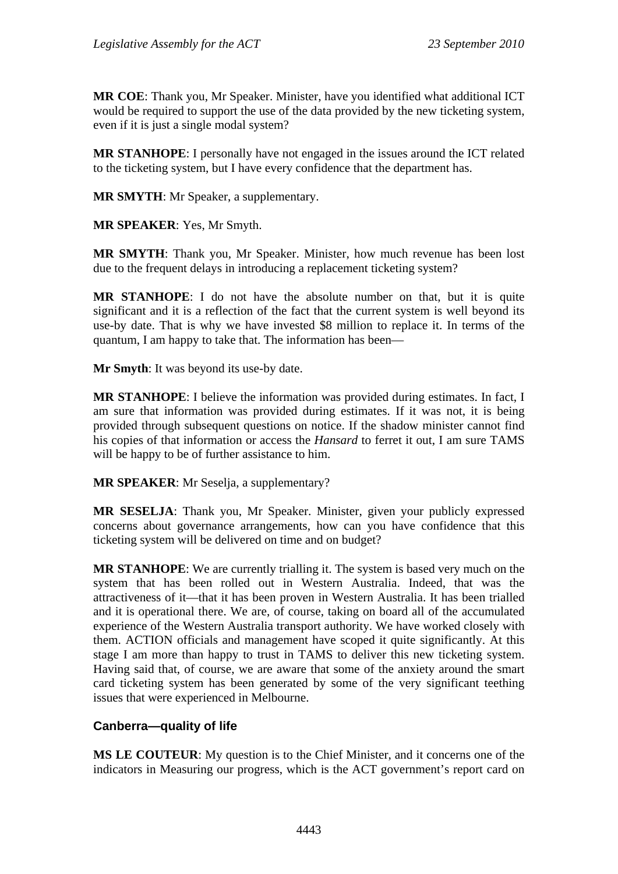**MR COE**: Thank you, Mr Speaker. Minister, have you identified what additional ICT would be required to support the use of the data provided by the new ticketing system, even if it is just a single modal system?

**MR STANHOPE**: I personally have not engaged in the issues around the ICT related to the ticketing system, but I have every confidence that the department has.

**MR SMYTH**: Mr Speaker, a supplementary.

**MR SPEAKER**: Yes, Mr Smyth.

**MR SMYTH**: Thank you, Mr Speaker. Minister, how much revenue has been lost due to the frequent delays in introducing a replacement ticketing system?

**MR STANHOPE**: I do not have the absolute number on that, but it is quite significant and it is a reflection of the fact that the current system is well beyond its use-by date. That is why we have invested \$8 million to replace it. In terms of the quantum, I am happy to take that. The information has been—

**Mr Smyth**: It was beyond its use-by date.

**MR STANHOPE**: I believe the information was provided during estimates. In fact, I am sure that information was provided during estimates. If it was not, it is being provided through subsequent questions on notice. If the shadow minister cannot find his copies of that information or access the *Hansard* to ferret it out, I am sure TAMS will be happy to be of further assistance to him.

**MR SPEAKER**: Mr Seselja, a supplementary?

**MR SESELJA**: Thank you, Mr Speaker. Minister, given your publicly expressed concerns about governance arrangements, how can you have confidence that this ticketing system will be delivered on time and on budget?

**MR STANHOPE**: We are currently trialling it. The system is based very much on the system that has been rolled out in Western Australia. Indeed, that was the attractiveness of it—that it has been proven in Western Australia. It has been trialled and it is operational there. We are, of course, taking on board all of the accumulated experience of the Western Australia transport authority. We have worked closely with them. ACTION officials and management have scoped it quite significantly. At this stage I am more than happy to trust in TAMS to deliver this new ticketing system. Having said that, of course, we are aware that some of the anxiety around the smart card ticketing system has been generated by some of the very significant teething issues that were experienced in Melbourne.

### **Canberra—quality of life**

**MS LE COUTEUR**: My question is to the Chief Minister, and it concerns one of the indicators in Measuring our progress, which is the ACT government's report card on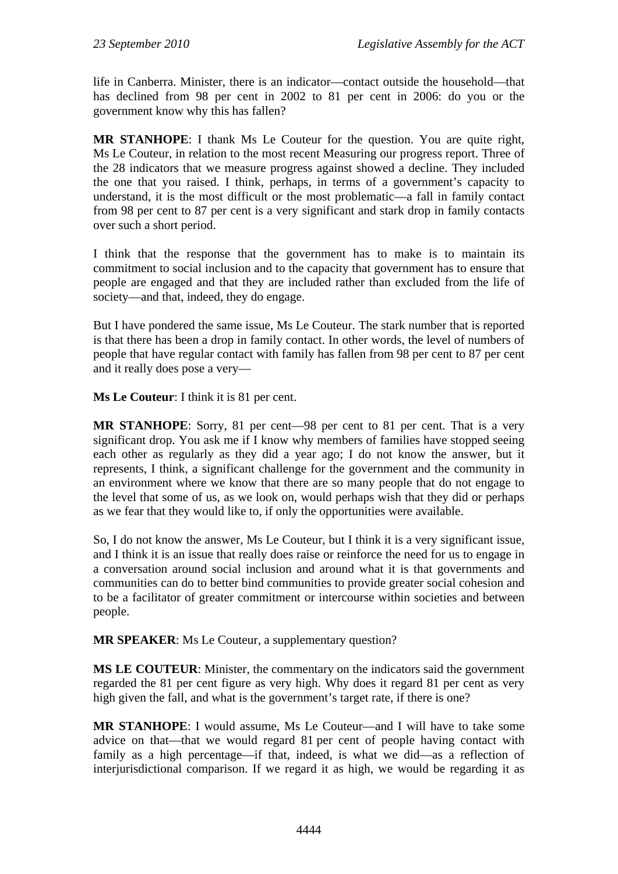life in Canberra. Minister, there is an indicator—contact outside the household—that has declined from 98 per cent in 2002 to 81 per cent in 2006: do you or the government know why this has fallen?

**MR STANHOPE**: I thank Ms Le Couteur for the question. You are quite right, Ms Le Couteur, in relation to the most recent Measuring our progress report. Three of the 28 indicators that we measure progress against showed a decline. They included the one that you raised. I think, perhaps, in terms of a government's capacity to understand, it is the most difficult or the most problematic—a fall in family contact from 98 per cent to 87 per cent is a very significant and stark drop in family contacts over such a short period.

I think that the response that the government has to make is to maintain its commitment to social inclusion and to the capacity that government has to ensure that people are engaged and that they are included rather than excluded from the life of society—and that, indeed, they do engage.

But I have pondered the same issue, Ms Le Couteur. The stark number that is reported is that there has been a drop in family contact. In other words, the level of numbers of people that have regular contact with family has fallen from 98 per cent to 87 per cent and it really does pose a very—

**Ms Le Couteur**: I think it is 81 per cent.

**MR STANHOPE**: Sorry, 81 per cent—98 per cent to 81 per cent. That is a very significant drop. You ask me if I know why members of families have stopped seeing each other as regularly as they did a year ago; I do not know the answer, but it represents, I think, a significant challenge for the government and the community in an environment where we know that there are so many people that do not engage to the level that some of us, as we look on, would perhaps wish that they did or perhaps as we fear that they would like to, if only the opportunities were available.

So, I do not know the answer, Ms Le Couteur, but I think it is a very significant issue, and I think it is an issue that really does raise or reinforce the need for us to engage in a conversation around social inclusion and around what it is that governments and communities can do to better bind communities to provide greater social cohesion and to be a facilitator of greater commitment or intercourse within societies and between people.

**MR SPEAKER**: Ms Le Couteur, a supplementary question?

**MS LE COUTEUR**: Minister, the commentary on the indicators said the government regarded the 81 per cent figure as very high. Why does it regard 81 per cent as very high given the fall, and what is the government's target rate, if there is one?

**MR STANHOPE**: I would assume, Ms Le Couteur—and I will have to take some advice on that—that we would regard 81 per cent of people having contact with family as a high percentage—if that, indeed, is what we did—as a reflection of interjurisdictional comparison. If we regard it as high, we would be regarding it as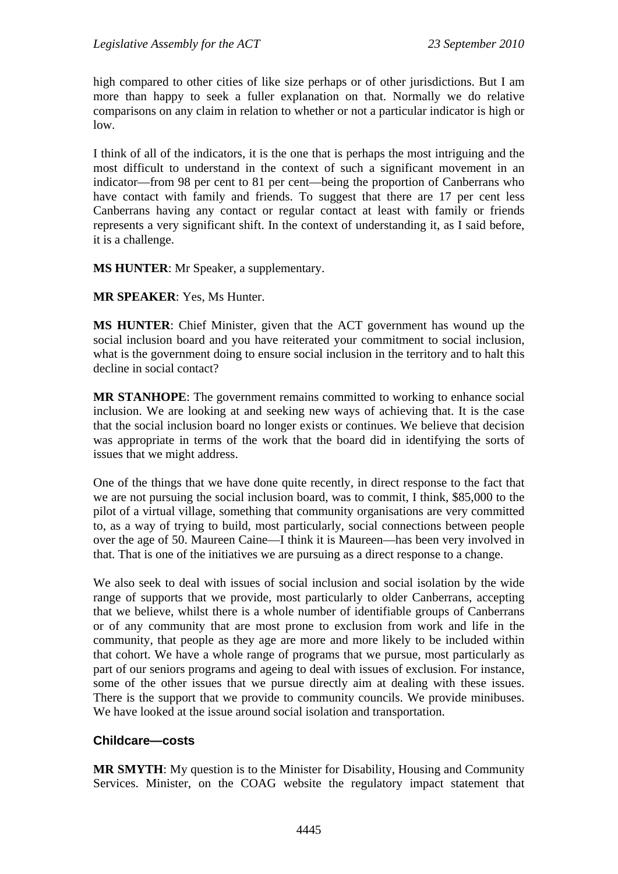high compared to other cities of like size perhaps or of other jurisdictions. But I am more than happy to seek a fuller explanation on that. Normally we do relative comparisons on any claim in relation to whether or not a particular indicator is high or low.

I think of all of the indicators, it is the one that is perhaps the most intriguing and the most difficult to understand in the context of such a significant movement in an indicator—from 98 per cent to 81 per cent—being the proportion of Canberrans who have contact with family and friends. To suggest that there are 17 per cent less Canberrans having any contact or regular contact at least with family or friends represents a very significant shift. In the context of understanding it, as I said before, it is a challenge.

**MS HUNTER**: Mr Speaker, a supplementary.

**MR SPEAKER**: Yes, Ms Hunter.

**MS HUNTER**: Chief Minister, given that the ACT government has wound up the social inclusion board and you have reiterated your commitment to social inclusion, what is the government doing to ensure social inclusion in the territory and to halt this decline in social contact?

**MR STANHOPE**: The government remains committed to working to enhance social inclusion. We are looking at and seeking new ways of achieving that. It is the case that the social inclusion board no longer exists or continues. We believe that decision was appropriate in terms of the work that the board did in identifying the sorts of issues that we might address.

One of the things that we have done quite recently, in direct response to the fact that we are not pursuing the social inclusion board, was to commit, I think, \$85,000 to the pilot of a virtual village, something that community organisations are very committed to, as a way of trying to build, most particularly, social connections between people over the age of 50. Maureen Caine—I think it is Maureen—has been very involved in that. That is one of the initiatives we are pursuing as a direct response to a change.

We also seek to deal with issues of social inclusion and social isolation by the wide range of supports that we provide, most particularly to older Canberrans, accepting that we believe, whilst there is a whole number of identifiable groups of Canberrans or of any community that are most prone to exclusion from work and life in the community, that people as they age are more and more likely to be included within that cohort. We have a whole range of programs that we pursue, most particularly as part of our seniors programs and ageing to deal with issues of exclusion. For instance, some of the other issues that we pursue directly aim at dealing with these issues. There is the support that we provide to community councils. We provide minibuses. We have looked at the issue around social isolation and transportation.

### **Childcare—costs**

**MR SMYTH**: My question is to the Minister for Disability, Housing and Community Services. Minister, on the COAG website the regulatory impact statement that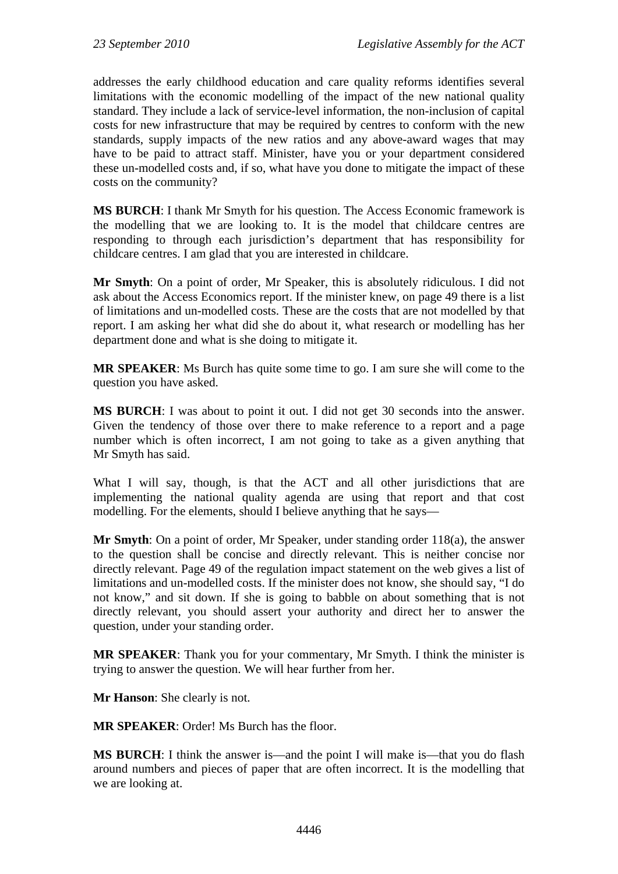addresses the early childhood education and care quality reforms identifies several limitations with the economic modelling of the impact of the new national quality standard. They include a lack of service-level information, the non-inclusion of capital costs for new infrastructure that may be required by centres to conform with the new standards, supply impacts of the new ratios and any above-award wages that may have to be paid to attract staff. Minister, have you or your department considered these un-modelled costs and, if so, what have you done to mitigate the impact of these costs on the community?

**MS BURCH**: I thank Mr Smyth for his question. The Access Economic framework is the modelling that we are looking to. It is the model that childcare centres are responding to through each jurisdiction's department that has responsibility for childcare centres. I am glad that you are interested in childcare.

**Mr Smyth**: On a point of order, Mr Speaker, this is absolutely ridiculous. I did not ask about the Access Economics report. If the minister knew, on page 49 there is a list of limitations and un-modelled costs. These are the costs that are not modelled by that report. I am asking her what did she do about it, what research or modelling has her department done and what is she doing to mitigate it.

**MR SPEAKER**: Ms Burch has quite some time to go. I am sure she will come to the question you have asked.

**MS BURCH**: I was about to point it out. I did not get 30 seconds into the answer. Given the tendency of those over there to make reference to a report and a page number which is often incorrect, I am not going to take as a given anything that Mr Smyth has said.

What I will say, though, is that the ACT and all other jurisdictions that are implementing the national quality agenda are using that report and that cost modelling. For the elements, should I believe anything that he says—

**Mr Smyth**: On a point of order, Mr Speaker, under standing order 118(a), the answer to the question shall be concise and directly relevant. This is neither concise nor directly relevant. Page 49 of the regulation impact statement on the web gives a list of limitations and un-modelled costs. If the minister does not know, she should say, "I do not know," and sit down. If she is going to babble on about something that is not directly relevant, you should assert your authority and direct her to answer the question, under your standing order.

**MR SPEAKER**: Thank you for your commentary, Mr Smyth. I think the minister is trying to answer the question. We will hear further from her.

**Mr Hanson**: She clearly is not.

**MR SPEAKER**: Order! Ms Burch has the floor.

**MS BURCH:** I think the answer is—and the point I will make is—that you do flash around numbers and pieces of paper that are often incorrect. It is the modelling that we are looking at.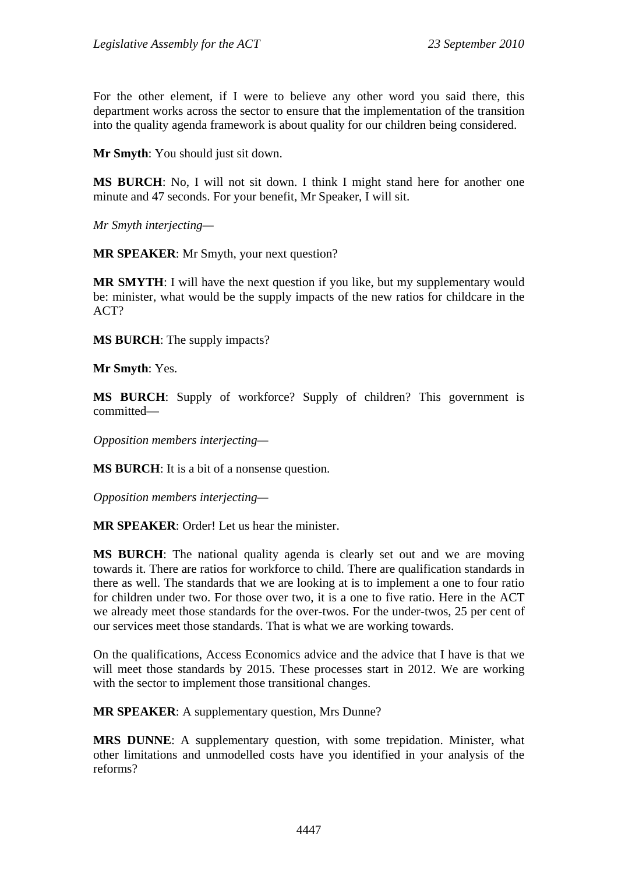For the other element, if I were to believe any other word you said there, this department works across the sector to ensure that the implementation of the transition into the quality agenda framework is about quality for our children being considered.

**Mr Smyth**: You should just sit down.

**MS BURCH**: No, I will not sit down. I think I might stand here for another one minute and 47 seconds. For your benefit, Mr Speaker, I will sit.

*Mr Smyth interjecting—* 

**MR SPEAKER**: Mr Smyth, your next question?

**MR SMYTH**: I will have the next question if you like, but my supplementary would be: minister, what would be the supply impacts of the new ratios for childcare in the ACT?

**MS BURCH**: The supply impacts?

**Mr Smyth**: Yes.

**MS BURCH**: Supply of workforce? Supply of children? This government is committed—

*Opposition members interjecting—* 

**MS BURCH**: It is a bit of a nonsense question.

*Opposition members interjecting—* 

**MR SPEAKER**: Order! Let us hear the minister.

**MS BURCH**: The national quality agenda is clearly set out and we are moving towards it. There are ratios for workforce to child. There are qualification standards in there as well. The standards that we are looking at is to implement a one to four ratio for children under two. For those over two, it is a one to five ratio. Here in the ACT we already meet those standards for the over-twos. For the under-twos, 25 per cent of our services meet those standards. That is what we are working towards.

On the qualifications, Access Economics advice and the advice that I have is that we will meet those standards by 2015. These processes start in 2012. We are working with the sector to implement those transitional changes.

**MR SPEAKER**: A supplementary question, Mrs Dunne?

**MRS DUNNE**: A supplementary question, with some trepidation. Minister, what other limitations and unmodelled costs have you identified in your analysis of the reforms?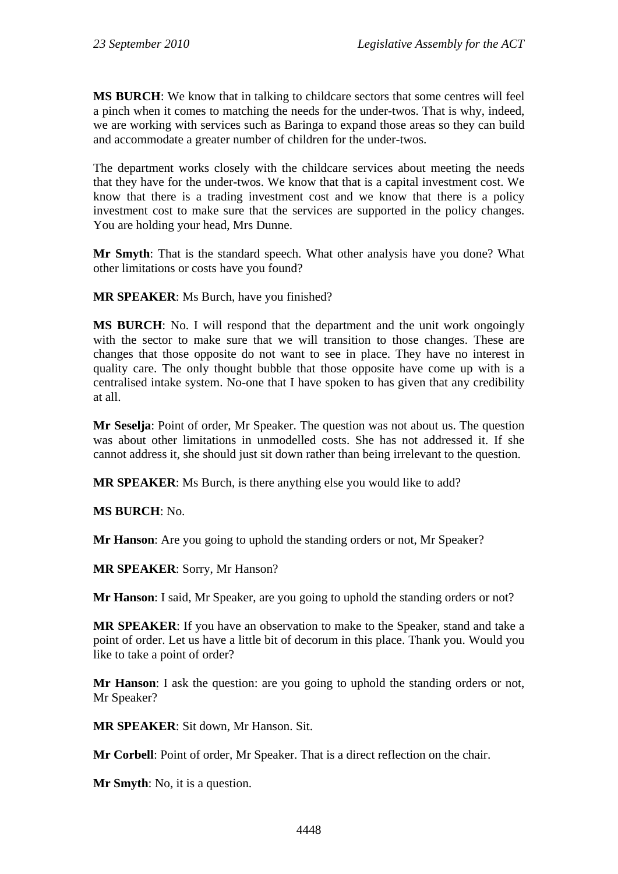**MS BURCH**: We know that in talking to childcare sectors that some centres will feel a pinch when it comes to matching the needs for the under-twos. That is why, indeed, we are working with services such as Baringa to expand those areas so they can build and accommodate a greater number of children for the under-twos.

The department works closely with the childcare services about meeting the needs that they have for the under-twos. We know that that is a capital investment cost. We know that there is a trading investment cost and we know that there is a policy investment cost to make sure that the services are supported in the policy changes. You are holding your head, Mrs Dunne.

**Mr Smyth**: That is the standard speech. What other analysis have you done? What other limitations or costs have you found?

**MR SPEAKER**: Ms Burch, have you finished?

**MS BURCH**: No. I will respond that the department and the unit work ongoingly with the sector to make sure that we will transition to those changes. These are changes that those opposite do not want to see in place. They have no interest in quality care. The only thought bubble that those opposite have come up with is a centralised intake system. No-one that I have spoken to has given that any credibility at all.

**Mr Seselja**: Point of order, Mr Speaker. The question was not about us. The question was about other limitations in unmodelled costs. She has not addressed it. If she cannot address it, she should just sit down rather than being irrelevant to the question.

**MR SPEAKER**: Ms Burch, is there anything else you would like to add?

**MS BURCH**: No.

**Mr Hanson**: Are you going to uphold the standing orders or not, Mr Speaker?

**MR SPEAKER**: Sorry, Mr Hanson?

**Mr Hanson**: I said, Mr Speaker, are you going to uphold the standing orders or not?

**MR SPEAKER**: If you have an observation to make to the Speaker, stand and take a point of order. Let us have a little bit of decorum in this place. Thank you. Would you like to take a point of order?

**Mr Hanson**: I ask the question: are you going to uphold the standing orders or not, Mr Speaker?

**MR SPEAKER**: Sit down, Mr Hanson. Sit.

**Mr Corbell**: Point of order, Mr Speaker. That is a direct reflection on the chair.

**Mr Smyth**: No, it is a question.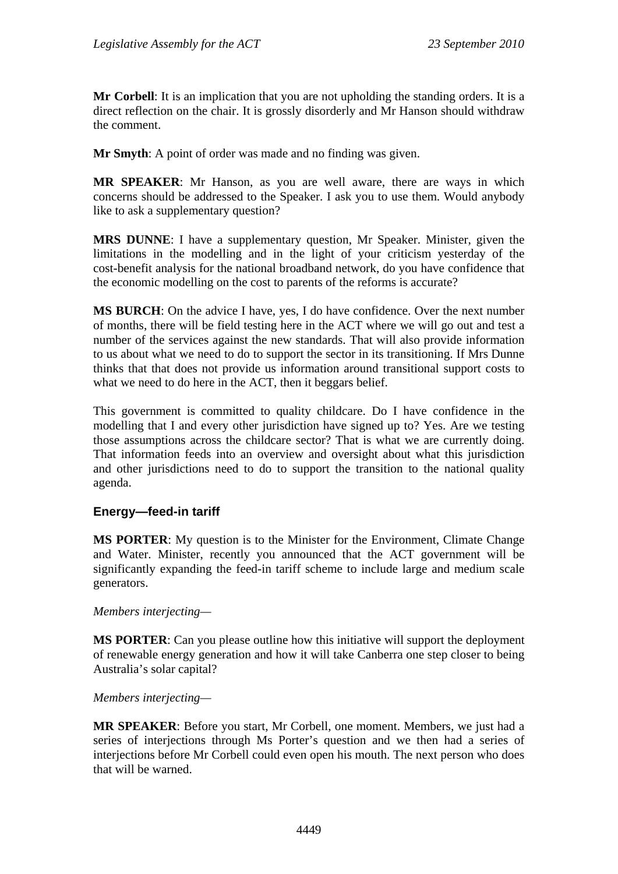**Mr Corbell**: It is an implication that you are not upholding the standing orders. It is a direct reflection on the chair. It is grossly disorderly and Mr Hanson should withdraw the comment.

**Mr Smyth**: A point of order was made and no finding was given.

**MR SPEAKER**: Mr Hanson, as you are well aware, there are ways in which concerns should be addressed to the Speaker. I ask you to use them. Would anybody like to ask a supplementary question?

**MRS DUNNE**: I have a supplementary question, Mr Speaker. Minister, given the limitations in the modelling and in the light of your criticism yesterday of the cost-benefit analysis for the national broadband network, do you have confidence that the economic modelling on the cost to parents of the reforms is accurate?

**MS BURCH**: On the advice I have, yes, I do have confidence. Over the next number of months, there will be field testing here in the ACT where we will go out and test a number of the services against the new standards. That will also provide information to us about what we need to do to support the sector in its transitioning. If Mrs Dunne thinks that that does not provide us information around transitional support costs to what we need to do here in the ACT, then it beggars belief.

This government is committed to quality childcare. Do I have confidence in the modelling that I and every other jurisdiction have signed up to? Yes. Are we testing those assumptions across the childcare sector? That is what we are currently doing. That information feeds into an overview and oversight about what this jurisdiction and other jurisdictions need to do to support the transition to the national quality agenda.

### **Energy—feed-in tariff**

**MS PORTER**: My question is to the Minister for the Environment, Climate Change and Water. Minister, recently you announced that the ACT government will be significantly expanding the feed-in tariff scheme to include large and medium scale generators.

### *Members interjecting—*

**MS PORTER**: Can you please outline how this initiative will support the deployment of renewable energy generation and how it will take Canberra one step closer to being Australia's solar capital?

### *Members interjecting—*

**MR SPEAKER**: Before you start, Mr Corbell, one moment. Members, we just had a series of interjections through Ms Porter's question and we then had a series of interjections before Mr Corbell could even open his mouth. The next person who does that will be warned.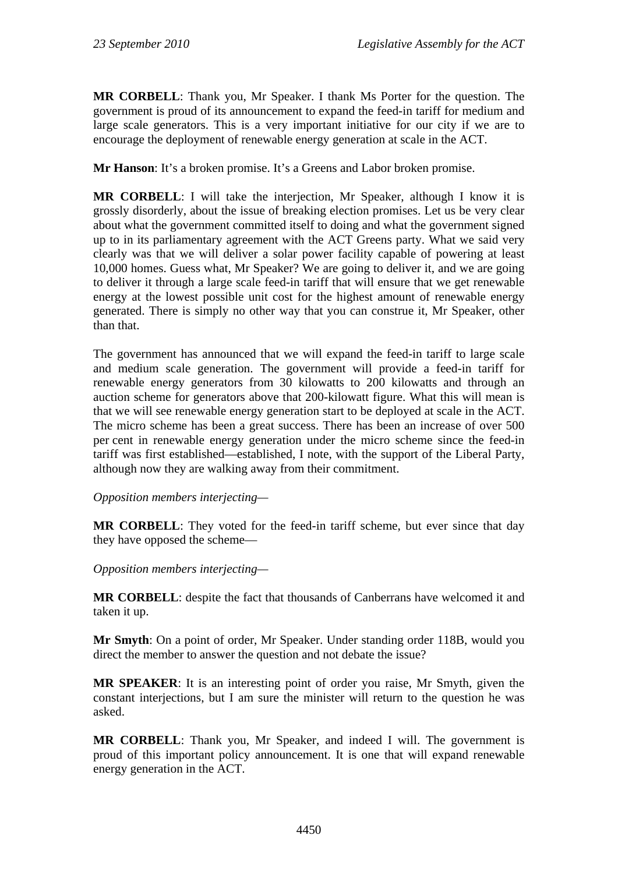**MR CORBELL**: Thank you, Mr Speaker. I thank Ms Porter for the question. The government is proud of its announcement to expand the feed-in tariff for medium and large scale generators. This is a very important initiative for our city if we are to encourage the deployment of renewable energy generation at scale in the ACT.

**Mr Hanson**: It's a broken promise. It's a Greens and Labor broken promise.

**MR CORBELL**: I will take the interjection, Mr Speaker, although I know it is grossly disorderly, about the issue of breaking election promises. Let us be very clear about what the government committed itself to doing and what the government signed up to in its parliamentary agreement with the ACT Greens party. What we said very clearly was that we will deliver a solar power facility capable of powering at least 10,000 homes. Guess what, Mr Speaker? We are going to deliver it, and we are going to deliver it through a large scale feed-in tariff that will ensure that we get renewable energy at the lowest possible unit cost for the highest amount of renewable energy generated. There is simply no other way that you can construe it, Mr Speaker, other than that.

The government has announced that we will expand the feed-in tariff to large scale and medium scale generation. The government will provide a feed-in tariff for renewable energy generators from 30 kilowatts to 200 kilowatts and through an auction scheme for generators above that 200-kilowatt figure. What this will mean is that we will see renewable energy generation start to be deployed at scale in the ACT. The micro scheme has been a great success. There has been an increase of over 500 per cent in renewable energy generation under the micro scheme since the feed-in tariff was first established—established, I note, with the support of the Liberal Party, although now they are walking away from their commitment.

*Opposition members interjecting—* 

**MR CORBELL**: They voted for the feed-in tariff scheme, but ever since that day they have opposed the scheme—

*Opposition members interjecting—* 

**MR CORBELL**: despite the fact that thousands of Canberrans have welcomed it and taken it up.

**Mr Smyth**: On a point of order, Mr Speaker. Under standing order 118B, would you direct the member to answer the question and not debate the issue?

**MR SPEAKER**: It is an interesting point of order you raise, Mr Smyth, given the constant interjections, but I am sure the minister will return to the question he was asked.

**MR CORBELL**: Thank you, Mr Speaker, and indeed I will. The government is proud of this important policy announcement. It is one that will expand renewable energy generation in the ACT.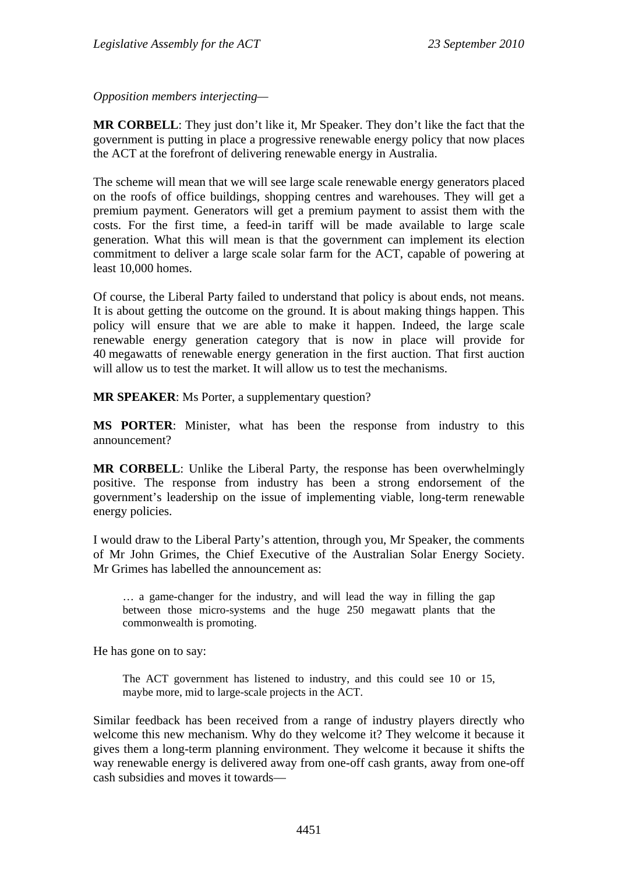*Opposition members interjecting—* 

**MR CORBELL**: They just don't like it, Mr Speaker. They don't like the fact that the government is putting in place a progressive renewable energy policy that now places the ACT at the forefront of delivering renewable energy in Australia.

The scheme will mean that we will see large scale renewable energy generators placed on the roofs of office buildings, shopping centres and warehouses. They will get a premium payment. Generators will get a premium payment to assist them with the costs. For the first time, a feed-in tariff will be made available to large scale generation. What this will mean is that the government can implement its election commitment to deliver a large scale solar farm for the ACT, capable of powering at least 10,000 homes.

Of course, the Liberal Party failed to understand that policy is about ends, not means. It is about getting the outcome on the ground. It is about making things happen. This policy will ensure that we are able to make it happen. Indeed, the large scale renewable energy generation category that is now in place will provide for 40 megawatts of renewable energy generation in the first auction. That first auction will allow us to test the market. It will allow us to test the mechanisms.

**MR SPEAKER**: Ms Porter, a supplementary question?

**MS PORTER**: Minister, what has been the response from industry to this announcement?

**MR CORBELL**: Unlike the Liberal Party, the response has been overwhelmingly positive. The response from industry has been a strong endorsement of the government's leadership on the issue of implementing viable, long-term renewable energy policies.

I would draw to the Liberal Party's attention, through you, Mr Speaker, the comments of Mr John Grimes, the Chief Executive of the Australian Solar Energy Society. Mr Grimes has labelled the announcement as:

… a game-changer for the industry, and will lead the way in filling the gap between those micro-systems and the huge 250 megawatt plants that the commonwealth is promoting.

He has gone on to say:

The ACT government has listened to industry, and this could see 10 or 15, maybe more, mid to large-scale projects in the ACT.

Similar feedback has been received from a range of industry players directly who welcome this new mechanism. Why do they welcome it? They welcome it because it gives them a long-term planning environment. They welcome it because it shifts the way renewable energy is delivered away from one-off cash grants, away from one-off cash subsidies and moves it towards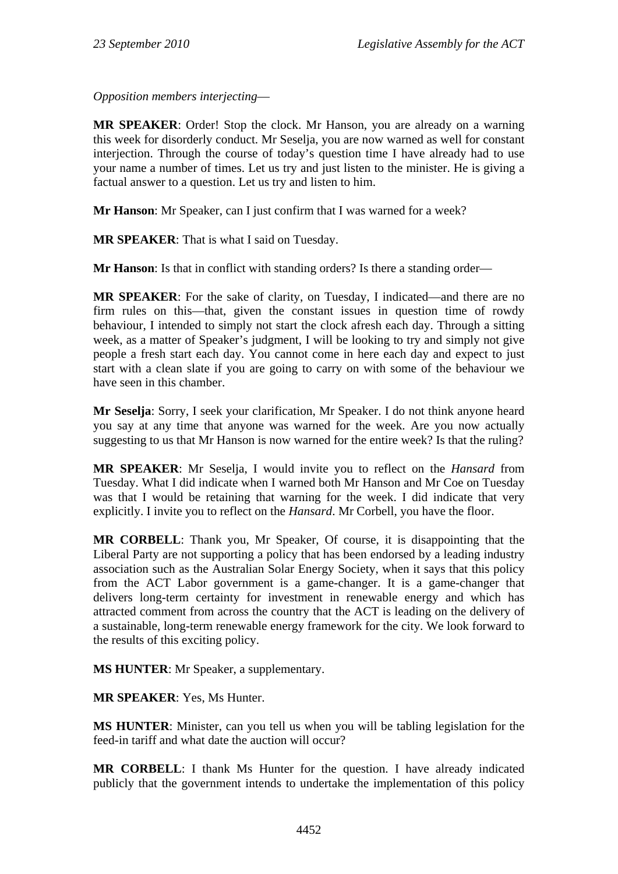*Opposition members interjecting*—

**MR SPEAKER**: Order! Stop the clock. Mr Hanson, you are already on a warning this week for disorderly conduct. Mr Seselja, you are now warned as well for constant interjection. Through the course of today's question time I have already had to use your name a number of times. Let us try and just listen to the minister. He is giving a factual answer to a question. Let us try and listen to him.

**Mr Hanson**: Mr Speaker, can I just confirm that I was warned for a week?

**MR SPEAKER**: That is what I said on Tuesday.

**Mr Hanson**: Is that in conflict with standing orders? Is there a standing order—

**MR SPEAKER**: For the sake of clarity, on Tuesday, I indicated—and there are no firm rules on this—that, given the constant issues in question time of rowdy behaviour, I intended to simply not start the clock afresh each day. Through a sitting week, as a matter of Speaker's judgment, I will be looking to try and simply not give people a fresh start each day. You cannot come in here each day and expect to just start with a clean slate if you are going to carry on with some of the behaviour we have seen in this chamber.

**Mr Seselja**: Sorry, I seek your clarification, Mr Speaker. I do not think anyone heard you say at any time that anyone was warned for the week. Are you now actually suggesting to us that Mr Hanson is now warned for the entire week? Is that the ruling?

**MR SPEAKER**: Mr Seselja, I would invite you to reflect on the *Hansard* from Tuesday. What I did indicate when I warned both Mr Hanson and Mr Coe on Tuesday was that I would be retaining that warning for the week. I did indicate that very explicitly. I invite you to reflect on the *Hansard*. Mr Corbell, you have the floor.

**MR CORBELL**: Thank you, Mr Speaker, Of course, it is disappointing that the Liberal Party are not supporting a policy that has been endorsed by a leading industry association such as the Australian Solar Energy Society, when it says that this policy from the ACT Labor government is a game-changer. It is a game-changer that delivers long-term certainty for investment in renewable energy and which has attracted comment from across the country that the ACT is leading on the delivery of a sustainable, long-term renewable energy framework for the city. We look forward to the results of this exciting policy.

**MS HUNTER**: Mr Speaker, a supplementary.

**MR SPEAKER**: Yes, Ms Hunter.

**MS HUNTER**: Minister, can you tell us when you will be tabling legislation for the feed-in tariff and what date the auction will occur?

**MR CORBELL**: I thank Ms Hunter for the question. I have already indicated publicly that the government intends to undertake the implementation of this policy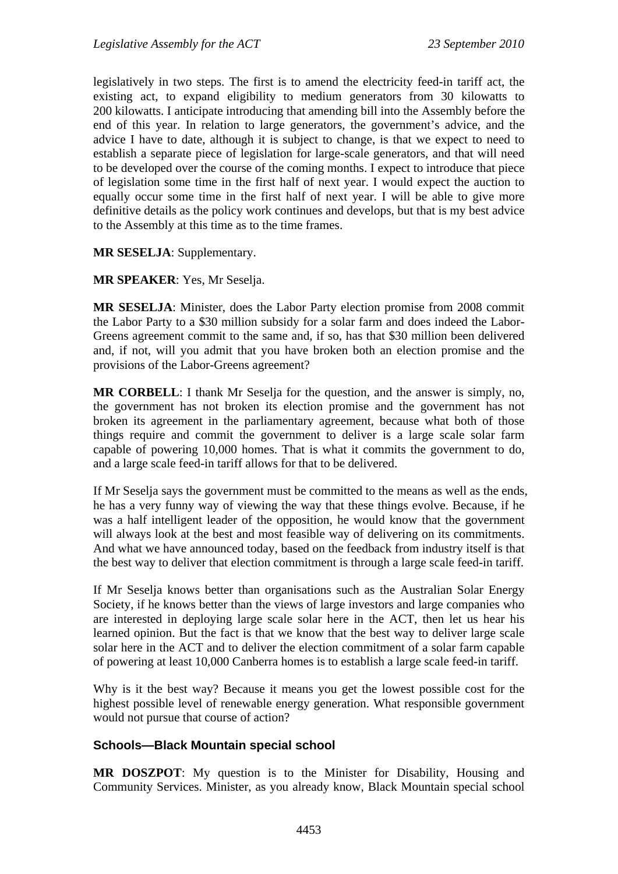legislatively in two steps. The first is to amend the electricity feed-in tariff act, the existing act, to expand eligibility to medium generators from 30 kilowatts to 200 kilowatts. I anticipate introducing that amending bill into the Assembly before the end of this year. In relation to large generators, the government's advice, and the advice I have to date, although it is subject to change, is that we expect to need to establish a separate piece of legislation for large-scale generators, and that will need to be developed over the course of the coming months. I expect to introduce that piece of legislation some time in the first half of next year. I would expect the auction to equally occur some time in the first half of next year. I will be able to give more definitive details as the policy work continues and develops, but that is my best advice to the Assembly at this time as to the time frames.

### **MR SESELJA**: Supplementary.

#### **MR SPEAKER**: Yes, Mr Seselja.

**MR SESELJA**: Minister, does the Labor Party election promise from 2008 commit the Labor Party to a \$30 million subsidy for a solar farm and does indeed the Labor-Greens agreement commit to the same and, if so, has that \$30 million been delivered and, if not, will you admit that you have broken both an election promise and the provisions of the Labor-Greens agreement?

**MR CORBELL:** I thank Mr Seselja for the question, and the answer is simply, no, the government has not broken its election promise and the government has not broken its agreement in the parliamentary agreement, because what both of those things require and commit the government to deliver is a large scale solar farm capable of powering 10,000 homes. That is what it commits the government to do, and a large scale feed-in tariff allows for that to be delivered.

If Mr Seselja says the government must be committed to the means as well as the ends, he has a very funny way of viewing the way that these things evolve. Because, if he was a half intelligent leader of the opposition, he would know that the government will always look at the best and most feasible way of delivering on its commitments. And what we have announced today, based on the feedback from industry itself is that the best way to deliver that election commitment is through a large scale feed-in tariff.

If Mr Seselja knows better than organisations such as the Australian Solar Energy Society, if he knows better than the views of large investors and large companies who are interested in deploying large scale solar here in the ACT, then let us hear his learned opinion. But the fact is that we know that the best way to deliver large scale solar here in the ACT and to deliver the election commitment of a solar farm capable of powering at least 10,000 Canberra homes is to establish a large scale feed-in tariff.

Why is it the best way? Because it means you get the lowest possible cost for the highest possible level of renewable energy generation. What responsible government would not pursue that course of action?

### **Schools—Black Mountain special school**

**MR DOSZPOT**: My question is to the Minister for Disability, Housing and Community Services. Minister, as you already know, Black Mountain special school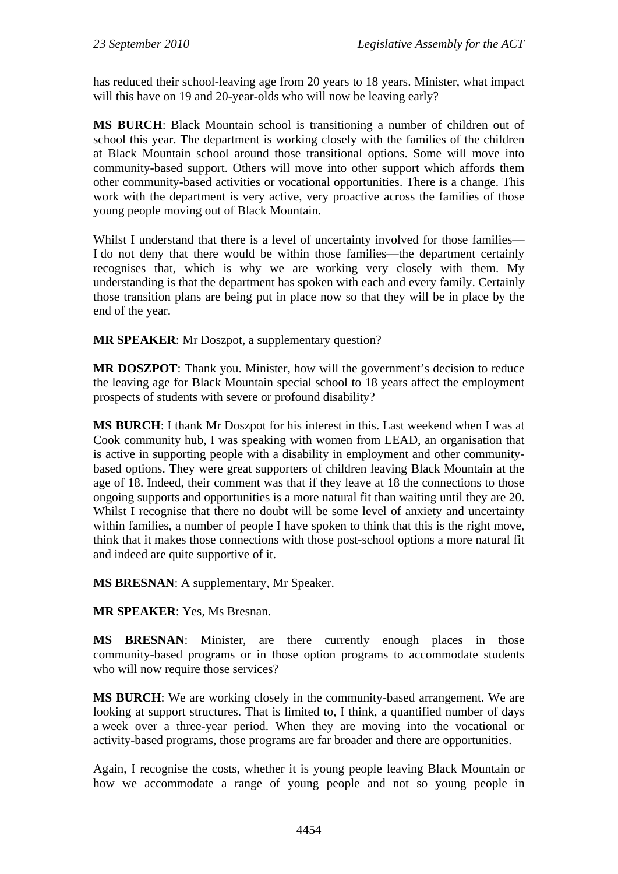has reduced their school-leaving age from 20 years to 18 years. Minister, what impact will this have on 19 and 20-year-olds who will now be leaving early?

**MS BURCH**: Black Mountain school is transitioning a number of children out of school this year. The department is working closely with the families of the children at Black Mountain school around those transitional options. Some will move into community-based support. Others will move into other support which affords them other community-based activities or vocational opportunities. There is a change. This work with the department is very active, very proactive across the families of those young people moving out of Black Mountain.

Whilst I understand that there is a level of uncertainty involved for those families— I do not deny that there would be within those families—the department certainly recognises that, which is why we are working very closely with them. My understanding is that the department has spoken with each and every family. Certainly those transition plans are being put in place now so that they will be in place by the end of the year.

**MR SPEAKER**: Mr Doszpot, a supplementary question?

**MR DOSZPOT**: Thank you. Minister, how will the government's decision to reduce the leaving age for Black Mountain special school to 18 years affect the employment prospects of students with severe or profound disability?

**MS BURCH**: I thank Mr Doszpot for his interest in this. Last weekend when I was at Cook community hub, I was speaking with women from LEAD, an organisation that is active in supporting people with a disability in employment and other communitybased options. They were great supporters of children leaving Black Mountain at the age of 18. Indeed, their comment was that if they leave at 18 the connections to those ongoing supports and opportunities is a more natural fit than waiting until they are 20. Whilst I recognise that there no doubt will be some level of anxiety and uncertainty within families, a number of people I have spoken to think that this is the right move, think that it makes those connections with those post-school options a more natural fit and indeed are quite supportive of it.

**MS BRESNAN**: A supplementary, Mr Speaker.

**MR SPEAKER**: Yes, Ms Bresnan.

**MS BRESNAN**: Minister, are there currently enough places in those community-based programs or in those option programs to accommodate students who will now require those services?

**MS BURCH**: We are working closely in the community-based arrangement. We are looking at support structures. That is limited to, I think, a quantified number of days a week over a three-year period. When they are moving into the vocational or activity-based programs, those programs are far broader and there are opportunities.

Again, I recognise the costs, whether it is young people leaving Black Mountain or how we accommodate a range of young people and not so young people in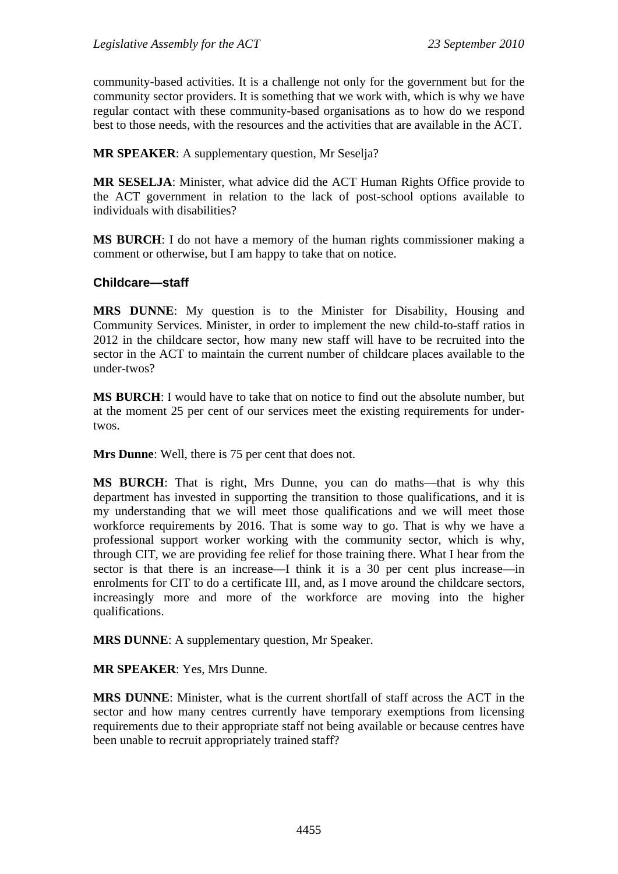community-based activities. It is a challenge not only for the government but for the community sector providers. It is something that we work with, which is why we have regular contact with these community-based organisations as to how do we respond best to those needs, with the resources and the activities that are available in the ACT.

**MR SPEAKER**: A supplementary question, Mr Seselja?

**MR SESELJA**: Minister, what advice did the ACT Human Rights Office provide to the ACT government in relation to the lack of post-school options available to individuals with disabilities?

**MS BURCH**: I do not have a memory of the human rights commissioner making a comment or otherwise, but I am happy to take that on notice.

#### **Childcare—staff**

**MRS DUNNE**: My question is to the Minister for Disability, Housing and Community Services. Minister, in order to implement the new child-to-staff ratios in 2012 in the childcare sector, how many new staff will have to be recruited into the sector in the ACT to maintain the current number of childcare places available to the under-twos?

**MS BURCH**: I would have to take that on notice to find out the absolute number, but at the moment 25 per cent of our services meet the existing requirements for undertwos.

**Mrs Dunne**: Well, there is 75 per cent that does not.

**MS BURCH**: That is right, Mrs Dunne, you can do maths—that is why this department has invested in supporting the transition to those qualifications, and it is my understanding that we will meet those qualifications and we will meet those workforce requirements by 2016. That is some way to go. That is why we have a professional support worker working with the community sector, which is why, through CIT, we are providing fee relief for those training there. What I hear from the sector is that there is an increase—I think it is a 30 per cent plus increase—in enrolments for CIT to do a certificate III, and, as I move around the childcare sectors, increasingly more and more of the workforce are moving into the higher qualifications.

**MRS DUNNE**: A supplementary question, Mr Speaker.

**MR SPEAKER**: Yes, Mrs Dunne.

**MRS DUNNE**: Minister, what is the current shortfall of staff across the ACT in the sector and how many centres currently have temporary exemptions from licensing requirements due to their appropriate staff not being available or because centres have been unable to recruit appropriately trained staff?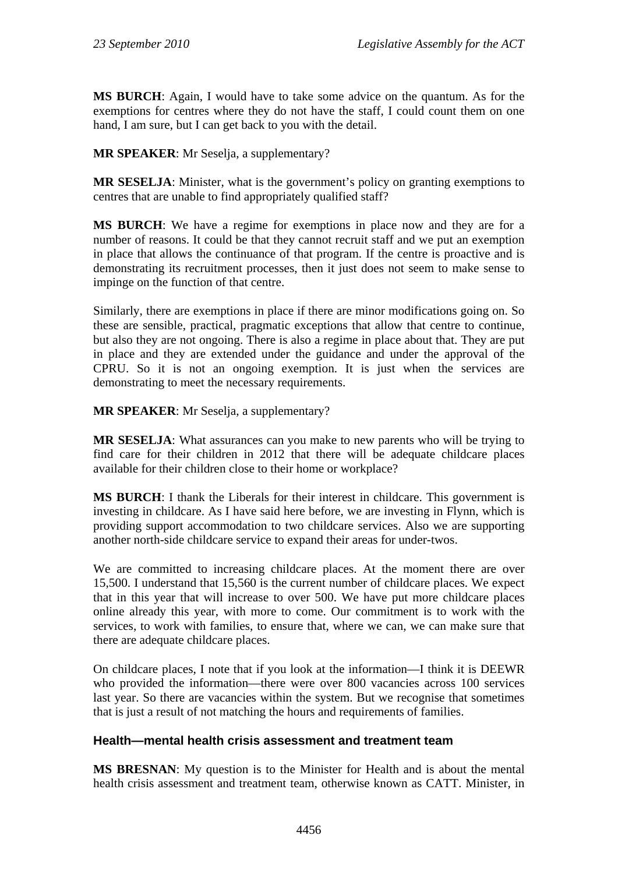**MS BURCH**: Again, I would have to take some advice on the quantum. As for the exemptions for centres where they do not have the staff, I could count them on one hand, I am sure, but I can get back to you with the detail.

**MR SPEAKER**: Mr Seselja, a supplementary?

**MR SESELJA**: Minister, what is the government's policy on granting exemptions to centres that are unable to find appropriately qualified staff?

**MS BURCH**: We have a regime for exemptions in place now and they are for a number of reasons. It could be that they cannot recruit staff and we put an exemption in place that allows the continuance of that program. If the centre is proactive and is demonstrating its recruitment processes, then it just does not seem to make sense to impinge on the function of that centre.

Similarly, there are exemptions in place if there are minor modifications going on. So these are sensible, practical, pragmatic exceptions that allow that centre to continue, but also they are not ongoing. There is also a regime in place about that. They are put in place and they are extended under the guidance and under the approval of the CPRU. So it is not an ongoing exemption. It is just when the services are demonstrating to meet the necessary requirements.

**MR SPEAKER**: Mr Seselja, a supplementary?

**MR SESELJA**: What assurances can you make to new parents who will be trying to find care for their children in 2012 that there will be adequate childcare places available for their children close to their home or workplace?

**MS BURCH**: I thank the Liberals for their interest in childcare. This government is investing in childcare. As I have said here before, we are investing in Flynn, which is providing support accommodation to two childcare services. Also we are supporting another north-side childcare service to expand their areas for under-twos.

We are committed to increasing childcare places. At the moment there are over 15,500. I understand that 15,560 is the current number of childcare places. We expect that in this year that will increase to over 500. We have put more childcare places online already this year, with more to come. Our commitment is to work with the services, to work with families, to ensure that, where we can, we can make sure that there are adequate childcare places.

On childcare places, I note that if you look at the information—I think it is DEEWR who provided the information—there were over 800 vacancies across 100 services last year. So there are vacancies within the system. But we recognise that sometimes that is just a result of not matching the hours and requirements of families.

## **Health—mental health crisis assessment and treatment team**

**MS BRESNAN**: My question is to the Minister for Health and is about the mental health crisis assessment and treatment team, otherwise known as CATT. Minister, in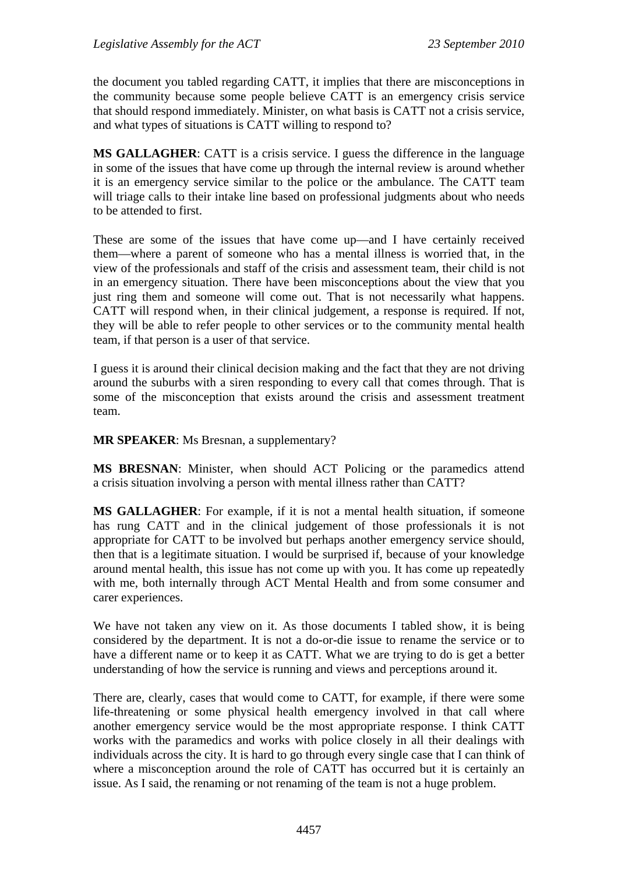the document you tabled regarding CATT, it implies that there are misconceptions in the community because some people believe CATT is an emergency crisis service that should respond immediately. Minister, on what basis is CATT not a crisis service, and what types of situations is CATT willing to respond to?

**MS GALLAGHER**: CATT is a crisis service. I guess the difference in the language in some of the issues that have come up through the internal review is around whether it is an emergency service similar to the police or the ambulance. The CATT team will triage calls to their intake line based on professional judgments about who needs to be attended to first.

These are some of the issues that have come up—and I have certainly received them—where a parent of someone who has a mental illness is worried that, in the view of the professionals and staff of the crisis and assessment team, their child is not in an emergency situation. There have been misconceptions about the view that you just ring them and someone will come out. That is not necessarily what happens. CATT will respond when, in their clinical judgement, a response is required. If not, they will be able to refer people to other services or to the community mental health team, if that person is a user of that service.

I guess it is around their clinical decision making and the fact that they are not driving around the suburbs with a siren responding to every call that comes through. That is some of the misconception that exists around the crisis and assessment treatment team.

**MR SPEAKER**: Ms Bresnan, a supplementary?

**MS BRESNAN**: Minister, when should ACT Policing or the paramedics attend a crisis situation involving a person with mental illness rather than CATT?

**MS GALLAGHER**: For example, if it is not a mental health situation, if someone has rung CATT and in the clinical judgement of those professionals it is not appropriate for CATT to be involved but perhaps another emergency service should, then that is a legitimate situation. I would be surprised if, because of your knowledge around mental health, this issue has not come up with you. It has come up repeatedly with me, both internally through ACT Mental Health and from some consumer and carer experiences.

We have not taken any view on it. As those documents I tabled show, it is being considered by the department. It is not a do-or-die issue to rename the service or to have a different name or to keep it as CATT. What we are trying to do is get a better understanding of how the service is running and views and perceptions around it.

There are, clearly, cases that would come to CATT, for example, if there were some life-threatening or some physical health emergency involved in that call where another emergency service would be the most appropriate response. I think CATT works with the paramedics and works with police closely in all their dealings with individuals across the city. It is hard to go through every single case that I can think of where a misconception around the role of CATT has occurred but it is certainly an issue. As I said, the renaming or not renaming of the team is not a huge problem.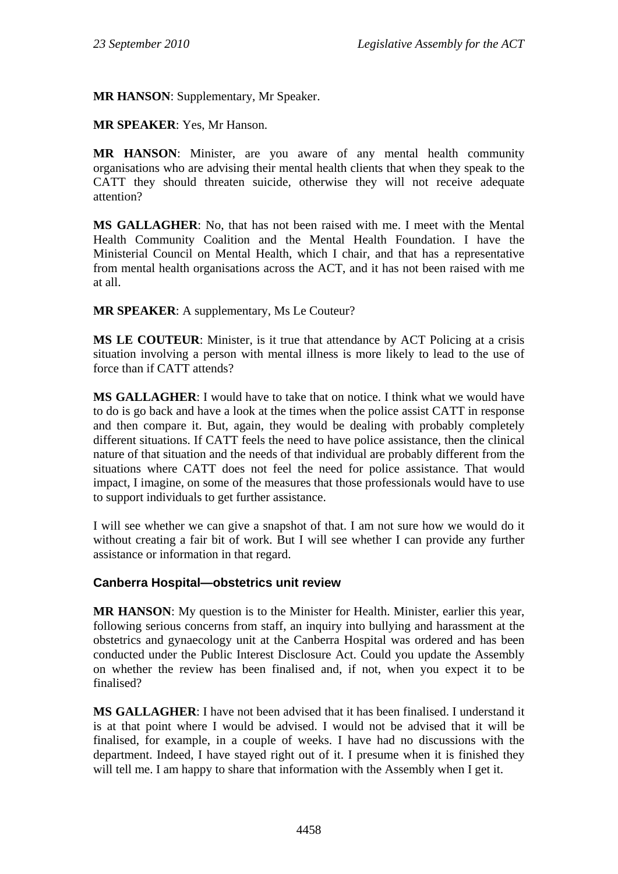**MR HANSON**: Supplementary, Mr Speaker.

**MR SPEAKER**: Yes, Mr Hanson.

**MR HANSON**: Minister, are you aware of any mental health community organisations who are advising their mental health clients that when they speak to the CATT they should threaten suicide, otherwise they will not receive adequate attention?

**MS GALLAGHER**: No, that has not been raised with me. I meet with the Mental Health Community Coalition and the Mental Health Foundation. I have the Ministerial Council on Mental Health, which I chair, and that has a representative from mental health organisations across the ACT, and it has not been raised with me at all.

**MR SPEAKER**: A supplementary, Ms Le Couteur?

**MS LE COUTEUR**: Minister, is it true that attendance by ACT Policing at a crisis situation involving a person with mental illness is more likely to lead to the use of force than if CATT attends?

**MS GALLAGHER**: I would have to take that on notice. I think what we would have to do is go back and have a look at the times when the police assist CATT in response and then compare it. But, again, they would be dealing with probably completely different situations. If CATT feels the need to have police assistance, then the clinical nature of that situation and the needs of that individual are probably different from the situations where CATT does not feel the need for police assistance. That would impact, I imagine, on some of the measures that those professionals would have to use to support individuals to get further assistance.

I will see whether we can give a snapshot of that. I am not sure how we would do it without creating a fair bit of work. But I will see whether I can provide any further assistance or information in that regard.

### **Canberra Hospital—obstetrics unit review**

**MR HANSON**: My question is to the Minister for Health. Minister, earlier this year, following serious concerns from staff, an inquiry into bullying and harassment at the obstetrics and gynaecology unit at the Canberra Hospital was ordered and has been conducted under the Public Interest Disclosure Act. Could you update the Assembly on whether the review has been finalised and, if not, when you expect it to be finalised?

**MS GALLAGHER**: I have not been advised that it has been finalised. I understand it is at that point where I would be advised. I would not be advised that it will be finalised, for example, in a couple of weeks. I have had no discussions with the department. Indeed, I have stayed right out of it. I presume when it is finished they will tell me. I am happy to share that information with the Assembly when I get it.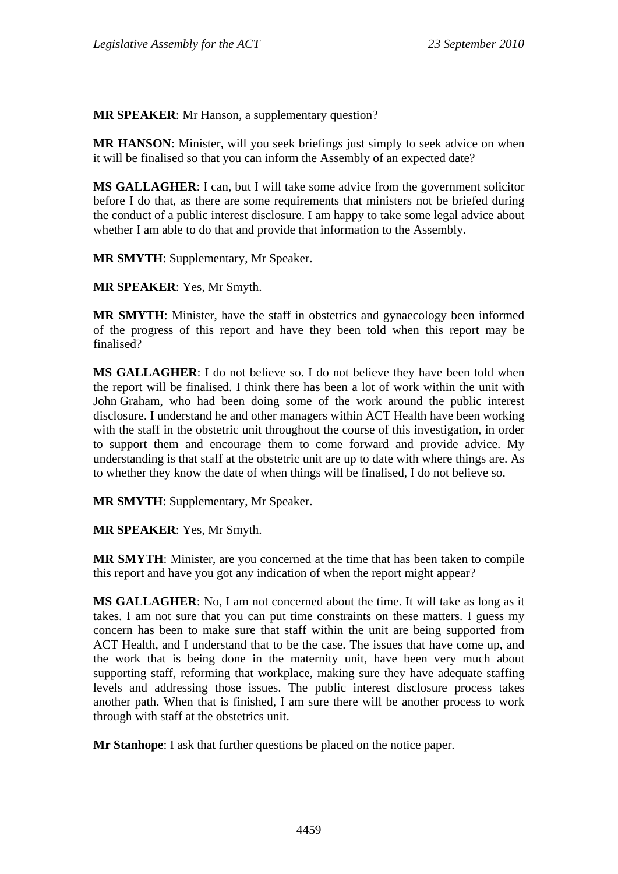**MR SPEAKER**: Mr Hanson, a supplementary question?

**MR HANSON**: Minister, will you seek briefings just simply to seek advice on when it will be finalised so that you can inform the Assembly of an expected date?

**MS GALLAGHER**: I can, but I will take some advice from the government solicitor before I do that, as there are some requirements that ministers not be briefed during the conduct of a public interest disclosure. I am happy to take some legal advice about whether I am able to do that and provide that information to the Assembly.

**MR SMYTH**: Supplementary, Mr Speaker.

**MR SPEAKER**: Yes, Mr Smyth.

**MR SMYTH**: Minister, have the staff in obstetrics and gynaecology been informed of the progress of this report and have they been told when this report may be finalised?

**MS GALLAGHER**: I do not believe so. I do not believe they have been told when the report will be finalised. I think there has been a lot of work within the unit with John Graham, who had been doing some of the work around the public interest disclosure. I understand he and other managers within ACT Health have been working with the staff in the obstetric unit throughout the course of this investigation, in order to support them and encourage them to come forward and provide advice. My understanding is that staff at the obstetric unit are up to date with where things are. As to whether they know the date of when things will be finalised, I do not believe so.

**MR SMYTH**: Supplementary, Mr Speaker.

**MR SPEAKER**: Yes, Mr Smyth.

**MR SMYTH**: Minister, are you concerned at the time that has been taken to compile this report and have you got any indication of when the report might appear?

**MS GALLAGHER**: No, I am not concerned about the time. It will take as long as it takes. I am not sure that you can put time constraints on these matters. I guess my concern has been to make sure that staff within the unit are being supported from ACT Health, and I understand that to be the case. The issues that have come up, and the work that is being done in the maternity unit, have been very much about supporting staff, reforming that workplace, making sure they have adequate staffing levels and addressing those issues. The public interest disclosure process takes another path. When that is finished, I am sure there will be another process to work through with staff at the obstetrics unit.

**Mr Stanhope:** I ask that further questions be placed on the notice paper.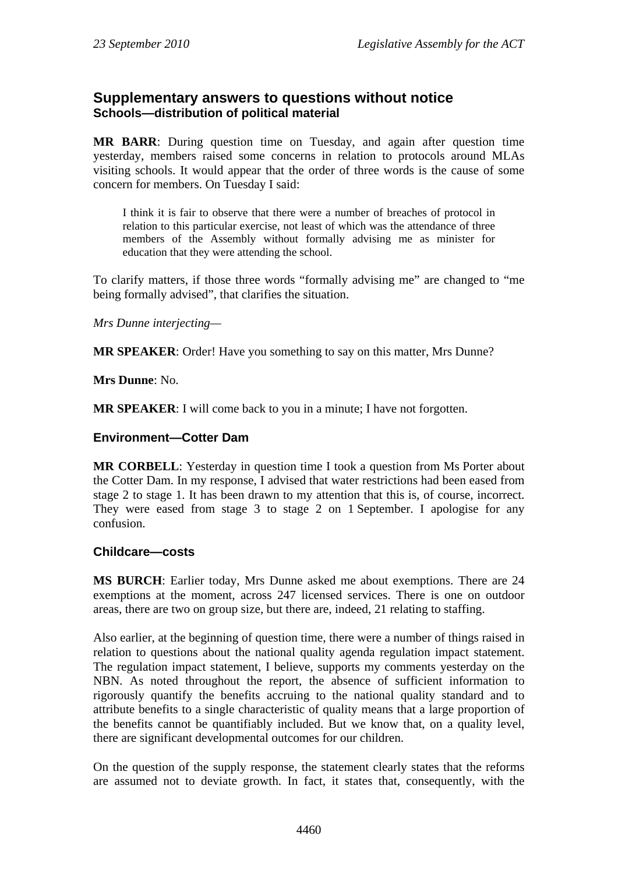## **Supplementary answers to questions without notice Schools—distribution of political material**

**MR BARR**: During question time on Tuesday, and again after question time yesterday, members raised some concerns in relation to protocols around MLAs visiting schools. It would appear that the order of three words is the cause of some concern for members. On Tuesday I said:

I think it is fair to observe that there were a number of breaches of protocol in relation to this particular exercise, not least of which was the attendance of three members of the Assembly without formally advising me as minister for education that they were attending the school.

To clarify matters, if those three words "formally advising me" are changed to "me being formally advised", that clarifies the situation.

#### *Mrs Dunne interjecting—*

**MR SPEAKER:** Order! Have you something to say on this matter, Mrs Dunne?

**Mrs Dunne**: No.

**MR SPEAKER**: I will come back to you in a minute; I have not forgotten.

#### **Environment—Cotter Dam**

**MR CORBELL**: Yesterday in question time I took a question from Ms Porter about the Cotter Dam. In my response, I advised that water restrictions had been eased from stage 2 to stage 1. It has been drawn to my attention that this is, of course, incorrect. They were eased from stage 3 to stage 2 on 1 September. I apologise for any confusion.

### **Childcare—costs**

**MS BURCH**: Earlier today, Mrs Dunne asked me about exemptions. There are 24 exemptions at the moment, across 247 licensed services. There is one on outdoor areas, there are two on group size, but there are, indeed, 21 relating to staffing.

Also earlier, at the beginning of question time, there were a number of things raised in relation to questions about the national quality agenda regulation impact statement. The regulation impact statement, I believe, supports my comments yesterday on the NBN. As noted throughout the report, the absence of sufficient information to rigorously quantify the benefits accruing to the national quality standard and to attribute benefits to a single characteristic of quality means that a large proportion of the benefits cannot be quantifiably included. But we know that, on a quality level, there are significant developmental outcomes for our children.

On the question of the supply response, the statement clearly states that the reforms are assumed not to deviate growth. In fact, it states that, consequently, with the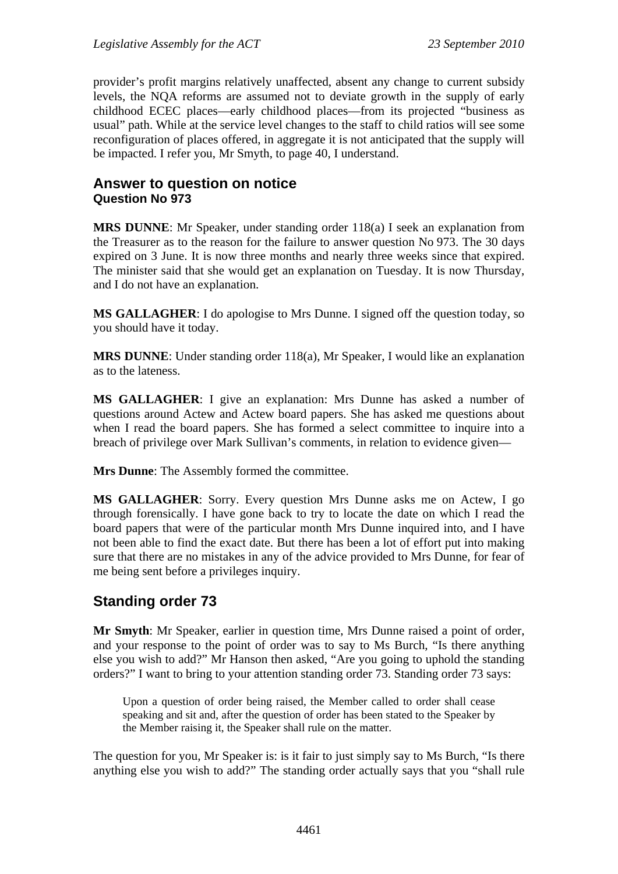provider's profit margins relatively unaffected, absent any change to current subsidy levels, the NQA reforms are assumed not to deviate growth in the supply of early childhood ECEC places—early childhood places—from its projected "business as usual" path. While at the service level changes to the staff to child ratios will see some reconfiguration of places offered, in aggregate it is not anticipated that the supply will be impacted. I refer you, Mr Smyth, to page 40, I understand.

## **Answer to question on notice Question No 973**

**MRS DUNNE**: Mr Speaker, under standing order 118(a) I seek an explanation from the Treasurer as to the reason for the failure to answer question No 973. The 30 days expired on 3 June. It is now three months and nearly three weeks since that expired. The minister said that she would get an explanation on Tuesday. It is now Thursday, and I do not have an explanation.

**MS GALLAGHER**: I do apologise to Mrs Dunne. I signed off the question today, so you should have it today.

**MRS DUNNE**: Under standing order 118(a), Mr Speaker, I would like an explanation as to the lateness.

**MS GALLAGHER**: I give an explanation: Mrs Dunne has asked a number of questions around Actew and Actew board papers. She has asked me questions about when I read the board papers. She has formed a select committee to inquire into a breach of privilege over Mark Sullivan's comments, in relation to evidence given—

**Mrs Dunne**: The Assembly formed the committee.

**MS GALLAGHER**: Sorry. Every question Mrs Dunne asks me on Actew, I go through forensically. I have gone back to try to locate the date on which I read the board papers that were of the particular month Mrs Dunne inquired into, and I have not been able to find the exact date. But there has been a lot of effort put into making sure that there are no mistakes in any of the advice provided to Mrs Dunne, for fear of me being sent before a privileges inquiry.

# **Standing order 73**

**Mr Smyth**: Mr Speaker, earlier in question time, Mrs Dunne raised a point of order, and your response to the point of order was to say to Ms Burch, "Is there anything else you wish to add?" Mr Hanson then asked, "Are you going to uphold the standing orders?" I want to bring to your attention standing order 73. Standing order 73 says:

Upon a question of order being raised, the Member called to order shall cease speaking and sit and, after the question of order has been stated to the Speaker by the Member raising it, the Speaker shall rule on the matter.

The question for you, Mr Speaker is: is it fair to just simply say to Ms Burch, "Is there anything else you wish to add?" The standing order actually says that you "shall rule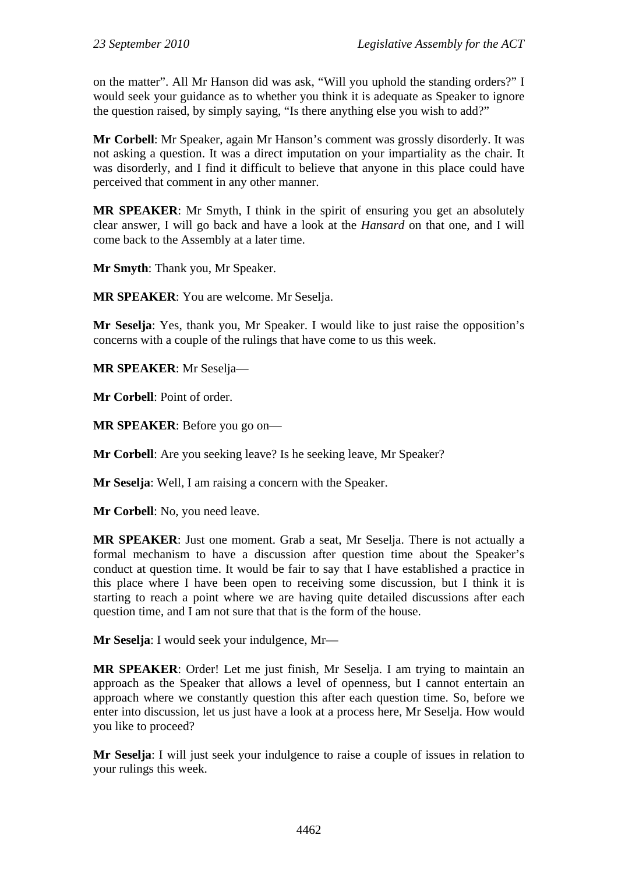on the matter". All Mr Hanson did was ask, "Will you uphold the standing orders?" I would seek your guidance as to whether you think it is adequate as Speaker to ignore the question raised, by simply saying, "Is there anything else you wish to add?"

**Mr Corbell**: Mr Speaker, again Mr Hanson's comment was grossly disorderly. It was not asking a question. It was a direct imputation on your impartiality as the chair. It was disorderly, and I find it difficult to believe that anyone in this place could have perceived that comment in any other manner.

**MR SPEAKER**: Mr Smyth, I think in the spirit of ensuring you get an absolutely clear answer, I will go back and have a look at the *Hansard* on that one, and I will come back to the Assembly at a later time.

**Mr Smyth**: Thank you, Mr Speaker.

**MR SPEAKER**: You are welcome. Mr Seselja.

**Mr Seselja**: Yes, thank you, Mr Speaker. I would like to just raise the opposition's concerns with a couple of the rulings that have come to us this week.

**MR SPEAKER**: Mr Seselja—

**Mr Corbell**: Point of order.

**MR SPEAKER**: Before you go on—

**Mr Corbell**: Are you seeking leave? Is he seeking leave, Mr Speaker?

**Mr Seselja**: Well, I am raising a concern with the Speaker.

**Mr Corbell**: No, you need leave.

**MR SPEAKER**: Just one moment. Grab a seat, Mr Seselja. There is not actually a formal mechanism to have a discussion after question time about the Speaker's conduct at question time. It would be fair to say that I have established a practice in this place where I have been open to receiving some discussion, but I think it is starting to reach a point where we are having quite detailed discussions after each question time, and I am not sure that that is the form of the house.

**Mr Seselja**: I would seek your indulgence, Mr—

**MR SPEAKER**: Order! Let me just finish, Mr Seselja. I am trying to maintain an approach as the Speaker that allows a level of openness, but I cannot entertain an approach where we constantly question this after each question time. So, before we enter into discussion, let us just have a look at a process here, Mr Seselja. How would you like to proceed?

**Mr Seselja**: I will just seek your indulgence to raise a couple of issues in relation to your rulings this week.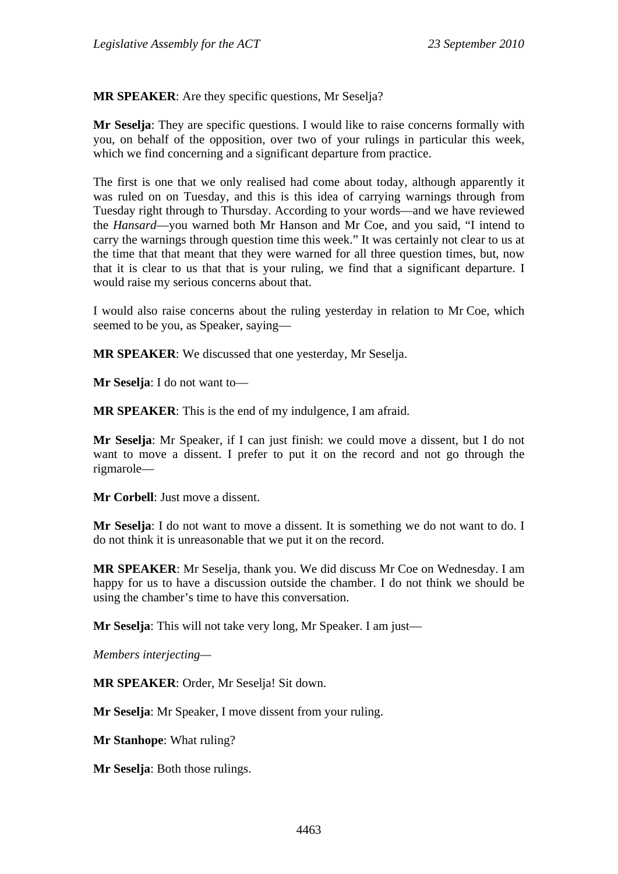**MR SPEAKER**: Are they specific questions, Mr Seselja?

**Mr Seselja**: They are specific questions. I would like to raise concerns formally with you, on behalf of the opposition, over two of your rulings in particular this week, which we find concerning and a significant departure from practice.

The first is one that we only realised had come about today, although apparently it was ruled on on Tuesday, and this is this idea of carrying warnings through from Tuesday right through to Thursday. According to your words—and we have reviewed the *Hansard*—you warned both Mr Hanson and Mr Coe, and you said, "I intend to carry the warnings through question time this week." It was certainly not clear to us at the time that that meant that they were warned for all three question times, but, now that it is clear to us that that is your ruling, we find that a significant departure. I would raise my serious concerns about that.

I would also raise concerns about the ruling yesterday in relation to Mr Coe, which seemed to be you, as Speaker, saying—

**MR SPEAKER**: We discussed that one yesterday, Mr Seselja.

**Mr Seselja**: I do not want to—

**MR SPEAKER**: This is the end of my indulgence, I am afraid.

**Mr Seselja**: Mr Speaker, if I can just finish: we could move a dissent, but I do not want to move a dissent. I prefer to put it on the record and not go through the rigmarole—

**Mr Corbell**: Just move a dissent.

**Mr Seselja**: I do not want to move a dissent. It is something we do not want to do. I do not think it is unreasonable that we put it on the record.

**MR SPEAKER**: Mr Seselja, thank you. We did discuss Mr Coe on Wednesday. I am happy for us to have a discussion outside the chamber. I do not think we should be using the chamber's time to have this conversation.

**Mr Seselja**: This will not take very long, Mr Speaker. I am just—

*Members interjecting—* 

**MR SPEAKER**: Order, Mr Seselja! Sit down.

**Mr Seselja**: Mr Speaker, I move dissent from your ruling.

**Mr Stanhope**: What ruling?

**Mr Seselja**: Both those rulings.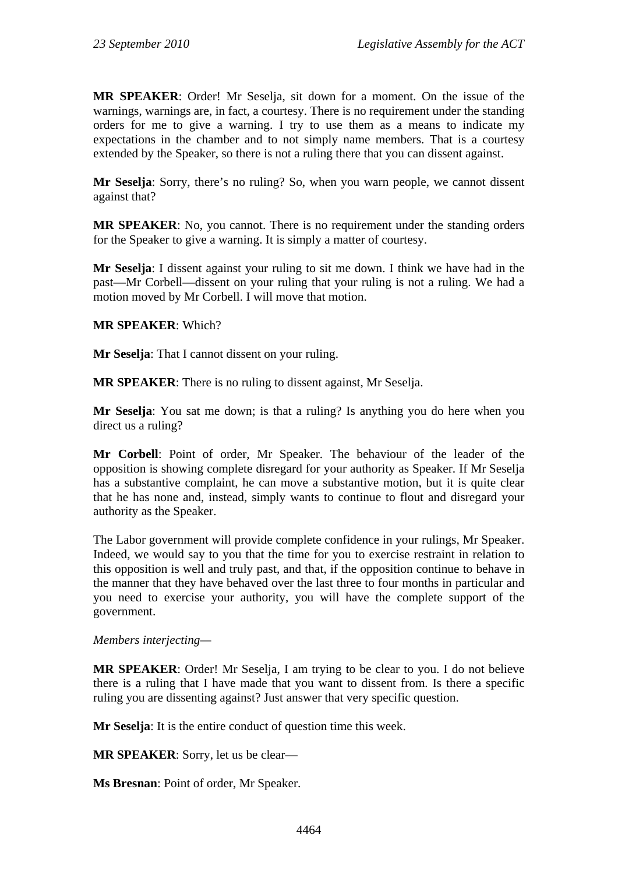**MR SPEAKER**: Order! Mr Seselja, sit down for a moment. On the issue of the warnings, warnings are, in fact, a courtesy. There is no requirement under the standing orders for me to give a warning. I try to use them as a means to indicate my expectations in the chamber and to not simply name members. That is a courtesy extended by the Speaker, so there is not a ruling there that you can dissent against.

**Mr Seselja**: Sorry, there's no ruling? So, when you warn people, we cannot dissent against that?

**MR SPEAKER**: No, you cannot. There is no requirement under the standing orders for the Speaker to give a warning. It is simply a matter of courtesy.

**Mr Seselja**: I dissent against your ruling to sit me down. I think we have had in the past—Mr Corbell—dissent on your ruling that your ruling is not a ruling. We had a motion moved by Mr Corbell. I will move that motion.

**MR SPEAKER**: Which?

**Mr Seselja**: That I cannot dissent on your ruling.

**MR SPEAKER**: There is no ruling to dissent against, Mr Seselja.

**Mr Seselja**: You sat me down; is that a ruling? Is anything you do here when you direct us a ruling?

**Mr Corbell**: Point of order, Mr Speaker. The behaviour of the leader of the opposition is showing complete disregard for your authority as Speaker. If Mr Seselja has a substantive complaint, he can move a substantive motion, but it is quite clear that he has none and, instead, simply wants to continue to flout and disregard your authority as the Speaker.

The Labor government will provide complete confidence in your rulings, Mr Speaker. Indeed, we would say to you that the time for you to exercise restraint in relation to this opposition is well and truly past, and that, if the opposition continue to behave in the manner that they have behaved over the last three to four months in particular and you need to exercise your authority, you will have the complete support of the government.

*Members interjecting—* 

**MR SPEAKER**: Order! Mr Seselja, I am trying to be clear to you. I do not believe there is a ruling that I have made that you want to dissent from. Is there a specific ruling you are dissenting against? Just answer that very specific question.

**Mr Seselja**: It is the entire conduct of question time this week.

**MR SPEAKER**: Sorry, let us be clear—

**Ms Bresnan**: Point of order, Mr Speaker.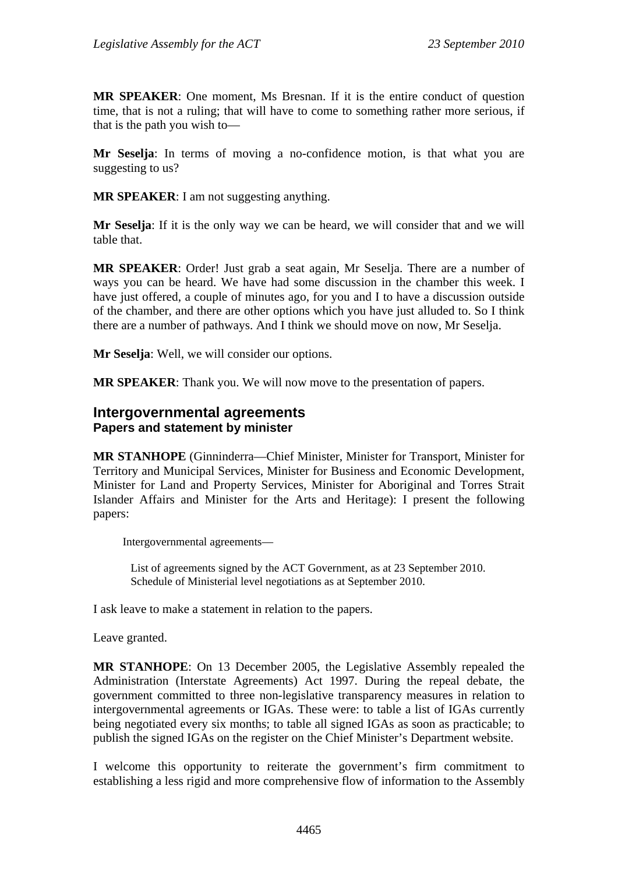**MR SPEAKER**: One moment, Ms Bresnan. If it is the entire conduct of question time, that is not a ruling; that will have to come to something rather more serious, if that is the path you wish to—

**Mr Seselja**: In terms of moving a no-confidence motion, is that what you are suggesting to us?

**MR SPEAKER**: I am not suggesting anything.

**Mr Seselja**: If it is the only way we can be heard, we will consider that and we will table that.

**MR SPEAKER**: Order! Just grab a seat again, Mr Seselja. There are a number of ways you can be heard. We have had some discussion in the chamber this week. I have just offered, a couple of minutes ago, for you and I to have a discussion outside of the chamber, and there are other options which you have just alluded to. So I think there are a number of pathways. And I think we should move on now, Mr Seselja.

**Mr Seselja**: Well, we will consider our options.

**MR SPEAKER**: Thank you. We will now move to the presentation of papers.

### **Intergovernmental agreements Papers and statement by minister**

**MR STANHOPE** (Ginninderra—Chief Minister, Minister for Transport, Minister for Territory and Municipal Services, Minister for Business and Economic Development, Minister for Land and Property Services, Minister for Aboriginal and Torres Strait Islander Affairs and Minister for the Arts and Heritage): I present the following papers:

Intergovernmental agreements—

List of agreements signed by the ACT Government, as at 23 September 2010. Schedule of Ministerial level negotiations as at September 2010.

I ask leave to make a statement in relation to the papers.

Leave granted.

**MR STANHOPE**: On 13 December 2005, the Legislative Assembly repealed the Administration (Interstate Agreements) Act 1997. During the repeal debate, the government committed to three non-legislative transparency measures in relation to intergovernmental agreements or IGAs. These were: to table a list of IGAs currently being negotiated every six months; to table all signed IGAs as soon as practicable; to publish the signed IGAs on the register on the Chief Minister's Department website.

I welcome this opportunity to reiterate the government's firm commitment to establishing a less rigid and more comprehensive flow of information to the Assembly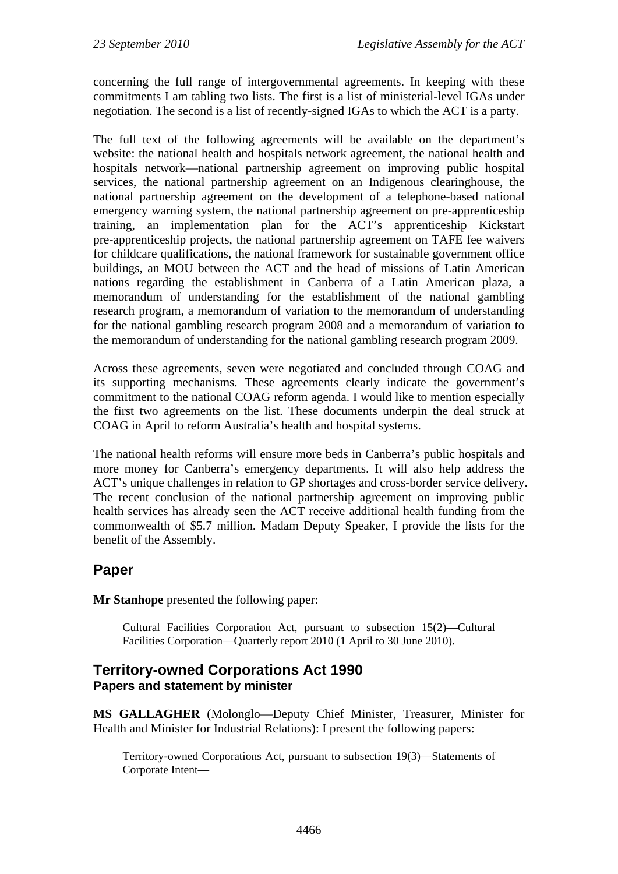concerning the full range of intergovernmental agreements. In keeping with these commitments I am tabling two lists. The first is a list of ministerial-level IGAs under negotiation. The second is a list of recently-signed IGAs to which the ACT is a party.

The full text of the following agreements will be available on the department's website: the national health and hospitals network agreement, the national health and hospitals network—national partnership agreement on improving public hospital services, the national partnership agreement on an Indigenous clearinghouse, the national partnership agreement on the development of a telephone-based national emergency warning system, the national partnership agreement on pre-apprenticeship training, an implementation plan for the ACT's apprenticeship Kickstart pre-apprenticeship projects, the national partnership agreement on TAFE fee waivers for childcare qualifications, the national framework for sustainable government office buildings, an MOU between the ACT and the head of missions of Latin American nations regarding the establishment in Canberra of a Latin American plaza, a memorandum of understanding for the establishment of the national gambling research program, a memorandum of variation to the memorandum of understanding for the national gambling research program 2008 and a memorandum of variation to the memorandum of understanding for the national gambling research program 2009.

Across these agreements, seven were negotiated and concluded through COAG and its supporting mechanisms. These agreements clearly indicate the government's commitment to the national COAG reform agenda. I would like to mention especially the first two agreements on the list. These documents underpin the deal struck at COAG in April to reform Australia's health and hospital systems.

The national health reforms will ensure more beds in Canberra's public hospitals and more money for Canberra's emergency departments. It will also help address the ACT's unique challenges in relation to GP shortages and cross-border service delivery. The recent conclusion of the national partnership agreement on improving public health services has already seen the ACT receive additional health funding from the commonwealth of \$5.7 million. Madam Deputy Speaker, I provide the lists for the benefit of the Assembly.

# **Paper**

**Mr Stanhope** presented the following paper:

Cultural Facilities Corporation Act, pursuant to subsection 15(2)—Cultural Facilities Corporation—Quarterly report 2010 (1 April to 30 June 2010).

# **Territory-owned Corporations Act 1990 Papers and statement by minister**

**MS GALLAGHER** (Molonglo—Deputy Chief Minister, Treasurer, Minister for Health and Minister for Industrial Relations): I present the following papers:

Territory-owned Corporations Act, pursuant to subsection 19(3)—Statements of Corporate Intent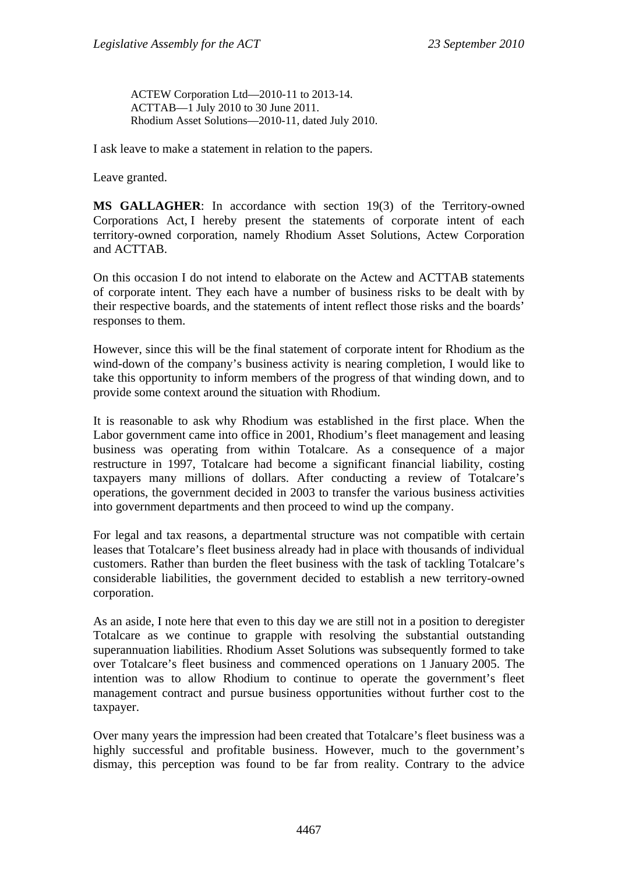ACTEW Corporation Ltd—2010-11 to 2013-14. ACTTAB—1 July 2010 to 30 June 2011. Rhodium Asset Solutions—2010-11, dated July 2010.

I ask leave to make a statement in relation to the papers.

Leave granted.

**MS GALLAGHER**: In accordance with section 19(3) of the Territory-owned Corporations Act, I hereby present the statements of corporate intent of each territory-owned corporation, namely Rhodium Asset Solutions, Actew Corporation and ACTTAB.

On this occasion I do not intend to elaborate on the Actew and ACTTAB statements of corporate intent. They each have a number of business risks to be dealt with by their respective boards, and the statements of intent reflect those risks and the boards' responses to them.

However, since this will be the final statement of corporate intent for Rhodium as the wind-down of the company's business activity is nearing completion, I would like to take this opportunity to inform members of the progress of that winding down, and to provide some context around the situation with Rhodium.

It is reasonable to ask why Rhodium was established in the first place. When the Labor government came into office in 2001, Rhodium's fleet management and leasing business was operating from within Totalcare. As a consequence of a major restructure in 1997, Totalcare had become a significant financial liability, costing taxpayers many millions of dollars. After conducting a review of Totalcare's operations, the government decided in 2003 to transfer the various business activities into government departments and then proceed to wind up the company.

For legal and tax reasons, a departmental structure was not compatible with certain leases that Totalcare's fleet business already had in place with thousands of individual customers. Rather than burden the fleet business with the task of tackling Totalcare's considerable liabilities, the government decided to establish a new territory-owned corporation.

As an aside, I note here that even to this day we are still not in a position to deregister Totalcare as we continue to grapple with resolving the substantial outstanding superannuation liabilities. Rhodium Asset Solutions was subsequently formed to take over Totalcare's fleet business and commenced operations on 1 January 2005. The intention was to allow Rhodium to continue to operate the government's fleet management contract and pursue business opportunities without further cost to the taxpayer.

Over many years the impression had been created that Totalcare's fleet business was a highly successful and profitable business. However, much to the government's dismay, this perception was found to be far from reality. Contrary to the advice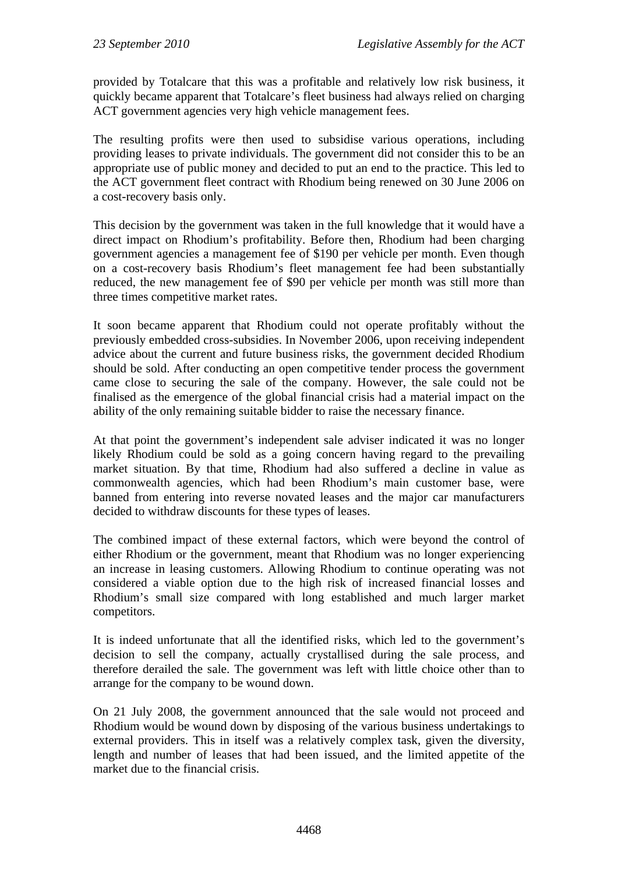provided by Totalcare that this was a profitable and relatively low risk business, it quickly became apparent that Totalcare's fleet business had always relied on charging ACT government agencies very high vehicle management fees.

The resulting profits were then used to subsidise various operations, including providing leases to private individuals. The government did not consider this to be an appropriate use of public money and decided to put an end to the practice. This led to the ACT government fleet contract with Rhodium being renewed on 30 June 2006 on a cost-recovery basis only.

This decision by the government was taken in the full knowledge that it would have a direct impact on Rhodium's profitability. Before then, Rhodium had been charging government agencies a management fee of \$190 per vehicle per month. Even though on a cost-recovery basis Rhodium's fleet management fee had been substantially reduced, the new management fee of \$90 per vehicle per month was still more than three times competitive market rates.

It soon became apparent that Rhodium could not operate profitably without the previously embedded cross-subsidies. In November 2006, upon receiving independent advice about the current and future business risks, the government decided Rhodium should be sold. After conducting an open competitive tender process the government came close to securing the sale of the company. However, the sale could not be finalised as the emergence of the global financial crisis had a material impact on the ability of the only remaining suitable bidder to raise the necessary finance.

At that point the government's independent sale adviser indicated it was no longer likely Rhodium could be sold as a going concern having regard to the prevailing market situation. By that time, Rhodium had also suffered a decline in value as commonwealth agencies, which had been Rhodium's main customer base, were banned from entering into reverse novated leases and the major car manufacturers decided to withdraw discounts for these types of leases.

The combined impact of these external factors, which were beyond the control of either Rhodium or the government, meant that Rhodium was no longer experiencing an increase in leasing customers. Allowing Rhodium to continue operating was not considered a viable option due to the high risk of increased financial losses and Rhodium's small size compared with long established and much larger market competitors.

It is indeed unfortunate that all the identified risks, which led to the government's decision to sell the company, actually crystallised during the sale process, and therefore derailed the sale. The government was left with little choice other than to arrange for the company to be wound down.

On 21 July 2008, the government announced that the sale would not proceed and Rhodium would be wound down by disposing of the various business undertakings to external providers. This in itself was a relatively complex task, given the diversity, length and number of leases that had been issued, and the limited appetite of the market due to the financial crisis.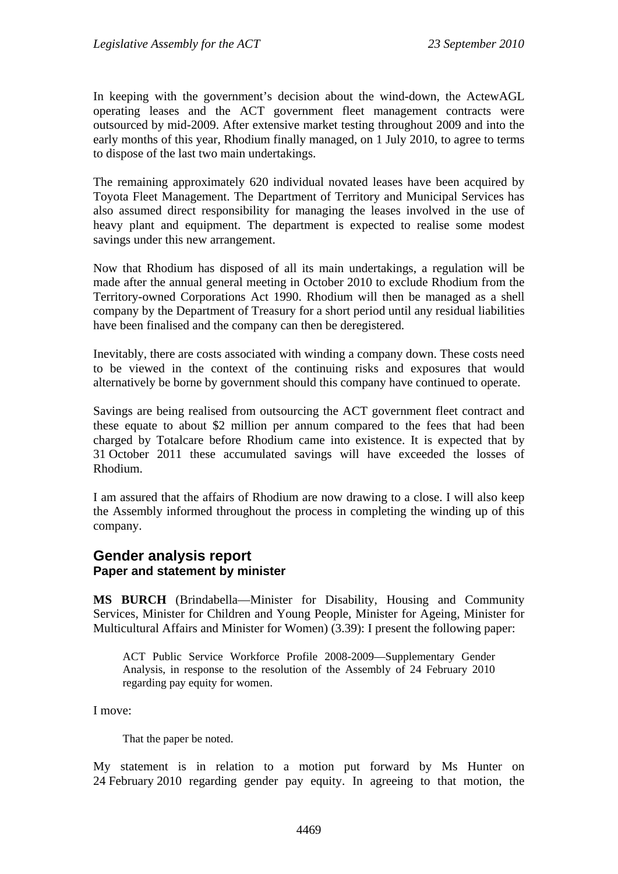In keeping with the government's decision about the wind-down, the ActewAGL operating leases and the ACT government fleet management contracts were outsourced by mid-2009. After extensive market testing throughout 2009 and into the early months of this year, Rhodium finally managed, on 1 July 2010, to agree to terms to dispose of the last two main undertakings.

The remaining approximately 620 individual novated leases have been acquired by Toyota Fleet Management. The Department of Territory and Municipal Services has also assumed direct responsibility for managing the leases involved in the use of heavy plant and equipment. The department is expected to realise some modest savings under this new arrangement.

Now that Rhodium has disposed of all its main undertakings, a regulation will be made after the annual general meeting in October 2010 to exclude Rhodium from the Territory-owned Corporations Act 1990. Rhodium will then be managed as a shell company by the Department of Treasury for a short period until any residual liabilities have been finalised and the company can then be deregistered.

Inevitably, there are costs associated with winding a company down. These costs need to be viewed in the context of the continuing risks and exposures that would alternatively be borne by government should this company have continued to operate.

Savings are being realised from outsourcing the ACT government fleet contract and these equate to about \$2 million per annum compared to the fees that had been charged by Totalcare before Rhodium came into existence. It is expected that by 31 October 2011 these accumulated savings will have exceeded the losses of Rhodium.

I am assured that the affairs of Rhodium are now drawing to a close. I will also keep the Assembly informed throughout the process in completing the winding up of this company.

## **Gender analysis report Paper and statement by minister**

**MS BURCH** (Brindabella—Minister for Disability, Housing and Community Services, Minister for Children and Young People, Minister for Ageing, Minister for Multicultural Affairs and Minister for Women) (3.39): I present the following paper:

ACT Public Service Workforce Profile 2008-2009—Supplementary Gender Analysis, in response to the resolution of the Assembly of 24 February 2010 regarding pay equity for women.

I move:

That the paper be noted.

My statement is in relation to a motion put forward by Ms Hunter on 24 February 2010 regarding gender pay equity. In agreeing to that motion, the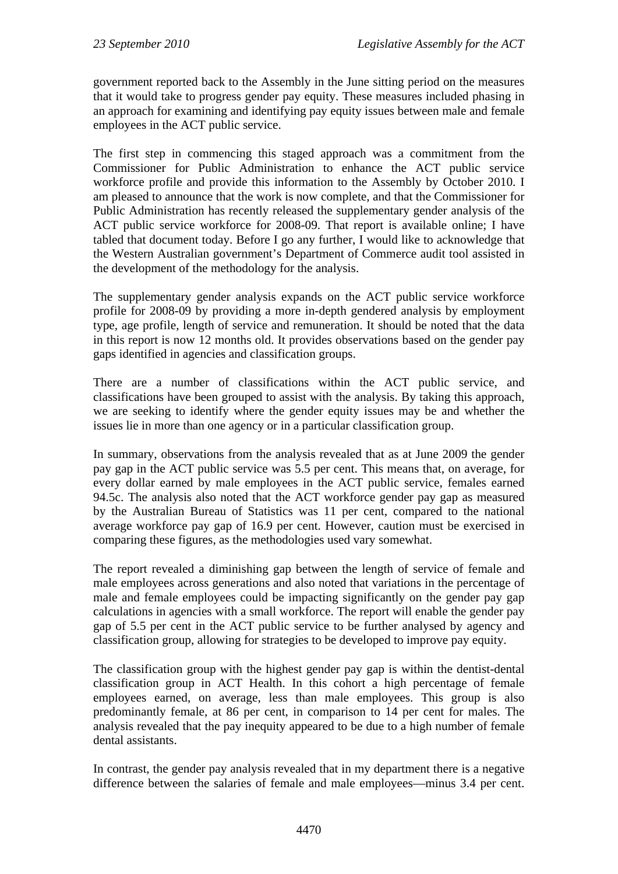government reported back to the Assembly in the June sitting period on the measures that it would take to progress gender pay equity. These measures included phasing in an approach for examining and identifying pay equity issues between male and female employees in the ACT public service.

The first step in commencing this staged approach was a commitment from the Commissioner for Public Administration to enhance the ACT public service workforce profile and provide this information to the Assembly by October 2010. I am pleased to announce that the work is now complete, and that the Commissioner for Public Administration has recently released the supplementary gender analysis of the ACT public service workforce for 2008-09. That report is available online; I have tabled that document today. Before I go any further, I would like to acknowledge that the Western Australian government's Department of Commerce audit tool assisted in the development of the methodology for the analysis.

The supplementary gender analysis expands on the ACT public service workforce profile for 2008-09 by providing a more in-depth gendered analysis by employment type, age profile, length of service and remuneration. It should be noted that the data in this report is now 12 months old. It provides observations based on the gender pay gaps identified in agencies and classification groups.

There are a number of classifications within the ACT public service, and classifications have been grouped to assist with the analysis. By taking this approach, we are seeking to identify where the gender equity issues may be and whether the issues lie in more than one agency or in a particular classification group.

In summary, observations from the analysis revealed that as at June 2009 the gender pay gap in the ACT public service was 5.5 per cent. This means that, on average, for every dollar earned by male employees in the ACT public service, females earned 94.5c. The analysis also noted that the ACT workforce gender pay gap as measured by the Australian Bureau of Statistics was 11 per cent, compared to the national average workforce pay gap of 16.9 per cent. However, caution must be exercised in comparing these figures, as the methodologies used vary somewhat.

The report revealed a diminishing gap between the length of service of female and male employees across generations and also noted that variations in the percentage of male and female employees could be impacting significantly on the gender pay gap calculations in agencies with a small workforce. The report will enable the gender pay gap of 5.5 per cent in the ACT public service to be further analysed by agency and classification group, allowing for strategies to be developed to improve pay equity.

The classification group with the highest gender pay gap is within the dentist-dental classification group in ACT Health. In this cohort a high percentage of female employees earned, on average, less than male employees. This group is also predominantly female, at 86 per cent, in comparison to 14 per cent for males. The analysis revealed that the pay inequity appeared to be due to a high number of female dental assistants.

In contrast, the gender pay analysis revealed that in my department there is a negative difference between the salaries of female and male employees—minus 3.4 per cent.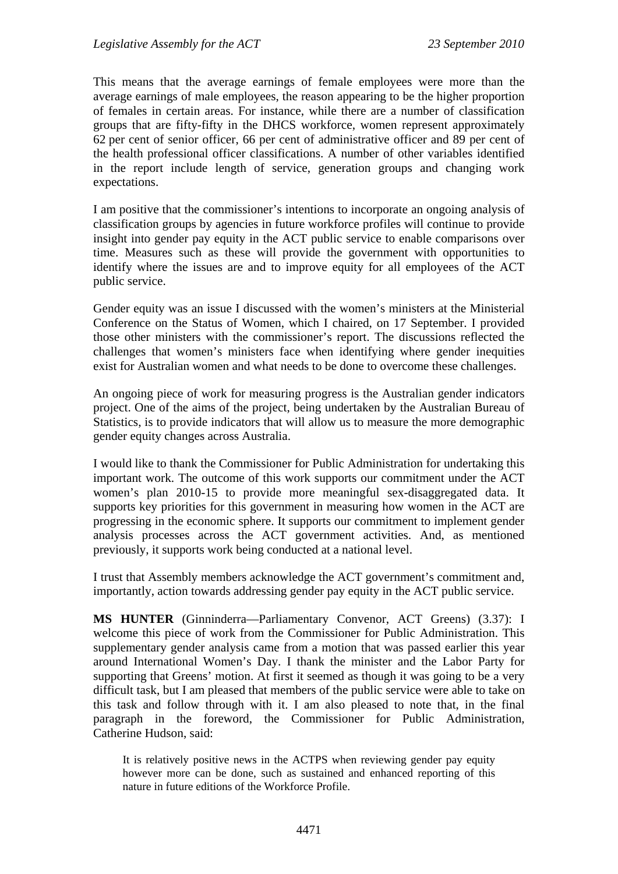This means that the average earnings of female employees were more than the average earnings of male employees, the reason appearing to be the higher proportion of females in certain areas. For instance, while there are a number of classification groups that are fifty-fifty in the DHCS workforce, women represent approximately 62 per cent of senior officer, 66 per cent of administrative officer and 89 per cent of the health professional officer classifications. A number of other variables identified in the report include length of service, generation groups and changing work expectations.

I am positive that the commissioner's intentions to incorporate an ongoing analysis of classification groups by agencies in future workforce profiles will continue to provide insight into gender pay equity in the ACT public service to enable comparisons over time. Measures such as these will provide the government with opportunities to identify where the issues are and to improve equity for all employees of the ACT public service.

Gender equity was an issue I discussed with the women's ministers at the Ministerial Conference on the Status of Women, which I chaired, on 17 September. I provided those other ministers with the commissioner's report. The discussions reflected the challenges that women's ministers face when identifying where gender inequities exist for Australian women and what needs to be done to overcome these challenges.

An ongoing piece of work for measuring progress is the Australian gender indicators project. One of the aims of the project, being undertaken by the Australian Bureau of Statistics, is to provide indicators that will allow us to measure the more demographic gender equity changes across Australia.

I would like to thank the Commissioner for Public Administration for undertaking this important work. The outcome of this work supports our commitment under the ACT women's plan 2010-15 to provide more meaningful sex-disaggregated data. It supports key priorities for this government in measuring how women in the ACT are progressing in the economic sphere. It supports our commitment to implement gender analysis processes across the ACT government activities. And, as mentioned previously, it supports work being conducted at a national level.

I trust that Assembly members acknowledge the ACT government's commitment and, importantly, action towards addressing gender pay equity in the ACT public service.

**MS HUNTER** (Ginninderra—Parliamentary Convenor, ACT Greens) (3.37): I welcome this piece of work from the Commissioner for Public Administration. This supplementary gender analysis came from a motion that was passed earlier this year around International Women's Day. I thank the minister and the Labor Party for supporting that Greens' motion. At first it seemed as though it was going to be a very difficult task, but I am pleased that members of the public service were able to take on this task and follow through with it. I am also pleased to note that, in the final paragraph in the foreword, the Commissioner for Public Administration, Catherine Hudson, said:

It is relatively positive news in the ACTPS when reviewing gender pay equity however more can be done, such as sustained and enhanced reporting of this nature in future editions of the Workforce Profile.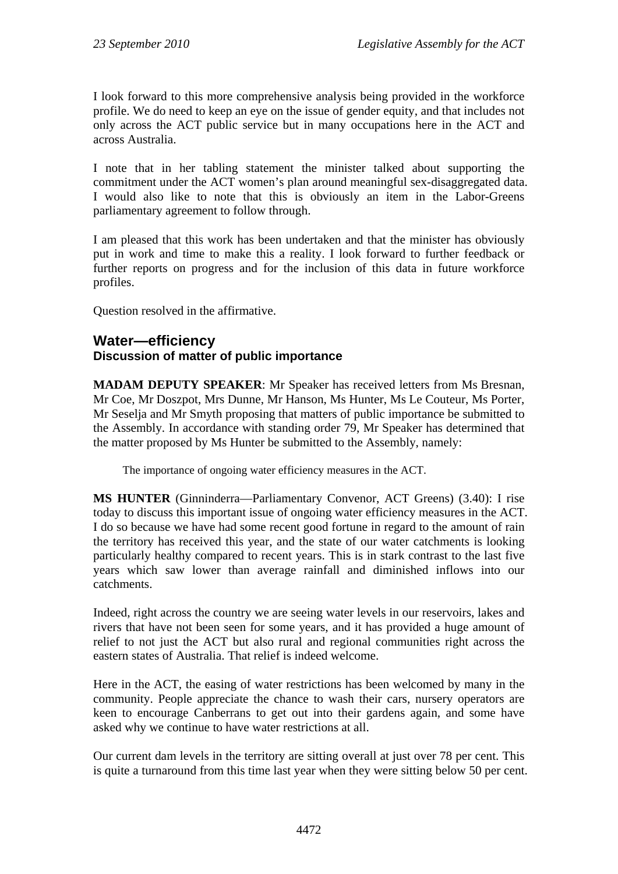I look forward to this more comprehensive analysis being provided in the workforce profile. We do need to keep an eye on the issue of gender equity, and that includes not only across the ACT public service but in many occupations here in the ACT and across Australia.

I note that in her tabling statement the minister talked about supporting the commitment under the ACT women's plan around meaningful sex-disaggregated data. I would also like to note that this is obviously an item in the Labor-Greens parliamentary agreement to follow through.

I am pleased that this work has been undertaken and that the minister has obviously put in work and time to make this a reality. I look forward to further feedback or further reports on progress and for the inclusion of this data in future workforce profiles.

Question resolved in the affirmative.

## **Water—efficiency Discussion of matter of public importance**

**MADAM DEPUTY SPEAKER**: Mr Speaker has received letters from Ms Bresnan, Mr Coe, Mr Doszpot, Mrs Dunne, Mr Hanson, Ms Hunter, Ms Le Couteur, Ms Porter, Mr Seselja and Mr Smyth proposing that matters of public importance be submitted to the Assembly. In accordance with standing order 79, Mr Speaker has determined that the matter proposed by Ms Hunter be submitted to the Assembly, namely:

The importance of ongoing water efficiency measures in the ACT.

**MS HUNTER** (Ginninderra—Parliamentary Convenor, ACT Greens) (3.40): I rise today to discuss this important issue of ongoing water efficiency measures in the ACT. I do so because we have had some recent good fortune in regard to the amount of rain the territory has received this year, and the state of our water catchments is looking particularly healthy compared to recent years. This is in stark contrast to the last five years which saw lower than average rainfall and diminished inflows into our catchments.

Indeed, right across the country we are seeing water levels in our reservoirs, lakes and rivers that have not been seen for some years, and it has provided a huge amount of relief to not just the ACT but also rural and regional communities right across the eastern states of Australia. That relief is indeed welcome.

Here in the ACT, the easing of water restrictions has been welcomed by many in the community. People appreciate the chance to wash their cars, nursery operators are keen to encourage Canberrans to get out into their gardens again, and some have asked why we continue to have water restrictions at all.

Our current dam levels in the territory are sitting overall at just over 78 per cent. This is quite a turnaround from this time last year when they were sitting below 50 per cent.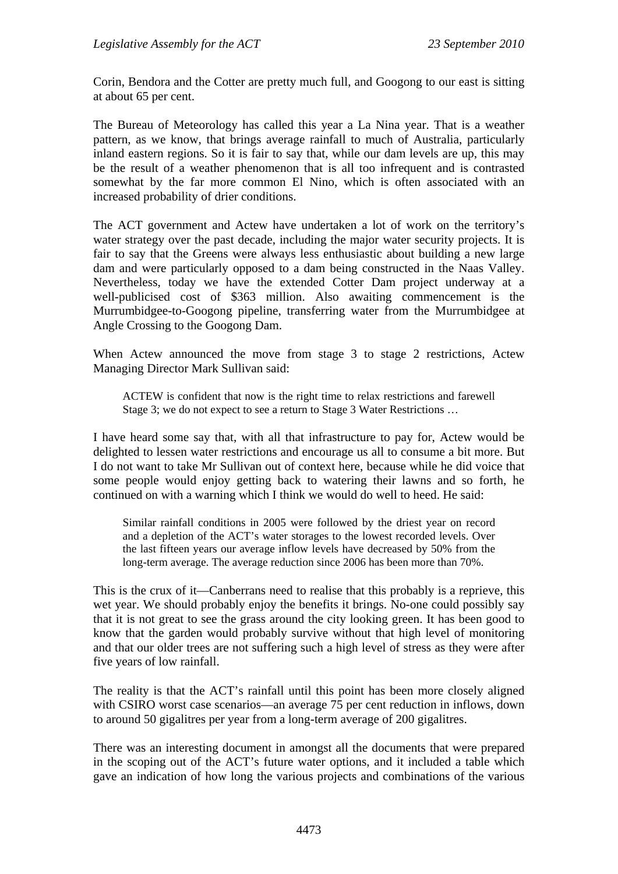Corin, Bendora and the Cotter are pretty much full, and Googong to our east is sitting at about 65 per cent.

The Bureau of Meteorology has called this year a La Nina year. That is a weather pattern, as we know, that brings average rainfall to much of Australia, particularly inland eastern regions. So it is fair to say that, while our dam levels are up, this may be the result of a weather phenomenon that is all too infrequent and is contrasted somewhat by the far more common El Nino, which is often associated with an increased probability of drier conditions.

The ACT government and Actew have undertaken a lot of work on the territory's water strategy over the past decade, including the major water security projects. It is fair to say that the Greens were always less enthusiastic about building a new large dam and were particularly opposed to a dam being constructed in the Naas Valley. Nevertheless, today we have the extended Cotter Dam project underway at a well-publicised cost of \$363 million. Also awaiting commencement is the Murrumbidgee-to-Googong pipeline, transferring water from the Murrumbidgee at Angle Crossing to the Googong Dam.

When Actew announced the move from stage 3 to stage 2 restrictions, Actew Managing Director Mark Sullivan said:

ACTEW is confident that now is the right time to relax restrictions and farewell Stage 3; we do not expect to see a return to Stage 3 Water Restrictions …

I have heard some say that, with all that infrastructure to pay for, Actew would be delighted to lessen water restrictions and encourage us all to consume a bit more. But I do not want to take Mr Sullivan out of context here, because while he did voice that some people would enjoy getting back to watering their lawns and so forth, he continued on with a warning which I think we would do well to heed. He said:

Similar rainfall conditions in 2005 were followed by the driest year on record and a depletion of the ACT's water storages to the lowest recorded levels. Over the last fifteen years our average inflow levels have decreased by 50% from the long-term average. The average reduction since 2006 has been more than 70%.

This is the crux of it—Canberrans need to realise that this probably is a reprieve, this wet year. We should probably enjoy the benefits it brings. No-one could possibly say that it is not great to see the grass around the city looking green. It has been good to know that the garden would probably survive without that high level of monitoring and that our older trees are not suffering such a high level of stress as they were after five years of low rainfall.

The reality is that the ACT's rainfall until this point has been more closely aligned with CSIRO worst case scenarios—an average 75 per cent reduction in inflows, down to around 50 gigalitres per year from a long-term average of 200 gigalitres.

There was an interesting document in amongst all the documents that were prepared in the scoping out of the ACT's future water options, and it included a table which gave an indication of how long the various projects and combinations of the various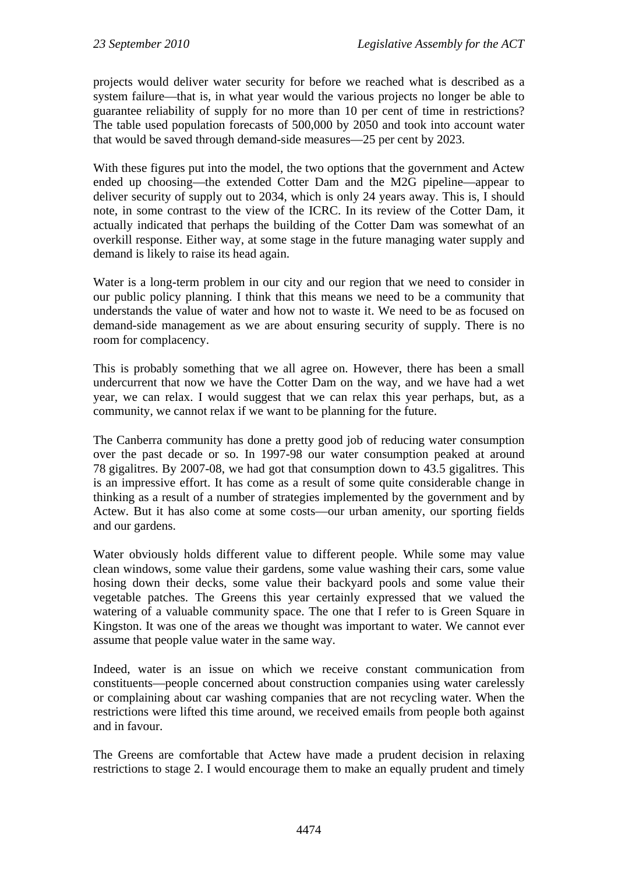projects would deliver water security for before we reached what is described as a system failure—that is, in what year would the various projects no longer be able to guarantee reliability of supply for no more than 10 per cent of time in restrictions? The table used population forecasts of 500,000 by 2050 and took into account water that would be saved through demand-side measures—25 per cent by 2023.

With these figures put into the model, the two options that the government and Actew ended up choosing—the extended Cotter Dam and the M2G pipeline—appear to deliver security of supply out to 2034, which is only 24 years away. This is, I should note, in some contrast to the view of the ICRC. In its review of the Cotter Dam, it actually indicated that perhaps the building of the Cotter Dam was somewhat of an overkill response. Either way, at some stage in the future managing water supply and demand is likely to raise its head again.

Water is a long-term problem in our city and our region that we need to consider in our public policy planning. I think that this means we need to be a community that understands the value of water and how not to waste it. We need to be as focused on demand-side management as we are about ensuring security of supply. There is no room for complacency.

This is probably something that we all agree on. However, there has been a small undercurrent that now we have the Cotter Dam on the way, and we have had a wet year, we can relax. I would suggest that we can relax this year perhaps, but, as a community, we cannot relax if we want to be planning for the future.

The Canberra community has done a pretty good job of reducing water consumption over the past decade or so. In 1997-98 our water consumption peaked at around 78 gigalitres. By 2007-08, we had got that consumption down to 43.5 gigalitres. This is an impressive effort. It has come as a result of some quite considerable change in thinking as a result of a number of strategies implemented by the government and by Actew. But it has also come at some costs—our urban amenity, our sporting fields and our gardens.

Water obviously holds different value to different people. While some may value clean windows, some value their gardens, some value washing their cars, some value hosing down their decks, some value their backyard pools and some value their vegetable patches. The Greens this year certainly expressed that we valued the watering of a valuable community space. The one that I refer to is Green Square in Kingston. It was one of the areas we thought was important to water. We cannot ever assume that people value water in the same way.

Indeed, water is an issue on which we receive constant communication from constituents—people concerned about construction companies using water carelessly or complaining about car washing companies that are not recycling water. When the restrictions were lifted this time around, we received emails from people both against and in favour.

The Greens are comfortable that Actew have made a prudent decision in relaxing restrictions to stage 2. I would encourage them to make an equally prudent and timely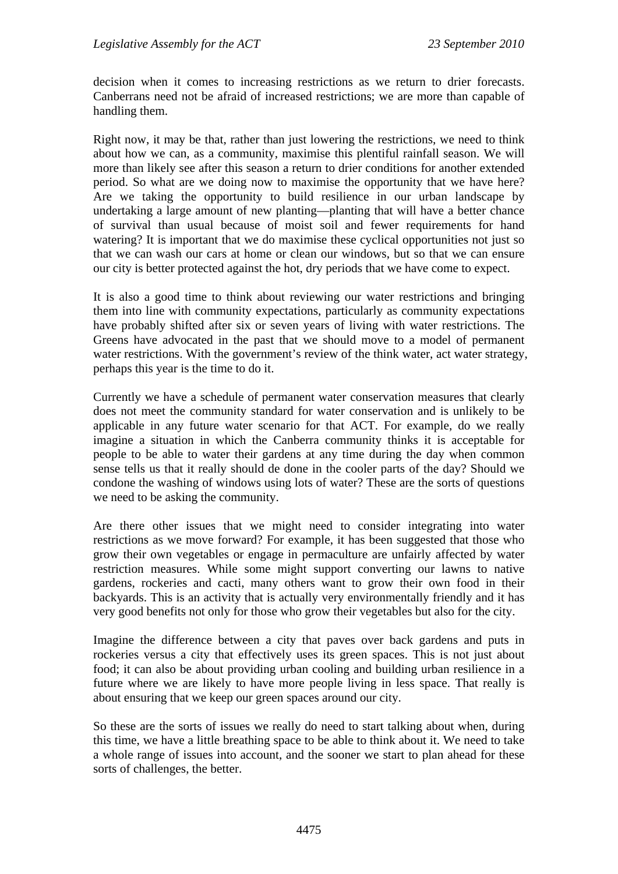decision when it comes to increasing restrictions as we return to drier forecasts. Canberrans need not be afraid of increased restrictions; we are more than capable of handling them.

Right now, it may be that, rather than just lowering the restrictions, we need to think about how we can, as a community, maximise this plentiful rainfall season. We will more than likely see after this season a return to drier conditions for another extended period. So what are we doing now to maximise the opportunity that we have here? Are we taking the opportunity to build resilience in our urban landscape by undertaking a large amount of new planting—planting that will have a better chance of survival than usual because of moist soil and fewer requirements for hand watering? It is important that we do maximise these cyclical opportunities not just so that we can wash our cars at home or clean our windows, but so that we can ensure our city is better protected against the hot, dry periods that we have come to expect.

It is also a good time to think about reviewing our water restrictions and bringing them into line with community expectations, particularly as community expectations have probably shifted after six or seven years of living with water restrictions. The Greens have advocated in the past that we should move to a model of permanent water restrictions. With the government's review of the think water, act water strategy, perhaps this year is the time to do it.

Currently we have a schedule of permanent water conservation measures that clearly does not meet the community standard for water conservation and is unlikely to be applicable in any future water scenario for that ACT. For example, do we really imagine a situation in which the Canberra community thinks it is acceptable for people to be able to water their gardens at any time during the day when common sense tells us that it really should de done in the cooler parts of the day? Should we condone the washing of windows using lots of water? These are the sorts of questions we need to be asking the community.

Are there other issues that we might need to consider integrating into water restrictions as we move forward? For example, it has been suggested that those who grow their own vegetables or engage in permaculture are unfairly affected by water restriction measures. While some might support converting our lawns to native gardens, rockeries and cacti, many others want to grow their own food in their backyards. This is an activity that is actually very environmentally friendly and it has very good benefits not only for those who grow their vegetables but also for the city.

Imagine the difference between a city that paves over back gardens and puts in rockeries versus a city that effectively uses its green spaces. This is not just about food; it can also be about providing urban cooling and building urban resilience in a future where we are likely to have more people living in less space. That really is about ensuring that we keep our green spaces around our city.

So these are the sorts of issues we really do need to start talking about when, during this time, we have a little breathing space to be able to think about it. We need to take a whole range of issues into account, and the sooner we start to plan ahead for these sorts of challenges, the better.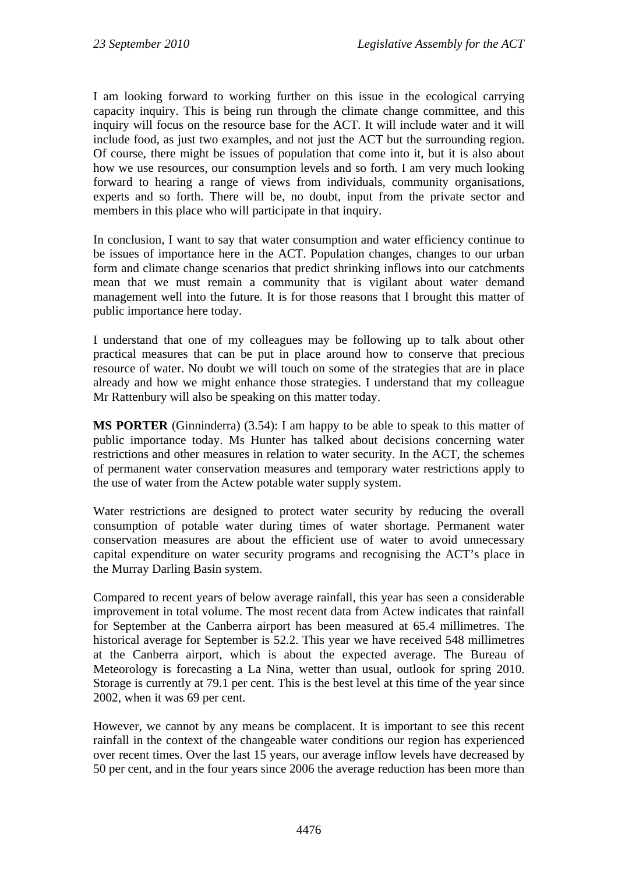I am looking forward to working further on this issue in the ecological carrying capacity inquiry. This is being run through the climate change committee, and this inquiry will focus on the resource base for the ACT. It will include water and it will include food, as just two examples, and not just the ACT but the surrounding region. Of course, there might be issues of population that come into it, but it is also about how we use resources, our consumption levels and so forth. I am very much looking forward to hearing a range of views from individuals, community organisations, experts and so forth. There will be, no doubt, input from the private sector and members in this place who will participate in that inquiry.

In conclusion, I want to say that water consumption and water efficiency continue to be issues of importance here in the ACT. Population changes, changes to our urban form and climate change scenarios that predict shrinking inflows into our catchments mean that we must remain a community that is vigilant about water demand management well into the future. It is for those reasons that I brought this matter of public importance here today.

I understand that one of my colleagues may be following up to talk about other practical measures that can be put in place around how to conserve that precious resource of water. No doubt we will touch on some of the strategies that are in place already and how we might enhance those strategies. I understand that my colleague Mr Rattenbury will also be speaking on this matter today.

**MS PORTER** (Ginninderra) (3.54): I am happy to be able to speak to this matter of public importance today. Ms Hunter has talked about decisions concerning water restrictions and other measures in relation to water security. In the ACT, the schemes of permanent water conservation measures and temporary water restrictions apply to the use of water from the Actew potable water supply system.

Water restrictions are designed to protect water security by reducing the overall consumption of potable water during times of water shortage. Permanent water conservation measures are about the efficient use of water to avoid unnecessary capital expenditure on water security programs and recognising the ACT's place in the Murray Darling Basin system.

Compared to recent years of below average rainfall, this year has seen a considerable improvement in total volume. The most recent data from Actew indicates that rainfall for September at the Canberra airport has been measured at 65.4 millimetres. The historical average for September is 52.2. This year we have received 548 millimetres at the Canberra airport, which is about the expected average. The Bureau of Meteorology is forecasting a La Nina, wetter than usual, outlook for spring 2010. Storage is currently at 79.1 per cent. This is the best level at this time of the year since 2002, when it was 69 per cent.

However, we cannot by any means be complacent. It is important to see this recent rainfall in the context of the changeable water conditions our region has experienced over recent times. Over the last 15 years, our average inflow levels have decreased by 50 per cent, and in the four years since 2006 the average reduction has been more than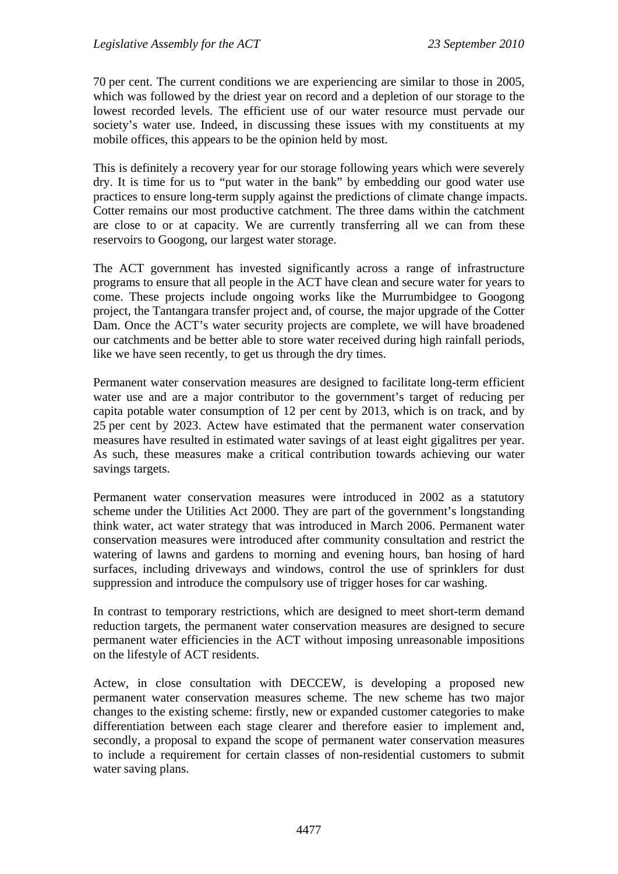70 per cent. The current conditions we are experiencing are similar to those in 2005, which was followed by the driest year on record and a depletion of our storage to the lowest recorded levels. The efficient use of our water resource must pervade our society's water use. Indeed, in discussing these issues with my constituents at my mobile offices, this appears to be the opinion held by most.

This is definitely a recovery year for our storage following years which were severely dry. It is time for us to "put water in the bank" by embedding our good water use practices to ensure long-term supply against the predictions of climate change impacts. Cotter remains our most productive catchment. The three dams within the catchment are close to or at capacity. We are currently transferring all we can from these reservoirs to Googong, our largest water storage.

The ACT government has invested significantly across a range of infrastructure programs to ensure that all people in the ACT have clean and secure water for years to come. These projects include ongoing works like the Murrumbidgee to Googong project, the Tantangara transfer project and, of course, the major upgrade of the Cotter Dam. Once the ACT's water security projects are complete, we will have broadened our catchments and be better able to store water received during high rainfall periods, like we have seen recently, to get us through the dry times.

Permanent water conservation measures are designed to facilitate long-term efficient water use and are a major contributor to the government's target of reducing per capita potable water consumption of 12 per cent by 2013, which is on track, and by 25 per cent by 2023. Actew have estimated that the permanent water conservation measures have resulted in estimated water savings of at least eight gigalitres per year. As such, these measures make a critical contribution towards achieving our water savings targets.

Permanent water conservation measures were introduced in 2002 as a statutory scheme under the Utilities Act 2000. They are part of the government's longstanding think water, act water strategy that was introduced in March 2006. Permanent water conservation measures were introduced after community consultation and restrict the watering of lawns and gardens to morning and evening hours, ban hosing of hard surfaces, including driveways and windows, control the use of sprinklers for dust suppression and introduce the compulsory use of trigger hoses for car washing.

In contrast to temporary restrictions, which are designed to meet short-term demand reduction targets, the permanent water conservation measures are designed to secure permanent water efficiencies in the ACT without imposing unreasonable impositions on the lifestyle of ACT residents.

Actew, in close consultation with DECCEW, is developing a proposed new permanent water conservation measures scheme. The new scheme has two major changes to the existing scheme: firstly, new or expanded customer categories to make differentiation between each stage clearer and therefore easier to implement and, secondly, a proposal to expand the scope of permanent water conservation measures to include a requirement for certain classes of non-residential customers to submit water saving plans.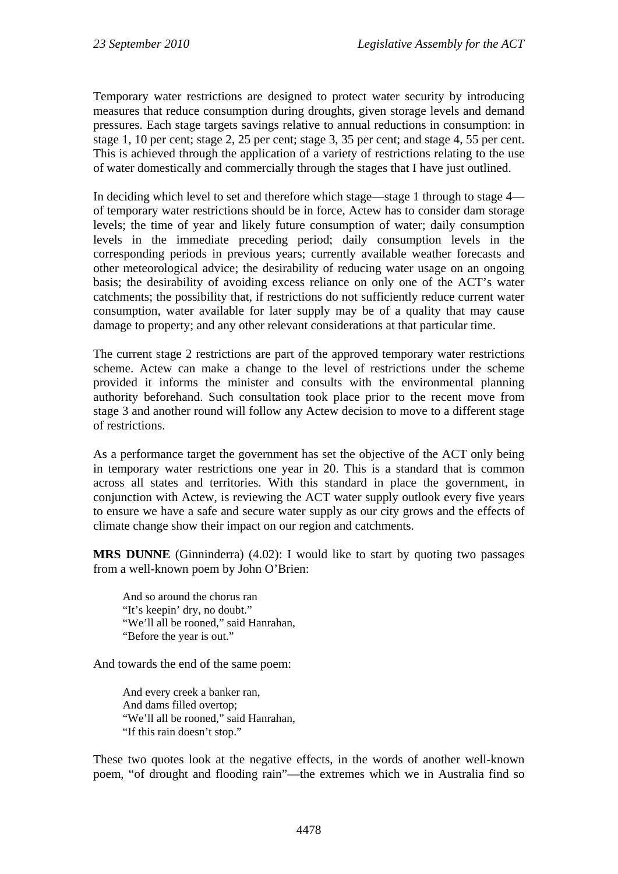Temporary water restrictions are designed to protect water security by introducing measures that reduce consumption during droughts, given storage levels and demand pressures. Each stage targets savings relative to annual reductions in consumption: in stage 1, 10 per cent; stage 2, 25 per cent; stage 3, 35 per cent; and stage 4, 55 per cent. This is achieved through the application of a variety of restrictions relating to the use of water domestically and commercially through the stages that I have just outlined.

In deciding which level to set and therefore which stage—stage 1 through to stage 4 of temporary water restrictions should be in force, Actew has to consider dam storage levels; the time of year and likely future consumption of water; daily consumption levels in the immediate preceding period; daily consumption levels in the corresponding periods in previous years; currently available weather forecasts and other meteorological advice; the desirability of reducing water usage on an ongoing basis; the desirability of avoiding excess reliance on only one of the ACT's water catchments; the possibility that, if restrictions do not sufficiently reduce current water consumption, water available for later supply may be of a quality that may cause damage to property; and any other relevant considerations at that particular time.

The current stage 2 restrictions are part of the approved temporary water restrictions scheme. Actew can make a change to the level of restrictions under the scheme provided it informs the minister and consults with the environmental planning authority beforehand. Such consultation took place prior to the recent move from stage 3 and another round will follow any Actew decision to move to a different stage of restrictions.

As a performance target the government has set the objective of the ACT only being in temporary water restrictions one year in 20. This is a standard that is common across all states and territories. With this standard in place the government, in conjunction with Actew, is reviewing the ACT water supply outlook every five years to ensure we have a safe and secure water supply as our city grows and the effects of climate change show their impact on our region and catchments.

**MRS DUNNE** (Ginninderra) (4.02): I would like to start by quoting two passages from a well-known poem by John O'Brien:

And so around the chorus ran "It's keepin' dry, no doubt." "We'll all be rooned," said Hanrahan, "Before the year is out."

And towards the end of the same poem:

And every creek a banker ran, And dams filled overtop; "We'll all be rooned," said Hanrahan, "If this rain doesn't stop."

These two quotes look at the negative effects, in the words of another well-known poem, "of drought and flooding rain"—the extremes which we in Australia find so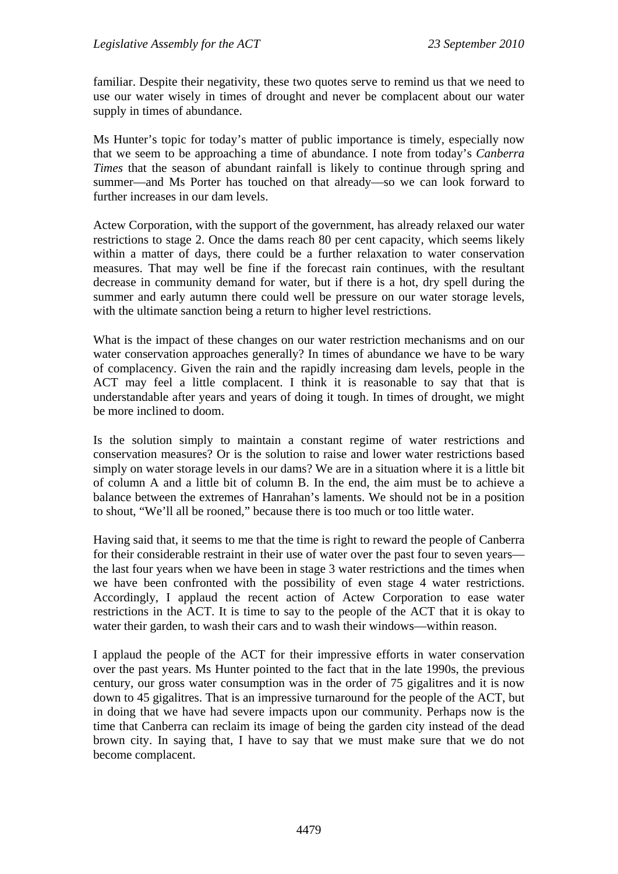familiar. Despite their negativity, these two quotes serve to remind us that we need to use our water wisely in times of drought and never be complacent about our water supply in times of abundance.

Ms Hunter's topic for today's matter of public importance is timely, especially now that we seem to be approaching a time of abundance. I note from today's *Canberra Times* that the season of abundant rainfall is likely to continue through spring and summer—and Ms Porter has touched on that already—so we can look forward to further increases in our dam levels.

Actew Corporation, with the support of the government, has already relaxed our water restrictions to stage 2. Once the dams reach 80 per cent capacity, which seems likely within a matter of days, there could be a further relaxation to water conservation measures. That may well be fine if the forecast rain continues, with the resultant decrease in community demand for water, but if there is a hot, dry spell during the summer and early autumn there could well be pressure on our water storage levels, with the ultimate sanction being a return to higher level restrictions.

What is the impact of these changes on our water restriction mechanisms and on our water conservation approaches generally? In times of abundance we have to be wary of complacency. Given the rain and the rapidly increasing dam levels, people in the ACT may feel a little complacent. I think it is reasonable to say that that is understandable after years and years of doing it tough. In times of drought, we might be more inclined to doom.

Is the solution simply to maintain a constant regime of water restrictions and conservation measures? Or is the solution to raise and lower water restrictions based simply on water storage levels in our dams? We are in a situation where it is a little bit of column A and a little bit of column B. In the end, the aim must be to achieve a balance between the extremes of Hanrahan's laments. We should not be in a position to shout, "We'll all be rooned," because there is too much or too little water.

Having said that, it seems to me that the time is right to reward the people of Canberra for their considerable restraint in their use of water over the past four to seven years the last four years when we have been in stage 3 water restrictions and the times when we have been confronted with the possibility of even stage 4 water restrictions. Accordingly, I applaud the recent action of Actew Corporation to ease water restrictions in the ACT. It is time to say to the people of the ACT that it is okay to water their garden, to wash their cars and to wash their windows—within reason.

I applaud the people of the ACT for their impressive efforts in water conservation over the past years. Ms Hunter pointed to the fact that in the late 1990s, the previous century, our gross water consumption was in the order of 75 gigalitres and it is now down to 45 gigalitres. That is an impressive turnaround for the people of the ACT, but in doing that we have had severe impacts upon our community. Perhaps now is the time that Canberra can reclaim its image of being the garden city instead of the dead brown city. In saying that, I have to say that we must make sure that we do not become complacent.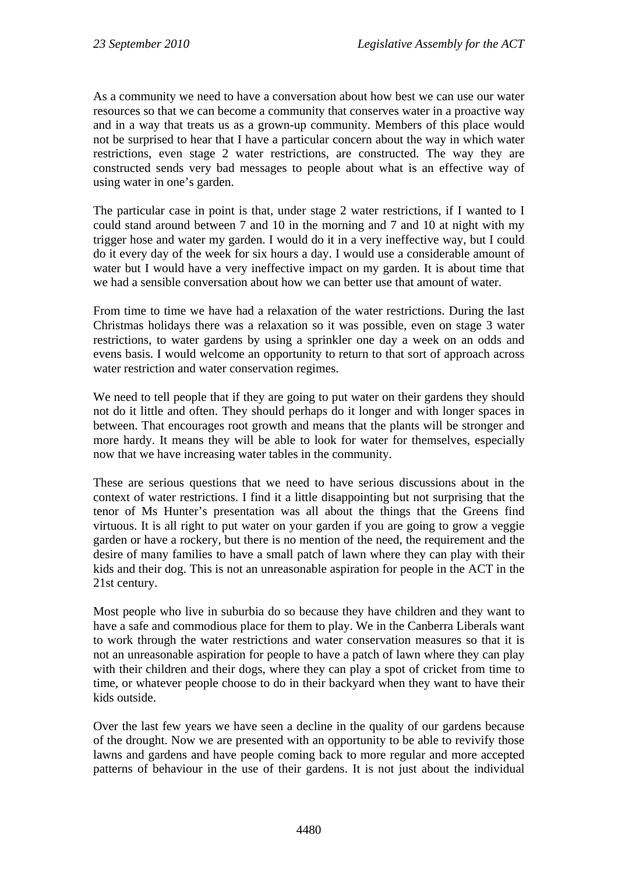As a community we need to have a conversation about how best we can use our water resources so that we can become a community that conserves water in a proactive way and in a way that treats us as a grown-up community. Members of this place would not be surprised to hear that I have a particular concern about the way in which water restrictions, even stage 2 water restrictions, are constructed. The way they are constructed sends very bad messages to people about what is an effective way of using water in one's garden.

The particular case in point is that, under stage 2 water restrictions, if I wanted to I could stand around between 7 and 10 in the morning and 7 and 10 at night with my trigger hose and water my garden. I would do it in a very ineffective way, but I could do it every day of the week for six hours a day. I would use a considerable amount of water but I would have a very ineffective impact on my garden. It is about time that we had a sensible conversation about how we can better use that amount of water.

From time to time we have had a relaxation of the water restrictions. During the last Christmas holidays there was a relaxation so it was possible, even on stage 3 water restrictions, to water gardens by using a sprinkler one day a week on an odds and evens basis. I would welcome an opportunity to return to that sort of approach across water restriction and water conservation regimes.

We need to tell people that if they are going to put water on their gardens they should not do it little and often. They should perhaps do it longer and with longer spaces in between. That encourages root growth and means that the plants will be stronger and more hardy. It means they will be able to look for water for themselves, especially now that we have increasing water tables in the community.

These are serious questions that we need to have serious discussions about in the context of water restrictions. I find it a little disappointing but not surprising that the tenor of Ms Hunter's presentation was all about the things that the Greens find virtuous. It is all right to put water on your garden if you are going to grow a veggie garden or have a rockery, but there is no mention of the need, the requirement and the desire of many families to have a small patch of lawn where they can play with their kids and their dog. This is not an unreasonable aspiration for people in the ACT in the 21st century.

Most people who live in suburbia do so because they have children and they want to have a safe and commodious place for them to play. We in the Canberra Liberals want to work through the water restrictions and water conservation measures so that it is not an unreasonable aspiration for people to have a patch of lawn where they can play with their children and their dogs, where they can play a spot of cricket from time to time, or whatever people choose to do in their backyard when they want to have their kids outside.

Over the last few years we have seen a decline in the quality of our gardens because of the drought. Now we are presented with an opportunity to be able to revivify those lawns and gardens and have people coming back to more regular and more accepted patterns of behaviour in the use of their gardens. It is not just about the individual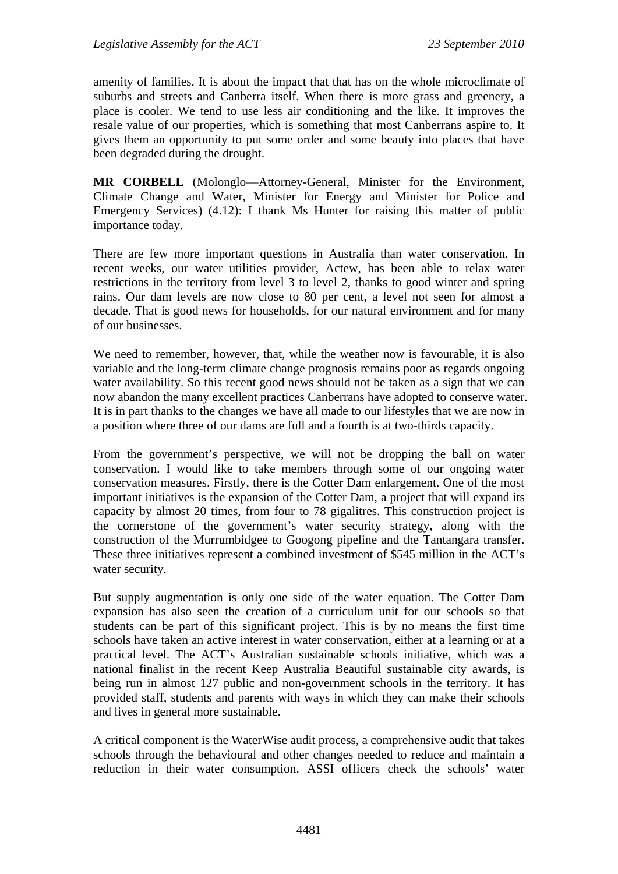amenity of families. It is about the impact that that has on the whole microclimate of suburbs and streets and Canberra itself. When there is more grass and greenery, a place is cooler. We tend to use less air conditioning and the like. It improves the resale value of our properties, which is something that most Canberrans aspire to. It gives them an opportunity to put some order and some beauty into places that have been degraded during the drought.

**MR CORBELL** (Molonglo—Attorney-General, Minister for the Environment, Climate Change and Water, Minister for Energy and Minister for Police and Emergency Services) (4.12): I thank Ms Hunter for raising this matter of public importance today.

There are few more important questions in Australia than water conservation. In recent weeks, our water utilities provider, Actew, has been able to relax water restrictions in the territory from level 3 to level 2, thanks to good winter and spring rains. Our dam levels are now close to 80 per cent, a level not seen for almost a decade. That is good news for households, for our natural environment and for many of our businesses.

We need to remember, however, that, while the weather now is favourable, it is also variable and the long-term climate change prognosis remains poor as regards ongoing water availability. So this recent good news should not be taken as a sign that we can now abandon the many excellent practices Canberrans have adopted to conserve water. It is in part thanks to the changes we have all made to our lifestyles that we are now in a position where three of our dams are full and a fourth is at two-thirds capacity.

From the government's perspective, we will not be dropping the ball on water conservation. I would like to take members through some of our ongoing water conservation measures. Firstly, there is the Cotter Dam enlargement. One of the most important initiatives is the expansion of the Cotter Dam, a project that will expand its capacity by almost 20 times, from four to 78 gigalitres. This construction project is the cornerstone of the government's water security strategy, along with the construction of the Murrumbidgee to Googong pipeline and the Tantangara transfer. These three initiatives represent a combined investment of \$545 million in the ACT's water security.

But supply augmentation is only one side of the water equation. The Cotter Dam expansion has also seen the creation of a curriculum unit for our schools so that students can be part of this significant project. This is by no means the first time schools have taken an active interest in water conservation, either at a learning or at a practical level. The ACT's Australian sustainable schools initiative, which was a national finalist in the recent Keep Australia Beautiful sustainable city awards, is being run in almost 127 public and non-government schools in the territory. It has provided staff, students and parents with ways in which they can make their schools and lives in general more sustainable.

A critical component is the WaterWise audit process, a comprehensive audit that takes schools through the behavioural and other changes needed to reduce and maintain a reduction in their water consumption. ASSI officers check the schools' water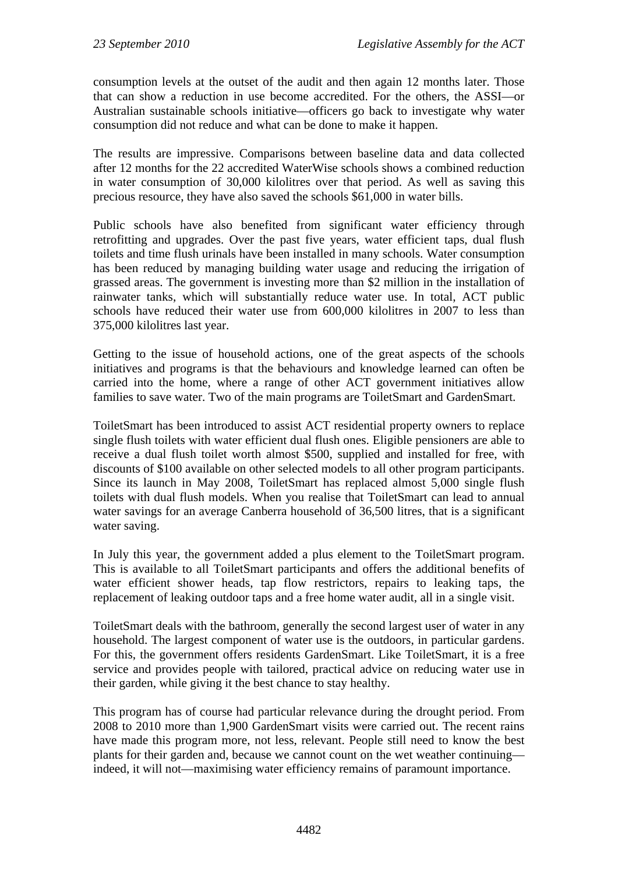consumption levels at the outset of the audit and then again 12 months later. Those that can show a reduction in use become accredited. For the others, the ASSI—or Australian sustainable schools initiative—officers go back to investigate why water consumption did not reduce and what can be done to make it happen.

The results are impressive. Comparisons between baseline data and data collected after 12 months for the 22 accredited WaterWise schools shows a combined reduction in water consumption of 30,000 kilolitres over that period. As well as saving this precious resource, they have also saved the schools \$61,000 in water bills.

Public schools have also benefited from significant water efficiency through retrofitting and upgrades. Over the past five years, water efficient taps, dual flush toilets and time flush urinals have been installed in many schools. Water consumption has been reduced by managing building water usage and reducing the irrigation of grassed areas. The government is investing more than \$2 million in the installation of rainwater tanks, which will substantially reduce water use. In total, ACT public schools have reduced their water use from 600,000 kilolitres in 2007 to less than 375,000 kilolitres last year.

Getting to the issue of household actions, one of the great aspects of the schools initiatives and programs is that the behaviours and knowledge learned can often be carried into the home, where a range of other ACT government initiatives allow families to save water. Two of the main programs are ToiletSmart and GardenSmart.

ToiletSmart has been introduced to assist ACT residential property owners to replace single flush toilets with water efficient dual flush ones. Eligible pensioners are able to receive a dual flush toilet worth almost \$500, supplied and installed for free, with discounts of \$100 available on other selected models to all other program participants. Since its launch in May 2008, ToiletSmart has replaced almost 5,000 single flush toilets with dual flush models. When you realise that ToiletSmart can lead to annual water savings for an average Canberra household of 36,500 litres, that is a significant water saving.

In July this year, the government added a plus element to the ToiletSmart program. This is available to all ToiletSmart participants and offers the additional benefits of water efficient shower heads, tap flow restrictors, repairs to leaking taps, the replacement of leaking outdoor taps and a free home water audit, all in a single visit.

ToiletSmart deals with the bathroom, generally the second largest user of water in any household. The largest component of water use is the outdoors, in particular gardens. For this, the government offers residents GardenSmart. Like ToiletSmart, it is a free service and provides people with tailored, practical advice on reducing water use in their garden, while giving it the best chance to stay healthy.

This program has of course had particular relevance during the drought period. From 2008 to 2010 more than 1,900 GardenSmart visits were carried out. The recent rains have made this program more, not less, relevant. People still need to know the best plants for their garden and, because we cannot count on the wet weather continuing indeed, it will not—maximising water efficiency remains of paramount importance.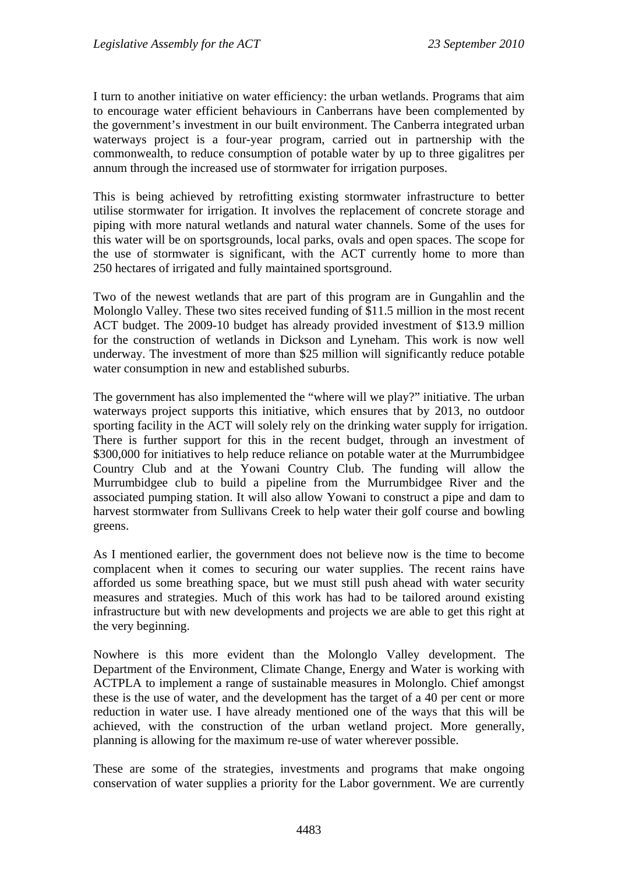I turn to another initiative on water efficiency: the urban wetlands. Programs that aim to encourage water efficient behaviours in Canberrans have been complemented by the government's investment in our built environment. The Canberra integrated urban waterways project is a four-year program, carried out in partnership with the commonwealth, to reduce consumption of potable water by up to three gigalitres per annum through the increased use of stormwater for irrigation purposes.

This is being achieved by retrofitting existing stormwater infrastructure to better utilise stormwater for irrigation. It involves the replacement of concrete storage and piping with more natural wetlands and natural water channels. Some of the uses for this water will be on sportsgrounds, local parks, ovals and open spaces. The scope for the use of stormwater is significant, with the ACT currently home to more than 250 hectares of irrigated and fully maintained sportsground.

Two of the newest wetlands that are part of this program are in Gungahlin and the Molonglo Valley. These two sites received funding of \$11.5 million in the most recent ACT budget. The 2009-10 budget has already provided investment of \$13.9 million for the construction of wetlands in Dickson and Lyneham. This work is now well underway. The investment of more than \$25 million will significantly reduce potable water consumption in new and established suburbs.

The government has also implemented the "where will we play?" initiative. The urban waterways project supports this initiative, which ensures that by 2013, no outdoor sporting facility in the ACT will solely rely on the drinking water supply for irrigation. There is further support for this in the recent budget, through an investment of \$300,000 for initiatives to help reduce reliance on potable water at the Murrumbidgee Country Club and at the Yowani Country Club. The funding will allow the Murrumbidgee club to build a pipeline from the Murrumbidgee River and the associated pumping station. It will also allow Yowani to construct a pipe and dam to harvest stormwater from Sullivans Creek to help water their golf course and bowling greens.

As I mentioned earlier, the government does not believe now is the time to become complacent when it comes to securing our water supplies. The recent rains have afforded us some breathing space, but we must still push ahead with water security measures and strategies. Much of this work has had to be tailored around existing infrastructure but with new developments and projects we are able to get this right at the very beginning.

Nowhere is this more evident than the Molonglo Valley development. The Department of the Environment, Climate Change, Energy and Water is working with ACTPLA to implement a range of sustainable measures in Molonglo. Chief amongst these is the use of water, and the development has the target of a 40 per cent or more reduction in water use. I have already mentioned one of the ways that this will be achieved, with the construction of the urban wetland project. More generally, planning is allowing for the maximum re-use of water wherever possible.

These are some of the strategies, investments and programs that make ongoing conservation of water supplies a priority for the Labor government. We are currently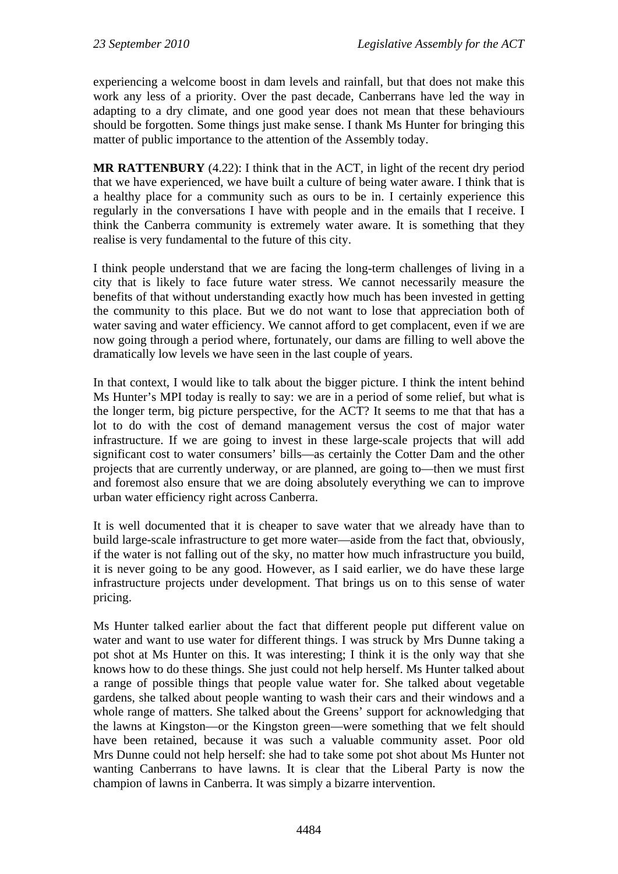experiencing a welcome boost in dam levels and rainfall, but that does not make this work any less of a priority. Over the past decade, Canberrans have led the way in adapting to a dry climate, and one good year does not mean that these behaviours should be forgotten. Some things just make sense. I thank Ms Hunter for bringing this matter of public importance to the attention of the Assembly today.

**MR RATTENBURY** (4.22): I think that in the ACT, in light of the recent dry period that we have experienced, we have built a culture of being water aware. I think that is a healthy place for a community such as ours to be in. I certainly experience this regularly in the conversations I have with people and in the emails that I receive. I think the Canberra community is extremely water aware. It is something that they realise is very fundamental to the future of this city.

I think people understand that we are facing the long-term challenges of living in a city that is likely to face future water stress. We cannot necessarily measure the benefits of that without understanding exactly how much has been invested in getting the community to this place. But we do not want to lose that appreciation both of water saving and water efficiency. We cannot afford to get complacent, even if we are now going through a period where, fortunately, our dams are filling to well above the dramatically low levels we have seen in the last couple of years.

In that context, I would like to talk about the bigger picture. I think the intent behind Ms Hunter's MPI today is really to say: we are in a period of some relief, but what is the longer term, big picture perspective, for the ACT? It seems to me that that has a lot to do with the cost of demand management versus the cost of major water infrastructure. If we are going to invest in these large-scale projects that will add significant cost to water consumers' bills—as certainly the Cotter Dam and the other projects that are currently underway, or are planned, are going to—then we must first and foremost also ensure that we are doing absolutely everything we can to improve urban water efficiency right across Canberra.

It is well documented that it is cheaper to save water that we already have than to build large-scale infrastructure to get more water—aside from the fact that, obviously, if the water is not falling out of the sky, no matter how much infrastructure you build, it is never going to be any good. However, as I said earlier, we do have these large infrastructure projects under development. That brings us on to this sense of water pricing.

Ms Hunter talked earlier about the fact that different people put different value on water and want to use water for different things. I was struck by Mrs Dunne taking a pot shot at Ms Hunter on this. It was interesting; I think it is the only way that she knows how to do these things. She just could not help herself. Ms Hunter talked about a range of possible things that people value water for. She talked about vegetable gardens, she talked about people wanting to wash their cars and their windows and a whole range of matters. She talked about the Greens' support for acknowledging that the lawns at Kingston—or the Kingston green—were something that we felt should have been retained, because it was such a valuable community asset. Poor old Mrs Dunne could not help herself: she had to take some pot shot about Ms Hunter not wanting Canberrans to have lawns. It is clear that the Liberal Party is now the champion of lawns in Canberra. It was simply a bizarre intervention.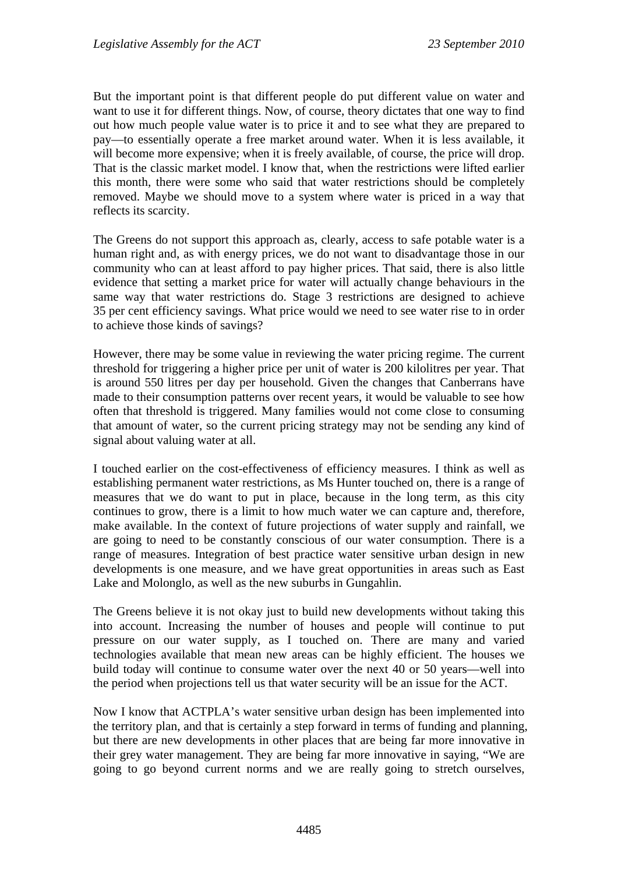But the important point is that different people do put different value on water and want to use it for different things. Now, of course, theory dictates that one way to find out how much people value water is to price it and to see what they are prepared to pay—to essentially operate a free market around water. When it is less available, it will become more expensive; when it is freely available, of course, the price will drop. That is the classic market model. I know that, when the restrictions were lifted earlier this month, there were some who said that water restrictions should be completely removed. Maybe we should move to a system where water is priced in a way that reflects its scarcity.

The Greens do not support this approach as, clearly, access to safe potable water is a human right and, as with energy prices, we do not want to disadvantage those in our community who can at least afford to pay higher prices. That said, there is also little evidence that setting a market price for water will actually change behaviours in the same way that water restrictions do. Stage 3 restrictions are designed to achieve 35 per cent efficiency savings. What price would we need to see water rise to in order to achieve those kinds of savings?

However, there may be some value in reviewing the water pricing regime. The current threshold for triggering a higher price per unit of water is 200 kilolitres per year. That is around 550 litres per day per household. Given the changes that Canberrans have made to their consumption patterns over recent years, it would be valuable to see how often that threshold is triggered. Many families would not come close to consuming that amount of water, so the current pricing strategy may not be sending any kind of signal about valuing water at all.

I touched earlier on the cost-effectiveness of efficiency measures. I think as well as establishing permanent water restrictions, as Ms Hunter touched on, there is a range of measures that we do want to put in place, because in the long term, as this city continues to grow, there is a limit to how much water we can capture and, therefore, make available. In the context of future projections of water supply and rainfall, we are going to need to be constantly conscious of our water consumption. There is a range of measures. Integration of best practice water sensitive urban design in new developments is one measure, and we have great opportunities in areas such as East Lake and Molonglo, as well as the new suburbs in Gungahlin.

The Greens believe it is not okay just to build new developments without taking this into account. Increasing the number of houses and people will continue to put pressure on our water supply, as I touched on. There are many and varied technologies available that mean new areas can be highly efficient. The houses we build today will continue to consume water over the next 40 or 50 years—well into the period when projections tell us that water security will be an issue for the ACT.

Now I know that ACTPLA's water sensitive urban design has been implemented into the territory plan, and that is certainly a step forward in terms of funding and planning, but there are new developments in other places that are being far more innovative in their grey water management. They are being far more innovative in saying, "We are going to go beyond current norms and we are really going to stretch ourselves,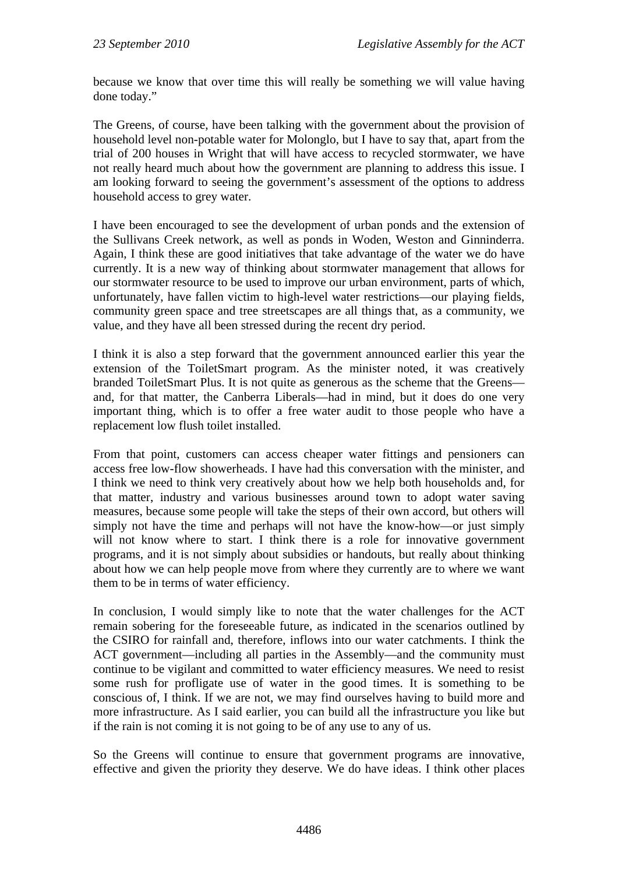because we know that over time this will really be something we will value having done today."

The Greens, of course, have been talking with the government about the provision of household level non-potable water for Molonglo, but I have to say that, apart from the trial of 200 houses in Wright that will have access to recycled stormwater, we have not really heard much about how the government are planning to address this issue. I am looking forward to seeing the government's assessment of the options to address household access to grey water.

I have been encouraged to see the development of urban ponds and the extension of the Sullivans Creek network, as well as ponds in Woden, Weston and Ginninderra. Again, I think these are good initiatives that take advantage of the water we do have currently. It is a new way of thinking about stormwater management that allows for our stormwater resource to be used to improve our urban environment, parts of which, unfortunately, have fallen victim to high-level water restrictions—our playing fields, community green space and tree streetscapes are all things that, as a community, we value, and they have all been stressed during the recent dry period.

I think it is also a step forward that the government announced earlier this year the extension of the ToiletSmart program. As the minister noted, it was creatively branded ToiletSmart Plus. It is not quite as generous as the scheme that the Greens and, for that matter, the Canberra Liberals—had in mind, but it does do one very important thing, which is to offer a free water audit to those people who have a replacement low flush toilet installed.

From that point, customers can access cheaper water fittings and pensioners can access free low-flow showerheads. I have had this conversation with the minister, and I think we need to think very creatively about how we help both households and, for that matter, industry and various businesses around town to adopt water saving measures, because some people will take the steps of their own accord, but others will simply not have the time and perhaps will not have the know-how—or just simply will not know where to start. I think there is a role for innovative government programs, and it is not simply about subsidies or handouts, but really about thinking about how we can help people move from where they currently are to where we want them to be in terms of water efficiency.

In conclusion, I would simply like to note that the water challenges for the ACT remain sobering for the foreseeable future, as indicated in the scenarios outlined by the CSIRO for rainfall and, therefore, inflows into our water catchments. I think the ACT government—including all parties in the Assembly—and the community must continue to be vigilant and committed to water efficiency measures. We need to resist some rush for profligate use of water in the good times. It is something to be conscious of, I think. If we are not, we may find ourselves having to build more and more infrastructure. As I said earlier, you can build all the infrastructure you like but if the rain is not coming it is not going to be of any use to any of us.

So the Greens will continue to ensure that government programs are innovative, effective and given the priority they deserve. We do have ideas. I think other places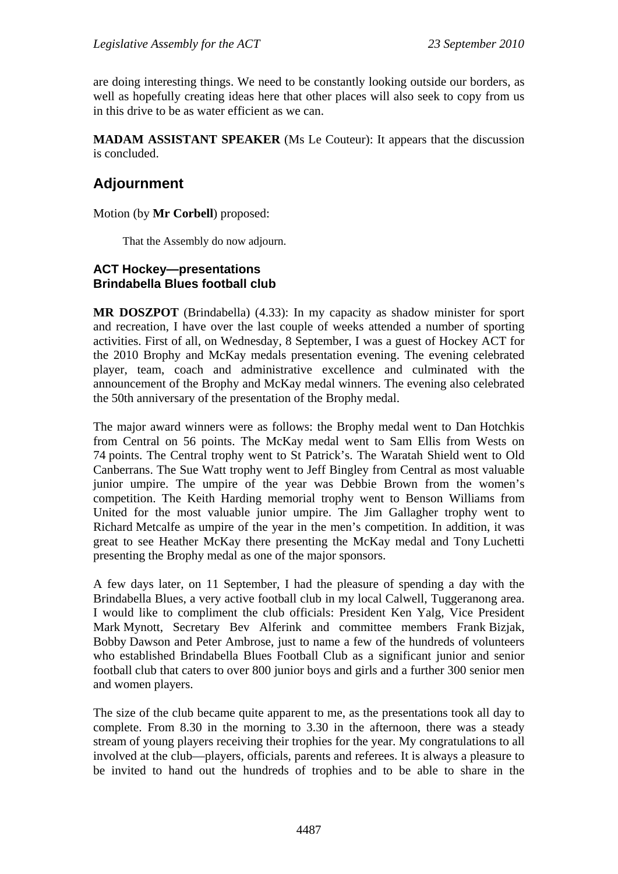are doing interesting things. We need to be constantly looking outside our borders, as well as hopefully creating ideas here that other places will also seek to copy from us in this drive to be as water efficient as we can.

**MADAM ASSISTANT SPEAKER** (Ms Le Couteur): It appears that the discussion is concluded.

# **Adjournment**

Motion (by **Mr Corbell**) proposed:

That the Assembly do now adjourn.

#### **ACT Hockey—presentations Brindabella Blues football club**

**MR DOSZPOT** (Brindabella) (4.33): In my capacity as shadow minister for sport and recreation, I have over the last couple of weeks attended a number of sporting activities. First of all, on Wednesday, 8 September, I was a guest of Hockey ACT for the 2010 Brophy and McKay medals presentation evening. The evening celebrated player, team, coach and administrative excellence and culminated with the announcement of the Brophy and McKay medal winners. The evening also celebrated the 50th anniversary of the presentation of the Brophy medal.

The major award winners were as follows: the Brophy medal went to Dan Hotchkis from Central on 56 points. The McKay medal went to Sam Ellis from Wests on 74 points. The Central trophy went to St Patrick's. The Waratah Shield went to Old Canberrans. The Sue Watt trophy went to Jeff Bingley from Central as most valuable junior umpire. The umpire of the year was Debbie Brown from the women's competition. The Keith Harding memorial trophy went to Benson Williams from United for the most valuable junior umpire. The Jim Gallagher trophy went to Richard Metcalfe as umpire of the year in the men's competition. In addition, it was great to see Heather McKay there presenting the McKay medal and Tony Luchetti presenting the Brophy medal as one of the major sponsors.

A few days later, on 11 September, I had the pleasure of spending a day with the Brindabella Blues, a very active football club in my local Calwell, Tuggeranong area. I would like to compliment the club officials: President Ken Yalg, Vice President Mark Mynott, Secretary Bev Alferink and committee members Frank Bizjak, Bobby Dawson and Peter Ambrose, just to name a few of the hundreds of volunteers who established Brindabella Blues Football Club as a significant junior and senior football club that caters to over 800 junior boys and girls and a further 300 senior men and women players.

The size of the club became quite apparent to me, as the presentations took all day to complete. From 8.30 in the morning to 3.30 in the afternoon, there was a steady stream of young players receiving their trophies for the year. My congratulations to all involved at the club—players, officials, parents and referees. It is always a pleasure to be invited to hand out the hundreds of trophies and to be able to share in the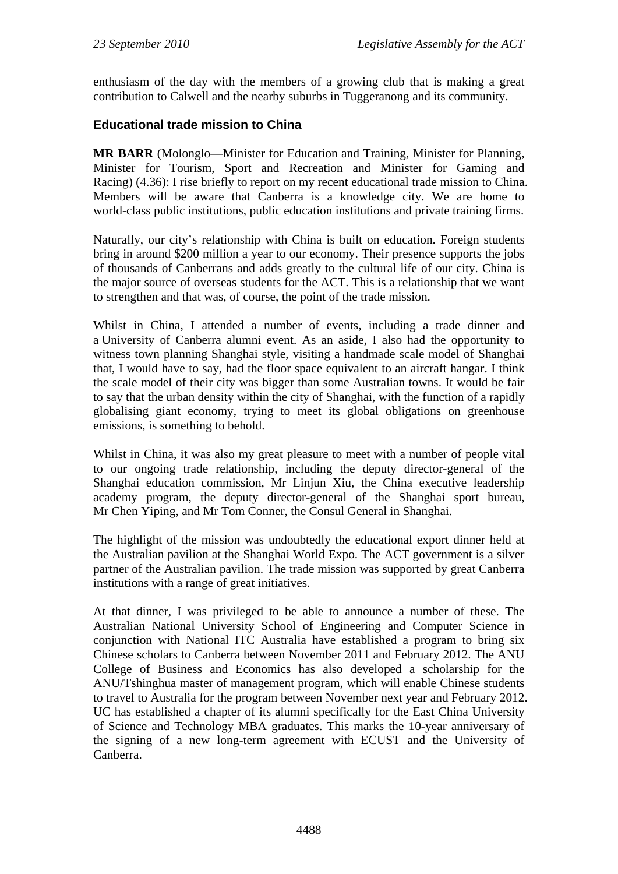enthusiasm of the day with the members of a growing club that is making a great contribution to Calwell and the nearby suburbs in Tuggeranong and its community.

### **Educational trade mission to China**

**MR BARR** (Molonglo—Minister for Education and Training, Minister for Planning, Minister for Tourism, Sport and Recreation and Minister for Gaming and Racing) (4.36): I rise briefly to report on my recent educational trade mission to China. Members will be aware that Canberra is a knowledge city. We are home to world-class public institutions, public education institutions and private training firms.

Naturally, our city's relationship with China is built on education. Foreign students bring in around \$200 million a year to our economy. Their presence supports the jobs of thousands of Canberrans and adds greatly to the cultural life of our city. China is the major source of overseas students for the ACT. This is a relationship that we want to strengthen and that was, of course, the point of the trade mission.

Whilst in China, I attended a number of events, including a trade dinner and a University of Canberra alumni event. As an aside, I also had the opportunity to witness town planning Shanghai style, visiting a handmade scale model of Shanghai that, I would have to say, had the floor space equivalent to an aircraft hangar. I think the scale model of their city was bigger than some Australian towns. It would be fair to say that the urban density within the city of Shanghai, with the function of a rapidly globalising giant economy, trying to meet its global obligations on greenhouse emissions, is something to behold.

Whilst in China, it was also my great pleasure to meet with a number of people vital to our ongoing trade relationship, including the deputy director-general of the Shanghai education commission, Mr Linjun Xiu, the China executive leadership academy program, the deputy director-general of the Shanghai sport bureau, Mr Chen Yiping, and Mr Tom Conner, the Consul General in Shanghai.

The highlight of the mission was undoubtedly the educational export dinner held at the Australian pavilion at the Shanghai World Expo. The ACT government is a silver partner of the Australian pavilion. The trade mission was supported by great Canberra institutions with a range of great initiatives.

At that dinner, I was privileged to be able to announce a number of these. The Australian National University School of Engineering and Computer Science in conjunction with National ITC Australia have established a program to bring six Chinese scholars to Canberra between November 2011 and February 2012. The ANU College of Business and Economics has also developed a scholarship for the ANU/Tshinghua master of management program, which will enable Chinese students to travel to Australia for the program between November next year and February 2012. UC has established a chapter of its alumni specifically for the East China University of Science and Technology MBA graduates. This marks the 10-year anniversary of the signing of a new long-term agreement with ECUST and the University of Canberra.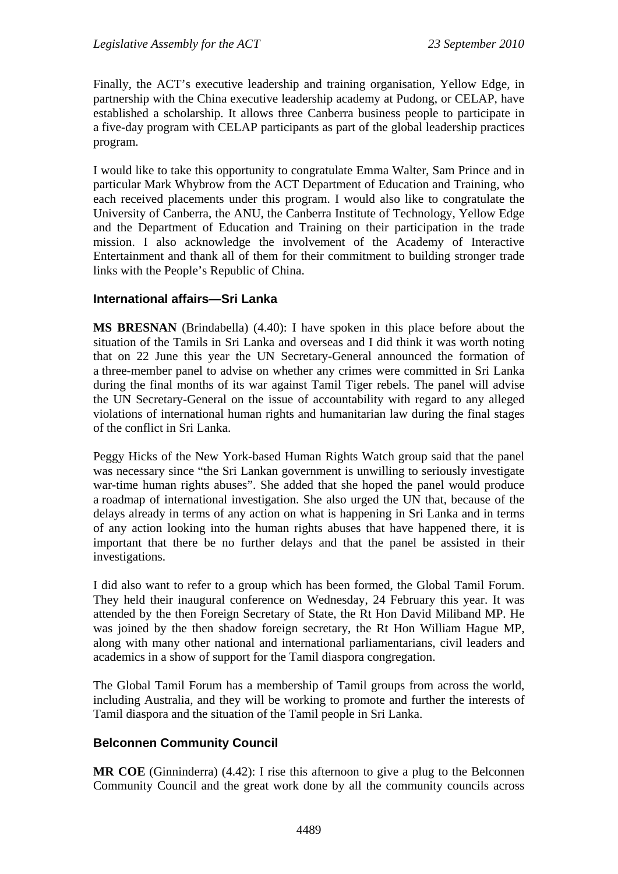Finally, the ACT's executive leadership and training organisation, Yellow Edge, in partnership with the China executive leadership academy at Pudong, or CELAP, have established a scholarship. It allows three Canberra business people to participate in a five-day program with CELAP participants as part of the global leadership practices program.

I would like to take this opportunity to congratulate Emma Walter, Sam Prince and in particular Mark Whybrow from the ACT Department of Education and Training, who each received placements under this program. I would also like to congratulate the University of Canberra, the ANU, the Canberra Institute of Technology, Yellow Edge and the Department of Education and Training on their participation in the trade mission. I also acknowledge the involvement of the Academy of Interactive Entertainment and thank all of them for their commitment to building stronger trade links with the People's Republic of China.

### **International affairs—Sri Lanka**

**MS BRESNAN** (Brindabella) (4.40): I have spoken in this place before about the situation of the Tamils in Sri Lanka and overseas and I did think it was worth noting that on 22 June this year the UN Secretary-General announced the formation of a three-member panel to advise on whether any crimes were committed in Sri Lanka during the final months of its war against Tamil Tiger rebels. The panel will advise the UN Secretary-General on the issue of accountability with regard to any alleged violations of international human rights and humanitarian law during the final stages of the conflict in Sri Lanka.

Peggy Hicks of the New York-based Human Rights Watch group said that the panel was necessary since "the Sri Lankan government is unwilling to seriously investigate war-time human rights abuses". She added that she hoped the panel would produce a roadmap of international investigation. She also urged the UN that, because of the delays already in terms of any action on what is happening in Sri Lanka and in terms of any action looking into the human rights abuses that have happened there, it is important that there be no further delays and that the panel be assisted in their investigations.

I did also want to refer to a group which has been formed, the Global Tamil Forum. They held their inaugural conference on Wednesday, 24 February this year. It was attended by the then Foreign Secretary of State, the Rt Hon David Miliband MP. He was joined by the then shadow foreign secretary, the Rt Hon William Hague MP, along with many other national and international parliamentarians, civil leaders and academics in a show of support for the Tamil diaspora congregation.

The Global Tamil Forum has a membership of Tamil groups from across the world, including Australia, and they will be working to promote and further the interests of Tamil diaspora and the situation of the Tamil people in Sri Lanka.

## **Belconnen Community Council**

**MR COE** (Ginninderra) (4.42): I rise this afternoon to give a plug to the Belconnen Community Council and the great work done by all the community councils across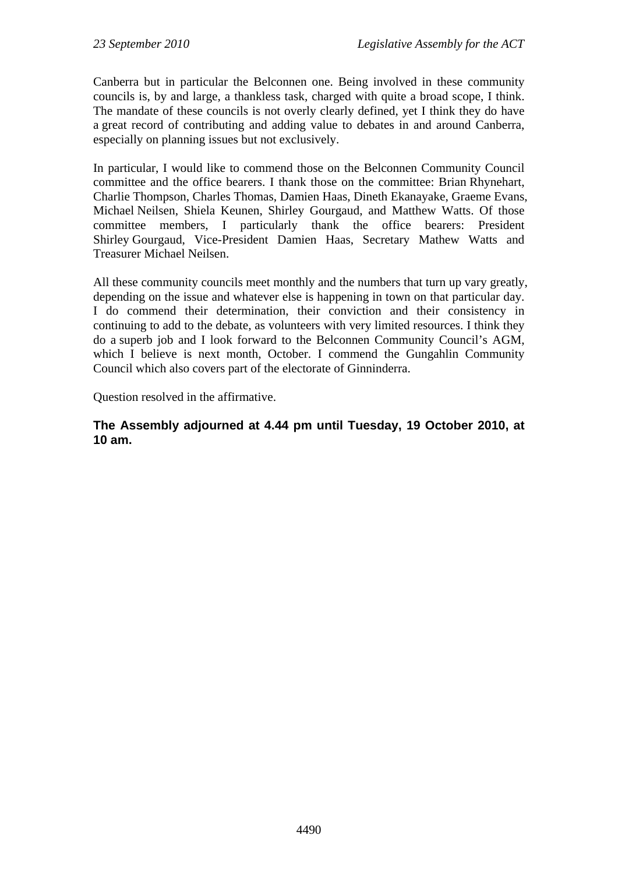Canberra but in particular the Belconnen one. Being involved in these community councils is, by and large, a thankless task, charged with quite a broad scope, I think. The mandate of these councils is not overly clearly defined, yet I think they do have a great record of contributing and adding value to debates in and around Canberra, especially on planning issues but not exclusively.

In particular, I would like to commend those on the Belconnen Community Council committee and the office bearers. I thank those on the committee: Brian Rhynehart, Charlie Thompson, Charles Thomas, Damien Haas, Dineth Ekanayake, Graeme Evans, Michael Neilsen, Shiela Keunen, Shirley Gourgaud, and Matthew Watts. Of those committee members, I particularly thank the office bearers: President Shirley Gourgaud, Vice-President Damien Haas, Secretary Mathew Watts and Treasurer Michael Neilsen.

All these community councils meet monthly and the numbers that turn up vary greatly, depending on the issue and whatever else is happening in town on that particular day. I do commend their determination, their conviction and their consistency in continuing to add to the debate, as volunteers with very limited resources. I think they do a superb job and I look forward to the Belconnen Community Council's AGM, which I believe is next month, October. I commend the Gungahlin Community Council which also covers part of the electorate of Ginninderra.

Question resolved in the affirmative.

**The Assembly adjourned at 4.44 pm until Tuesday, 19 October 2010, at 10 am.**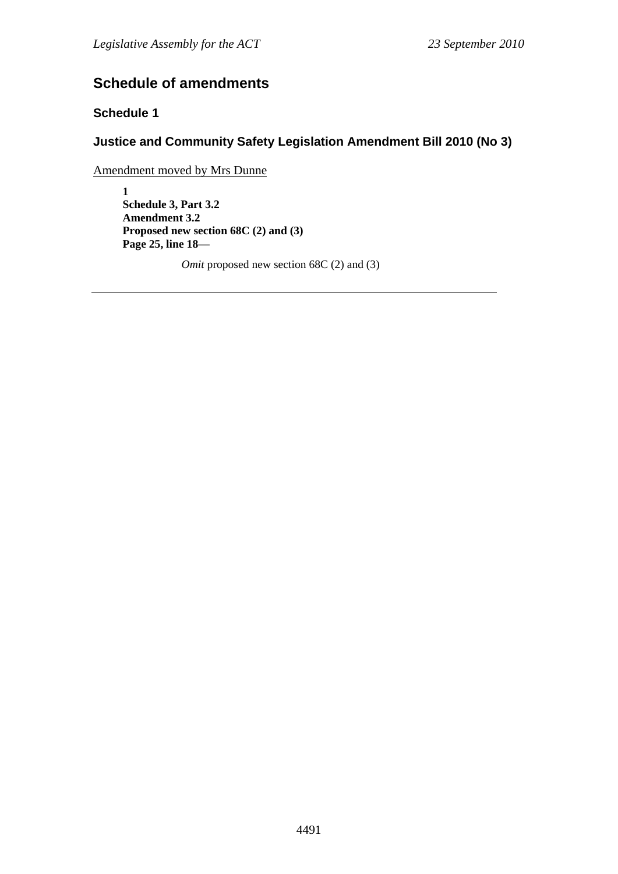# **Schedule of amendments**

# **Schedule 1**

# **Justice and Community Safety Legislation Amendment Bill 2010 (No 3)**

Amendment moved by Mrs Dunne

**1 Schedule 3, Part 3.2 Amendment 3.2 Proposed new section 68C (2) and (3) Page 25, line 18—** 

*Omit* proposed new section 68C (2) and (3)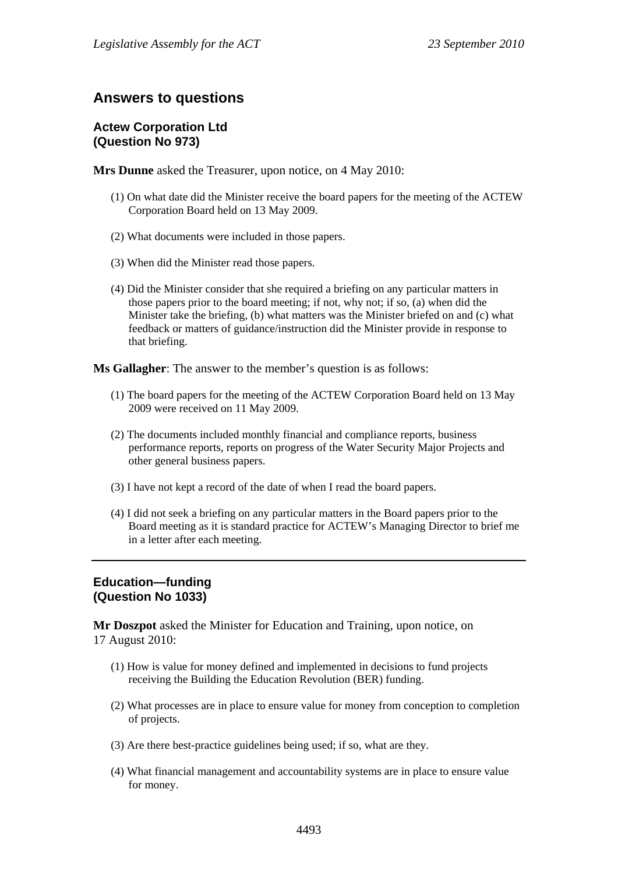# **Answers to questions**

# **Actew Corporation Ltd (Question No 973)**

**Mrs Dunne** asked the Treasurer, upon notice, on 4 May 2010:

- (1) On what date did the Minister receive the board papers for the meeting of the ACTEW Corporation Board held on 13 May 2009.
- (2) What documents were included in those papers.
- (3) When did the Minister read those papers.
- (4) Did the Minister consider that she required a briefing on any particular matters in those papers prior to the board meeting; if not, why not; if so, (a) when did the Minister take the briefing, (b) what matters was the Minister briefed on and (c) what feedback or matters of guidance/instruction did the Minister provide in response to that briefing.

**Ms Gallagher**: The answer to the member's question is as follows:

- (1) The board papers for the meeting of the ACTEW Corporation Board held on 13 May 2009 were received on 11 May 2009.
- (2) The documents included monthly financial and compliance reports, business performance reports, reports on progress of the Water Security Major Projects and other general business papers.
- (3) I have not kept a record of the date of when I read the board papers.
- (4) I did not seek a briefing on any particular matters in the Board papers prior to the Board meeting as it is standard practice for ACTEW's Managing Director to brief me in a letter after each meeting.

# **Education—funding (Question No 1033)**

**Mr Doszpot** asked the Minister for Education and Training, upon notice, on 17 August 2010:

- (1) How is value for money defined and implemented in decisions to fund projects receiving the Building the Education Revolution (BER) funding.
- (2) What processes are in place to ensure value for money from conception to completion of projects.
- (3) Are there best-practice guidelines being used; if so, what are they.
- (4) What financial management and accountability systems are in place to ensure value for money.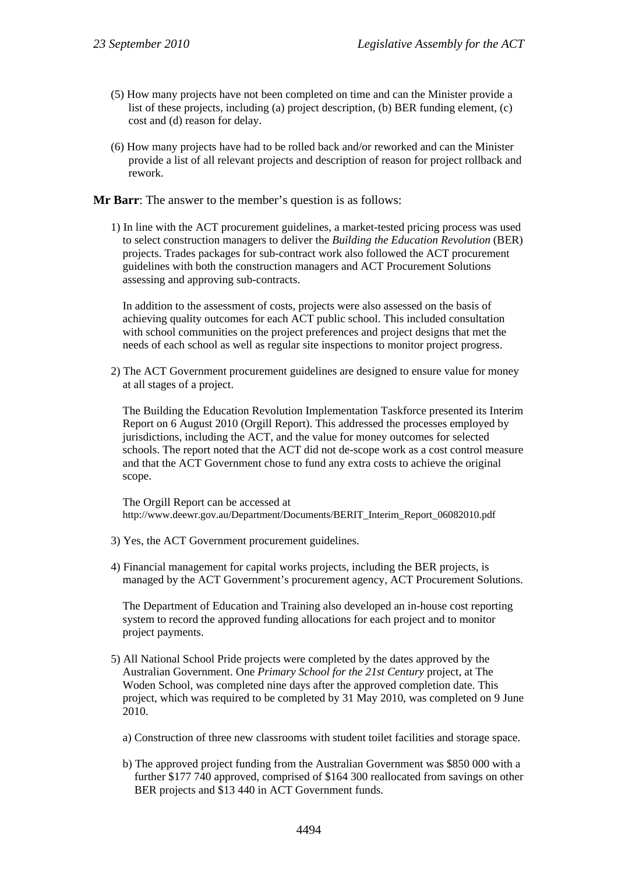- (5) How many projects have not been completed on time and can the Minister provide a list of these projects, including (a) project description, (b) BER funding element, (c) cost and (d) reason for delay.
- (6) How many projects have had to be rolled back and/or reworked and can the Minister provide a list of all relevant projects and description of reason for project rollback and rework.

**Mr Barr**: The answer to the member's question is as follows:

1) In line with the ACT procurement guidelines, a market-tested pricing process was used to select construction managers to deliver the *Building the Education Revolution* (BER) projects. Trades packages for sub-contract work also followed the ACT procurement guidelines with both the construction managers and ACT Procurement Solutions assessing and approving sub-contracts.

In addition to the assessment of costs, projects were also assessed on the basis of achieving quality outcomes for each ACT public school. This included consultation with school communities on the project preferences and project designs that met the needs of each school as well as regular site inspections to monitor project progress.

2) The ACT Government procurement guidelines are designed to ensure value for money at all stages of a project.

The Building the Education Revolution Implementation Taskforce presented its Interim Report on 6 August 2010 (Orgill Report). This addressed the processes employed by jurisdictions, including the ACT, and the value for money outcomes for selected schools. The report noted that the ACT did not de-scope work as a cost control measure and that the ACT Government chose to fund any extra costs to achieve the original scope.

The Orgill Report can be accessed at http://www.deewr.gov.au/Department/Documents/BERIT\_Interim\_Report\_06082010.pdf

- 3) Yes, the ACT Government procurement guidelines.
- 4) Financial management for capital works projects, including the BER projects, is managed by the ACT Government's procurement agency, ACT Procurement Solutions.

The Department of Education and Training also developed an in-house cost reporting system to record the approved funding allocations for each project and to monitor project payments.

- 5) All National School Pride projects were completed by the dates approved by the Australian Government. One *Primary School for the 21st Century* project, at The Woden School, was completed nine days after the approved completion date. This project, which was required to be completed by 31 May 2010, was completed on 9 June 2010.
	- a) Construction of three new classrooms with student toilet facilities and storage space.
	- b) The approved project funding from the Australian Government was \$850 000 with a further \$177 740 approved, comprised of \$164 300 reallocated from savings on other BER projects and \$13 440 in ACT Government funds.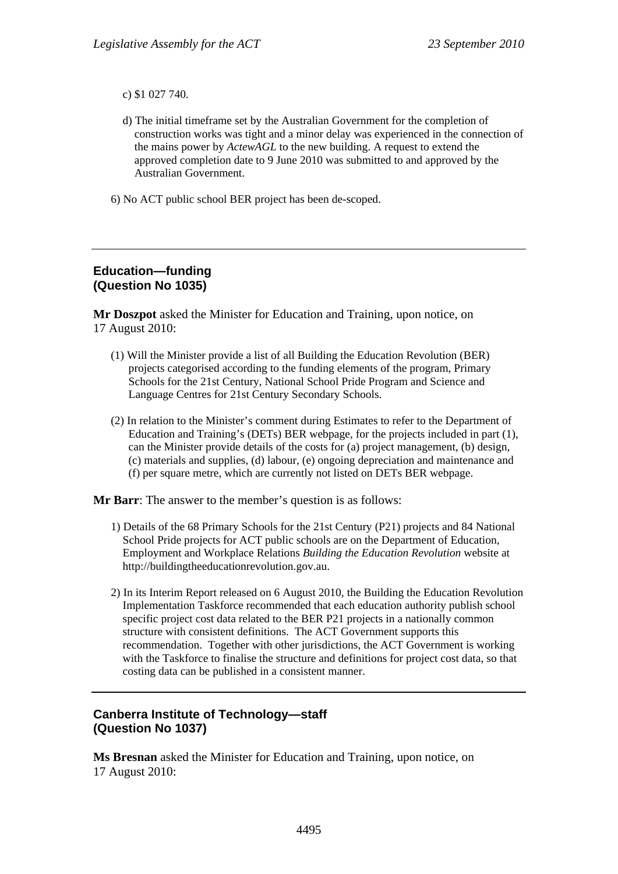c) \$1 027 740.

- d) The initial timeframe set by the Australian Government for the completion of construction works was tight and a minor delay was experienced in the connection of the mains power by *ActewAGL* to the new building. A request to extend the approved completion date to 9 June 2010 was submitted to and approved by the Australian Government.
- 6) No ACT public school BER project has been de-scoped.

#### **Education—funding (Question No 1035)**

**Mr Doszpot** asked the Minister for Education and Training, upon notice, on 17 August 2010:

- (1) Will the Minister provide a list of all Building the Education Revolution (BER) projects categorised according to the funding elements of the program, Primary Schools for the 21st Century, National School Pride Program and Science and Language Centres for 21st Century Secondary Schools.
- (2) In relation to the Minister's comment during Estimates to refer to the Department of Education and Training's (DETs) BER webpage, for the projects included in part (1), can the Minister provide details of the costs for (a) project management, (b) design, (c) materials and supplies, (d) labour, (e) ongoing depreciation and maintenance and (f) per square metre, which are currently not listed on DETs BER webpage.

**Mr Barr**: The answer to the member's question is as follows:

- 1) Details of the 68 Primary Schools for the 21st Century (P21) projects and 84 National School Pride projects for ACT public schools are on the Department of Education, Employment and Workplace Relations *Building the Education Revolution* website at http://buildingtheeducationrevolution.gov.au.
- 2) In its Interim Report released on 6 August 2010, the Building the Education Revolution Implementation Taskforce recommended that each education authority publish school specific project cost data related to the BER P21 projects in a nationally common structure with consistent definitions. The ACT Government supports this recommendation. Together with other jurisdictions, the ACT Government is working with the Taskforce to finalise the structure and definitions for project cost data, so that costing data can be published in a consistent manner.

# **Canberra Institute of Technology—staff (Question No 1037)**

**Ms Bresnan** asked the Minister for Education and Training, upon notice, on 17 August 2010: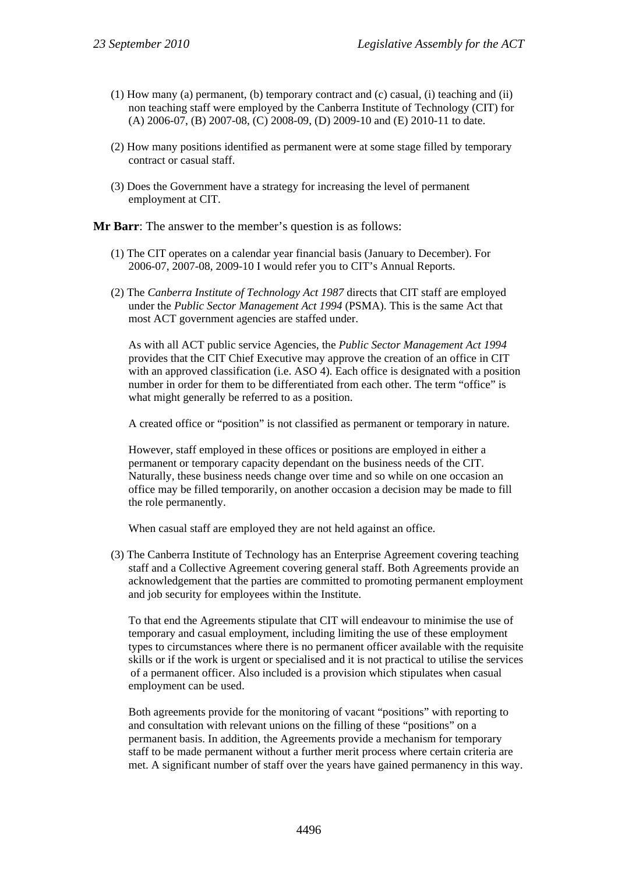- (1) How many (a) permanent, (b) temporary contract and (c) casual, (i) teaching and (ii) non teaching staff were employed by the Canberra Institute of Technology (CIT) for (A) 2006-07, (B) 2007-08, (C) 2008-09, (D) 2009-10 and (E) 2010-11 to date.
- (2) How many positions identified as permanent were at some stage filled by temporary contract or casual staff.
- (3) Does the Government have a strategy for increasing the level of permanent employment at CIT.

**Mr Barr**: The answer to the member's question is as follows:

- (1) The CIT operates on a calendar year financial basis (January to December). For 2006-07, 2007-08, 2009-10 I would refer you to CIT's Annual Reports.
- (2) The *Canberra Institute of Technology Act 1987* directs that CIT staff are employed under the *Public Sector Management Act 1994* (PSMA). This is the same Act that most ACT government agencies are staffed under.

As with all ACT public service Agencies, the *Public Sector Management Act 1994* provides that the CIT Chief Executive may approve the creation of an office in CIT with an approved classification (i.e. ASO 4). Each office is designated with a position number in order for them to be differentiated from each other. The term "office" is what might generally be referred to as a position.

A created office or "position" is not classified as permanent or temporary in nature.

However, staff employed in these offices or positions are employed in either a permanent or temporary capacity dependant on the business needs of the CIT. Naturally, these business needs change over time and so while on one occasion an office may be filled temporarily, on another occasion a decision may be made to fill the role permanently.

When casual staff are employed they are not held against an office.

(3) The Canberra Institute of Technology has an Enterprise Agreement covering teaching staff and a Collective Agreement covering general staff. Both Agreements provide an acknowledgement that the parties are committed to promoting permanent employment and job security for employees within the Institute.

To that end the Agreements stipulate that CIT will endeavour to minimise the use of temporary and casual employment, including limiting the use of these employment types to circumstances where there is no permanent officer available with the requisite skills or if the work is urgent or specialised and it is not practical to utilise the services of a permanent officer. Also included is a provision which stipulates when casual employment can be used.

Both agreements provide for the monitoring of vacant "positions" with reporting to and consultation with relevant unions on the filling of these "positions" on a permanent basis. In addition, the Agreements provide a mechanism for temporary staff to be made permanent without a further merit process where certain criteria are met. A significant number of staff over the years have gained permanency in this way.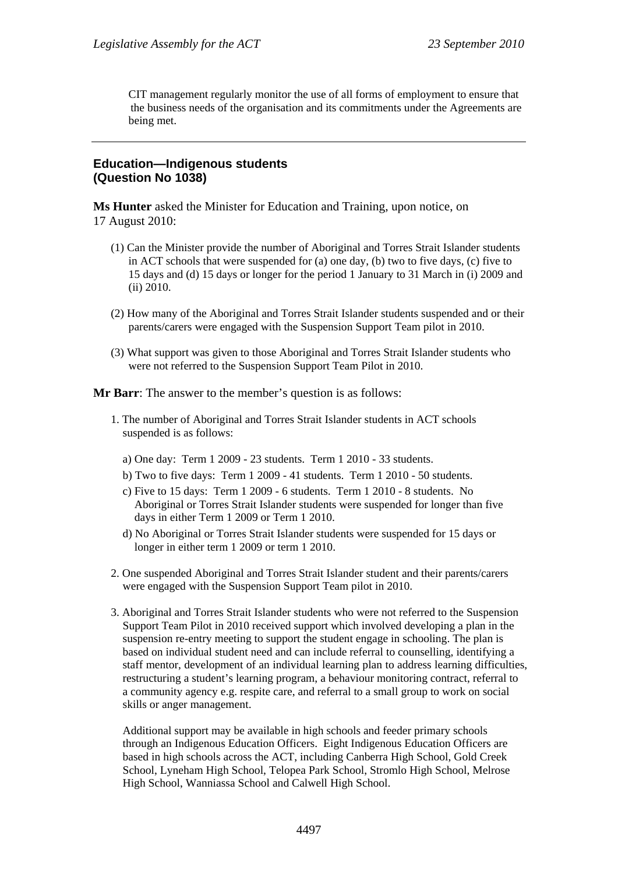CIT management regularly monitor the use of all forms of employment to ensure that the business needs of the organisation and its commitments under the Agreements are being met.

#### **Education—Indigenous students (Question No 1038)**

**Ms Hunter** asked the Minister for Education and Training, upon notice, on 17 August 2010:

- (1) Can the Minister provide the number of Aboriginal and Torres Strait Islander students in ACT schools that were suspended for (a) one day, (b) two to five days, (c) five to 15 days and (d) 15 days or longer for the period 1 January to 31 March in (i) 2009 and (ii) 2010.
- (2) How many of the Aboriginal and Torres Strait Islander students suspended and or their parents/carers were engaged with the Suspension Support Team pilot in 2010.
- (3) What support was given to those Aboriginal and Torres Strait Islander students who were not referred to the Suspension Support Team Pilot in 2010.

**Mr Barr**: The answer to the member's question is as follows:

- 1. The number of Aboriginal and Torres Strait Islander students in ACT schools suspended is as follows:
	- a) One day: Term 1 2009 23 students. Term 1 2010 33 students.
	- b) Two to five days: Term 1 2009 41 students. Term 1 2010 50 students.
	- c) Five to 15 days: Term 1 2009 6 students. Term 1 2010 8 students. No Aboriginal or Torres Strait Islander students were suspended for longer than five days in either Term 1 2009 or Term 1 2010.
	- d) No Aboriginal or Torres Strait Islander students were suspended for 15 days or longer in either term 1 2009 or term 1 2010.
- 2. One suspended Aboriginal and Torres Strait Islander student and their parents/carers were engaged with the Suspension Support Team pilot in 2010.
- 3. Aboriginal and Torres Strait Islander students who were not referred to the Suspension Support Team Pilot in 2010 received support which involved developing a plan in the suspension re-entry meeting to support the student engage in schooling. The plan is based on individual student need and can include referral to counselling, identifying a staff mentor, development of an individual learning plan to address learning difficulties, restructuring a student's learning program, a behaviour monitoring contract, referral to a community agency e.g. respite care, and referral to a small group to work on social skills or anger management.

Additional support may be available in high schools and feeder primary schools through an Indigenous Education Officers. Eight Indigenous Education Officers are based in high schools across the ACT, including Canberra High School, Gold Creek School, Lyneham High School, Telopea Park School, Stromlo High School, Melrose High School, Wanniassa School and Calwell High School.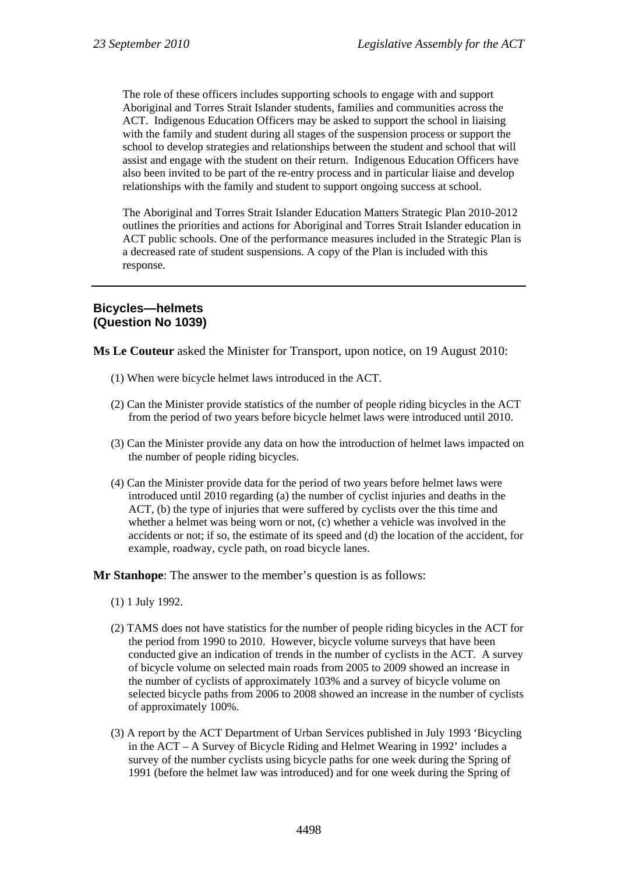The role of these officers includes supporting schools to engage with and support Aboriginal and Torres Strait Islander students, families and communities across the ACT. Indigenous Education Officers may be asked to support the school in liaising with the family and student during all stages of the suspension process or support the school to develop strategies and relationships between the student and school that will assist and engage with the student on their return. Indigenous Education Officers have also been invited to be part of the re-entry process and in particular liaise and develop relationships with the family and student to support ongoing success at school.

The Aboriginal and Torres Strait Islander Education Matters Strategic Plan 2010-2012 outlines the priorities and actions for Aboriginal and Torres Strait Islander education in ACT public schools. One of the performance measures included in the Strategic Plan is a decreased rate of student suspensions. A copy of the Plan is included with this response.

# **Bicycles—helmets (Question No 1039)**

**Ms Le Couteur** asked the Minister for Transport, upon notice, on 19 August 2010:

- (1) When were bicycle helmet laws introduced in the ACT.
- (2) Can the Minister provide statistics of the number of people riding bicycles in the ACT from the period of two years before bicycle helmet laws were introduced until 2010.
- (3) Can the Minister provide any data on how the introduction of helmet laws impacted on the number of people riding bicycles.
- (4) Can the Minister provide data for the period of two years before helmet laws were introduced until 2010 regarding (a) the number of cyclist injuries and deaths in the ACT, (b) the type of injuries that were suffered by cyclists over the this time and whether a helmet was being worn or not, (c) whether a vehicle was involved in the accidents or not; if so, the estimate of its speed and (d) the location of the accident, for example, roadway, cycle path, on road bicycle lanes.

**Mr Stanhope**: The answer to the member's question is as follows:

- (1) 1 July 1992.
- (2) TAMS does not have statistics for the number of people riding bicycles in the ACT for the period from 1990 to 2010. However, bicycle volume surveys that have been conducted give an indication of trends in the number of cyclists in the ACT. A survey of bicycle volume on selected main roads from 2005 to 2009 showed an increase in the number of cyclists of approximately 103% and a survey of bicycle volume on selected bicycle paths from 2006 to 2008 showed an increase in the number of cyclists of approximately 100%.
- (3) A report by the ACT Department of Urban Services published in July 1993 'Bicycling in the ACT – A Survey of Bicycle Riding and Helmet Wearing in 1992' includes a survey of the number cyclists using bicycle paths for one week during the Spring of 1991 (before the helmet law was introduced) and for one week during the Spring of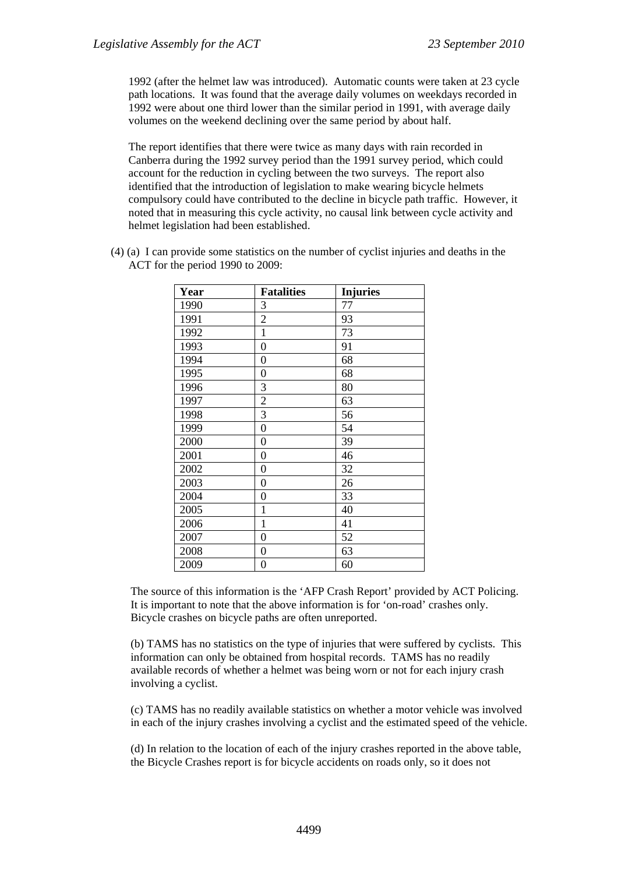1992 (after the helmet law was introduced). Automatic counts were taken at 23 cycle path locations. It was found that the average daily volumes on weekdays recorded in 1992 were about one third lower than the similar period in 1991, with average daily volumes on the weekend declining over the same period by about half.

The report identifies that there were twice as many days with rain recorded in Canberra during the 1992 survey period than the 1991 survey period, which could account for the reduction in cycling between the two surveys. The report also identified that the introduction of legislation to make wearing bicycle helmets compulsory could have contributed to the decline in bicycle path traffic. However, it noted that in measuring this cycle activity, no causal link between cycle activity and helmet legislation had been established.

(4) (a) I can provide some statistics on the number of cyclist injuries and deaths in the ACT for the period 1990 to 2009:

| Year | <b>Fatalities</b> | <b>Injuries</b> |
|------|-------------------|-----------------|
| 1990 | 3                 | 77              |
| 1991 | $\overline{c}$    | 93              |
| 1992 | $\mathbf{1}$      | 73              |
| 1993 | $\boldsymbol{0}$  | 91              |
| 1994 | 0                 | 68              |
| 1995 | 0                 | 68              |
| 1996 | 3                 | 80              |
| 1997 | $\overline{2}$    | 63              |
| 1998 | 3                 | 56              |
| 1999 | $\boldsymbol{0}$  | 54              |
| 2000 | 0                 | 39              |
| 2001 | 0                 | 46              |
| 2002 | $\boldsymbol{0}$  | 32              |
| 2003 | $\boldsymbol{0}$  | 26              |
| 2004 | $\overline{0}$    | 33              |
| 2005 | 1                 | 40              |
| 2006 | $\mathbf{1}$      | 41              |
| 2007 | $\boldsymbol{0}$  | 52              |
| 2008 | 0                 | 63              |
| 2009 | 0                 | 60              |

The source of this information is the 'AFP Crash Report' provided by ACT Policing. It is important to note that the above information is for 'on-road' crashes only. Bicycle crashes on bicycle paths are often unreported.

(b) TAMS has no statistics on the type of injuries that were suffered by cyclists. This information can only be obtained from hospital records. TAMS has no readily available records of whether a helmet was being worn or not for each injury crash involving a cyclist.

(c) TAMS has no readily available statistics on whether a motor vehicle was involved in each of the injury crashes involving a cyclist and the estimated speed of the vehicle.

(d) In relation to the location of each of the injury crashes reported in the above table, the Bicycle Crashes report is for bicycle accidents on roads only, so it does not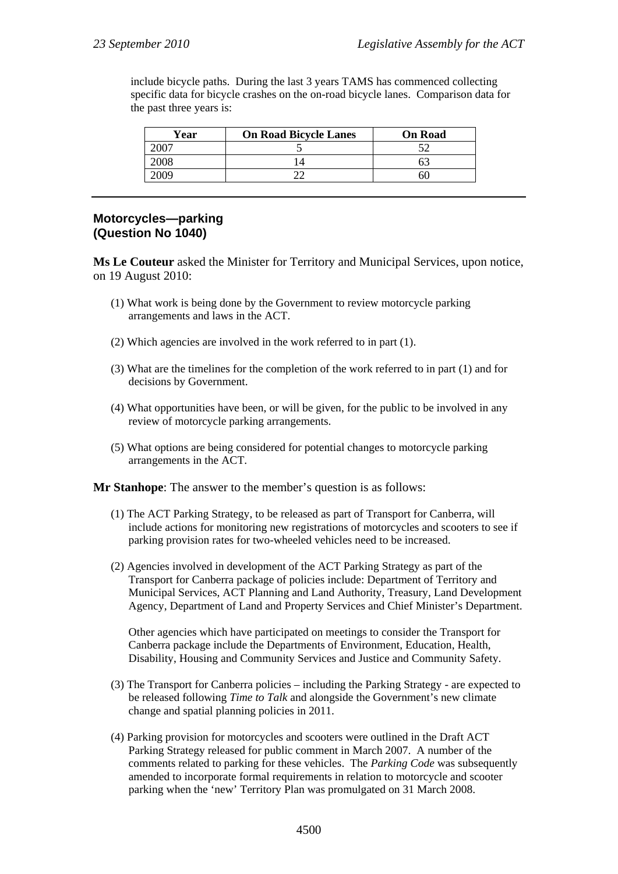include bicycle paths. During the last 3 years TAMS has commenced collecting specific data for bicycle crashes on the on-road bicycle lanes. Comparison data for the past three years is:

| Year | <b>On Road Bicycle Lanes</b> | <b>On Road</b> |
|------|------------------------------|----------------|
|      |                              |                |
| 008  |                              |                |
|      |                              |                |

### **Motorcycles—parking (Question No 1040)**

**Ms Le Couteur** asked the Minister for Territory and Municipal Services, upon notice, on 19 August 2010:

- (1) What work is being done by the Government to review motorcycle parking arrangements and laws in the ACT.
- (2) Which agencies are involved in the work referred to in part (1).
- (3) What are the timelines for the completion of the work referred to in part (1) and for decisions by Government.
- (4) What opportunities have been, or will be given, for the public to be involved in any review of motorcycle parking arrangements.
- (5) What options are being considered for potential changes to motorcycle parking arrangements in the ACT.

**Mr Stanhope**: The answer to the member's question is as follows:

- (1) The ACT Parking Strategy, to be released as part of Transport for Canberra, will include actions for monitoring new registrations of motorcycles and scooters to see if parking provision rates for two-wheeled vehicles need to be increased.
- (2) Agencies involved in development of the ACT Parking Strategy as part of the Transport for Canberra package of policies include: Department of Territory and Municipal Services, ACT Planning and Land Authority, Treasury, Land Development Agency, Department of Land and Property Services and Chief Minister's Department.

Other agencies which have participated on meetings to consider the Transport for Canberra package include the Departments of Environment, Education, Health, Disability, Housing and Community Services and Justice and Community Safety.

- (3) The Transport for Canberra policies including the Parking Strategy are expected to be released following *Time to Talk* and alongside the Government's new climate change and spatial planning policies in 2011.
- (4) Parking provision for motorcycles and scooters were outlined in the Draft ACT Parking Strategy released for public comment in March 2007. A number of the comments related to parking for these vehicles. The *Parking Code* was subsequently amended to incorporate formal requirements in relation to motorcycle and scooter parking when the 'new' Territory Plan was promulgated on 31 March 2008.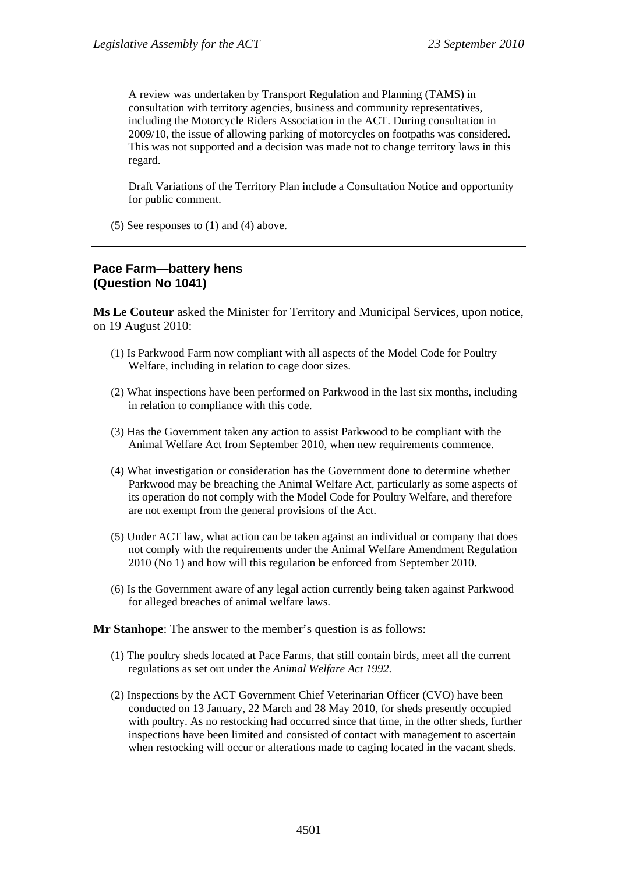A review was undertaken by Transport Regulation and Planning (TAMS) in consultation with territory agencies, business and community representatives, including the Motorcycle Riders Association in the ACT. During consultation in 2009/10, the issue of allowing parking of motorcycles on footpaths was considered. This was not supported and a decision was made not to change territory laws in this regard.

Draft Variations of the Territory Plan include a Consultation Notice and opportunity for public comment.

(5) See responses to (1) and (4) above.

#### **Pace Farm—battery hens (Question No 1041)**

**Ms Le Couteur** asked the Minister for Territory and Municipal Services, upon notice, on 19 August 2010:

- (1) Is Parkwood Farm now compliant with all aspects of the Model Code for Poultry Welfare, including in relation to cage door sizes.
- (2) What inspections have been performed on Parkwood in the last six months, including in relation to compliance with this code.
- (3) Has the Government taken any action to assist Parkwood to be compliant with the Animal Welfare Act from September 2010, when new requirements commence.
- (4) What investigation or consideration has the Government done to determine whether Parkwood may be breaching the Animal Welfare Act, particularly as some aspects of its operation do not comply with the Model Code for Poultry Welfare, and therefore are not exempt from the general provisions of the Act.
- (5) Under ACT law, what action can be taken against an individual or company that does not comply with the requirements under the Animal Welfare Amendment Regulation 2010 (No 1) and how will this regulation be enforced from September 2010.
- (6) Is the Government aware of any legal action currently being taken against Parkwood for alleged breaches of animal welfare laws.

**Mr Stanhope**: The answer to the member's question is as follows:

- (1) The poultry sheds located at Pace Farms, that still contain birds, meet all the current regulations as set out under the *Animal Welfare Act 1992*.
- (2) Inspections by the ACT Government Chief Veterinarian Officer (CVO) have been conducted on 13 January, 22 March and 28 May 2010, for sheds presently occupied with poultry. As no restocking had occurred since that time, in the other sheds, further inspections have been limited and consisted of contact with management to ascertain when restocking will occur or alterations made to caging located in the vacant sheds.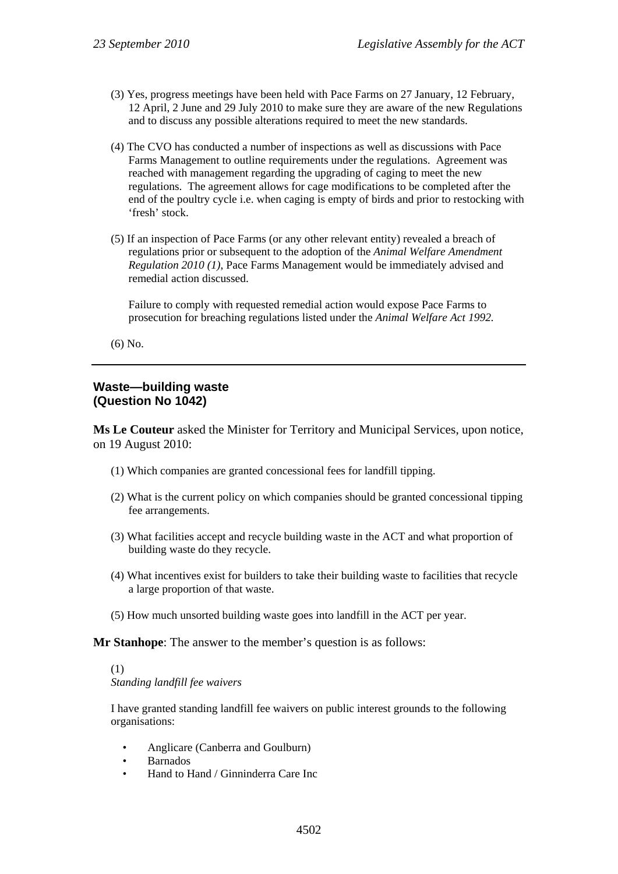- (3) Yes, progress meetings have been held with Pace Farms on 27 January, 12 February, 12 April, 2 June and 29 July 2010 to make sure they are aware of the new Regulations and to discuss any possible alterations required to meet the new standards.
- (4) The CVO has conducted a number of inspections as well as discussions with Pace Farms Management to outline requirements under the regulations. Agreement was reached with management regarding the upgrading of caging to meet the new regulations. The agreement allows for cage modifications to be completed after the end of the poultry cycle i.e. when caging is empty of birds and prior to restocking with 'fresh' stock.
- (5) If an inspection of Pace Farms (or any other relevant entity) revealed a breach of regulations prior or subsequent to the adoption of the *Animal Welfare Amendment Regulation 2010 (1)*, Pace Farms Management would be immediately advised and remedial action discussed.

Failure to comply with requested remedial action would expose Pace Farms to prosecution for breaching regulations listed under the *Animal Welfare Act 1992.*

(6) No.

#### **Waste—building waste (Question No 1042)**

**Ms Le Couteur** asked the Minister for Territory and Municipal Services, upon notice, on 19 August 2010:

- (1) Which companies are granted concessional fees for landfill tipping.
- (2) What is the current policy on which companies should be granted concessional tipping fee arrangements.
- (3) What facilities accept and recycle building waste in the ACT and what proportion of building waste do they recycle.
- (4) What incentives exist for builders to take their building waste to facilities that recycle a large proportion of that waste.
- (5) How much unsorted building waste goes into landfill in the ACT per year.

**Mr Stanhope**: The answer to the member's question is as follows:

(1)

*Standing landfill fee waivers* 

I have granted standing landfill fee waivers on public interest grounds to the following organisations:

- Anglicare (Canberra and Goulburn)
- Barnados
- Hand to Hand / Ginninderra Care Inc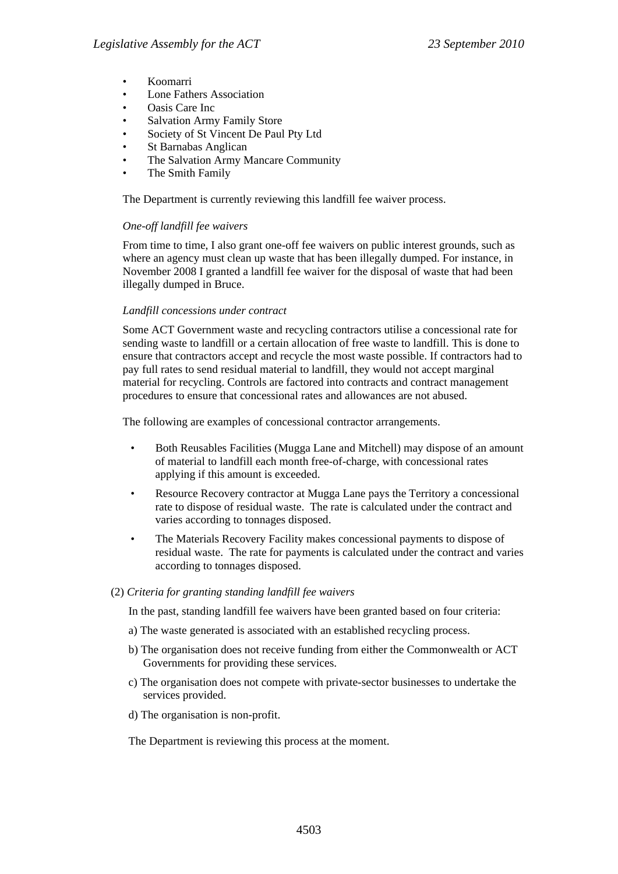- Koomarri
- **Lone Fathers Association**
- Oasis Care Inc
- Salvation Army Family Store
- Society of St Vincent De Paul Pty Ltd
- St Barnabas Anglican
- The Salvation Army Mancare Community
- The Smith Family

The Department is currently reviewing this landfill fee waiver process.

#### *One-off landfill fee waivers*

From time to time, I also grant one-off fee waivers on public interest grounds, such as where an agency must clean up waste that has been illegally dumped. For instance, in November 2008 I granted a landfill fee waiver for the disposal of waste that had been illegally dumped in Bruce.

#### *Landfill concessions under contract*

Some ACT Government waste and recycling contractors utilise a concessional rate for sending waste to landfill or a certain allocation of free waste to landfill. This is done to ensure that contractors accept and recycle the most waste possible. If contractors had to pay full rates to send residual material to landfill, they would not accept marginal material for recycling. Controls are factored into contracts and contract management procedures to ensure that concessional rates and allowances are not abused.

The following are examples of concessional contractor arrangements.

- Both Reusables Facilities (Mugga Lane and Mitchell) may dispose of an amount of material to landfill each month free-of-charge, with concessional rates applying if this amount is exceeded.
- Resource Recovery contractor at Mugga Lane pays the Territory a concessional rate to dispose of residual waste. The rate is calculated under the contract and varies according to tonnages disposed.
- The Materials Recovery Facility makes concessional payments to dispose of residual waste. The rate for payments is calculated under the contract and varies according to tonnages disposed.

#### (2) *Criteria for granting standing landfill fee waivers*

In the past, standing landfill fee waivers have been granted based on four criteria:

- a) The waste generated is associated with an established recycling process.
- b) The organisation does not receive funding from either the Commonwealth or ACT Governments for providing these services.
- c) The organisation does not compete with private-sector businesses to undertake the services provided.
- d) The organisation is non-profit.

The Department is reviewing this process at the moment.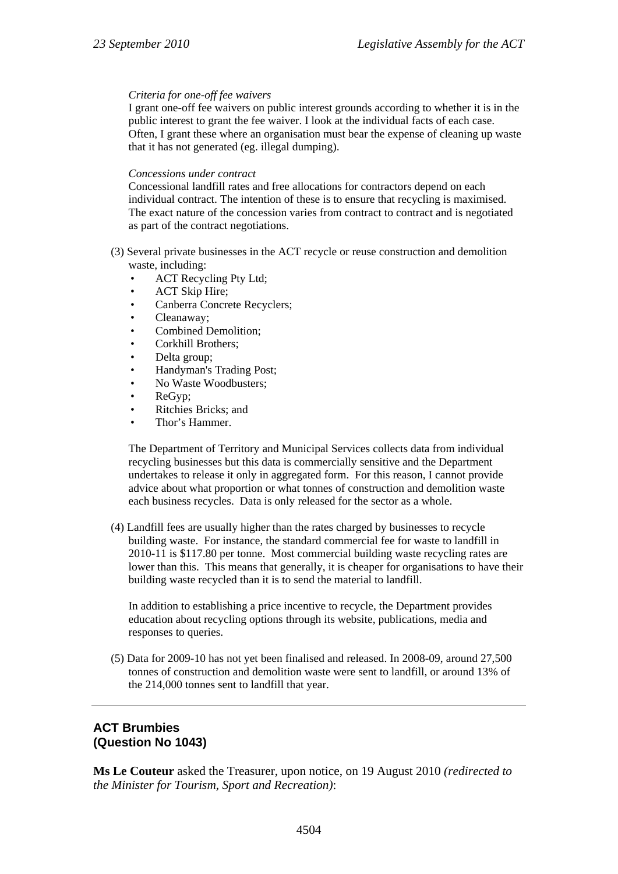#### *Criteria for one-off fee waivers*

I grant one-off fee waivers on public interest grounds according to whether it is in the public interest to grant the fee waiver. I look at the individual facts of each case. Often, I grant these where an organisation must bear the expense of cleaning up waste that it has not generated (eg. illegal dumping).

#### *Concessions under contract*

Concessional landfill rates and free allocations for contractors depend on each individual contract. The intention of these is to ensure that recycling is maximised. The exact nature of the concession varies from contract to contract and is negotiated as part of the contract negotiations.

- (3) Several private businesses in the ACT recycle or reuse construction and demolition waste, including:
	- ACT Recycling Pty Ltd;
	- ACT Skip Hire;
	- Canberra Concrete Recyclers;
	- Cleanaway;
	- Combined Demolition;
	- Corkhill Brothers;
	- Delta group;
	- Handyman's Trading Post;
	- No Waste Woodbusters;
	- ReGyp:
	- Ritchies Bricks; and
	- Thor's Hammer.

The Department of Territory and Municipal Services collects data from individual recycling businesses but this data is commercially sensitive and the Department undertakes to release it only in aggregated form. For this reason, I cannot provide advice about what proportion or what tonnes of construction and demolition waste each business recycles. Data is only released for the sector as a whole.

(4) Landfill fees are usually higher than the rates charged by businesses to recycle building waste. For instance, the standard commercial fee for waste to landfill in 2010-11 is \$117.80 per tonne. Most commercial building waste recycling rates are lower than this. This means that generally, it is cheaper for organisations to have their building waste recycled than it is to send the material to landfill.

In addition to establishing a price incentive to recycle, the Department provides education about recycling options through its website, publications, media and responses to queries.

(5) Data for 2009-10 has not yet been finalised and released. In 2008-09, around 27,500 tonnes of construction and demolition waste were sent to landfill, or around 13% of the 214,000 tonnes sent to landfill that year.

# **ACT Brumbies (Question No 1043)**

**Ms Le Couteur** asked the Treasurer, upon notice, on 19 August 2010 *(redirected to the Minister for Tourism, Sport and Recreation)*: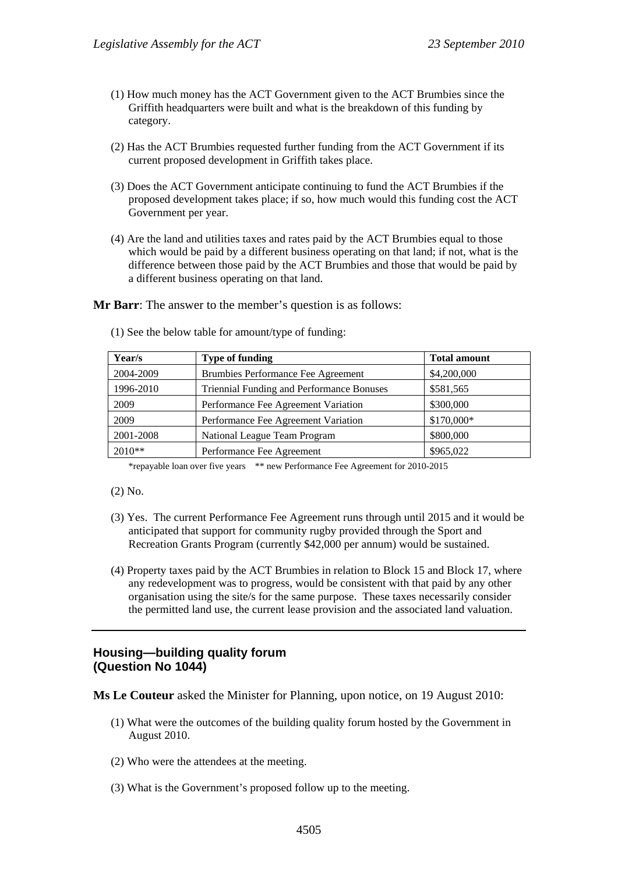- (1) How much money has the ACT Government given to the ACT Brumbies since the Griffith headquarters were built and what is the breakdown of this funding by category.
- (2) Has the ACT Brumbies requested further funding from the ACT Government if its current proposed development in Griffith takes place.
- (3) Does the ACT Government anticipate continuing to fund the ACT Brumbies if the proposed development takes place; if so, how much would this funding cost the ACT Government per year.
- (4) Are the land and utilities taxes and rates paid by the ACT Brumbies equal to those which would be paid by a different business operating on that land; if not, what is the difference between those paid by the ACT Brumbies and those that would be paid by a different business operating on that land.

**Mr Barr:** The answer to the member's question is as follows:

| Year/s    | <b>Type of funding</b>                    | <b>Total amount</b> |
|-----------|-------------------------------------------|---------------------|
| 2004-2009 | Brumbies Performance Fee Agreement        | \$4,200,000         |
| 1996-2010 | Triennial Funding and Performance Bonuses | \$581,565           |
| 2009      | Performance Fee Agreement Variation       | \$300,000           |
| 2009      | Performance Fee Agreement Variation       | \$170,000*          |
| 2001-2008 | National League Team Program              | \$800,000           |
| $2010**$  | Performance Fee Agreement                 | \$965,022           |

(1) See the below table for amount/type of funding:

\*repayable loan over five years \*\* new Performance Fee Agreement for 2010-2015

(2) No.

- (3) Yes. The current Performance Fee Agreement runs through until 2015 and it would be anticipated that support for community rugby provided through the Sport and Recreation Grants Program (currently \$42,000 per annum) would be sustained.
- (4) Property taxes paid by the ACT Brumbies in relation to Block 15 and Block 17, where any redevelopment was to progress, would be consistent with that paid by any other organisation using the site/s for the same purpose. These taxes necessarily consider the permitted land use, the current lease provision and the associated land valuation.

### **Housing—building quality forum (Question No 1044)**

**Ms Le Couteur** asked the Minister for Planning, upon notice, on 19 August 2010:

- (1) What were the outcomes of the building quality forum hosted by the Government in August 2010.
- (2) Who were the attendees at the meeting.
- (3) What is the Government's proposed follow up to the meeting.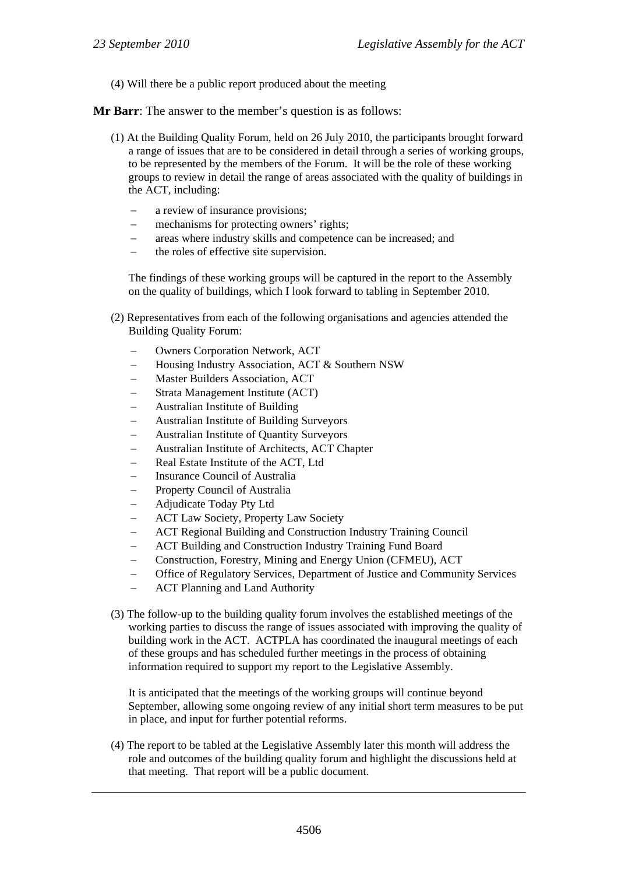(4) Will there be a public report produced about the meeting

**Mr Barr**: The answer to the member's question is as follows:

- (1) At the Building Quality Forum, held on 26 July 2010, the participants brought forward a range of issues that are to be considered in detail through a series of working groups, to be represented by the members of the Forum. It will be the role of these working groups to review in detail the range of areas associated with the quality of buildings in the ACT, including:
	- a review of insurance provisions;
	- mechanisms for protecting owners' rights;
	- areas where industry skills and competence can be increased; and
	- the roles of effective site supervision.

The findings of these working groups will be captured in the report to the Assembly on the quality of buildings, which I look forward to tabling in September 2010.

- (2) Representatives from each of the following organisations and agencies attended the Building Quality Forum:
	- Owners Corporation Network, ACT
	- Housing Industry Association, ACT & Southern NSW
	- Master Builders Association, ACT
	- Strata Management Institute (ACT)
	- Australian Institute of Building
	- Australian Institute of Building Surveyors
	- Australian Institute of Quantity Surveyors
	- Australian Institute of Architects, ACT Chapter
	- Real Estate Institute of the ACT, Ltd
	- Insurance Council of Australia
	- Property Council of Australia
	- Adjudicate Today Pty Ltd
	- ACT Law Society, Property Law Society
	- ACT Regional Building and Construction Industry Training Council
	- ACT Building and Construction Industry Training Fund Board
	- Construction, Forestry, Mining and Energy Union (CFMEU), ACT
	- Office of Regulatory Services, Department of Justice and Community Services
	- ACT Planning and Land Authority
- (3) The follow-up to the building quality forum involves the established meetings of the working parties to discuss the range of issues associated with improving the quality of building work in the ACT. ACTPLA has coordinated the inaugural meetings of each of these groups and has scheduled further meetings in the process of obtaining information required to support my report to the Legislative Assembly.

It is anticipated that the meetings of the working groups will continue beyond September, allowing some ongoing review of any initial short term measures to be put in place, and input for further potential reforms.

(4) The report to be tabled at the Legislative Assembly later this month will address the role and outcomes of the building quality forum and highlight the discussions held at that meeting. That report will be a public document.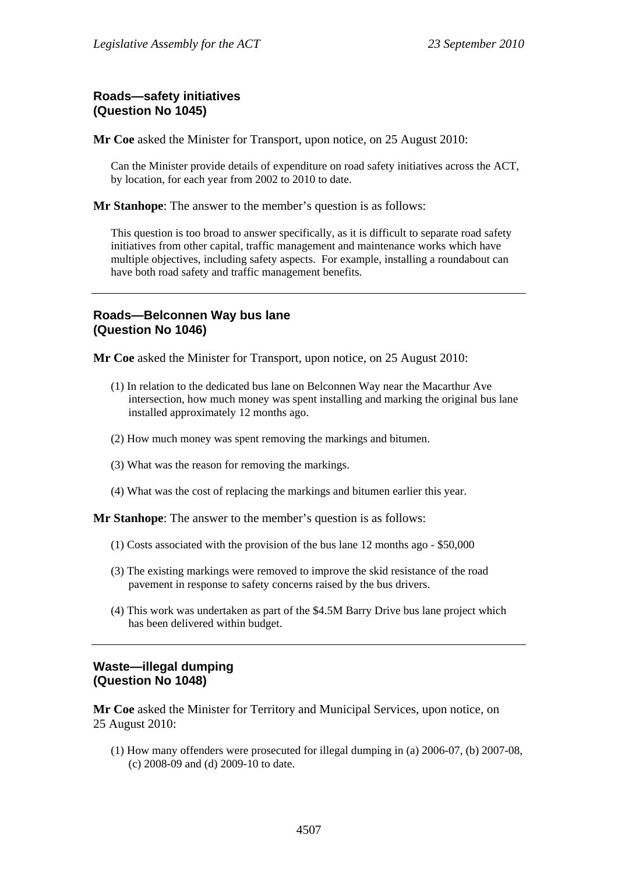# **Roads—safety initiatives (Question No 1045)**

**Mr Coe** asked the Minister for Transport, upon notice, on 25 August 2010:

Can the Minister provide details of expenditure on road safety initiatives across the ACT, by location, for each year from 2002 to 2010 to date.

**Mr Stanhope**: The answer to the member's question is as follows:

This question is too broad to answer specifically, as it is difficult to separate road safety initiatives from other capital, traffic management and maintenance works which have multiple objectives, including safety aspects. For example, installing a roundabout can have both road safety and traffic management benefits.

### **Roads—Belconnen Way bus lane (Question No 1046)**

**Mr Coe** asked the Minister for Transport, upon notice, on 25 August 2010:

- (1) In relation to the dedicated bus lane on Belconnen Way near the Macarthur Ave intersection, how much money was spent installing and marking the original bus lane installed approximately 12 months ago.
- (2) How much money was spent removing the markings and bitumen.
- (3) What was the reason for removing the markings.
- (4) What was the cost of replacing the markings and bitumen earlier this year.

**Mr Stanhope**: The answer to the member's question is as follows:

- (1) Costs associated with the provision of the bus lane 12 months ago \$50,000
- (3) The existing markings were removed to improve the skid resistance of the road pavement in response to safety concerns raised by the bus drivers.
- (4) This work was undertaken as part of the \$4.5M Barry Drive bus lane project which has been delivered within budget.

### **Waste—illegal dumping (Question No 1048)**

**Mr Coe** asked the Minister for Territory and Municipal Services, upon notice, on 25 August 2010:

(1) How many offenders were prosecuted for illegal dumping in (a) 2006-07, (b) 2007-08, (c) 2008-09 and (d) 2009-10 to date.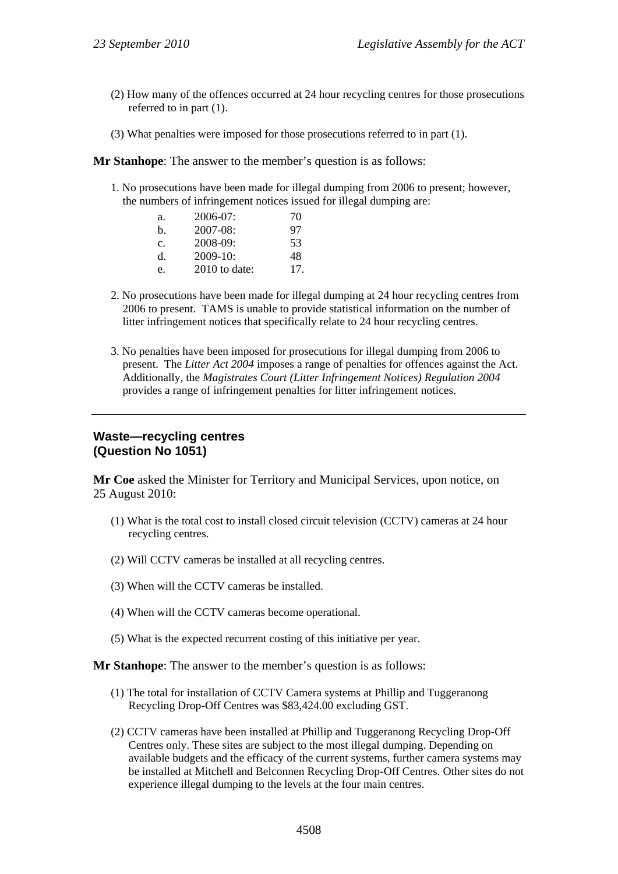- (2) How many of the offences occurred at 24 hour recycling centres for those prosecutions referred to in part (1).
- (3) What penalties were imposed for those prosecutions referred to in part (1).

**Mr Stanhope**: The answer to the member's question is as follows:

1. No prosecutions have been made for illegal dumping from 2006 to present; however, the numbers of infringement notices issued for illegal dumping are:

| a.          | $2006-07:$    | 70 |
|-------------|---------------|----|
| $h_{\cdot}$ | 2007-08:      | 97 |
| c.          | 2008-09:      | 53 |
| $d$ .       | $2009-10$ :   | 48 |
| e.          | 2010 to date: | 17 |

- 2. No prosecutions have been made for illegal dumping at 24 hour recycling centres from 2006 to present. TAMS is unable to provide statistical information on the number of litter infringement notices that specifically relate to 24 hour recycling centres.
- 3. No penalties have been imposed for prosecutions for illegal dumping from 2006 to present. The *Litter Act 2004* imposes a range of penalties for offences against the Act. Additionally, the *Magistrates Court (Litter Infringement Notices) Regulation 2004* provides a range of infringement penalties for litter infringement notices.

### **Waste—recycling centres (Question No 1051)**

**Mr Coe** asked the Minister for Territory and Municipal Services, upon notice, on 25 August 2010:

- (1) What is the total cost to install closed circuit television (CCTV) cameras at 24 hour recycling centres.
- (2) Will CCTV cameras be installed at all recycling centres.
- (3) When will the CCTV cameras be installed.
- (4) When will the CCTV cameras become operational.
- (5) What is the expected recurrent costing of this initiative per year.

**Mr Stanhope**: The answer to the member's question is as follows:

- (1) The total for installation of CCTV Camera systems at Phillip and Tuggeranong Recycling Drop-Off Centres was \$83,424.00 excluding GST.
- (2) CCTV cameras have been installed at Phillip and Tuggeranong Recycling Drop-Off Centres only. These sites are subject to the most illegal dumping. Depending on available budgets and the efficacy of the current systems, further camera systems may be installed at Mitchell and Belconnen Recycling Drop-Off Centres. Other sites do not experience illegal dumping to the levels at the four main centres.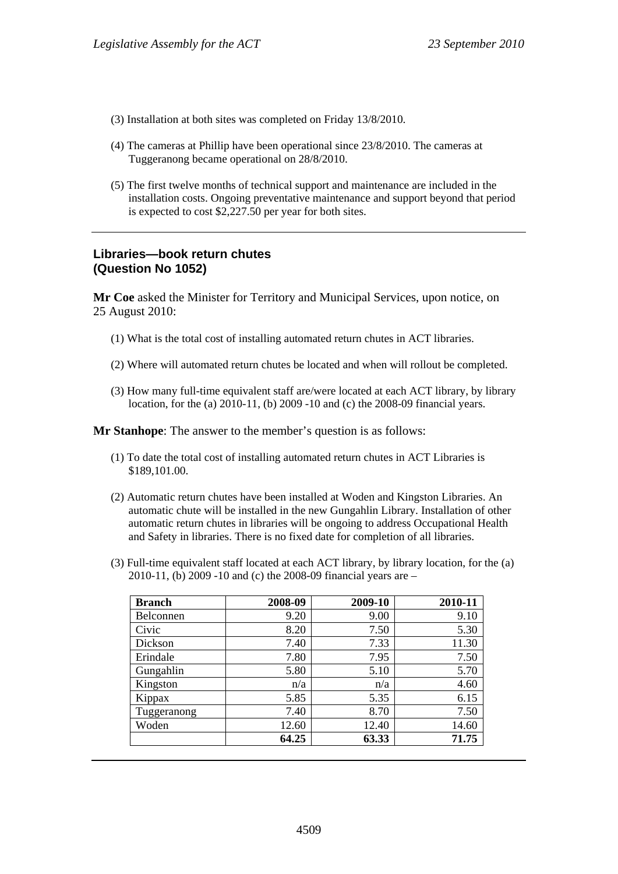- (3) Installation at both sites was completed on Friday 13/8/2010.
- (4) The cameras at Phillip have been operational since 23/8/2010. The cameras at Tuggeranong became operational on 28/8/2010.
- (5) The first twelve months of technical support and maintenance are included in the installation costs. Ongoing preventative maintenance and support beyond that period is expected to cost \$2,227.50 per year for both sites.

# **Libraries—book return chutes (Question No 1052)**

**Mr Coe** asked the Minister for Territory and Municipal Services, upon notice, on 25 August 2010:

- (1) What is the total cost of installing automated return chutes in ACT libraries.
- (2) Where will automated return chutes be located and when will rollout be completed.
- (3) How many full-time equivalent staff are/were located at each ACT library, by library location, for the (a) 2010-11, (b) 2009 -10 and (c) the 2008-09 financial years.

**Mr Stanhope**: The answer to the member's question is as follows:

- (1) To date the total cost of installing automated return chutes in ACT Libraries is \$189,101.00.
- (2) Automatic return chutes have been installed at Woden and Kingston Libraries. An automatic chute will be installed in the new Gungahlin Library. Installation of other automatic return chutes in libraries will be ongoing to address Occupational Health and Safety in libraries. There is no fixed date for completion of all libraries.
- (3) Full-time equivalent staff located at each ACT library, by library location, for the (a) 2010-11, (b) 2009 -10 and (c) the 2008-09 financial years are –

| <b>Branch</b> | 2008-09 | 2009-10 | 2010-11 |
|---------------|---------|---------|---------|
| Belconnen     | 9.20    | 9.00    | 9.10    |
| Civic         | 8.20    | 7.50    | 5.30    |
| Dickson       | 7.40    | 7.33    | 11.30   |
| Erindale      | 7.80    | 7.95    | 7.50    |
| Gungahlin     | 5.80    | 5.10    | 5.70    |
| Kingston      | n/a     | n/a     | 4.60    |
| Kippax        | 5.85    | 5.35    | 6.15    |
| Tuggeranong   | 7.40    | 8.70    | 7.50    |
| Woden         | 12.60   | 12.40   | 14.60   |
|               | 64.25   | 63.33   | 71.75   |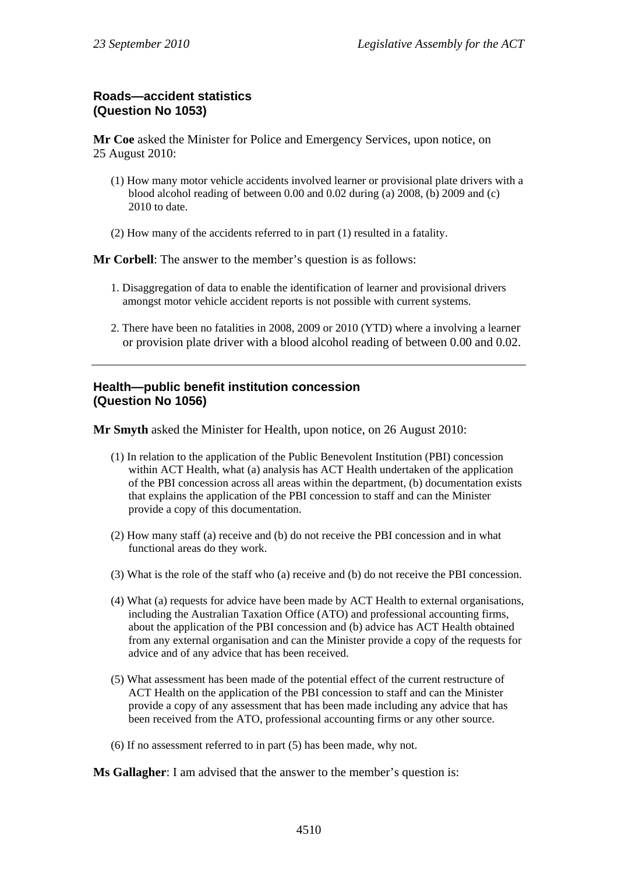# **Roads—accident statistics (Question No 1053)**

**Mr Coe** asked the Minister for Police and Emergency Services, upon notice, on 25 August 2010:

- (1) How many motor vehicle accidents involved learner or provisional plate drivers with a blood alcohol reading of between 0.00 and 0.02 during (a) 2008, (b) 2009 and (c) 2010 to date.
- (2) How many of the accidents referred to in part (1) resulted in a fatality.

**Mr Corbell**: The answer to the member's question is as follows:

- 1. Disaggregation of data to enable the identification of learner and provisional drivers amongst motor vehicle accident reports is not possible with current systems.
- 2. There have been no fatalities in 2008, 2009 or 2010 (YTD) where a involving a learner or provision plate driver with a blood alcohol reading of between 0.00 and 0.02.

### **Health—public benefit institution concession (Question No 1056)**

**Mr Smyth** asked the Minister for Health, upon notice, on 26 August 2010:

- (1) In relation to the application of the Public Benevolent Institution (PBI) concession within ACT Health, what (a) analysis has ACT Health undertaken of the application of the PBI concession across all areas within the department, (b) documentation exists that explains the application of the PBI concession to staff and can the Minister provide a copy of this documentation.
- (2) How many staff (a) receive and (b) do not receive the PBI concession and in what functional areas do they work.
- (3) What is the role of the staff who (a) receive and (b) do not receive the PBI concession.
- (4) What (a) requests for advice have been made by ACT Health to external organisations, including the Australian Taxation Office (ATO) and professional accounting firms, about the application of the PBI concession and (b) advice has ACT Health obtained from any external organisation and can the Minister provide a copy of the requests for advice and of any advice that has been received.
- (5) What assessment has been made of the potential effect of the current restructure of ACT Health on the application of the PBI concession to staff and can the Minister provide a copy of any assessment that has been made including any advice that has been received from the ATO, professional accounting firms or any other source.
- (6) If no assessment referred to in part (5) has been made, why not.

**Ms Gallagher**: I am advised that the answer to the member's question is: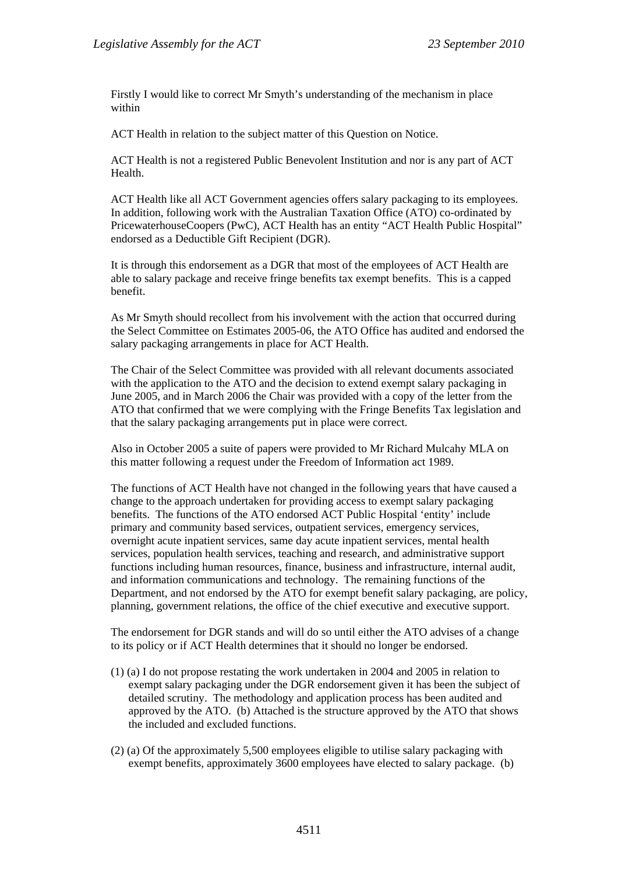Firstly I would like to correct Mr Smyth's understanding of the mechanism in place within

ACT Health in relation to the subject matter of this Question on Notice.

ACT Health is not a registered Public Benevolent Institution and nor is any part of ACT Health.

ACT Health like all ACT Government agencies offers salary packaging to its employees. In addition, following work with the Australian Taxation Office (ATO) co-ordinated by PricewaterhouseCoopers (PwC), ACT Health has an entity "ACT Health Public Hospital" endorsed as a Deductible Gift Recipient (DGR).

It is through this endorsement as a DGR that most of the employees of ACT Health are able to salary package and receive fringe benefits tax exempt benefits. This is a capped benefit.

As Mr Smyth should recollect from his involvement with the action that occurred during the Select Committee on Estimates 2005-06, the ATO Office has audited and endorsed the salary packaging arrangements in place for ACT Health.

The Chair of the Select Committee was provided with all relevant documents associated with the application to the ATO and the decision to extend exempt salary packaging in June 2005, and in March 2006 the Chair was provided with a copy of the letter from the ATO that confirmed that we were complying with the Fringe Benefits Tax legislation and that the salary packaging arrangements put in place were correct.

Also in October 2005 a suite of papers were provided to Mr Richard Mulcahy MLA on this matter following a request under the Freedom of Information act 1989.

The functions of ACT Health have not changed in the following years that have caused a change to the approach undertaken for providing access to exempt salary packaging benefits. The functions of the ATO endorsed ACT Public Hospital 'entity' include primary and community based services, outpatient services, emergency services, overnight acute inpatient services, same day acute inpatient services, mental health services, population health services, teaching and research, and administrative support functions including human resources, finance, business and infrastructure, internal audit, and information communications and technology. The remaining functions of the Department, and not endorsed by the ATO for exempt benefit salary packaging, are policy, planning, government relations, the office of the chief executive and executive support.

The endorsement for DGR stands and will do so until either the ATO advises of a change to its policy or if ACT Health determines that it should no longer be endorsed.

- (1) (a) I do not propose restating the work undertaken in 2004 and 2005 in relation to exempt salary packaging under the DGR endorsement given it has been the subject of detailed scrutiny. The methodology and application process has been audited and approved by the ATO. (b) Attached is the structure approved by the ATO that shows the included and excluded functions.
- (2) (a) Of the approximately 5,500 employees eligible to utilise salary packaging with exempt benefits, approximately 3600 employees have elected to salary package. (b)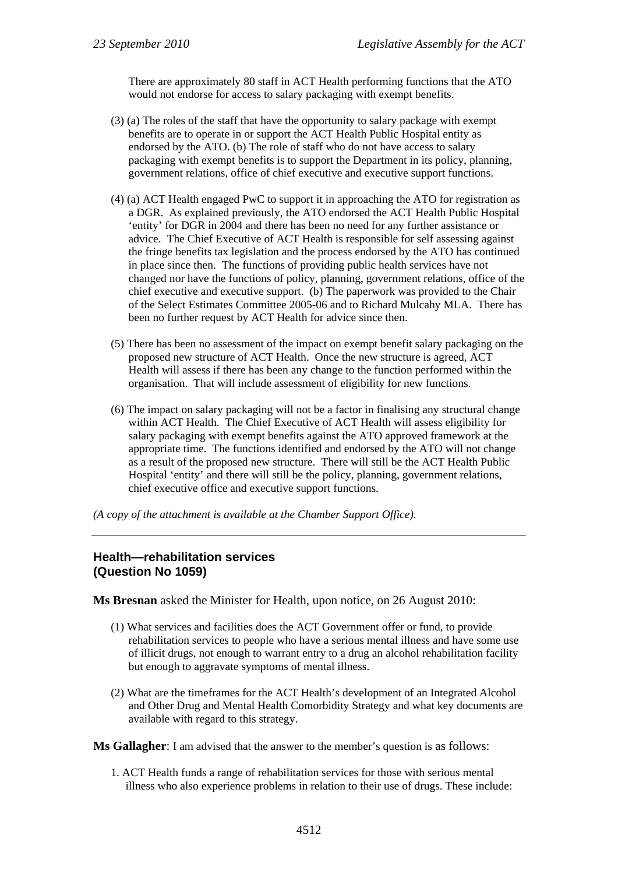There are approximately 80 staff in ACT Health performing functions that the ATO would not endorse for access to salary packaging with exempt benefits.

- (3) (a) The roles of the staff that have the opportunity to salary package with exempt benefits are to operate in or support the ACT Health Public Hospital entity as endorsed by the ATO. (b) The role of staff who do not have access to salary packaging with exempt benefits is to support the Department in its policy, planning, government relations, office of chief executive and executive support functions.
- (4) (a) ACT Health engaged PwC to support it in approaching the ATO for registration as a DGR. As explained previously, the ATO endorsed the ACT Health Public Hospital 'entity' for DGR in 2004 and there has been no need for any further assistance or advice. The Chief Executive of ACT Health is responsible for self assessing against the fringe benefits tax legislation and the process endorsed by the ATO has continued in place since then. The functions of providing public health services have not changed nor have the functions of policy, planning, government relations, office of the chief executive and executive support. (b) The paperwork was provided to the Chair of the Select Estimates Committee 2005-06 and to Richard Mulcahy MLA. There has been no further request by ACT Health for advice since then.
- (5) There has been no assessment of the impact on exempt benefit salary packaging on the proposed new structure of ACT Health. Once the new structure is agreed, ACT Health will assess if there has been any change to the function performed within the organisation. That will include assessment of eligibility for new functions.
- (6) The impact on salary packaging will not be a factor in finalising any structural change within ACT Health. The Chief Executive of ACT Health will assess eligibility for salary packaging with exempt benefits against the ATO approved framework at the appropriate time. The functions identified and endorsed by the ATO will not change as a result of the proposed new structure. There will still be the ACT Health Public Hospital 'entity' and there will still be the policy, planning, government relations, chief executive office and executive support functions.

*(A copy of the attachment is available at the Chamber Support Office).* 

### **Health—rehabilitation services (Question No 1059)**

**Ms Bresnan** asked the Minister for Health, upon notice, on 26 August 2010:

- (1) What services and facilities does the ACT Government offer or fund, to provide rehabilitation services to people who have a serious mental illness and have some use of illicit drugs, not enough to warrant entry to a drug an alcohol rehabilitation facility but enough to aggravate symptoms of mental illness.
- (2) What are the timeframes for the ACT Health's development of an Integrated Alcohol and Other Drug and Mental Health Comorbidity Strategy and what key documents are available with regard to this strategy.

**Ms Gallagher**: I am advised that the answer to the member's question is as follows:

1. ACT Health funds a range of rehabilitation services for those with serious mental illness who also experience problems in relation to their use of drugs. These include: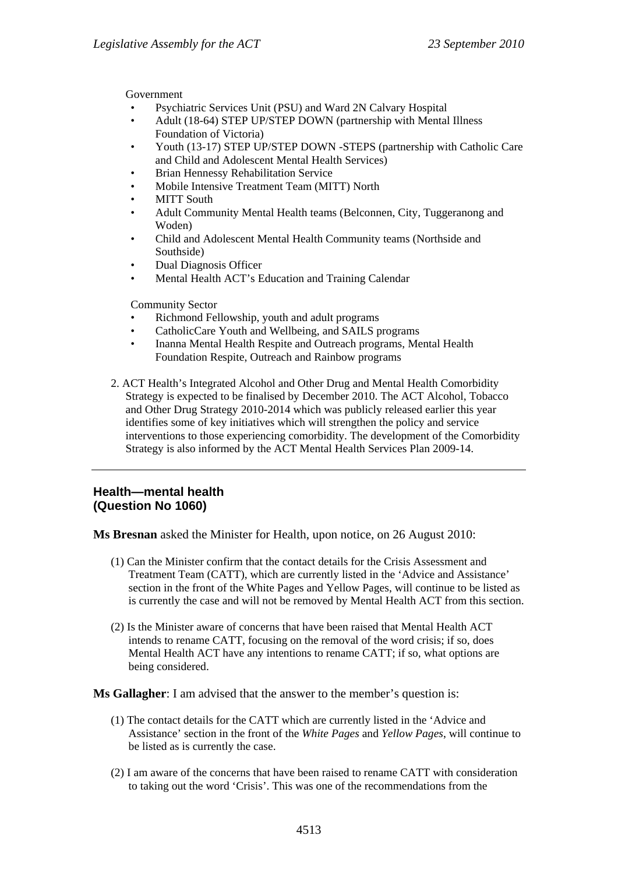Government

- Psychiatric Services Unit (PSU) and Ward 2N Calvary Hospital
- Adult (18-64) STEP UP/STEP DOWN (partnership with Mental Illness Foundation of Victoria)
- Youth (13-17) STEP UP/STEP DOWN -STEPS (partnership with Catholic Care and Child and Adolescent Mental Health Services)
- Brian Hennessy Rehabilitation Service
- Mobile Intensive Treatment Team (MITT) North
- **MITT South**
- Adult Community Mental Health teams (Belconnen, City, Tuggeranong and Woden)
- Child and Adolescent Mental Health Community teams (Northside and Southside)
- Dual Diagnosis Officer
- Mental Health ACT's Education and Training Calendar

Community Sector

- Richmond Fellowship, youth and adult programs
- CatholicCare Youth and Wellbeing, and SAILS programs
- Inanna Mental Health Respite and Outreach programs, Mental Health Foundation Respite, Outreach and Rainbow programs
- 2. ACT Health's Integrated Alcohol and Other Drug and Mental Health Comorbidity Strategy is expected to be finalised by December 2010. The ACT Alcohol, Tobacco and Other Drug Strategy 2010-2014 which was publicly released earlier this year identifies some of key initiatives which will strengthen the policy and service interventions to those experiencing comorbidity. The development of the Comorbidity Strategy is also informed by the ACT Mental Health Services Plan 2009-14.

### **Health—mental health (Question No 1060)**

**Ms Bresnan** asked the Minister for Health, upon notice, on 26 August 2010:

- (1) Can the Minister confirm that the contact details for the Crisis Assessment and Treatment Team (CATT), which are currently listed in the 'Advice and Assistance' section in the front of the White Pages and Yellow Pages, will continue to be listed as is currently the case and will not be removed by Mental Health ACT from this section.
- (2) Is the Minister aware of concerns that have been raised that Mental Health ACT intends to rename CATT, focusing on the removal of the word crisis; if so, does Mental Health ACT have any intentions to rename CATT; if so, what options are being considered.

**Ms Gallagher**: I am advised that the answer to the member's question is:

- (1) The contact details for the CATT which are currently listed in the 'Advice and Assistance' section in the front of the *White Pages* and *Yellow Pages*, will continue to be listed as is currently the case.
- (2) I am aware of the concerns that have been raised to rename CATT with consideration to taking out the word 'Crisis'. This was one of the recommendations from the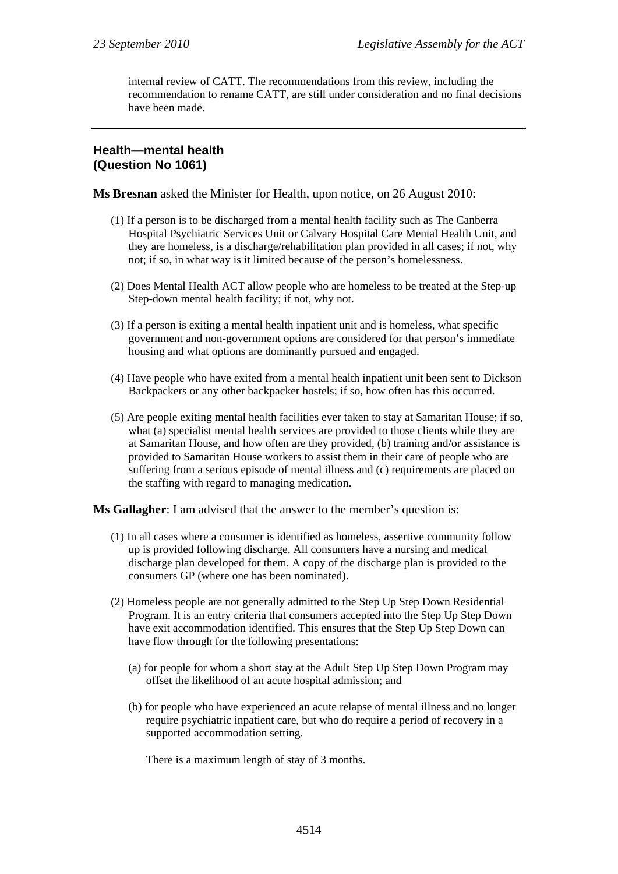internal review of CATT. The recommendations from this review, including the recommendation to rename CATT, are still under consideration and no final decisions have been made.

### **Health—mental health (Question No 1061)**

**Ms Bresnan** asked the Minister for Health, upon notice, on 26 August 2010:

- (1) If a person is to be discharged from a mental health facility such as The Canberra Hospital Psychiatric Services Unit or Calvary Hospital Care Mental Health Unit, and they are homeless, is a discharge/rehabilitation plan provided in all cases; if not, why not; if so, in what way is it limited because of the person's homelessness.
- (2) Does Mental Health ACT allow people who are homeless to be treated at the Step-up Step-down mental health facility; if not, why not.
- (3) If a person is exiting a mental health inpatient unit and is homeless, what specific government and non-government options are considered for that person's immediate housing and what options are dominantly pursued and engaged.
- (4) Have people who have exited from a mental health inpatient unit been sent to Dickson Backpackers or any other backpacker hostels; if so, how often has this occurred.
- (5) Are people exiting mental health facilities ever taken to stay at Samaritan House; if so, what (a) specialist mental health services are provided to those clients while they are at Samaritan House, and how often are they provided, (b) training and/or assistance is provided to Samaritan House workers to assist them in their care of people who are suffering from a serious episode of mental illness and (c) requirements are placed on the staffing with regard to managing medication.

**Ms Gallagher**: I am advised that the answer to the member's question is:

- (1) In all cases where a consumer is identified as homeless, assertive community follow up is provided following discharge. All consumers have a nursing and medical discharge plan developed for them. A copy of the discharge plan is provided to the consumers GP (where one has been nominated).
- (2) Homeless people are not generally admitted to the Step Up Step Down Residential Program. It is an entry criteria that consumers accepted into the Step Up Step Down have exit accommodation identified. This ensures that the Step Up Step Down can have flow through for the following presentations:
	- (a) for people for whom a short stay at the Adult Step Up Step Down Program may offset the likelihood of an acute hospital admission; and
	- (b) for people who have experienced an acute relapse of mental illness and no longer require psychiatric inpatient care, but who do require a period of recovery in a supported accommodation setting.

There is a maximum length of stay of 3 months.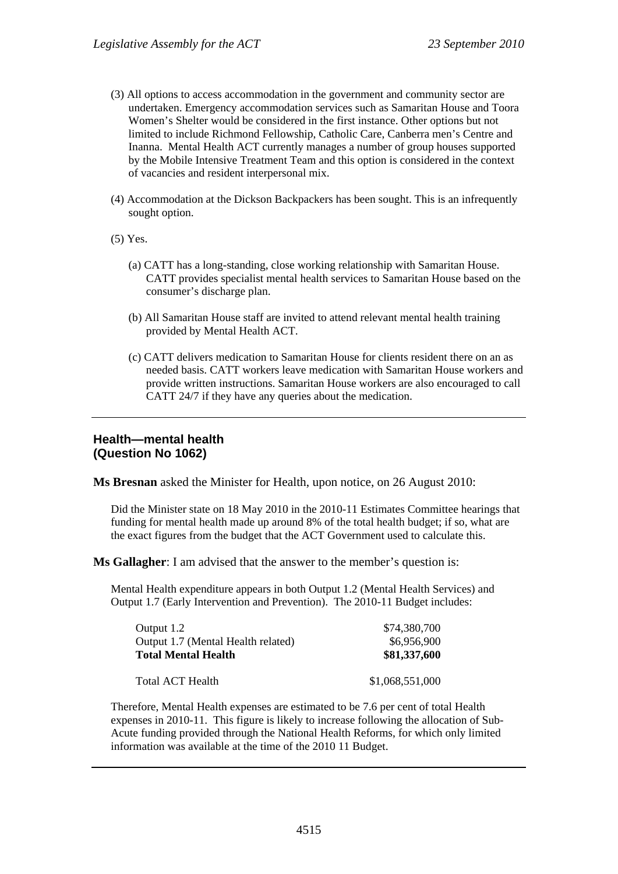- (3) All options to access accommodation in the government and community sector are undertaken. Emergency accommodation services such as Samaritan House and Toora Women's Shelter would be considered in the first instance. Other options but not limited to include Richmond Fellowship, Catholic Care, Canberra men's Centre and Inanna. Mental Health ACT currently manages a number of group houses supported by the Mobile Intensive Treatment Team and this option is considered in the context of vacancies and resident interpersonal mix.
- (4) Accommodation at the Dickson Backpackers has been sought. This is an infrequently sought option.
- (5) Yes.
	- (a) CATT has a long-standing, close working relationship with Samaritan House. CATT provides specialist mental health services to Samaritan House based on the consumer's discharge plan.
	- (b) All Samaritan House staff are invited to attend relevant mental health training provided by Mental Health ACT.
	- (c) CATT delivers medication to Samaritan House for clients resident there on an as needed basis. CATT workers leave medication with Samaritan House workers and provide written instructions. Samaritan House workers are also encouraged to call CATT 24/7 if they have any queries about the medication.

### **Health—mental health (Question No 1062)**

**Ms Bresnan** asked the Minister for Health, upon notice, on 26 August 2010:

Did the Minister state on 18 May 2010 in the 2010-11 Estimates Committee hearings that funding for mental health made up around 8% of the total health budget; if so, what are the exact figures from the budget that the ACT Government used to calculate this.

**Ms Gallagher**: I am advised that the answer to the member's question is:

Mental Health expenditure appears in both Output 1.2 (Mental Health Services) and Output 1.7 (Early Intervention and Prevention). The 2010-11 Budget includes:

| Output 1.2                         | \$74,380,700    |
|------------------------------------|-----------------|
| Output 1.7 (Mental Health related) | \$6,956,900     |
| <b>Total Mental Health</b>         | \$81,337,600    |
| Total ACT Health                   | \$1,068,551,000 |

Therefore, Mental Health expenses are estimated to be 7.6 per cent of total Health expenses in 2010-11. This figure is likely to increase following the allocation of Sub-Acute funding provided through the National Health Reforms, for which only limited information was available at the time of the 2010 11 Budget.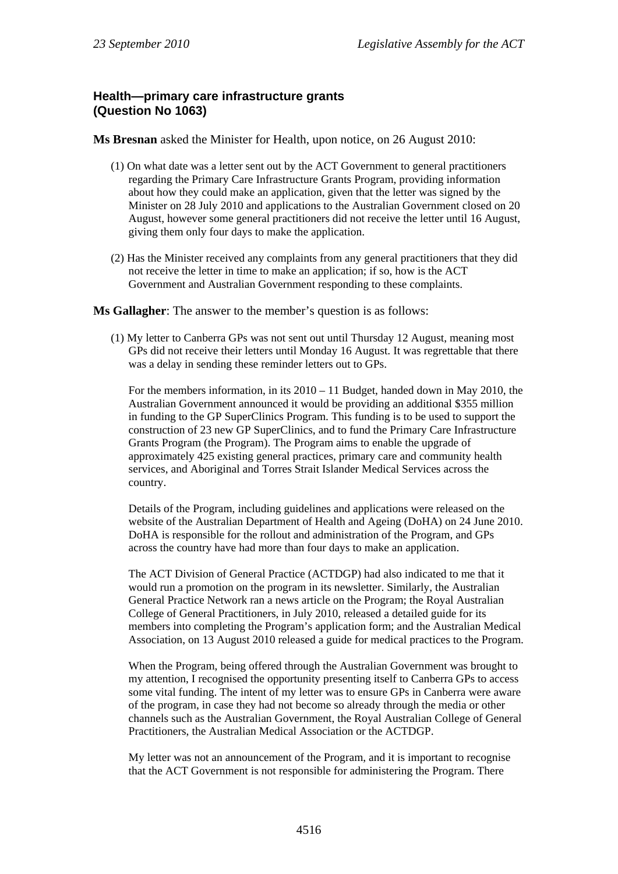# **Health—primary care infrastructure grants (Question No 1063)**

**Ms Bresnan** asked the Minister for Health, upon notice, on 26 August 2010:

- (1) On what date was a letter sent out by the ACT Government to general practitioners regarding the Primary Care Infrastructure Grants Program, providing information about how they could make an application, given that the letter was signed by the Minister on 28 July 2010 and applications to the Australian Government closed on 20 August, however some general practitioners did not receive the letter until 16 August, giving them only four days to make the application.
- (2) Has the Minister received any complaints from any general practitioners that they did not receive the letter in time to make an application; if so, how is the ACT Government and Australian Government responding to these complaints.

**Ms Gallagher**: The answer to the member's question is as follows:

(1) My letter to Canberra GPs was not sent out until Thursday 12 August, meaning most GPs did not receive their letters until Monday 16 August. It was regrettable that there was a delay in sending these reminder letters out to GPs.

For the members information, in its 2010 – 11 Budget, handed down in May 2010, the Australian Government announced it would be providing an additional \$355 million in funding to the GP SuperClinics Program. This funding is to be used to support the construction of 23 new GP SuperClinics, and to fund the Primary Care Infrastructure Grants Program (the Program). The Program aims to enable the upgrade of approximately 425 existing general practices, primary care and community health services, and Aboriginal and Torres Strait Islander Medical Services across the country.

Details of the Program, including guidelines and applications were released on the website of the Australian Department of Health and Ageing (DoHA) on 24 June 2010. DoHA is responsible for the rollout and administration of the Program, and GPs across the country have had more than four days to make an application.

The ACT Division of General Practice (ACTDGP) had also indicated to me that it would run a promotion on the program in its newsletter. Similarly, the Australian General Practice Network ran a news article on the Program; the Royal Australian College of General Practitioners, in July 2010, released a detailed guide for its members into completing the Program's application form; and the Australian Medical Association, on 13 August 2010 released a guide for medical practices to the Program.

When the Program, being offered through the Australian Government was brought to my attention, I recognised the opportunity presenting itself to Canberra GPs to access some vital funding. The intent of my letter was to ensure GPs in Canberra were aware of the program, in case they had not become so already through the media or other channels such as the Australian Government, the Royal Australian College of General Practitioners, the Australian Medical Association or the ACTDGP.

My letter was not an announcement of the Program, and it is important to recognise that the ACT Government is not responsible for administering the Program. There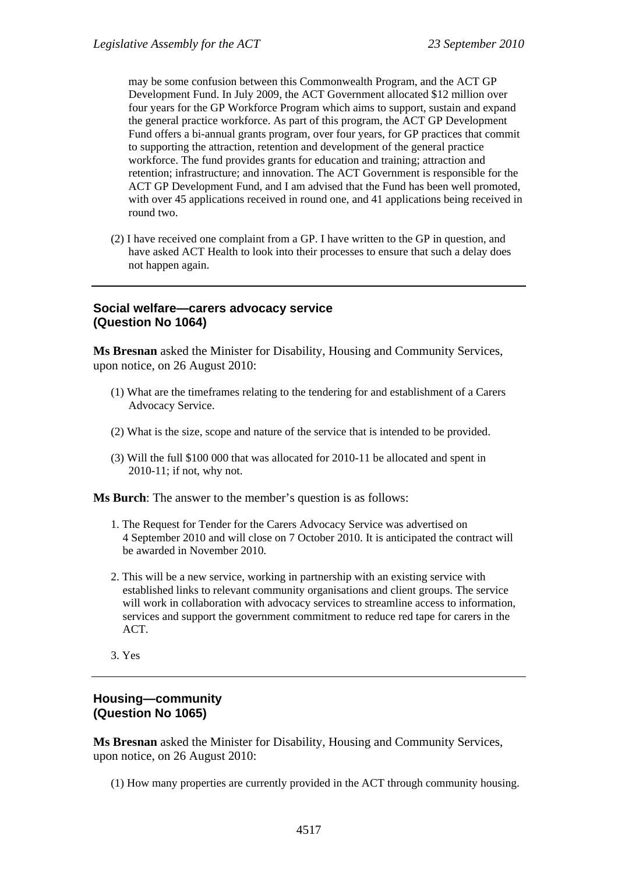may be some confusion between this Commonwealth Program, and the ACT GP Development Fund. In July 2009, the ACT Government allocated \$12 million over four years for the GP Workforce Program which aims to support, sustain and expand the general practice workforce. As part of this program, the ACT GP Development Fund offers a bi-annual grants program, over four years, for GP practices that commit to supporting the attraction, retention and development of the general practice workforce. The fund provides grants for education and training; attraction and retention; infrastructure; and innovation. The ACT Government is responsible for the ACT GP Development Fund, and I am advised that the Fund has been well promoted, with over 45 applications received in round one, and 41 applications being received in round two.

(2) I have received one complaint from a GP. I have written to the GP in question, and have asked ACT Health to look into their processes to ensure that such a delay does not happen again.

#### **Social welfare—carers advocacy service (Question No 1064)**

**Ms Bresnan** asked the Minister for Disability, Housing and Community Services, upon notice, on 26 August 2010:

- (1) What are the timeframes relating to the tendering for and establishment of a Carers Advocacy Service.
- (2) What is the size, scope and nature of the service that is intended to be provided.
- (3) Will the full \$100 000 that was allocated for 2010-11 be allocated and spent in 2010-11; if not, why not.

**Ms Burch**: The answer to the member's question is as follows:

- 1. The Request for Tender for the Carers Advocacy Service was advertised on 4 September 2010 and will close on 7 October 2010. It is anticipated the contract will be awarded in November 2010.
- 2. This will be a new service, working in partnership with an existing service with established links to relevant community organisations and client groups. The service will work in collaboration with advocacy services to streamline access to information, services and support the government commitment to reduce red tape for carers in the ACT.
- 3. Yes

# **Housing—community (Question No 1065)**

**Ms Bresnan** asked the Minister for Disability, Housing and Community Services, upon notice, on 26 August 2010:

(1) How many properties are currently provided in the ACT through community housing.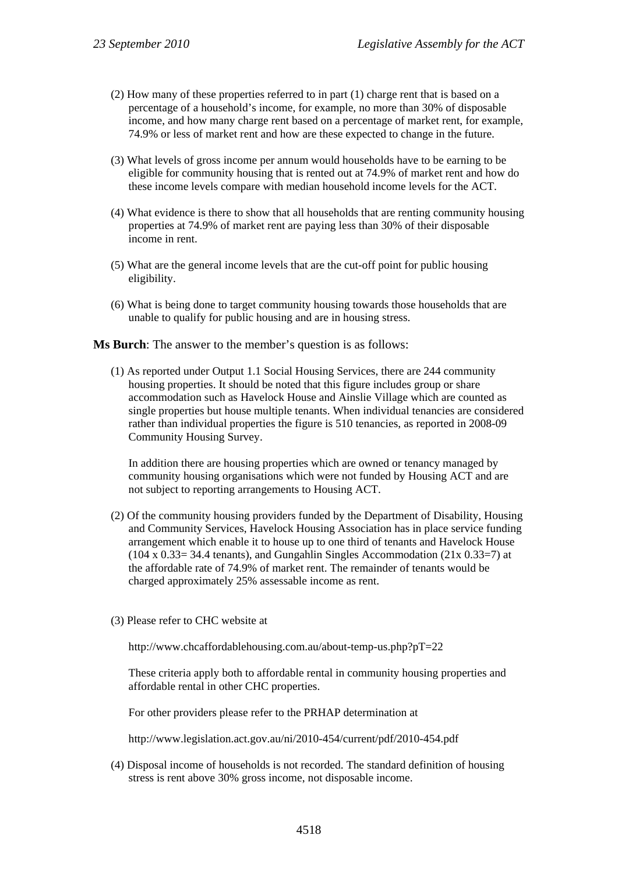- (2) How many of these properties referred to in part (1) charge rent that is based on a percentage of a household's income, for example, no more than 30% of disposable income, and how many charge rent based on a percentage of market rent, for example, 74.9% or less of market rent and how are these expected to change in the future.
- (3) What levels of gross income per annum would households have to be earning to be eligible for community housing that is rented out at 74.9% of market rent and how do these income levels compare with median household income levels for the ACT.
- (4) What evidence is there to show that all households that are renting community housing properties at 74.9% of market rent are paying less than 30% of their disposable income in rent.
- (5) What are the general income levels that are the cut-off point for public housing eligibility.
- (6) What is being done to target community housing towards those households that are unable to qualify for public housing and are in housing stress.

**Ms Burch**: The answer to the member's question is as follows:

(1) As reported under Output 1.1 Social Housing Services, there are 244 community housing properties. It should be noted that this figure includes group or share accommodation such as Havelock House and Ainslie Village which are counted as single properties but house multiple tenants. When individual tenancies are considered rather than individual properties the figure is 510 tenancies, as reported in 2008-09 Community Housing Survey.

In addition there are housing properties which are owned or tenancy managed by community housing organisations which were not funded by Housing ACT and are not subject to reporting arrangements to Housing ACT.

- (2) Of the community housing providers funded by the Department of Disability, Housing and Community Services, Havelock Housing Association has in place service funding arrangement which enable it to house up to one third of tenants and Havelock House  $(104 \times 0.33 = 34.4$  tenants), and Gungahlin Singles Accommodation  $(21 \times 0.33 = 7)$  at the affordable rate of 74.9% of market rent. The remainder of tenants would be charged approximately 25% assessable income as rent.
- (3) Please refer to CHC website at

http://www.chcaffordablehousing.com.au/about-temp-us.php?pT=22

These criteria apply both to affordable rental in community housing properties and affordable rental in other CHC properties.

For other providers please refer to the PRHAP determination at

http://www.legislation.act.gov.au/ni/2010-454/current/pdf/2010-454.pdf

(4) Disposal income of households is not recorded. The standard definition of housing stress is rent above 30% gross income, not disposable income.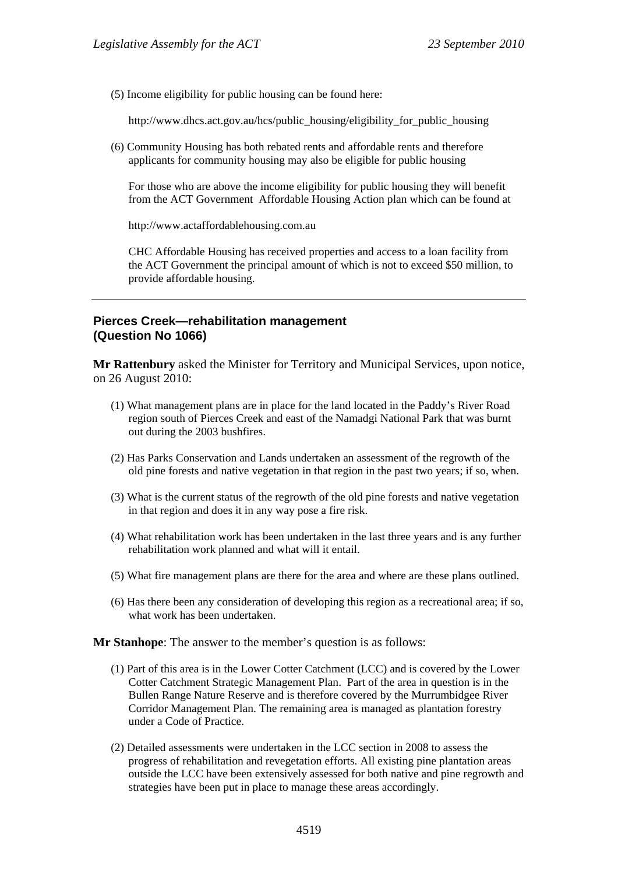(5) Income eligibility for public housing can be found here:

http://www.dhcs.act.gov.au/hcs/public\_housing/eligibility\_for\_public\_housing

(6) Community Housing has both rebated rents and affordable rents and therefore applicants for community housing may also be eligible for public housing

For those who are above the income eligibility for public housing they will benefit from the ACT Government Affordable Housing Action plan which can be found at

http://www.actaffordablehousing.com.au

CHC Affordable Housing has received properties and access to a loan facility from the ACT Government the principal amount of which is not to exceed \$50 million, to provide affordable housing.

### **Pierces Creek—rehabilitation management (Question No 1066)**

**Mr Rattenbury** asked the Minister for Territory and Municipal Services, upon notice, on 26 August 2010:

- (1) What management plans are in place for the land located in the Paddy's River Road region south of Pierces Creek and east of the Namadgi National Park that was burnt out during the 2003 bushfires.
- (2) Has Parks Conservation and Lands undertaken an assessment of the regrowth of the old pine forests and native vegetation in that region in the past two years; if so, when.
- (3) What is the current status of the regrowth of the old pine forests and native vegetation in that region and does it in any way pose a fire risk.
- (4) What rehabilitation work has been undertaken in the last three years and is any further rehabilitation work planned and what will it entail.
- (5) What fire management plans are there for the area and where are these plans outlined.
- (6) Has there been any consideration of developing this region as a recreational area; if so, what work has been undertaken.

**Mr Stanhope**: The answer to the member's question is as follows:

- (1) Part of this area is in the Lower Cotter Catchment (LCC) and is covered by the Lower Cotter Catchment Strategic Management Plan. Part of the area in question is in the Bullen Range Nature Reserve and is therefore covered by the Murrumbidgee River Corridor Management Plan. The remaining area is managed as plantation forestry under a Code of Practice.
- (2) Detailed assessments were undertaken in the LCC section in 2008 to assess the progress of rehabilitation and revegetation efforts. All existing pine plantation areas outside the LCC have been extensively assessed for both native and pine regrowth and strategies have been put in place to manage these areas accordingly.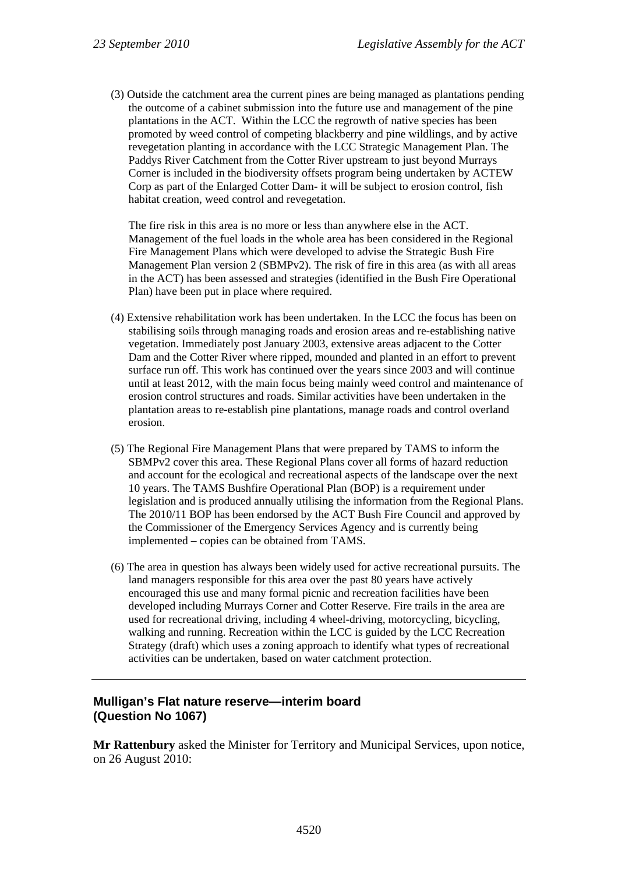(3) Outside the catchment area the current pines are being managed as plantations pending the outcome of a cabinet submission into the future use and management of the pine plantations in the ACT. Within the LCC the regrowth of native species has been promoted by weed control of competing blackberry and pine wildlings, and by active revegetation planting in accordance with the LCC Strategic Management Plan. The Paddys River Catchment from the Cotter River upstream to just beyond Murrays Corner is included in the biodiversity offsets program being undertaken by ACTEW Corp as part of the Enlarged Cotter Dam- it will be subject to erosion control, fish habitat creation, weed control and revegetation.

The fire risk in this area is no more or less than anywhere else in the ACT. Management of the fuel loads in the whole area has been considered in the Regional Fire Management Plans which were developed to advise the Strategic Bush Fire Management Plan version 2 (SBMPv2). The risk of fire in this area (as with all areas in the ACT) has been assessed and strategies (identified in the Bush Fire Operational Plan) have been put in place where required.

- (4) Extensive rehabilitation work has been undertaken. In the LCC the focus has been on stabilising soils through managing roads and erosion areas and re-establishing native vegetation. Immediately post January 2003, extensive areas adjacent to the Cotter Dam and the Cotter River where ripped, mounded and planted in an effort to prevent surface run off. This work has continued over the years since 2003 and will continue until at least 2012, with the main focus being mainly weed control and maintenance of erosion control structures and roads. Similar activities have been undertaken in the plantation areas to re-establish pine plantations, manage roads and control overland erosion.
- (5) The Regional Fire Management Plans that were prepared by TAMS to inform the SBMPv2 cover this area. These Regional Plans cover all forms of hazard reduction and account for the ecological and recreational aspects of the landscape over the next 10 years. The TAMS Bushfire Operational Plan (BOP) is a requirement under legislation and is produced annually utilising the information from the Regional Plans. The 2010/11 BOP has been endorsed by the ACT Bush Fire Council and approved by the Commissioner of the Emergency Services Agency and is currently being implemented – copies can be obtained from TAMS.
- (6) The area in question has always been widely used for active recreational pursuits. The land managers responsible for this area over the past 80 years have actively encouraged this use and many formal picnic and recreation facilities have been developed including Murrays Corner and Cotter Reserve. Fire trails in the area are used for recreational driving, including 4 wheel-driving, motorcycling, bicycling, walking and running. Recreation within the LCC is guided by the LCC Recreation Strategy (draft) which uses a zoning approach to identify what types of recreational activities can be undertaken, based on water catchment protection.

# **Mulligan's Flat nature reserve—interim board (Question No 1067)**

**Mr Rattenbury** asked the Minister for Territory and Municipal Services, upon notice, on 26 August 2010: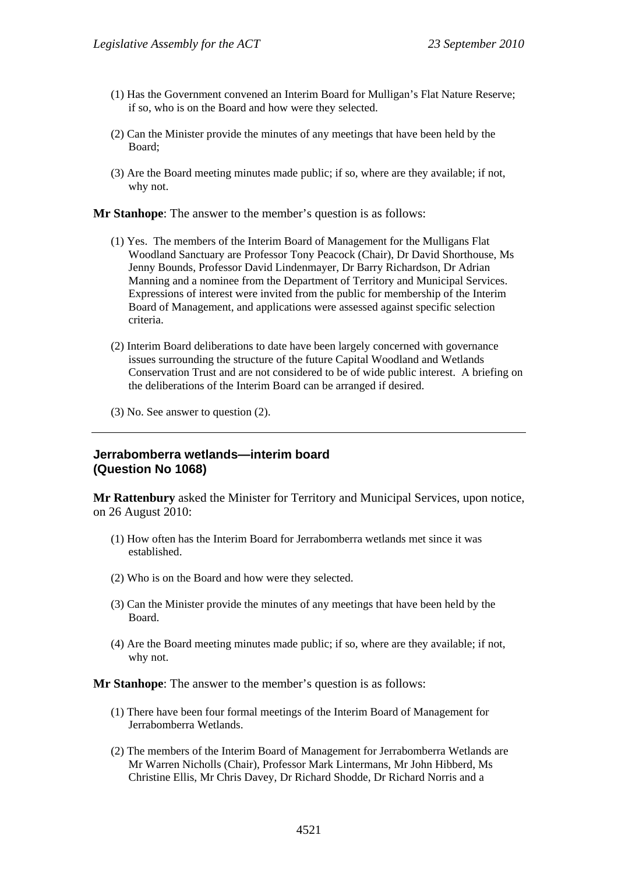- (1) Has the Government convened an Interim Board for Mulligan's Flat Nature Reserve; if so, who is on the Board and how were they selected.
- (2) Can the Minister provide the minutes of any meetings that have been held by the Board;
- (3) Are the Board meeting minutes made public; if so, where are they available; if not, why not.

**Mr Stanhope**: The answer to the member's question is as follows:

- (1) Yes. The members of the Interim Board of Management for the Mulligans Flat Woodland Sanctuary are Professor Tony Peacock (Chair), Dr David Shorthouse, Ms Jenny Bounds, Professor David Lindenmayer, Dr Barry Richardson, Dr Adrian Manning and a nominee from the Department of Territory and Municipal Services. Expressions of interest were invited from the public for membership of the Interim Board of Management, and applications were assessed against specific selection criteria.
- (2) Interim Board deliberations to date have been largely concerned with governance issues surrounding the structure of the future Capital Woodland and Wetlands Conservation Trust and are not considered to be of wide public interest. A briefing on the deliberations of the Interim Board can be arranged if desired.
- (3) No. See answer to question (2).

#### **Jerrabomberra wetlands—interim board (Question No 1068)**

**Mr Rattenbury** asked the Minister for Territory and Municipal Services, upon notice, on 26 August 2010:

- (1) How often has the Interim Board for Jerrabomberra wetlands met since it was established.
- (2) Who is on the Board and how were they selected.
- (3) Can the Minister provide the minutes of any meetings that have been held by the Board.
- (4) Are the Board meeting minutes made public; if so, where are they available; if not, why not.

**Mr Stanhope**: The answer to the member's question is as follows:

- (1) There have been four formal meetings of the Interim Board of Management for Jerrabomberra Wetlands.
- (2) The members of the Interim Board of Management for Jerrabomberra Wetlands are Mr Warren Nicholls (Chair), Professor Mark Lintermans, Mr John Hibberd, Ms Christine Ellis, Mr Chris Davey, Dr Richard Shodde, Dr Richard Norris and a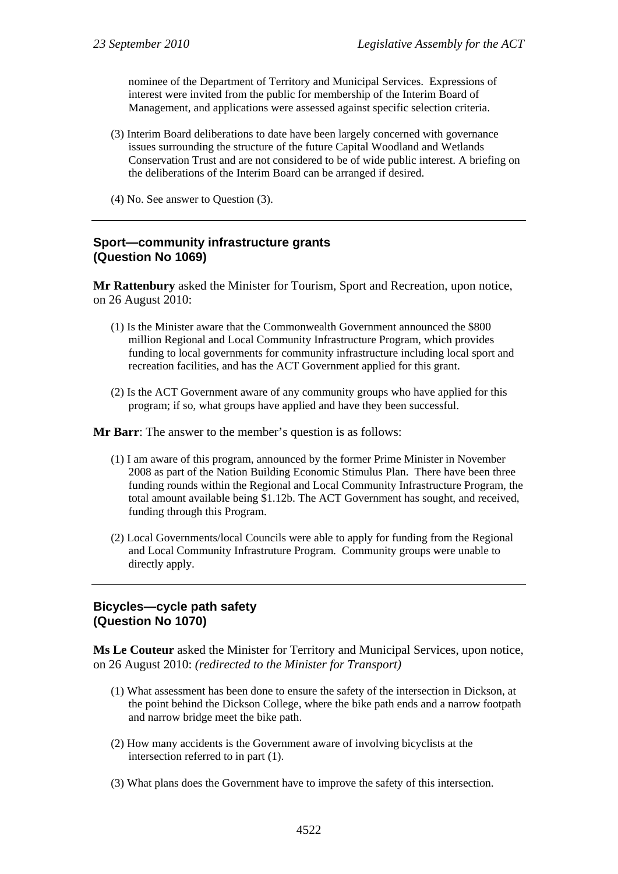nominee of the Department of Territory and Municipal Services. Expressions of interest were invited from the public for membership of the Interim Board of Management, and applications were assessed against specific selection criteria.

- (3) Interim Board deliberations to date have been largely concerned with governance issues surrounding the structure of the future Capital Woodland and Wetlands Conservation Trust and are not considered to be of wide public interest. A briefing on the deliberations of the Interim Board can be arranged if desired.
- (4) No. See answer to Question (3).

#### **Sport—community infrastructure grants (Question No 1069)**

**Mr Rattenbury** asked the Minister for Tourism, Sport and Recreation, upon notice, on 26 August 2010:

- (1) Is the Minister aware that the Commonwealth Government announced the \$800 million Regional and Local Community Infrastructure Program, which provides funding to local governments for community infrastructure including local sport and recreation facilities, and has the ACT Government applied for this grant.
- (2) Is the ACT Government aware of any community groups who have applied for this program; if so, what groups have applied and have they been successful.

**Mr Barr**: The answer to the member's question is as follows:

- (1) I am aware of this program, announced by the former Prime Minister in November 2008 as part of the Nation Building Economic Stimulus Plan. There have been three funding rounds within the Regional and Local Community Infrastructure Program, the total amount available being \$1.12b. The ACT Government has sought, and received, funding through this Program.
- (2) Local Governments/local Councils were able to apply for funding from the Regional and Local Community Infrastruture Program. Community groups were unable to directly apply.

### **Bicycles—cycle path safety (Question No 1070)**

**Ms Le Couteur** asked the Minister for Territory and Municipal Services, upon notice, on 26 August 2010: *(redirected to the Minister for Transport)*

- (1) What assessment has been done to ensure the safety of the intersection in Dickson, at the point behind the Dickson College, where the bike path ends and a narrow footpath and narrow bridge meet the bike path.
- (2) How many accidents is the Government aware of involving bicyclists at the intersection referred to in part (1).
- (3) What plans does the Government have to improve the safety of this intersection.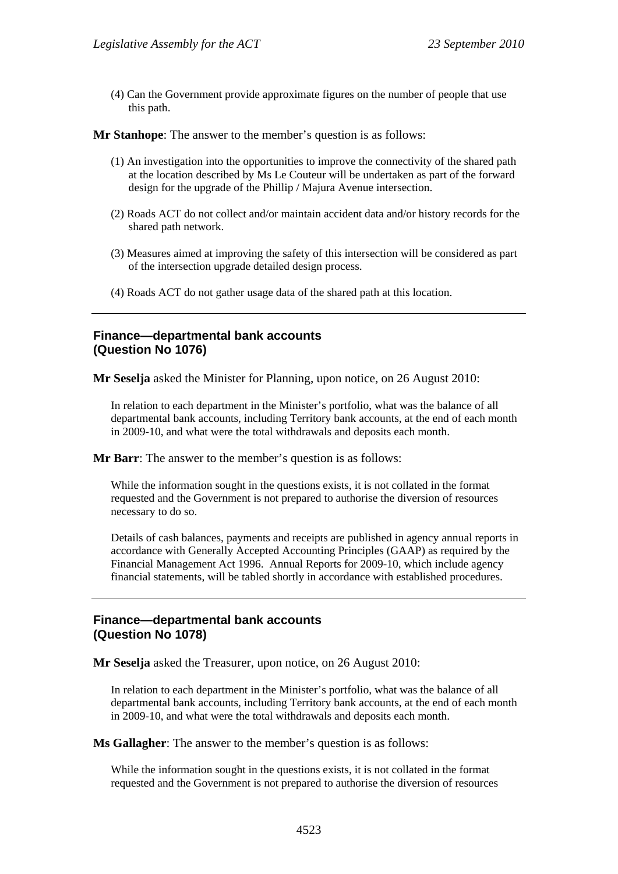(4) Can the Government provide approximate figures on the number of people that use this path.

**Mr Stanhope**: The answer to the member's question is as follows:

- (1) An investigation into the opportunities to improve the connectivity of the shared path at the location described by Ms Le Couteur will be undertaken as part of the forward design for the upgrade of the Phillip / Majura Avenue intersection.
- (2) Roads ACT do not collect and/or maintain accident data and/or history records for the shared path network.
- (3) Measures aimed at improving the safety of this intersection will be considered as part of the intersection upgrade detailed design process.
- (4) Roads ACT do not gather usage data of the shared path at this location.

#### **Finance—departmental bank accounts (Question No 1076)**

**Mr Seselja** asked the Minister for Planning, upon notice, on 26 August 2010:

In relation to each department in the Minister's portfolio, what was the balance of all departmental bank accounts, including Territory bank accounts, at the end of each month in 2009-10, and what were the total withdrawals and deposits each month.

**Mr Barr**: The answer to the member's question is as follows:

While the information sought in the questions exists, it is not collated in the format requested and the Government is not prepared to authorise the diversion of resources necessary to do so.

Details of cash balances, payments and receipts are published in agency annual reports in accordance with Generally Accepted Accounting Principles (GAAP) as required by the Financial Management Act 1996. Annual Reports for 2009-10, which include agency financial statements, will be tabled shortly in accordance with established procedures.

### **Finance—departmental bank accounts (Question No 1078)**

**Mr Seselja** asked the Treasurer, upon notice, on 26 August 2010:

In relation to each department in the Minister's portfolio, what was the balance of all departmental bank accounts, including Territory bank accounts, at the end of each month in 2009-10, and what were the total withdrawals and deposits each month.

**Ms Gallagher**: The answer to the member's question is as follows:

While the information sought in the questions exists, it is not collated in the format requested and the Government is not prepared to authorise the diversion of resources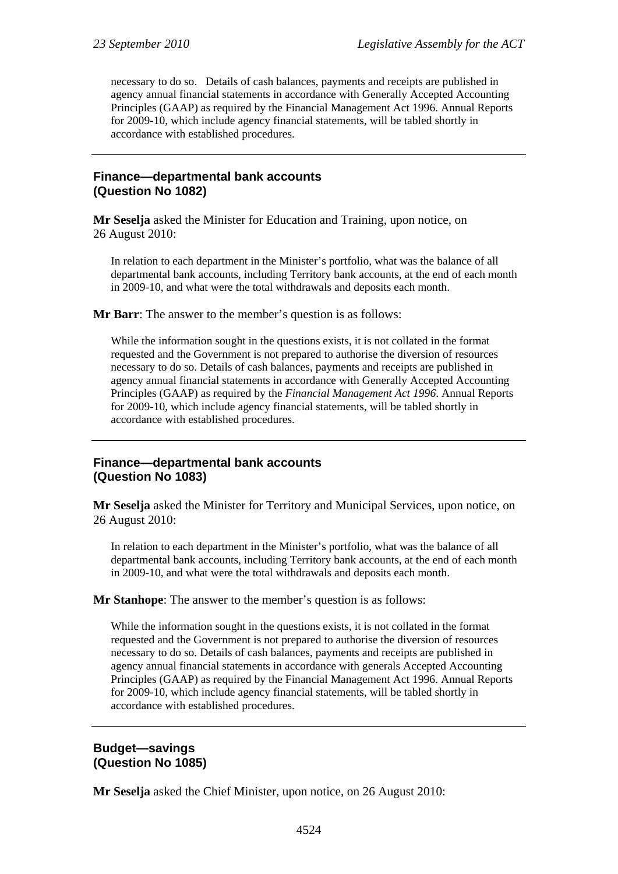necessary to do so. Details of cash balances, payments and receipts are published in agency annual financial statements in accordance with Generally Accepted Accounting Principles (GAAP) as required by the Financial Management Act 1996. Annual Reports for 2009-10, which include agency financial statements, will be tabled shortly in accordance with established procedures.

#### **Finance—departmental bank accounts (Question No 1082)**

**Mr Seselja** asked the Minister for Education and Training, upon notice, on 26 August 2010:

In relation to each department in the Minister's portfolio, what was the balance of all departmental bank accounts, including Territory bank accounts, at the end of each month in 2009-10, and what were the total withdrawals and deposits each month.

**Mr Barr**: The answer to the member's question is as follows:

While the information sought in the questions exists, it is not collated in the format requested and the Government is not prepared to authorise the diversion of resources necessary to do so. Details of cash balances, payments and receipts are published in agency annual financial statements in accordance with Generally Accepted Accounting Principles (GAAP) as required by the *Financial Management Act 1996*. Annual Reports for 2009-10, which include agency financial statements, will be tabled shortly in accordance with established procedures.

#### **Finance—departmental bank accounts (Question No 1083)**

**Mr Seselja** asked the Minister for Territory and Municipal Services, upon notice, on 26 August 2010:

In relation to each department in the Minister's portfolio, what was the balance of all departmental bank accounts, including Territory bank accounts, at the end of each month in 2009-10, and what were the total withdrawals and deposits each month.

#### **Mr Stanhope**: The answer to the member's question is as follows:

While the information sought in the questions exists, it is not collated in the format requested and the Government is not prepared to authorise the diversion of resources necessary to do so. Details of cash balances, payments and receipts are published in agency annual financial statements in accordance with generals Accepted Accounting Principles (GAAP) as required by the Financial Management Act 1996. Annual Reports for 2009-10, which include agency financial statements, will be tabled shortly in accordance with established procedures.

#### **Budget—savings (Question No 1085)**

**Mr Seselja** asked the Chief Minister, upon notice, on 26 August 2010: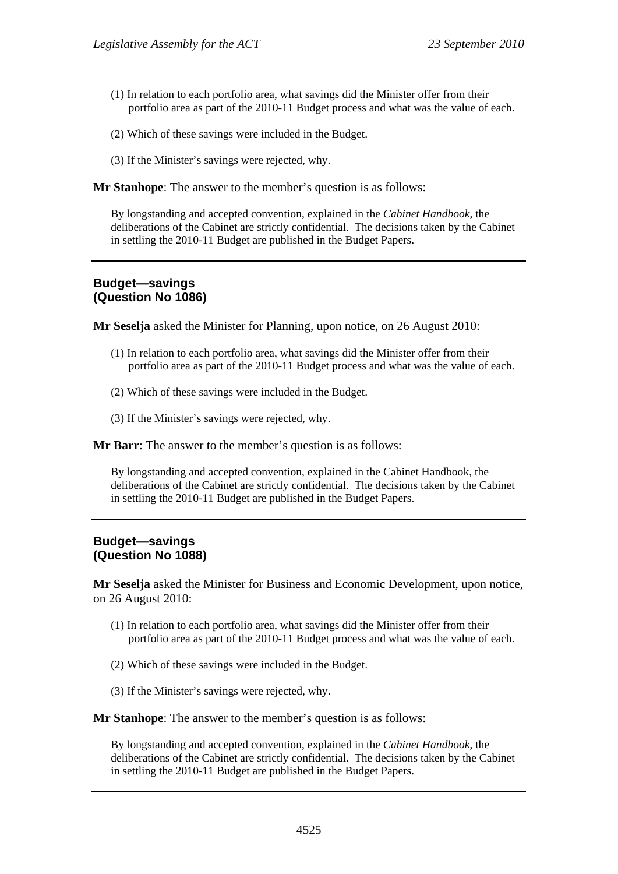- (1) In relation to each portfolio area, what savings did the Minister offer from their portfolio area as part of the 2010-11 Budget process and what was the value of each.
- (2) Which of these savings were included in the Budget.
- (3) If the Minister's savings were rejected, why.

**Mr Stanhope**: The answer to the member's question is as follows:

By longstanding and accepted convention, explained in the *Cabinet Handbook*, the deliberations of the Cabinet are strictly confidential. The decisions taken by the Cabinet in settling the 2010-11 Budget are published in the Budget Papers.

# **Budget—savings (Question No 1086)**

**Mr Seselja** asked the Minister for Planning, upon notice, on 26 August 2010:

- (1) In relation to each portfolio area, what savings did the Minister offer from their portfolio area as part of the 2010-11 Budget process and what was the value of each.
- (2) Which of these savings were included in the Budget.
- (3) If the Minister's savings were rejected, why.

**Mr Barr**: The answer to the member's question is as follows:

By longstanding and accepted convention, explained in the Cabinet Handbook, the deliberations of the Cabinet are strictly confidential. The decisions taken by the Cabinet in settling the 2010-11 Budget are published in the Budget Papers.

#### **Budget—savings (Question No 1088)**

**Mr Seselja** asked the Minister for Business and Economic Development, upon notice, on 26 August 2010:

- (1) In relation to each portfolio area, what savings did the Minister offer from their portfolio area as part of the 2010-11 Budget process and what was the value of each.
- (2) Which of these savings were included in the Budget.
- (3) If the Minister's savings were rejected, why.

**Mr Stanhope**: The answer to the member's question is as follows:

By longstanding and accepted convention, explained in the *Cabinet Handbook*, the deliberations of the Cabinet are strictly confidential. The decisions taken by the Cabinet in settling the 2010-11 Budget are published in the Budget Papers.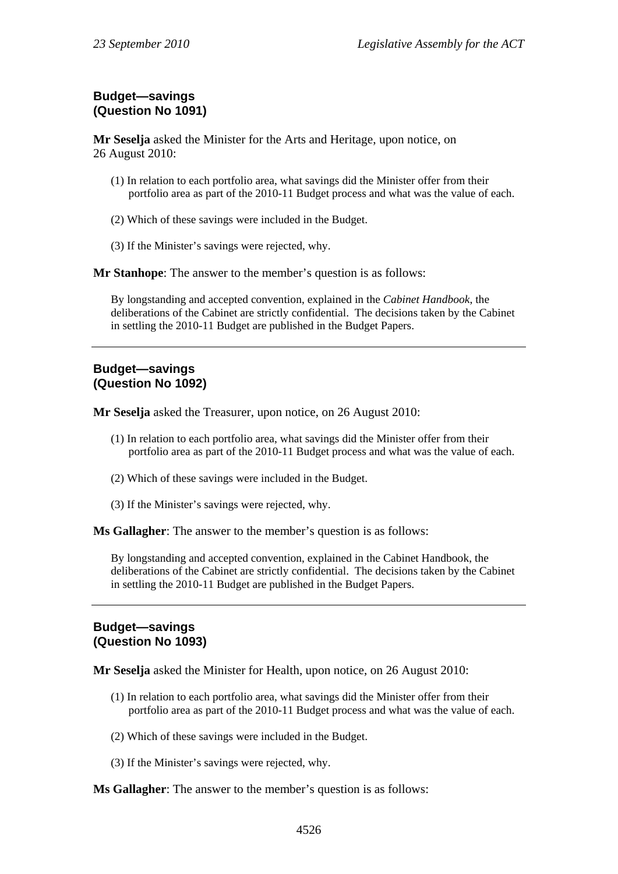# **Budget—savings (Question No 1091)**

**Mr Seselja** asked the Minister for the Arts and Heritage, upon notice, on 26 August 2010:

- (1) In relation to each portfolio area, what savings did the Minister offer from their portfolio area as part of the 2010-11 Budget process and what was the value of each.
- (2) Which of these savings were included in the Budget.
- (3) If the Minister's savings were rejected, why.

**Mr Stanhope**: The answer to the member's question is as follows:

By longstanding and accepted convention, explained in the *Cabinet Handbook*, the deliberations of the Cabinet are strictly confidential. The decisions taken by the Cabinet in settling the 2010-11 Budget are published in the Budget Papers.

#### **Budget—savings (Question No 1092)**

**Mr Seselja** asked the Treasurer, upon notice, on 26 August 2010:

- (1) In relation to each portfolio area, what savings did the Minister offer from their portfolio area as part of the 2010-11 Budget process and what was the value of each.
- (2) Which of these savings were included in the Budget.
- (3) If the Minister's savings were rejected, why.

**Ms Gallagher**: The answer to the member's question is as follows:

By longstanding and accepted convention, explained in the Cabinet Handbook, the deliberations of the Cabinet are strictly confidential. The decisions taken by the Cabinet in settling the 2010-11 Budget are published in the Budget Papers.

### **Budget—savings (Question No 1093)**

**Mr Seselja** asked the Minister for Health, upon notice, on 26 August 2010:

- (1) In relation to each portfolio area, what savings did the Minister offer from their portfolio area as part of the 2010-11 Budget process and what was the value of each.
- (2) Which of these savings were included in the Budget.
- (3) If the Minister's savings were rejected, why.

**Ms Gallagher**: The answer to the member's question is as follows: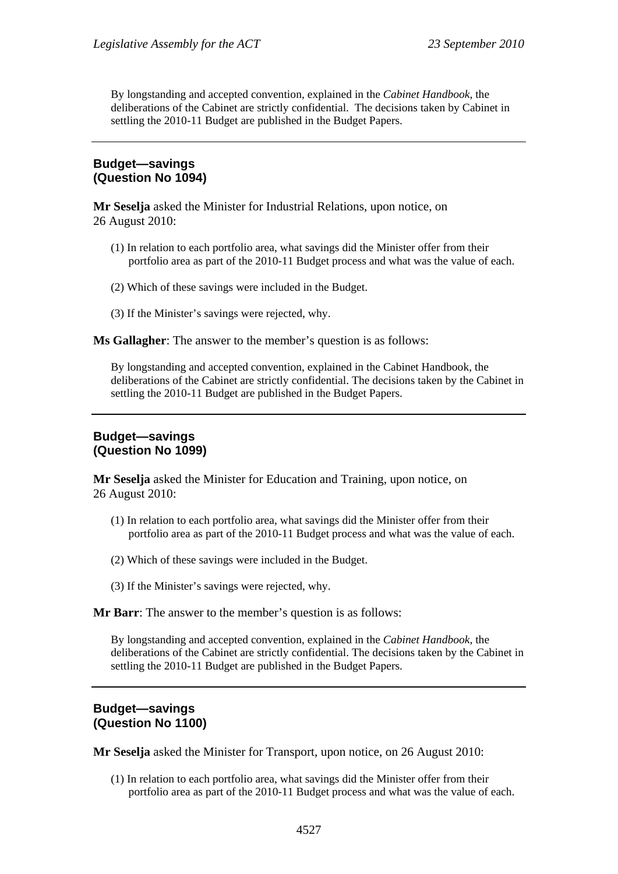By longstanding and accepted convention, explained in the *Cabinet Handbook*, the deliberations of the Cabinet are strictly confidential. The decisions taken by Cabinet in settling the 2010-11 Budget are published in the Budget Papers.

#### **Budget—savings (Question No 1094)**

**Mr Seselja** asked the Minister for Industrial Relations, upon notice, on 26 August 2010:

- (1) In relation to each portfolio area, what savings did the Minister offer from their portfolio area as part of the 2010-11 Budget process and what was the value of each.
- (2) Which of these savings were included in the Budget.
- (3) If the Minister's savings were rejected, why.

**Ms Gallagher**: The answer to the member's question is as follows:

By longstanding and accepted convention, explained in the Cabinet Handbook, the deliberations of the Cabinet are strictly confidential. The decisions taken by the Cabinet in settling the 2010-11 Budget are published in the Budget Papers.

#### **Budget—savings (Question No 1099)**

**Mr Seselja** asked the Minister for Education and Training, upon notice, on 26 August 2010:

- (1) In relation to each portfolio area, what savings did the Minister offer from their portfolio area as part of the 2010-11 Budget process and what was the value of each.
- (2) Which of these savings were included in the Budget.
- (3) If the Minister's savings were rejected, why.

**Mr Barr**: The answer to the member's question is as follows:

By longstanding and accepted convention, explained in the *Cabinet Handbook*, the deliberations of the Cabinet are strictly confidential. The decisions taken by the Cabinet in settling the 2010-11 Budget are published in the Budget Papers.

#### **Budget—savings (Question No 1100)**

**Mr Seselja** asked the Minister for Transport, upon notice, on 26 August 2010:

(1) In relation to each portfolio area, what savings did the Minister offer from their portfolio area as part of the 2010-11 Budget process and what was the value of each.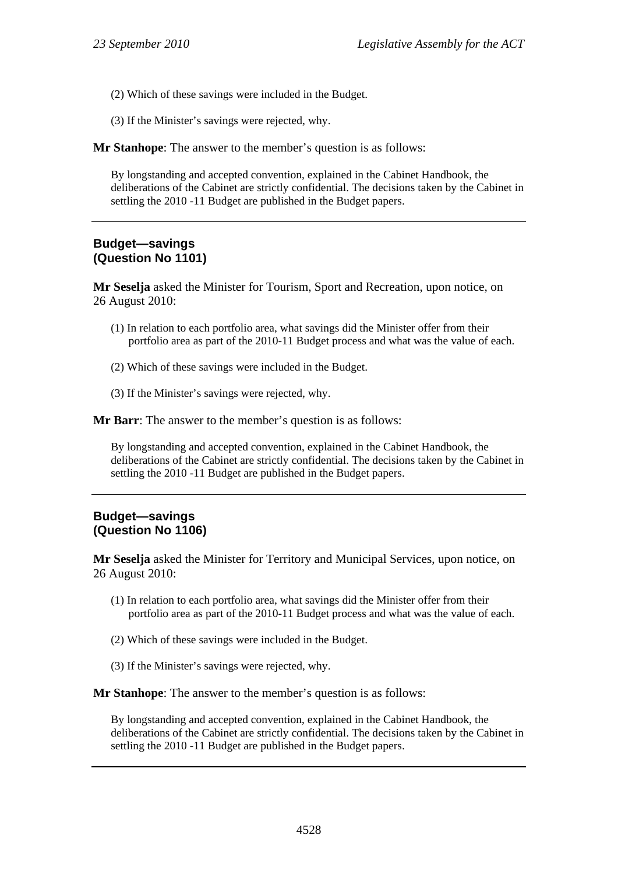- (2) Which of these savings were included in the Budget.
- (3) If the Minister's savings were rejected, why.

By longstanding and accepted convention, explained in the Cabinet Handbook, the deliberations of the Cabinet are strictly confidential. The decisions taken by the Cabinet in settling the 2010 -11 Budget are published in the Budget papers.

#### **Budget—savings (Question No 1101)**

**Mr Seselja** asked the Minister for Tourism, Sport and Recreation, upon notice, on 26 August 2010:

- (1) In relation to each portfolio area, what savings did the Minister offer from their portfolio area as part of the 2010-11 Budget process and what was the value of each.
- (2) Which of these savings were included in the Budget.
- (3) If the Minister's savings were rejected, why.

**Mr Barr**: The answer to the member's question is as follows:

By longstanding and accepted convention, explained in the Cabinet Handbook, the deliberations of the Cabinet are strictly confidential. The decisions taken by the Cabinet in settling the 2010 -11 Budget are published in the Budget papers.

#### **Budget—savings (Question No 1106)**

**Mr Seselja** asked the Minister for Territory and Municipal Services, upon notice, on 26 August 2010:

- (1) In relation to each portfolio area, what savings did the Minister offer from their portfolio area as part of the 2010-11 Budget process and what was the value of each.
- (2) Which of these savings were included in the Budget.
- (3) If the Minister's savings were rejected, why.

**Mr Stanhope:** The answer to the member's question is as follows:

By longstanding and accepted convention, explained in the Cabinet Handbook, the deliberations of the Cabinet are strictly confidential. The decisions taken by the Cabinet in settling the 2010 -11 Budget are published in the Budget papers.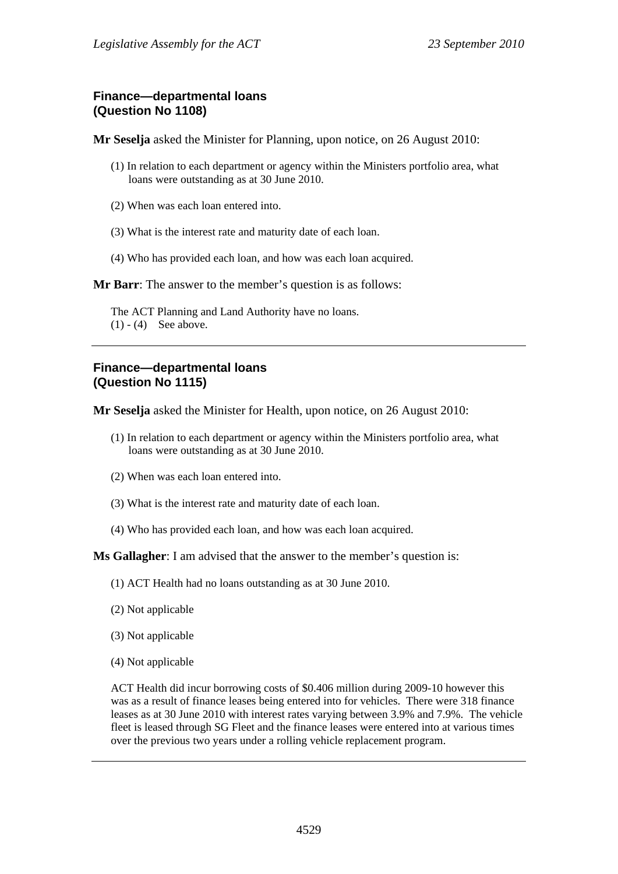## **Finance—departmental loans (Question No 1108)**

**Mr Seselja** asked the Minister for Planning, upon notice, on 26 August 2010:

- (1) In relation to each department or agency within the Ministers portfolio area, what loans were outstanding as at 30 June 2010.
- (2) When was each loan entered into.
- (3) What is the interest rate and maturity date of each loan.
- (4) Who has provided each loan, and how was each loan acquired.

**Mr Barr**: The answer to the member's question is as follows:

The ACT Planning and Land Authority have no loans.  $(1) - (4)$  See above.

## **Finance—departmental loans (Question No 1115)**

**Mr Seselja** asked the Minister for Health, upon notice, on 26 August 2010:

- (1) In relation to each department or agency within the Ministers portfolio area, what loans were outstanding as at 30 June 2010.
- (2) When was each loan entered into.
- (3) What is the interest rate and maturity date of each loan.
- (4) Who has provided each loan, and how was each loan acquired.

**Ms Gallagher**: I am advised that the answer to the member's question is:

- (1) ACT Health had no loans outstanding as at 30 June 2010.
- (2) Not applicable
- (3) Not applicable
- (4) Not applicable

ACT Health did incur borrowing costs of \$0.406 million during 2009-10 however this was as a result of finance leases being entered into for vehicles. There were 318 finance leases as at 30 June 2010 with interest rates varying between 3.9% and 7.9%. The vehicle fleet is leased through SG Fleet and the finance leases were entered into at various times over the previous two years under a rolling vehicle replacement program.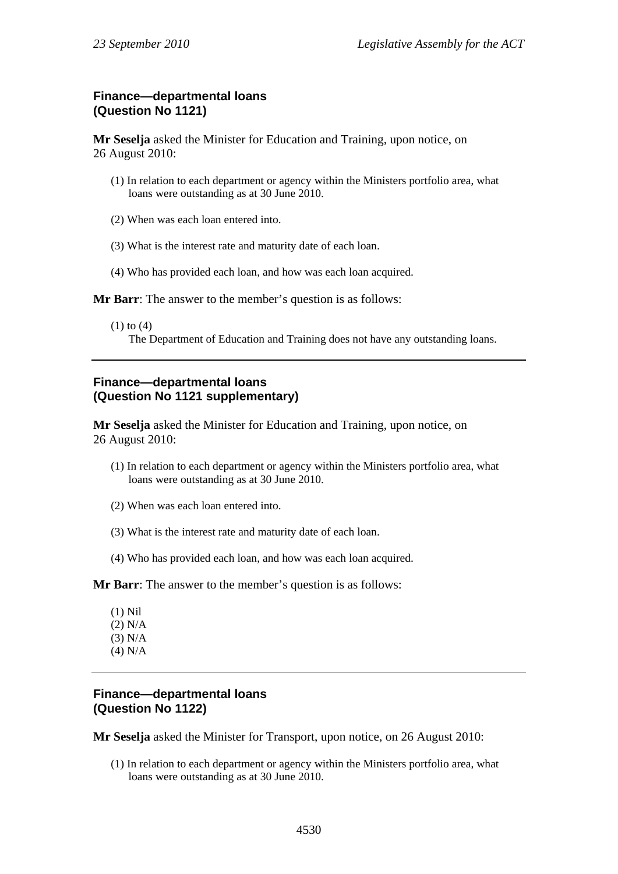## **Finance—departmental loans (Question No 1121)**

**Mr Seselja** asked the Minister for Education and Training, upon notice, on 26 August 2010:

- (1) In relation to each department or agency within the Ministers portfolio area, what loans were outstanding as at 30 June 2010.
- (2) When was each loan entered into.
- (3) What is the interest rate and maturity date of each loan.
- (4) Who has provided each loan, and how was each loan acquired.

**Mr Barr**: The answer to the member's question is as follows:

(1) to (4)

The Department of Education and Training does not have any outstanding loans.

## **Finance—departmental loans (Question No 1121 supplementary)**

**Mr Seselja** asked the Minister for Education and Training, upon notice, on 26 August 2010:

- (1) In relation to each department or agency within the Ministers portfolio area, what loans were outstanding as at 30 June 2010.
- (2) When was each loan entered into.
- (3) What is the interest rate and maturity date of each loan.
- (4) Who has provided each loan, and how was each loan acquired.

**Mr Barr**: The answer to the member's question is as follows:

(1) Nil (2) N/A (3) N/A (4) N/A

## **Finance—departmental loans (Question No 1122)**

**Mr Seselja** asked the Minister for Transport, upon notice, on 26 August 2010:

(1) In relation to each department or agency within the Ministers portfolio area, what loans were outstanding as at 30 June 2010.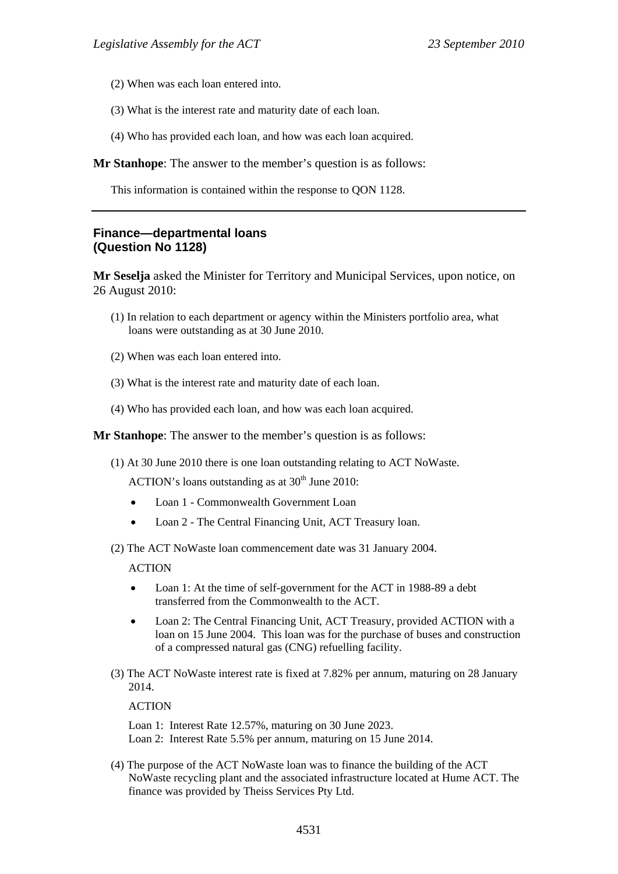- (2) When was each loan entered into.
- (3) What is the interest rate and maturity date of each loan.
- (4) Who has provided each loan, and how was each loan acquired.

This information is contained within the response to QON 1128.

#### **Finance—departmental loans (Question No 1128)**

**Mr Seselja** asked the Minister for Territory and Municipal Services, upon notice, on 26 August 2010:

- (1) In relation to each department or agency within the Ministers portfolio area, what loans were outstanding as at 30 June 2010.
- (2) When was each loan entered into.
- (3) What is the interest rate and maturity date of each loan.
- (4) Who has provided each loan, and how was each loan acquired.

**Mr Stanhope**: The answer to the member's question is as follows:

(1) At 30 June 2010 there is one loan outstanding relating to ACT NoWaste.

ACTION's loans outstanding as at  $30<sup>th</sup>$  June 2010:

- Loan 1 Commonwealth Government Loan
- Loan 2 The Central Financing Unit, ACT Treasury loan.

(2) The ACT NoWaste loan commencement date was 31 January 2004.

#### ACTION

- Loan 1: At the time of self-government for the ACT in 1988-89 a debt transferred from the Commonwealth to the ACT.
- Loan 2: The Central Financing Unit, ACT Treasury, provided ACTION with a loan on 15 June 2004. This loan was for the purchase of buses and construction of a compressed natural gas (CNG) refuelling facility.
- (3) The ACT NoWaste interest rate is fixed at 7.82% per annum, maturing on 28 January 2014.

**ACTION** 

Loan 1: Interest Rate 12.57%, maturing on 30 June 2023. Loan 2: Interest Rate 5.5% per annum, maturing on 15 June 2014.

(4) The purpose of the ACT NoWaste loan was to finance the building of the ACT NoWaste recycling plant and the associated infrastructure located at Hume ACT. The finance was provided by Theiss Services Pty Ltd.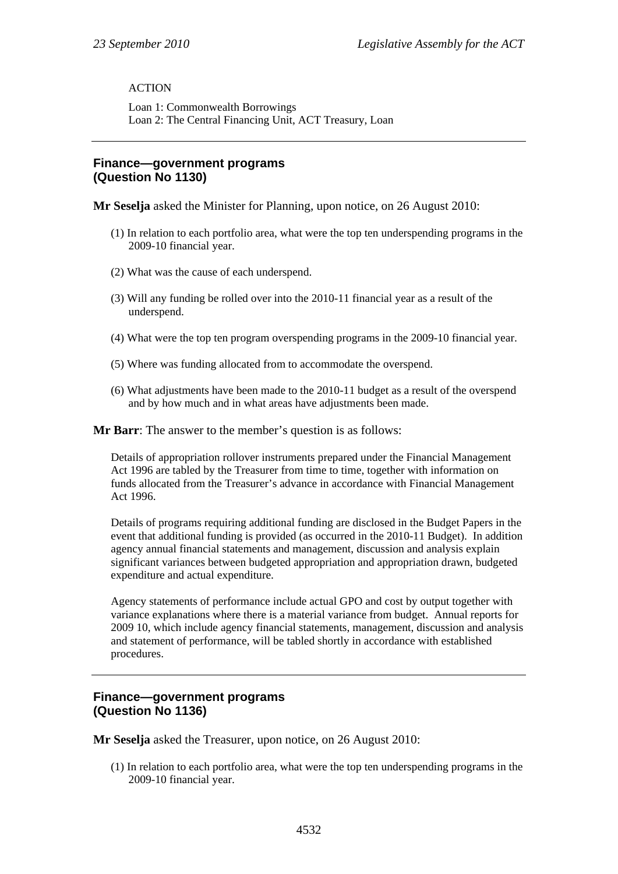## ACTION

Loan 1: Commonwealth Borrowings Loan 2: The Central Financing Unit, ACT Treasury, Loan

#### **Finance—government programs (Question No 1130)**

**Mr Seselja** asked the Minister for Planning, upon notice, on 26 August 2010:

- (1) In relation to each portfolio area, what were the top ten underspending programs in the 2009-10 financial year.
- (2) What was the cause of each underspend.
- (3) Will any funding be rolled over into the 2010-11 financial year as a result of the underspend.
- (4) What were the top ten program overspending programs in the 2009-10 financial year.
- (5) Where was funding allocated from to accommodate the overspend.
- (6) What adjustments have been made to the 2010-11 budget as a result of the overspend and by how much and in what areas have adjustments been made.

**Mr Barr**: The answer to the member's question is as follows:

Details of appropriation rollover instruments prepared under the Financial Management Act 1996 are tabled by the Treasurer from time to time, together with information on funds allocated from the Treasurer's advance in accordance with Financial Management Act 1996.

Details of programs requiring additional funding are disclosed in the Budget Papers in the event that additional funding is provided (as occurred in the 2010-11 Budget). In addition agency annual financial statements and management, discussion and analysis explain significant variances between budgeted appropriation and appropriation drawn, budgeted expenditure and actual expenditure.

Agency statements of performance include actual GPO and cost by output together with variance explanations where there is a material variance from budget. Annual reports for 2009 10, which include agency financial statements, management, discussion and analysis and statement of performance, will be tabled shortly in accordance with established procedures.

## **Finance—government programs (Question No 1136)**

**Mr Seselja** asked the Treasurer, upon notice, on 26 August 2010:

(1) In relation to each portfolio area, what were the top ten underspending programs in the 2009-10 financial year.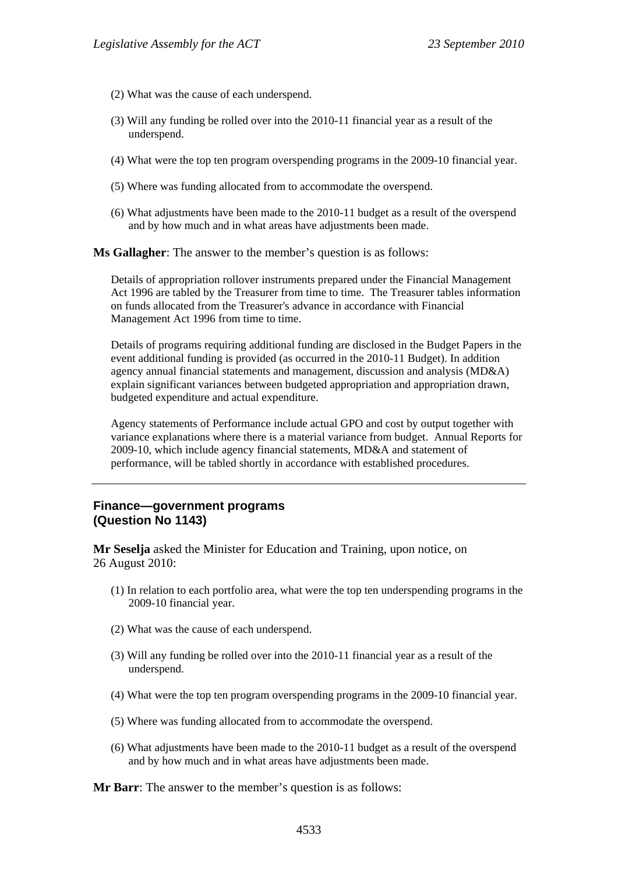- (2) What was the cause of each underspend.
- (3) Will any funding be rolled over into the 2010-11 financial year as a result of the underspend.
- (4) What were the top ten program overspending programs in the 2009-10 financial year.
- (5) Where was funding allocated from to accommodate the overspend.
- (6) What adjustments have been made to the 2010-11 budget as a result of the overspend and by how much and in what areas have adjustments been made.

**Ms Gallagher**: The answer to the member's question is as follows:

Details of appropriation rollover instruments prepared under the Financial Management Act 1996 are tabled by the Treasurer from time to time. The Treasurer tables information on funds allocated from the Treasurer's advance in accordance with Financial Management Act 1996 from time to time.

Details of programs requiring additional funding are disclosed in the Budget Papers in the event additional funding is provided (as occurred in the 2010-11 Budget). In addition agency annual financial statements and management, discussion and analysis (MD&A) explain significant variances between budgeted appropriation and appropriation drawn, budgeted expenditure and actual expenditure.

Agency statements of Performance include actual GPO and cost by output together with variance explanations where there is a material variance from budget. Annual Reports for 2009-10, which include agency financial statements, MD&A and statement of performance, will be tabled shortly in accordance with established procedures.

#### **Finance—government programs (Question No 1143)**

**Mr Seselja** asked the Minister for Education and Training, upon notice, on 26 August 2010:

- (1) In relation to each portfolio area, what were the top ten underspending programs in the 2009-10 financial year.
- (2) What was the cause of each underspend.
- (3) Will any funding be rolled over into the 2010-11 financial year as a result of the underspend.
- (4) What were the top ten program overspending programs in the 2009-10 financial year.
- (5) Where was funding allocated from to accommodate the overspend.
- (6) What adjustments have been made to the 2010-11 budget as a result of the overspend and by how much and in what areas have adjustments been made.

**Mr Barr**: The answer to the member's question is as follows: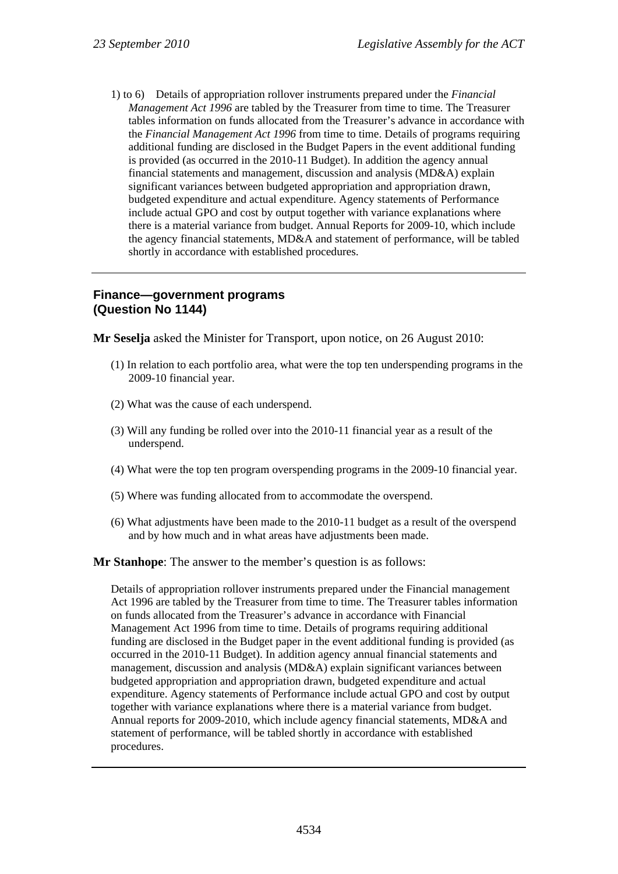1) to 6) Details of appropriation rollover instruments prepared under the *Financial Management Act 1996* are tabled by the Treasurer from time to time. The Treasurer tables information on funds allocated from the Treasurer's advance in accordance with the *Financial Management Act 1996* from time to time. Details of programs requiring additional funding are disclosed in the Budget Papers in the event additional funding is provided (as occurred in the 2010-11 Budget). In addition the agency annual financial statements and management, discussion and analysis (MD&A) explain significant variances between budgeted appropriation and appropriation drawn, budgeted expenditure and actual expenditure. Agency statements of Performance include actual GPO and cost by output together with variance explanations where there is a material variance from budget. Annual Reports for 2009-10, which include the agency financial statements, MD&A and statement of performance, will be tabled shortly in accordance with established procedures.

## **Finance—government programs (Question No 1144)**

**Mr Seselja** asked the Minister for Transport, upon notice, on 26 August 2010:

- (1) In relation to each portfolio area, what were the top ten underspending programs in the 2009-10 financial year.
- (2) What was the cause of each underspend.
- (3) Will any funding be rolled over into the 2010-11 financial year as a result of the underspend.
- (4) What were the top ten program overspending programs in the 2009-10 financial year.
- (5) Where was funding allocated from to accommodate the overspend.
- (6) What adjustments have been made to the 2010-11 budget as a result of the overspend and by how much and in what areas have adjustments been made.

**Mr Stanhope**: The answer to the member's question is as follows:

Details of appropriation rollover instruments prepared under the Financial management Act 1996 are tabled by the Treasurer from time to time. The Treasurer tables information on funds allocated from the Treasurer's advance in accordance with Financial Management Act 1996 from time to time. Details of programs requiring additional funding are disclosed in the Budget paper in the event additional funding is provided (as occurred in the 2010-11 Budget). In addition agency annual financial statements and management, discussion and analysis (MD&A) explain significant variances between budgeted appropriation and appropriation drawn, budgeted expenditure and actual expenditure. Agency statements of Performance include actual GPO and cost by output together with variance explanations where there is a material variance from budget. Annual reports for 2009-2010, which include agency financial statements, MD&A and statement of performance, will be tabled shortly in accordance with established procedures.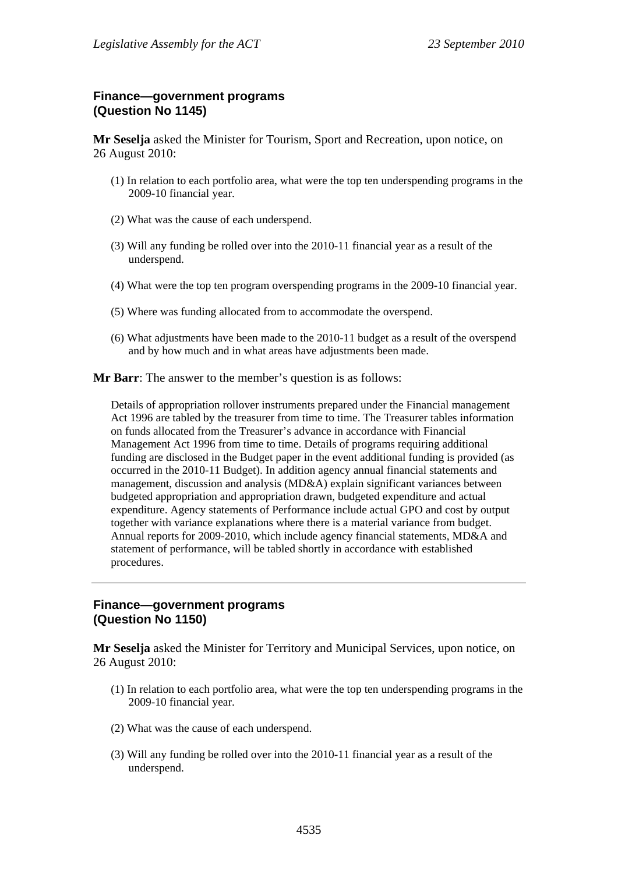## **Finance—government programs (Question No 1145)**

**Mr Seselja** asked the Minister for Tourism, Sport and Recreation, upon notice, on 26 August 2010:

- (1) In relation to each portfolio area, what were the top ten underspending programs in the 2009-10 financial year.
- (2) What was the cause of each underspend.
- (3) Will any funding be rolled over into the 2010-11 financial year as a result of the underspend.
- (4) What were the top ten program overspending programs in the 2009-10 financial year.
- (5) Where was funding allocated from to accommodate the overspend.
- (6) What adjustments have been made to the 2010-11 budget as a result of the overspend and by how much and in what areas have adjustments been made.

**Mr Barr**: The answer to the member's question is as follows:

Details of appropriation rollover instruments prepared under the Financial management Act 1996 are tabled by the treasurer from time to time. The Treasurer tables information on funds allocated from the Treasurer's advance in accordance with Financial Management Act 1996 from time to time. Details of programs requiring additional funding are disclosed in the Budget paper in the event additional funding is provided (as occurred in the 2010-11 Budget). In addition agency annual financial statements and management, discussion and analysis (MD&A) explain significant variances between budgeted appropriation and appropriation drawn, budgeted expenditure and actual expenditure. Agency statements of Performance include actual GPO and cost by output together with variance explanations where there is a material variance from budget. Annual reports for 2009-2010, which include agency financial statements, MD&A and statement of performance, will be tabled shortly in accordance with established procedures.

#### **Finance—government programs (Question No 1150)**

**Mr Seselja** asked the Minister for Territory and Municipal Services, upon notice, on 26 August 2010:

- (1) In relation to each portfolio area, what were the top ten underspending programs in the 2009-10 financial year.
- (2) What was the cause of each underspend.
- (3) Will any funding be rolled over into the 2010-11 financial year as a result of the underspend.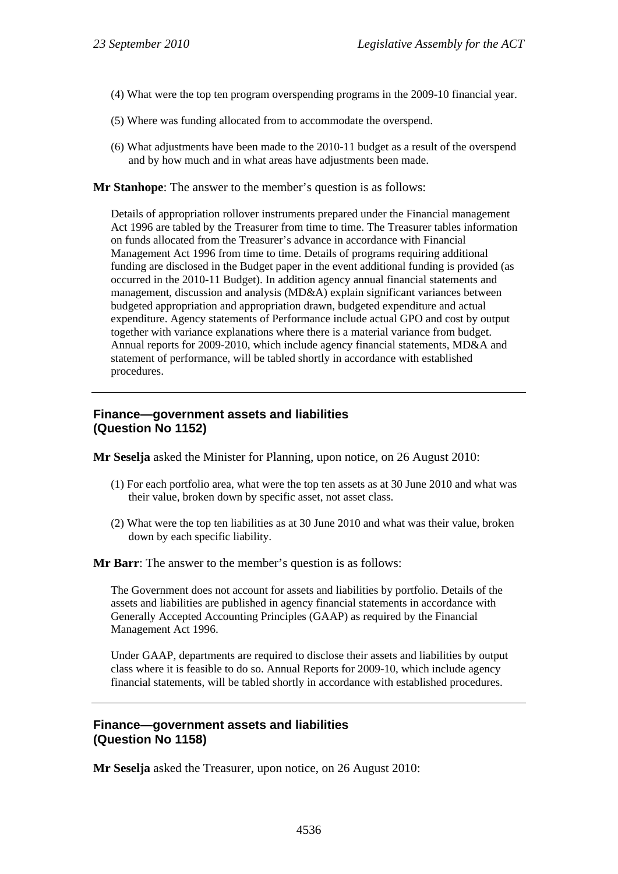- (4) What were the top ten program overspending programs in the 2009-10 financial year.
- (5) Where was funding allocated from to accommodate the overspend.
- (6) What adjustments have been made to the 2010-11 budget as a result of the overspend and by how much and in what areas have adjustments been made.

Details of appropriation rollover instruments prepared under the Financial management Act 1996 are tabled by the Treasurer from time to time. The Treasurer tables information on funds allocated from the Treasurer's advance in accordance with Financial Management Act 1996 from time to time. Details of programs requiring additional funding are disclosed in the Budget paper in the event additional funding is provided (as occurred in the 2010-11 Budget). In addition agency annual financial statements and management, discussion and analysis (MD&A) explain significant variances between budgeted appropriation and appropriation drawn, budgeted expenditure and actual expenditure. Agency statements of Performance include actual GPO and cost by output together with variance explanations where there is a material variance from budget. Annual reports for 2009-2010, which include agency financial statements, MD&A and statement of performance, will be tabled shortly in accordance with established procedures.

## **Finance—government assets and liabilities (Question No 1152)**

**Mr Seselja** asked the Minister for Planning, upon notice, on 26 August 2010:

- (1) For each portfolio area, what were the top ten assets as at 30 June 2010 and what was their value, broken down by specific asset, not asset class.
- (2) What were the top ten liabilities as at 30 June 2010 and what was their value, broken down by each specific liability.

**Mr Barr**: The answer to the member's question is as follows:

The Government does not account for assets and liabilities by portfolio. Details of the assets and liabilities are published in agency financial statements in accordance with Generally Accepted Accounting Principles (GAAP) as required by the Financial Management Act 1996.

Under GAAP, departments are required to disclose their assets and liabilities by output class where it is feasible to do so. Annual Reports for 2009-10, which include agency financial statements, will be tabled shortly in accordance with established procedures.

## **Finance—government assets and liabilities (Question No 1158)**

**Mr Seselja** asked the Treasurer, upon notice, on 26 August 2010: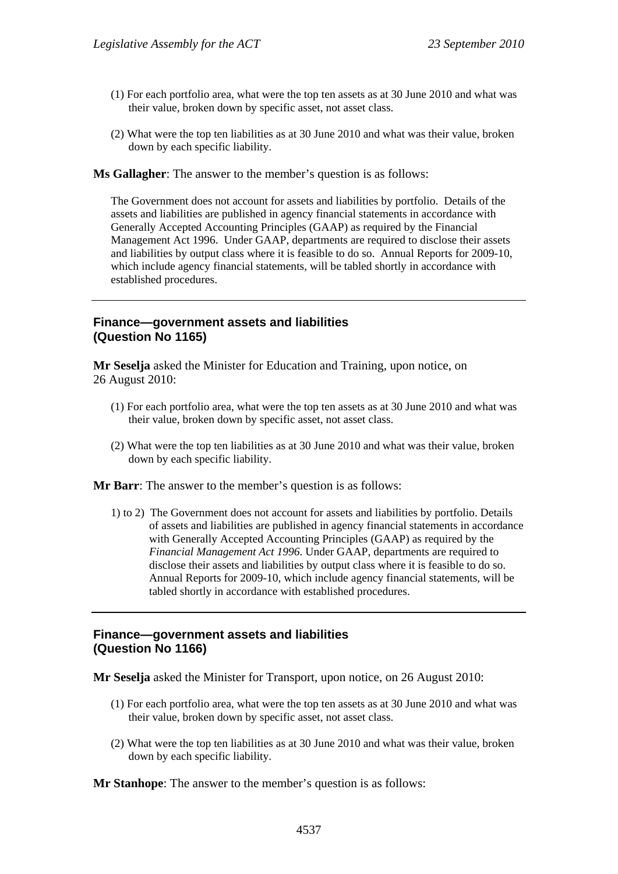- (1) For each portfolio area, what were the top ten assets as at 30 June 2010 and what was their value, broken down by specific asset, not asset class.
- (2) What were the top ten liabilities as at 30 June 2010 and what was their value, broken down by each specific liability.

**Ms Gallagher**: The answer to the member's question is as follows:

The Government does not account for assets and liabilities by portfolio. Details of the assets and liabilities are published in agency financial statements in accordance with Generally Accepted Accounting Principles (GAAP) as required by the Financial Management Act 1996. Under GAAP, departments are required to disclose their assets and liabilities by output class where it is feasible to do so. Annual Reports for 2009-10, which include agency financial statements, will be tabled shortly in accordance with established procedures.

#### **Finance—government assets and liabilities (Question No 1165)**

**Mr Seselja** asked the Minister for Education and Training, upon notice, on 26 August 2010:

- (1) For each portfolio area, what were the top ten assets as at 30 June 2010 and what was their value, broken down by specific asset, not asset class.
- (2) What were the top ten liabilities as at 30 June 2010 and what was their value, broken down by each specific liability.

**Mr Barr**: The answer to the member's question is as follows:

1) to 2) The Government does not account for assets and liabilities by portfolio. Details of assets and liabilities are published in agency financial statements in accordance with Generally Accepted Accounting Principles (GAAP) as required by the *Financial Management Act 1996*. Under GAAP, departments are required to disclose their assets and liabilities by output class where it is feasible to do so. Annual Reports for 2009-10, which include agency financial statements, will be tabled shortly in accordance with established procedures.

#### **Finance—government assets and liabilities (Question No 1166)**

**Mr Seselja** asked the Minister for Transport, upon notice, on 26 August 2010:

- (1) For each portfolio area, what were the top ten assets as at 30 June 2010 and what was their value, broken down by specific asset, not asset class.
- (2) What were the top ten liabilities as at 30 June 2010 and what was their value, broken down by each specific liability.

**Mr Stanhope**: The answer to the member's question is as follows: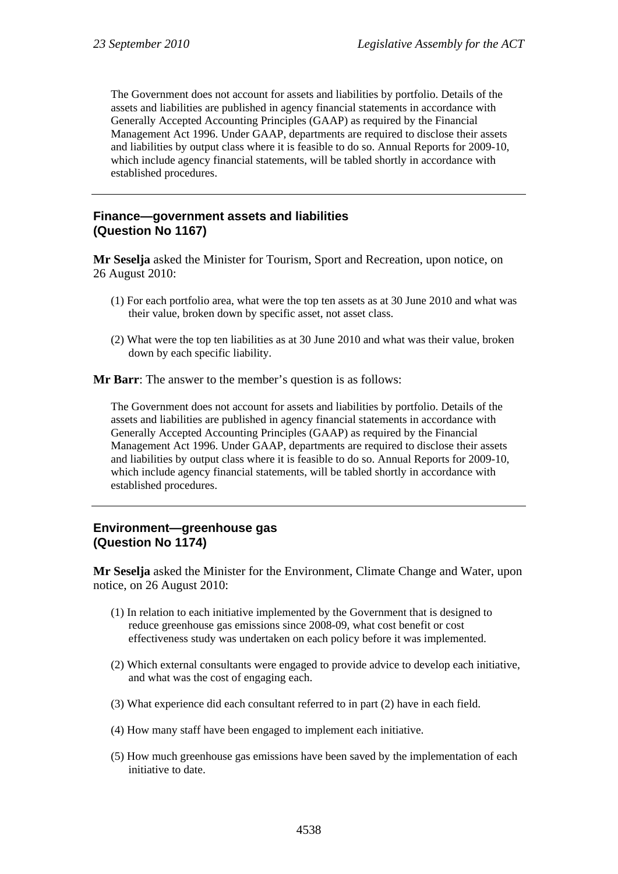The Government does not account for assets and liabilities by portfolio. Details of the assets and liabilities are published in agency financial statements in accordance with Generally Accepted Accounting Principles (GAAP) as required by the Financial Management Act 1996. Under GAAP, departments are required to disclose their assets and liabilities by output class where it is feasible to do so. Annual Reports for 2009-10, which include agency financial statements, will be tabled shortly in accordance with established procedures.

#### **Finance—government assets and liabilities (Question No 1167)**

**Mr Seselja** asked the Minister for Tourism, Sport and Recreation, upon notice, on 26 August 2010:

- (1) For each portfolio area, what were the top ten assets as at 30 June 2010 and what was their value, broken down by specific asset, not asset class.
- (2) What were the top ten liabilities as at 30 June 2010 and what was their value, broken down by each specific liability.

**Mr Barr**: The answer to the member's question is as follows:

The Government does not account for assets and liabilities by portfolio. Details of the assets and liabilities are published in agency financial statements in accordance with Generally Accepted Accounting Principles (GAAP) as required by the Financial Management Act 1996. Under GAAP, departments are required to disclose their assets and liabilities by output class where it is feasible to do so. Annual Reports for 2009-10, which include agency financial statements, will be tabled shortly in accordance with established procedures.

## **Environment—greenhouse gas (Question No 1174)**

**Mr Seselja** asked the Minister for the Environment, Climate Change and Water, upon notice, on 26 August 2010:

- (1) In relation to each initiative implemented by the Government that is designed to reduce greenhouse gas emissions since 2008-09, what cost benefit or cost effectiveness study was undertaken on each policy before it was implemented.
- (2) Which external consultants were engaged to provide advice to develop each initiative, and what was the cost of engaging each.
- (3) What experience did each consultant referred to in part (2) have in each field.
- (4) How many staff have been engaged to implement each initiative.
- (5) How much greenhouse gas emissions have been saved by the implementation of each initiative to date.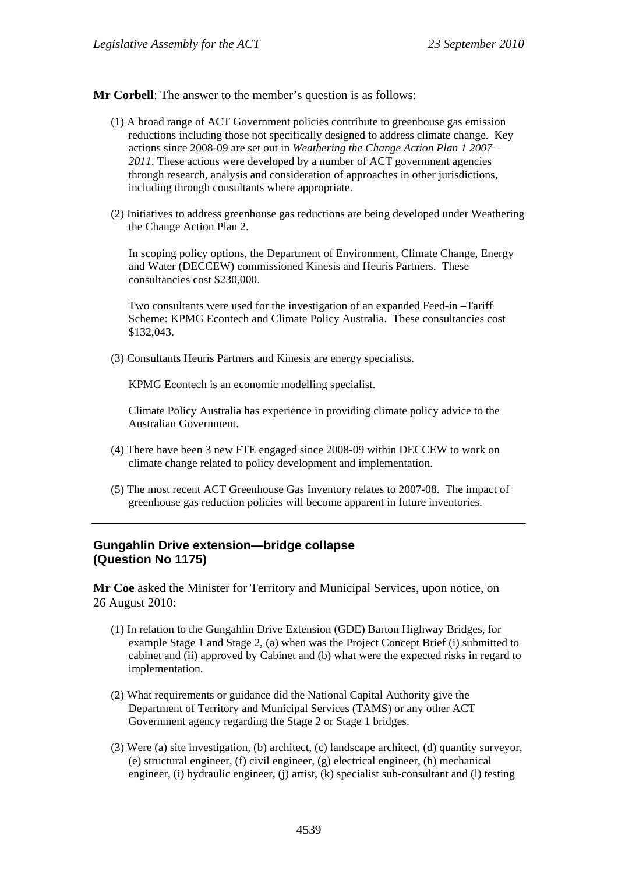- (1) A broad range of ACT Government policies contribute to greenhouse gas emission reductions including those not specifically designed to address climate change. Key actions since 2008-09 are set out in *Weathering the Change Action Plan 1 2007 – 2011*. These actions were developed by a number of ACT government agencies through research, analysis and consideration of approaches in other jurisdictions, including through consultants where appropriate.
- (2) Initiatives to address greenhouse gas reductions are being developed under Weathering the Change Action Plan 2.

In scoping policy options, the Department of Environment, Climate Change, Energy and Water (DECCEW) commissioned Kinesis and Heuris Partners. These consultancies cost \$230,000.

Two consultants were used for the investigation of an expanded Feed-in –Tariff Scheme: KPMG Econtech and Climate Policy Australia. These consultancies cost \$132,043.

(3) Consultants Heuris Partners and Kinesis are energy specialists.

KPMG Econtech is an economic modelling specialist.

Climate Policy Australia has experience in providing climate policy advice to the Australian Government.

- (4) There have been 3 new FTE engaged since 2008-09 within DECCEW to work on climate change related to policy development and implementation.
- (5) The most recent ACT Greenhouse Gas Inventory relates to 2007-08. The impact of greenhouse gas reduction policies will become apparent in future inventories.

## **Gungahlin Drive extension—bridge collapse (Question No 1175)**

**Mr Coe** asked the Minister for Territory and Municipal Services, upon notice, on 26 August 2010:

- (1) In relation to the Gungahlin Drive Extension (GDE) Barton Highway Bridges, for example Stage 1 and Stage 2, (a) when was the Project Concept Brief (i) submitted to cabinet and (ii) approved by Cabinet and (b) what were the expected risks in regard to implementation.
- (2) What requirements or guidance did the National Capital Authority give the Department of Territory and Municipal Services (TAMS) or any other ACT Government agency regarding the Stage 2 or Stage 1 bridges.
- (3) Were (a) site investigation, (b) architect, (c) landscape architect, (d) quantity surveyor, (e) structural engineer, (f) civil engineer, (g) electrical engineer, (h) mechanical engineer, (i) hydraulic engineer, (j) artist, (k) specialist sub-consultant and (l) testing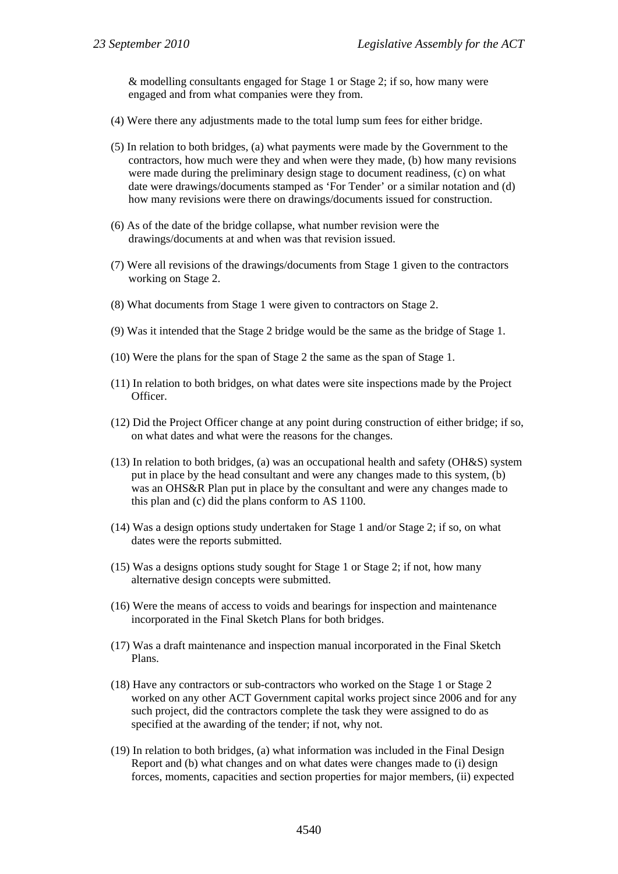& modelling consultants engaged for Stage 1 or Stage 2; if so, how many were engaged and from what companies were they from.

- (4) Were there any adjustments made to the total lump sum fees for either bridge.
- (5) In relation to both bridges, (a) what payments were made by the Government to the contractors, how much were they and when were they made, (b) how many revisions were made during the preliminary design stage to document readiness, (c) on what date were drawings/documents stamped as 'For Tender' or a similar notation and (d) how many revisions were there on drawings/documents issued for construction.
- (6) As of the date of the bridge collapse, what number revision were the drawings/documents at and when was that revision issued.
- (7) Were all revisions of the drawings/documents from Stage 1 given to the contractors working on Stage 2.
- (8) What documents from Stage 1 were given to contractors on Stage 2.
- (9) Was it intended that the Stage 2 bridge would be the same as the bridge of Stage 1.
- (10) Were the plans for the span of Stage 2 the same as the span of Stage 1.
- (11) In relation to both bridges, on what dates were site inspections made by the Project Officer.
- (12) Did the Project Officer change at any point during construction of either bridge; if so, on what dates and what were the reasons for the changes.
- (13) In relation to both bridges, (a) was an occupational health and safety (OH&S) system put in place by the head consultant and were any changes made to this system, (b) was an OHS&R Plan put in place by the consultant and were any changes made to this plan and (c) did the plans conform to AS 1100.
- (14) Was a design options study undertaken for Stage 1 and/or Stage 2; if so, on what dates were the reports submitted.
- (15) Was a designs options study sought for Stage 1 or Stage 2; if not, how many alternative design concepts were submitted.
- (16) Were the means of access to voids and bearings for inspection and maintenance incorporated in the Final Sketch Plans for both bridges.
- (17) Was a draft maintenance and inspection manual incorporated in the Final Sketch Plans.
- (18) Have any contractors or sub-contractors who worked on the Stage 1 or Stage 2 worked on any other ACT Government capital works project since 2006 and for any such project, did the contractors complete the task they were assigned to do as specified at the awarding of the tender; if not, why not.
- (19) In relation to both bridges, (a) what information was included in the Final Design Report and (b) what changes and on what dates were changes made to (i) design forces, moments, capacities and section properties for major members, (ii) expected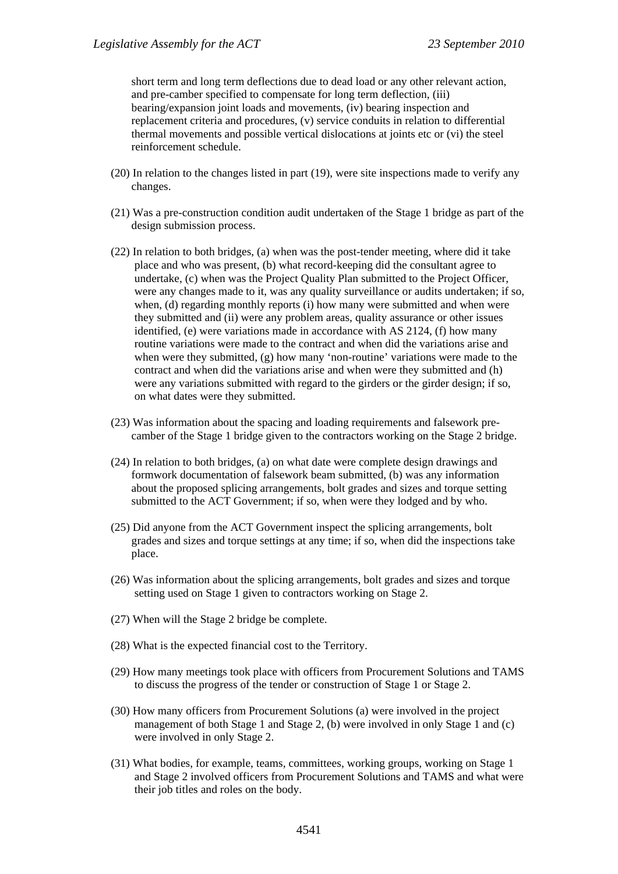short term and long term deflections due to dead load or any other relevant action, and pre-camber specified to compensate for long term deflection, (iii) bearing/expansion joint loads and movements, (iv) bearing inspection and replacement criteria and procedures, (v) service conduits in relation to differential thermal movements and possible vertical dislocations at joints etc or (vi) the steel reinforcement schedule.

- (20) In relation to the changes listed in part (19), were site inspections made to verify any changes.
- (21) Was a pre-construction condition audit undertaken of the Stage 1 bridge as part of the design submission process.
- (22) In relation to both bridges, (a) when was the post-tender meeting, where did it take place and who was present, (b) what record-keeping did the consultant agree to undertake, (c) when was the Project Quality Plan submitted to the Project Officer, were any changes made to it, was any quality surveillance or audits undertaken; if so, when, (d) regarding monthly reports (i) how many were submitted and when were they submitted and (ii) were any problem areas, quality assurance or other issues identified, (e) were variations made in accordance with AS 2124, (f) how many routine variations were made to the contract and when did the variations arise and when were they submitted, (g) how many 'non-routine' variations were made to the contract and when did the variations arise and when were they submitted and (h) were any variations submitted with regard to the girders or the girder design; if so, on what dates were they submitted.
- (23) Was information about the spacing and loading requirements and falsework precamber of the Stage 1 bridge given to the contractors working on the Stage 2 bridge.
- (24) In relation to both bridges, (a) on what date were complete design drawings and formwork documentation of falsework beam submitted, (b) was any information about the proposed splicing arrangements, bolt grades and sizes and torque setting submitted to the ACT Government; if so, when were they lodged and by who.
- (25) Did anyone from the ACT Government inspect the splicing arrangements, bolt grades and sizes and torque settings at any time; if so, when did the inspections take place.
- (26) Was information about the splicing arrangements, bolt grades and sizes and torque setting used on Stage 1 given to contractors working on Stage 2.
- (27) When will the Stage 2 bridge be complete.
- (28) What is the expected financial cost to the Territory.
- (29) How many meetings took place with officers from Procurement Solutions and TAMS to discuss the progress of the tender or construction of Stage 1 or Stage 2.
- (30) How many officers from Procurement Solutions (a) were involved in the project management of both Stage 1 and Stage 2, (b) were involved in only Stage 1 and (c) were involved in only Stage 2.
- (31) What bodies, for example, teams, committees, working groups, working on Stage 1 and Stage 2 involved officers from Procurement Solutions and TAMS and what were their job titles and roles on the body.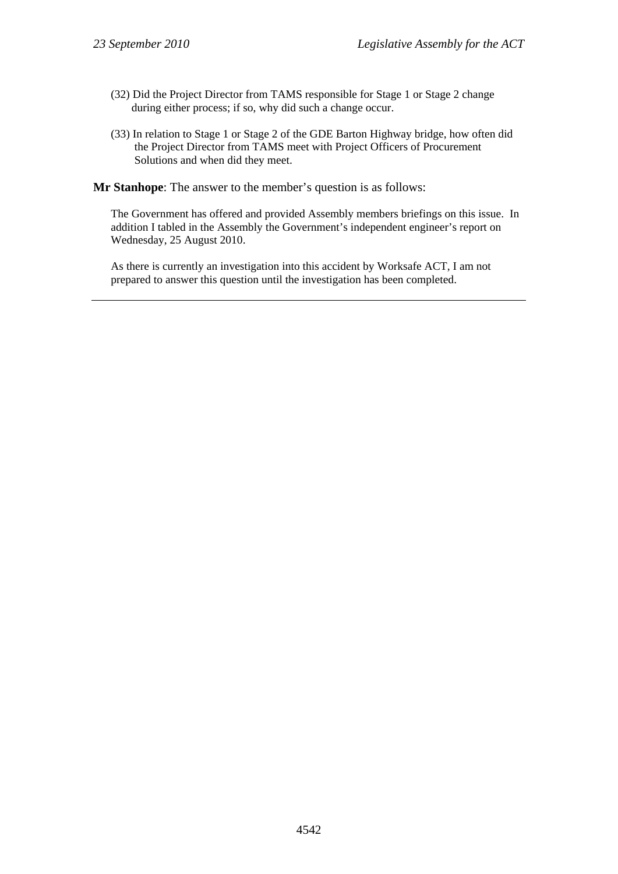- (32) Did the Project Director from TAMS responsible for Stage 1 or Stage 2 change during either process; if so, why did such a change occur.
- (33) In relation to Stage 1 or Stage 2 of the GDE Barton Highway bridge, how often did the Project Director from TAMS meet with Project Officers of Procurement Solutions and when did they meet.

The Government has offered and provided Assembly members briefings on this issue. In addition I tabled in the Assembly the Government's independent engineer's report on Wednesday, 25 August 2010.

As there is currently an investigation into this accident by Worksafe ACT, I am not prepared to answer this question until the investigation has been completed.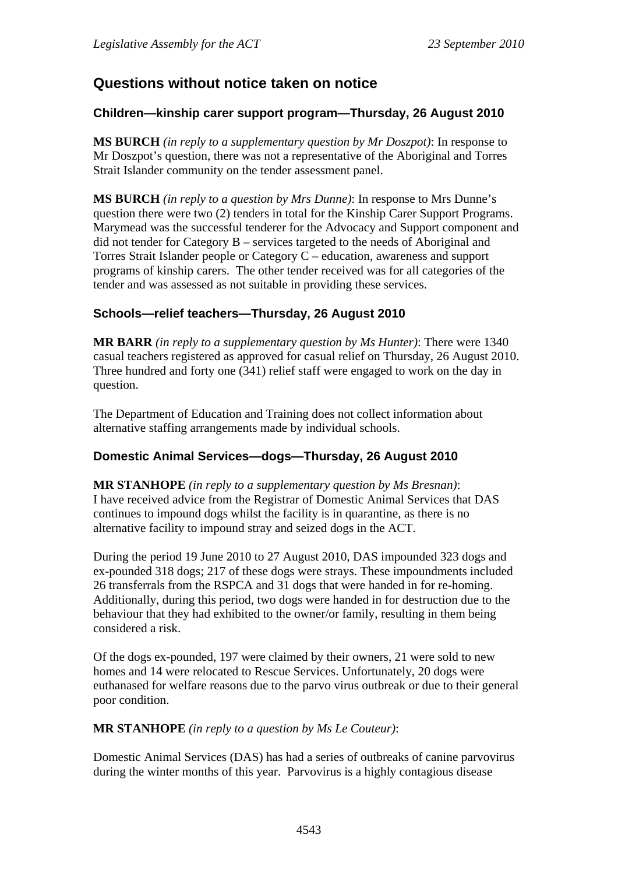# **Questions without notice taken on notice**

# **Children—kinship carer support program—Thursday, 26 August 2010**

**MS BURCH** *(in reply to a supplementary question by Mr Doszpot)*: In response to Mr Doszpot's question, there was not a representative of the Aboriginal and Torres Strait Islander community on the tender assessment panel.

**MS BURCH** *(in reply to a question by Mrs Dunne)*: In response to Mrs Dunne's question there were two (2) tenders in total for the Kinship Carer Support Programs. Marymead was the successful tenderer for the Advocacy and Support component and did not tender for Category B – services targeted to the needs of Aboriginal and Torres Strait Islander people or Category C – education, awareness and support programs of kinship carers. The other tender received was for all categories of the tender and was assessed as not suitable in providing these services.

# **Schools—relief teachers—Thursday, 26 August 2010**

**MR BARR** *(in reply to a supplementary question by Ms Hunter)*: There were 1340 casual teachers registered as approved for casual relief on Thursday, 26 August 2010. Three hundred and forty one (341) relief staff were engaged to work on the day in question.

The Department of Education and Training does not collect information about alternative staffing arrangements made by individual schools.

# **Domestic Animal Services—dogs—Thursday, 26 August 2010**

**MR STANHOPE** *(in reply to a supplementary question by Ms Bresnan)*: I have received advice from the Registrar of Domestic Animal Services that DAS continues to impound dogs whilst the facility is in quarantine, as there is no alternative facility to impound stray and seized dogs in the ACT.

During the period 19 June 2010 to 27 August 2010, DAS impounded 323 dogs and ex-pounded 318 dogs; 217 of these dogs were strays. These impoundments included 26 transferrals from the RSPCA and 31 dogs that were handed in for re-homing. Additionally, during this period, two dogs were handed in for destruction due to the behaviour that they had exhibited to the owner/or family, resulting in them being considered a risk.

Of the dogs ex-pounded, 197 were claimed by their owners, 21 were sold to new homes and 14 were relocated to Rescue Services. Unfortunately, 20 dogs were euthanased for welfare reasons due to the parvo virus outbreak or due to their general poor condition.

## **MR STANHOPE** *(in reply to a question by Ms Le Couteur)*:

Domestic Animal Services (DAS) has had a series of outbreaks of canine parvovirus during the winter months of this year. Parvovirus is a highly contagious disease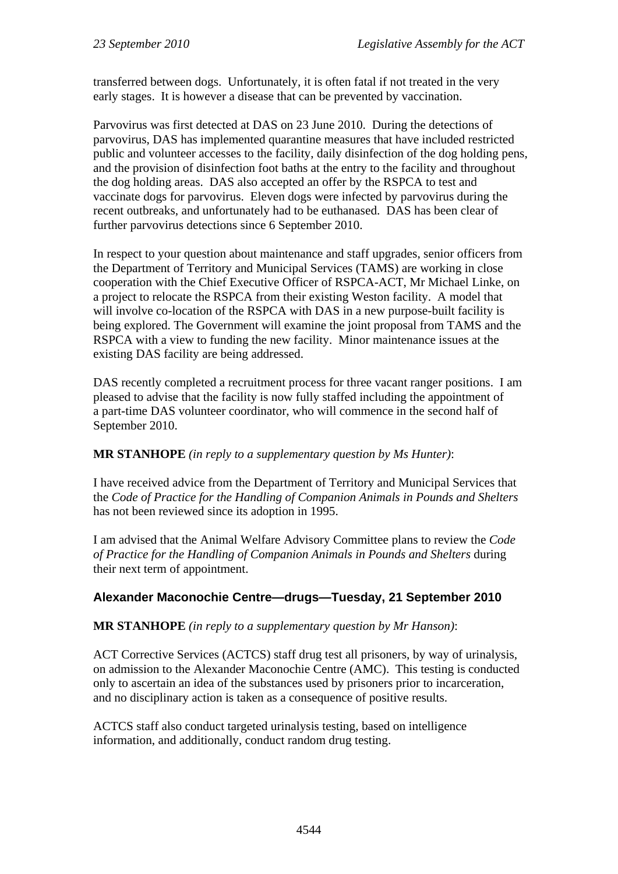transferred between dogs. Unfortunately, it is often fatal if not treated in the very early stages. It is however a disease that can be prevented by vaccination.

Parvovirus was first detected at DAS on 23 June 2010. During the detections of parvovirus, DAS has implemented quarantine measures that have included restricted public and volunteer accesses to the facility, daily disinfection of the dog holding pens, and the provision of disinfection foot baths at the entry to the facility and throughout the dog holding areas. DAS also accepted an offer by the RSPCA to test and vaccinate dogs for parvovirus. Eleven dogs were infected by parvovirus during the recent outbreaks, and unfortunately had to be euthanased. DAS has been clear of further parvovirus detections since 6 September 2010.

In respect to your question about maintenance and staff upgrades, senior officers from the Department of Territory and Municipal Services (TAMS) are working in close cooperation with the Chief Executive Officer of RSPCA-ACT, Mr Michael Linke, on a project to relocate the RSPCA from their existing Weston facility. A model that will involve co-location of the RSPCA with DAS in a new purpose-built facility is being explored. The Government will examine the joint proposal from TAMS and the RSPCA with a view to funding the new facility. Minor maintenance issues at the existing DAS facility are being addressed.

DAS recently completed a recruitment process for three vacant ranger positions. I am pleased to advise that the facility is now fully staffed including the appointment of a part-time DAS volunteer coordinator, who will commence in the second half of September 2010.

**MR STANHOPE** *(in reply to a supplementary question by Ms Hunter)*:

I have received advice from the Department of Territory and Municipal Services that the *Code of Practice for the Handling of Companion Animals in Pounds and Shelters* has not been reviewed since its adoption in 1995.

I am advised that the Animal Welfare Advisory Committee plans to review the *Code of Practice for the Handling of Companion Animals in Pounds and Shelters* during their next term of appointment.

# **Alexander Maconochie Centre—drugs—Tuesday, 21 September 2010**

**MR STANHOPE** *(in reply to a supplementary question by Mr Hanson)*:

ACT Corrective Services (ACTCS) staff drug test all prisoners, by way of urinalysis, on admission to the Alexander Maconochie Centre (AMC). This testing is conducted only to ascertain an idea of the substances used by prisoners prior to incarceration, and no disciplinary action is taken as a consequence of positive results.

ACTCS staff also conduct targeted urinalysis testing, based on intelligence information, and additionally, conduct random drug testing.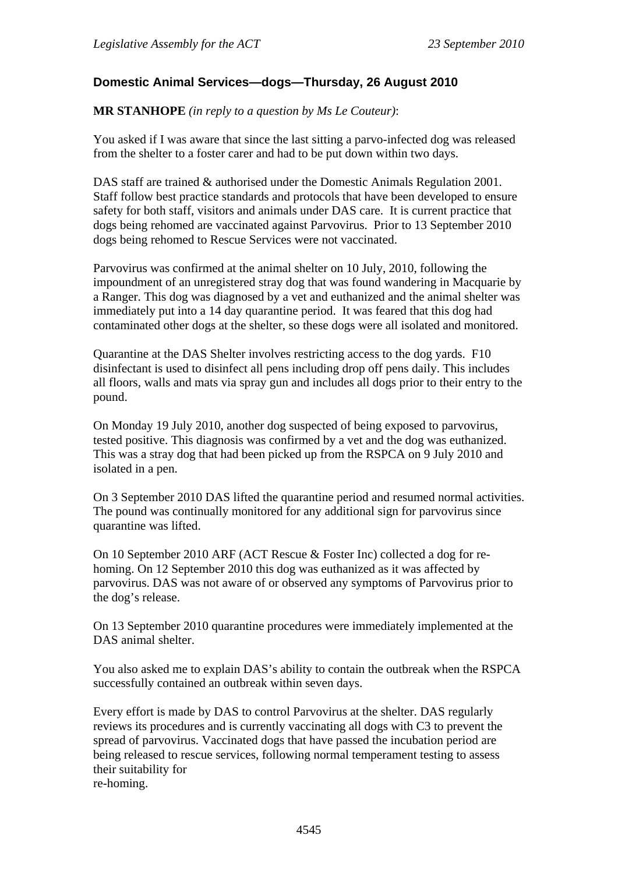## **Domestic Animal Services—dogs—Thursday, 26 August 2010**

**MR STANHOPE** *(in reply to a question by Ms Le Couteur)*:

You asked if I was aware that since the last sitting a parvo-infected dog was released from the shelter to a foster carer and had to be put down within two days.

DAS staff are trained & authorised under the Domestic Animals Regulation 2001. Staff follow best practice standards and protocols that have been developed to ensure safety for both staff, visitors and animals under DAS care. It is current practice that dogs being rehomed are vaccinated against Parvovirus. Prior to 13 September 2010 dogs being rehomed to Rescue Services were not vaccinated.

Parvovirus was confirmed at the animal shelter on 10 July, 2010, following the impoundment of an unregistered stray dog that was found wandering in Macquarie by a Ranger. This dog was diagnosed by a vet and euthanized and the animal shelter was immediately put into a 14 day quarantine period. It was feared that this dog had contaminated other dogs at the shelter, so these dogs were all isolated and monitored.

Quarantine at the DAS Shelter involves restricting access to the dog yards. F10 disinfectant is used to disinfect all pens including drop off pens daily. This includes all floors, walls and mats via spray gun and includes all dogs prior to their entry to the pound.

On Monday 19 July 2010, another dog suspected of being exposed to parvovirus, tested positive. This diagnosis was confirmed by a vet and the dog was euthanized. This was a stray dog that had been picked up from the RSPCA on 9 July 2010 and isolated in a pen.

On 3 September 2010 DAS lifted the quarantine period and resumed normal activities. The pound was continually monitored for any additional sign for parvovirus since quarantine was lifted.

On 10 September 2010 ARF (ACT Rescue & Foster Inc) collected a dog for rehoming. On 12 September 2010 this dog was euthanized as it was affected by parvovirus. DAS was not aware of or observed any symptoms of Parvovirus prior to the dog's release.

On 13 September 2010 quarantine procedures were immediately implemented at the DAS animal shelter.

You also asked me to explain DAS's ability to contain the outbreak when the RSPCA successfully contained an outbreak within seven days.

Every effort is made by DAS to control Parvovirus at the shelter. DAS regularly reviews its procedures and is currently vaccinating all dogs with C3 to prevent the spread of parvovirus. Vaccinated dogs that have passed the incubation period are being released to rescue services, following normal temperament testing to assess their suitability for re-homing.